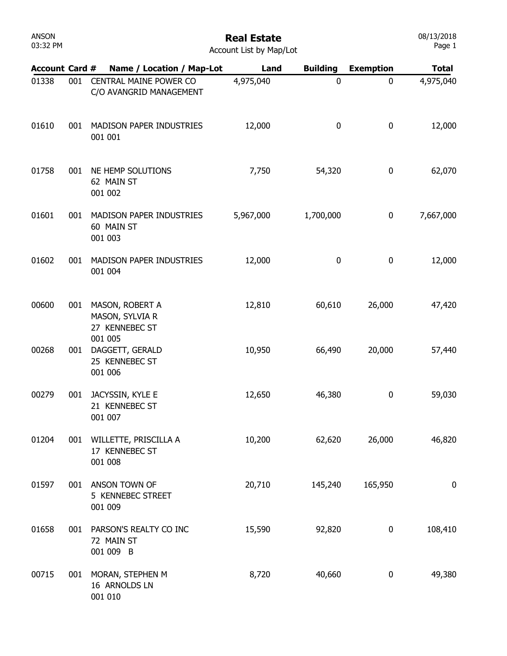| ANSON    |  |
|----------|--|
| 03:32 PM |  |

| <b>Account List by Map/Lot</b> |  |
|--------------------------------|--|
|--------------------------------|--|

| <b>Account Card #</b> |     | Name / Location / Map-Lot                               | Land      | <b>Building</b> | <b>Exemption</b> | <b>Total</b> |
|-----------------------|-----|---------------------------------------------------------|-----------|-----------------|------------------|--------------|
| 01338                 | 001 | CENTRAL MAINE POWER CO<br>C/O AVANGRID MANAGEMENT       | 4,975,040 | $\mathbf 0$     | 0                | 4,975,040    |
| 01610                 | 001 | MADISON PAPER INDUSTRIES<br>001 001                     | 12,000    | 0               | 0                | 12,000       |
| 01758                 | 001 | NE HEMP SOLUTIONS<br>62 MAIN ST<br>001 002              | 7,750     | 54,320          | 0                | 62,070       |
| 01601                 | 001 | MADISON PAPER INDUSTRIES<br>60 MAIN ST<br>001 003       | 5,967,000 | 1,700,000       | 0                | 7,667,000    |
| 01602                 | 001 | MADISON PAPER INDUSTRIES<br>001 004                     | 12,000    | 0               | 0                | 12,000       |
| 00600                 | 001 | MASON, ROBERT A<br>MASON, SYLVIA R<br>27 KENNEBEC ST    | 12,810    | 60,610          | 26,000           | 47,420       |
| 00268                 | 001 | 001 005<br>DAGGETT, GERALD<br>25 KENNEBEC ST<br>001 006 | 10,950    | 66,490          | 20,000           | 57,440       |
| 00279                 | 001 | JACYSSIN, KYLE E<br>21 KENNEBEC ST<br>001 007           | 12,650    | 46,380          | 0                | 59,030       |
| 01204                 | 001 | WILLETTE, PRISCILLA A<br>17 KENNEBEC ST<br>001 008      | 10,200    | 62,620          | 26,000           | 46,820       |
| 01597                 | 001 | ANSON TOWN OF<br>5 KENNEBEC STREET<br>001 009           | 20,710    | 145,240         | 165,950          | 0            |
| 01658                 | 001 | PARSON'S REALTY CO INC<br>72 MAIN ST<br>001 009 B       | 15,590    | 92,820          | 0                | 108,410      |
| 00715                 | 001 | MORAN, STEPHEN M<br>16 ARNOLDS LN<br>001 010            | 8,720     | 40,660          | 0                | 49,380       |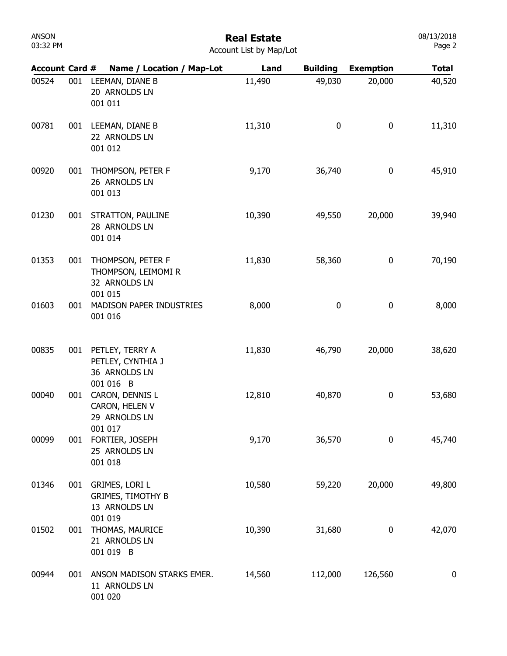## Real Estate

| <b>Account List by Map/Lot</b> |  |  |  |  |
|--------------------------------|--|--|--|--|
|--------------------------------|--|--|--|--|

| <b>Account Card #</b> |     | Name / Location / Map-Lot                                                     | Land   | <b>Building</b> | <b>Exemption</b> | <b>Total</b> |
|-----------------------|-----|-------------------------------------------------------------------------------|--------|-----------------|------------------|--------------|
| 00524                 | 001 | LEEMAN, DIANE B<br>20 ARNOLDS LN<br>001 011                                   | 11,490 | 49,030          | 20,000           | 40,520       |
| 00781                 | 001 | LEEMAN, DIANE B<br>22 ARNOLDS LN<br>001 012                                   | 11,310 | 0               | 0                | 11,310       |
| 00920                 | 001 | THOMPSON, PETER F<br>26 ARNOLDS LN<br>001 013                                 | 9,170  | 36,740          | 0                | 45,910       |
| 01230                 | 001 | STRATTON, PAULINE<br>28 ARNOLDS LN<br>001 014                                 | 10,390 | 49,550          | 20,000           | 39,940       |
| 01353                 | 001 | THOMPSON, PETER F<br>THOMPSON, LEIMOMI R<br>32 ARNOLDS LN<br>001 015          | 11,830 | 58,360          | 0                | 70,190       |
| 01603                 | 001 | MADISON PAPER INDUSTRIES<br>001 016                                           | 8,000  | 0               | 0                | 8,000        |
| 00835                 | 001 | PETLEY, TERRY A<br>PETLEY, CYNTHIA J<br>36 ARNOLDS LN<br>001 016 B            | 11,830 | 46,790          | 20,000           | 38,620       |
| 00040                 | 001 | CARON, DENNIS L<br>CARON, HELEN V<br>29 ARNOLDS LN<br>001 017                 | 12,810 | 40,870          | 0                | 53,680       |
| 00099                 | 001 | FORTIER, JOSEPH<br>25 ARNOLDS LN<br>001 018                                   | 9,170  | 36,570          | 0                | 45,740       |
| 01346                 | 001 | <b>GRIMES, LORI L</b><br><b>GRIMES, TIMOTHY B</b><br>13 ARNOLDS LN<br>001 019 | 10,580 | 59,220          | 20,000           | 49,800       |
| 01502                 | 001 | THOMAS, MAURICE<br>21 ARNOLDS LN<br>001 019 B                                 | 10,390 | 31,680          | 0                | 42,070       |
| 00944                 | 001 | ANSON MADISON STARKS EMER.<br>11 ARNOLDS LN<br>001 020                        | 14,560 | 112,000         | 126,560          | $\mathbf 0$  |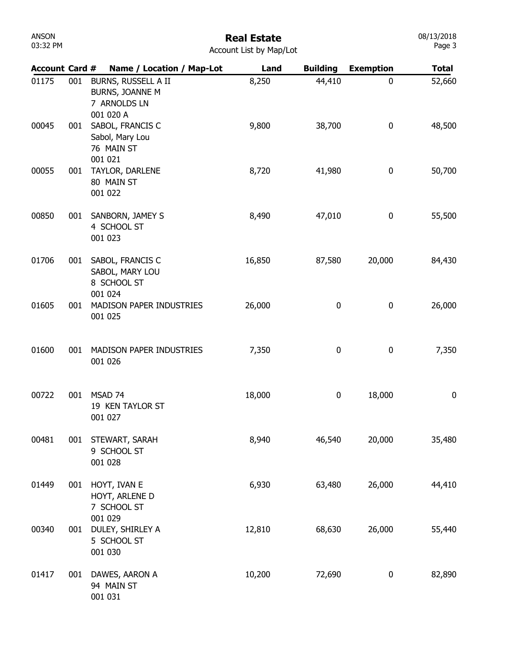| <b>ANSON</b><br>03:32 PM | <b>Real Estate</b><br>Account List by Map/Lot |                                                                            |       |                 |                  |        |
|--------------------------|-----------------------------------------------|----------------------------------------------------------------------------|-------|-----------------|------------------|--------|
| <b>Account Card #</b>    |                                               | Name / Location / Map-Lot                                                  | Land  | <b>Building</b> | <b>Exemption</b> | Total  |
| 01175                    | 001                                           | BURNS, RUSSELL A II<br><b>BURNS, JOANNE M</b><br>7 ARNOLDS LN<br>001 020 A | 8,250 | 44,410          | 0                | 52,660 |
| 00045                    | 001                                           | SABOL, FRANCIS C<br>Sabol, Mary Lou<br>76 MAIN ST<br>001 021               | 9,800 | 38,700          | 0                | 48,500 |
| 00055                    | 001                                           | TAYLOR, DARLENE<br><b>80 MAIN ST</b>                                       | 8,720 | 41,980          | 0                | 50,700 |

001 031

| 00045 | 001 | 001 020 A<br>SABOL, FRANCIS C<br>Sabol, Mary Lou              | 9,800  | 38,700    | 0      | 48,500           |
|-------|-----|---------------------------------------------------------------|--------|-----------|--------|------------------|
| 00055 | 001 | 76 MAIN ST<br>001 021<br>TAYLOR, DARLENE                      | 8,720  | 41,980    | 0      | 50,700           |
|       |     | 80 MAIN ST<br>001 022                                         |        |           |        |                  |
| 00850 | 001 | SANBORN, JAMEY S<br>4 SCHOOL ST<br>001 023                    | 8,490  | 47,010    | 0      | 55,500           |
| 01706 | 001 | SABOL, FRANCIS C<br>SABOL, MARY LOU<br>8 SCHOOL ST<br>001 024 | 16,850 | 87,580    | 20,000 | 84,430           |
| 01605 | 001 | MADISON PAPER INDUSTRIES<br>001 025                           | 26,000 | 0         | 0      | 26,000           |
| 01600 | 001 | MADISON PAPER INDUSTRIES<br>001 026                           | 7,350  | 0         | 0      | 7,350            |
| 00722 | 001 | MSAD 74<br>19 KEN TAYLOR ST<br>001 027                        | 18,000 | $\pmb{0}$ | 18,000 | $\boldsymbol{0}$ |
| 00481 | 001 | STEWART, SARAH<br>9 SCHOOL ST<br>001 028                      | 8,940  | 46,540    | 20,000 | 35,480           |
| 01449 | 001 | HOYT, IVAN E<br>HOYT, ARLENE D<br>7 SCHOOL ST<br>001 029      | 6,930  | 63,480    | 26,000 | 44,410           |
| 00340 | 001 | DULEY, SHIRLEY A<br>5 SCHOOL ST<br>001 030                    | 12,810 | 68,630    | 26,000 | 55,440           |
| 01417 | 001 | DAWES, AARON A<br>94 MAIN ST                                  | 10,200 | 72,690    | 0      | 82,890           |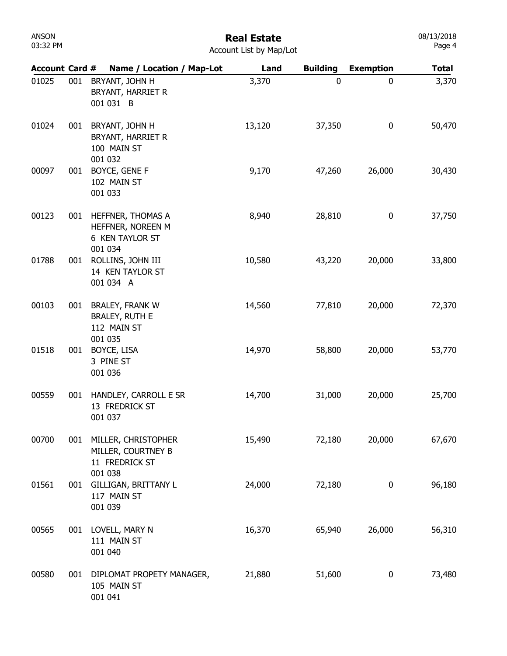| ANSON    |  |
|----------|--|
| 03:32 PM |  |

| <b>Account Card #</b> |     | Name / Location / Map-Lot                                                 | Land   | <b>Building</b> | <b>Exemption</b> | <b>Total</b> |
|-----------------------|-----|---------------------------------------------------------------------------|--------|-----------------|------------------|--------------|
| 01025                 | 001 | BRYANT, JOHN H<br>BRYANT, HARRIET R<br>001 031 B                          | 3,370  | $\mathbf 0$     | 0                | 3,370        |
| 01024                 | 001 | BRYANT, JOHN H<br>BRYANT, HARRIET R<br>100 MAIN ST<br>001 032             | 13,120 | 37,350          | 0                | 50,470       |
| 00097                 | 001 | BOYCE, GENE F<br>102 MAIN ST<br>001 033                                   | 9,170  | 47,260          | 26,000           | 30,430       |
| 00123                 | 001 | HEFFNER, THOMAS A<br>HEFFNER, NOREEN M<br>6 KEN TAYLOR ST<br>001 034      | 8,940  | 28,810          | 0                | 37,750       |
| 01788                 | 001 | ROLLINS, JOHN III<br>14 KEN TAYLOR ST<br>001 034 A                        | 10,580 | 43,220          | 20,000           | 33,800       |
| 00103                 | 001 | <b>BRALEY, FRANK W</b><br><b>BRALEY, RUTH E</b><br>112 MAIN ST<br>001 035 | 14,560 | 77,810          | 20,000           | 72,370       |
| 01518                 | 001 | BOYCE, LISA<br>3 PINE ST<br>001 036                                       | 14,970 | 58,800          | 20,000           | 53,770       |
| 00559                 | 001 | HANDLEY, CARROLL E SR<br>13 FREDRICK ST<br>001 037                        | 14,700 | 31,000          | 20,000           | 25,700       |
| 00700                 | 001 | MILLER, CHRISTOPHER<br>MILLER, COURTNEY B<br>11 FREDRICK ST<br>001 038    | 15,490 | 72,180          | 20,000           | 67,670       |
| 01561                 | 001 | GILLIGAN, BRITTANY L<br>117 MAIN ST<br>001 039                            | 24,000 | 72,180          | 0                | 96,180       |
| 00565                 | 001 | LOVELL, MARY N<br>111 MAIN ST<br>001 040                                  | 16,370 | 65,940          | 26,000           | 56,310       |
| 00580                 | 001 | DIPLOMAT PROPETY MANAGER,<br>105 MAIN ST<br>001 041                       | 21,880 | 51,600          | 0                | 73,480       |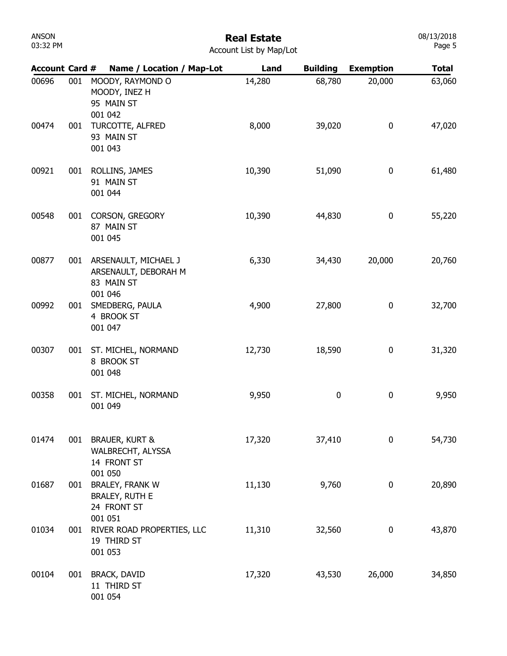| ANSON    |  |
|----------|--|
| 03:32 PM |  |

#### Real Estate Account List by Map/Lot

| <b>Account Card #</b> |     | Name / Location / Map-Lot                                                 | Land   | <b>Building</b> | <b>Exemption</b> | <b>Total</b> |
|-----------------------|-----|---------------------------------------------------------------------------|--------|-----------------|------------------|--------------|
| 00696                 | 001 | MOODY, RAYMOND O<br>MOODY, INEZ H<br>95 MAIN ST<br>001 042                | 14,280 | 68,780          | 20,000           | 63,060       |
| 00474                 | 001 | TURCOTTE, ALFRED<br>93 MAIN ST<br>001 043                                 | 8,000  | 39,020          | $\boldsymbol{0}$ | 47,020       |
| 00921                 | 001 | ROLLINS, JAMES<br>91 MAIN ST<br>001 044                                   | 10,390 | 51,090          | $\boldsymbol{0}$ | 61,480       |
| 00548                 | 001 | CORSON, GREGORY<br>87 MAIN ST<br>001 045                                  | 10,390 | 44,830          | 0                | 55,220       |
| 00877                 | 001 | ARSENAULT, MICHAEL J<br>ARSENAULT, DEBORAH M<br>83 MAIN ST<br>001 046     | 6,330  | 34,430          | 20,000           | 20,760       |
| 00992                 | 001 | SMEDBERG, PAULA<br>4 BROOK ST<br>001 047                                  | 4,900  | 27,800          | 0                | 32,700       |
| 00307                 | 001 | ST. MICHEL, NORMAND<br>8 BROOK ST<br>001 048                              | 12,730 | 18,590          | 0                | 31,320       |
| 00358                 | 001 | ST. MICHEL, NORMAND<br>001 049                                            | 9,950  | 0               | 0                | 9,950        |
| 01474                 | 001 | <b>BRAUER, KURT &amp;</b><br>WALBRECHT, ALYSSA<br>14 FRONT ST<br>001 050  | 17,320 | 37,410          | $\mathbf 0$      | 54,730       |
| 01687                 | 001 | <b>BRALEY, FRANK W</b><br><b>BRALEY, RUTH E</b><br>24 FRONT ST<br>001 051 | 11,130 | 9,760           | 0                | 20,890       |
| 01034                 | 001 | RIVER ROAD PROPERTIES, LLC<br>19 THIRD ST<br>001 053                      | 11,310 | 32,560          | $\boldsymbol{0}$ | 43,870       |
| 00104                 | 001 | <b>BRACK, DAVID</b><br>11 THIRD ST<br>001 054                             | 17,320 | 43,530          | 26,000           | 34,850       |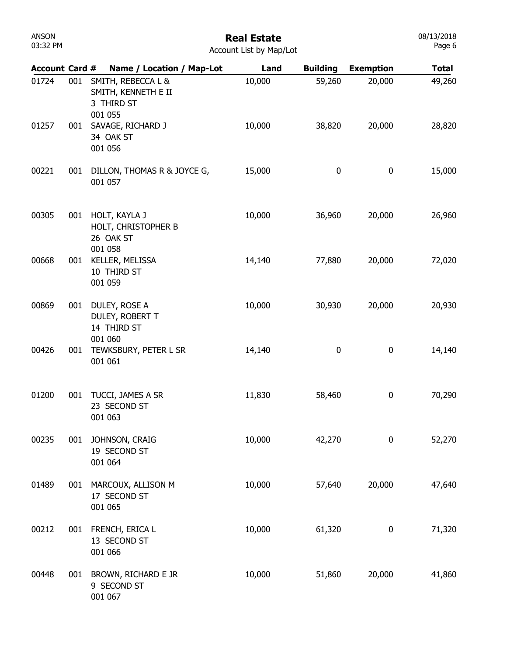#### Real Estate Account List by Map/Lot

| <b>Account Card #</b> |     | Name / Location / Map-Lot                                          | Land   | <b>Building</b> | <b>Exemption</b> | <b>Total</b> |
|-----------------------|-----|--------------------------------------------------------------------|--------|-----------------|------------------|--------------|
| 01724                 | 001 | SMITH, REBECCA L &<br>SMITH, KENNETH E II<br>3 THIRD ST<br>001 055 | 10,000 | 59,260          | 20,000           | 49,260       |
| 01257                 | 001 | SAVAGE, RICHARD J<br>34 OAK ST<br>001 056                          | 10,000 | 38,820          | 20,000           | 28,820       |
| 00221                 | 001 | DILLON, THOMAS R & JOYCE G,<br>001 057                             | 15,000 | $\pmb{0}$       | $\pmb{0}$        | 15,000       |
| 00305                 | 001 | HOLT, KAYLA J<br>HOLT, CHRISTOPHER B<br>26 OAK ST<br>001 058       | 10,000 | 36,960          | 20,000           | 26,960       |
| 00668                 | 001 | KELLER, MELISSA<br>10 THIRD ST<br>001 059                          | 14,140 | 77,880          | 20,000           | 72,020       |
| 00869                 | 001 | DULEY, ROSE A<br>DULEY, ROBERT T<br>14 THIRD ST<br>001 060         | 10,000 | 30,930          | 20,000           | 20,930       |
| 00426                 | 001 | TEWKSBURY, PETER L SR<br>001 061                                   | 14,140 | 0               | $\pmb{0}$        | 14,140       |
| 01200                 | 001 | TUCCI, JAMES A SR<br>23 SECOND ST<br>001 063                       | 11,830 | 58,460          | $\pmb{0}$        | 70,290       |
| 00235                 | 001 | JOHNSON, CRAIG<br>19 SECOND ST<br>001 064                          | 10,000 | 42,270          | $\mathbf 0$      | 52,270       |
| 01489                 | 001 | MARCOUX, ALLISON M<br>17 SECOND ST<br>001 065                      | 10,000 | 57,640          | 20,000           | 47,640       |
| 00212                 | 001 | FRENCH, ERICA L<br>13 SECOND ST<br>001 066                         | 10,000 | 61,320          | $\bf{0}$         | 71,320       |
| 00448                 | 001 | BROWN, RICHARD E JR<br>9 SECOND ST<br>001 067                      | 10,000 | 51,860          | 20,000           | 41,860       |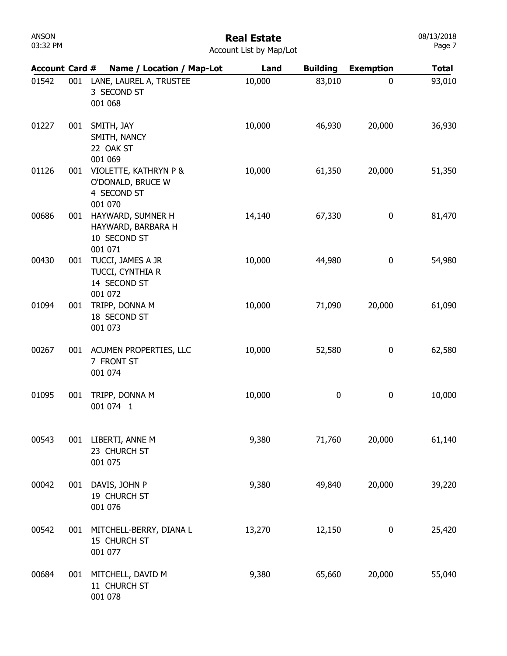#### Real Estate

08/13/2018 Page 7

| <b>Account Card #</b> |     | Name / Location / Map-Lot                                            | Land   | <b>Building</b> | <b>Exemption</b> | <b>Total</b> |
|-----------------------|-----|----------------------------------------------------------------------|--------|-----------------|------------------|--------------|
| 01542                 | 001 | LANE, LAUREL A, TRUSTEE<br>3 SECOND ST<br>001 068                    | 10,000 | 83,010          | $\mathbf{0}$     | 93,010       |
| 01227                 | 001 | SMITH, JAY<br>SMITH, NANCY<br>22 OAK ST<br>001 069                   | 10,000 | 46,930          | 20,000           | 36,930       |
| 01126                 | 001 | VIOLETTE, KATHRYN P &<br>O'DONALD, BRUCE W<br>4 SECOND ST<br>001 070 | 10,000 | 61,350          | 20,000           | 51,350       |
| 00686                 | 001 | HAYWARD, SUMNER H<br>HAYWARD, BARBARA H<br>10 SECOND ST<br>001 071   | 14,140 | 67,330          | 0                | 81,470       |
| 00430                 | 001 | TUCCI, JAMES A JR<br>TUCCI, CYNTHIA R<br>14 SECOND ST<br>001 072     | 10,000 | 44,980          | $\boldsymbol{0}$ | 54,980       |
| 01094                 | 001 | TRIPP, DONNA M<br>18 SECOND ST<br>001 073                            | 10,000 | 71,090          | 20,000           | 61,090       |
| 00267                 | 001 | ACUMEN PROPERTIES, LLC<br>7 FRONT ST<br>001 074                      | 10,000 | 52,580          | 0                | 62,580       |
| 01095                 | 001 | TRIPP, DONNA M<br>001 074 1                                          | 10,000 | 0               | 0                | 10,000       |
| 00543                 |     | 001 LIBERTI, ANNE M<br>23 CHURCH ST<br>001 075                       | 9,380  | 71,760          | 20,000           | 61,140       |
| 00042                 | 001 | DAVIS, JOHN P<br>19 CHURCH ST<br>001 076                             | 9,380  | 49,840          | 20,000           | 39,220       |
| 00542                 | 001 | MITCHELL-BERRY, DIANA L<br>15 CHURCH ST<br>001 077                   | 13,270 | 12,150          | $\boldsymbol{0}$ | 25,420       |
| 00684                 | 001 | MITCHELL, DAVID M<br>11 CHURCH ST<br>001 078                         | 9,380  | 65,660          | 20,000           | 55,040       |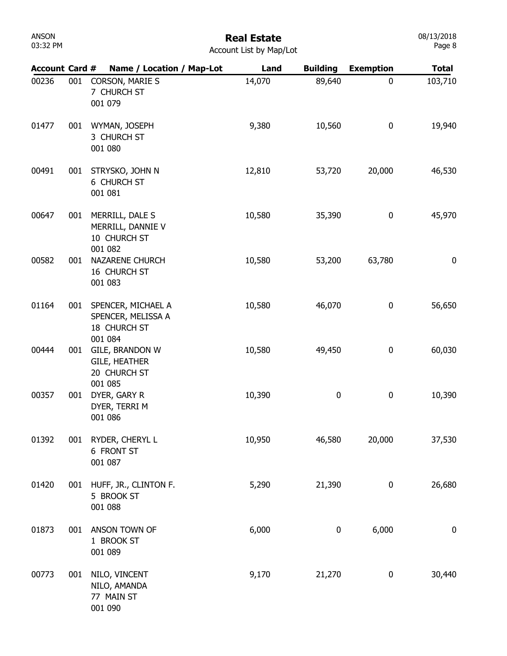#### Real Estate Account List by Map/Lot

| <b>Account Card #</b> |     | Name / Location / Map-Lot                                           | Land   | <b>Building</b> | <b>Exemption</b> | <b>Total</b>     |
|-----------------------|-----|---------------------------------------------------------------------|--------|-----------------|------------------|------------------|
| 00236                 | 001 | CORSON, MARIE S<br>7 CHURCH ST<br>001 079                           | 14,070 | 89,640          | 0                | 103,710          |
| 01477                 | 001 | WYMAN, JOSEPH<br>3 CHURCH ST<br>001 080                             | 9,380  | 10,560          | 0                | 19,940           |
| 00491                 | 001 | STRYSKO, JOHN N<br>6 CHURCH ST<br>001 081                           | 12,810 | 53,720          | 20,000           | 46,530           |
| 00647                 | 001 | MERRILL, DALE S<br>MERRILL, DANNIE V<br>10 CHURCH ST<br>001 082     | 10,580 | 35,390          | 0                | 45,970           |
| 00582                 | 001 | NAZARENE CHURCH<br>16 CHURCH ST<br>001 083                          | 10,580 | 53,200          | 63,780           | 0                |
| 01164                 | 001 | SPENCER, MICHAEL A<br>SPENCER, MELISSA A<br>18 CHURCH ST<br>001 084 | 10,580 | 46,070          | 0                | 56,650           |
| 00444                 | 001 | GILE, BRANDON W<br><b>GILE, HEATHER</b><br>20 CHURCH ST             | 10,580 | 49,450          | 0                | 60,030           |
| 00357                 | 001 | 001 085<br>DYER, GARY R<br>DYER, TERRI M<br>001 086                 | 10,390 | 0               | 0                | 10,390           |
| 01392                 |     | 001 RYDER, CHERYL L<br>6 FRONT ST<br>001 087                        | 10,950 | 46,580          | 20,000           | 37,530           |
| 01420                 |     | 001 HUFF, JR., CLINTON F.<br>5 BROOK ST<br>001 088                  | 5,290  | 21,390          | 0                | 26,680           |
| 01873                 | 001 | ANSON TOWN OF<br>1 BROOK ST<br>001 089                              | 6,000  | 0               | 6,000            | $\boldsymbol{0}$ |
| 00773                 | 001 | NILO, VINCENT<br>NILO, AMANDA<br>77 MAIN ST<br>001 090              | 9,170  | 21,270          | 0                | 30,440           |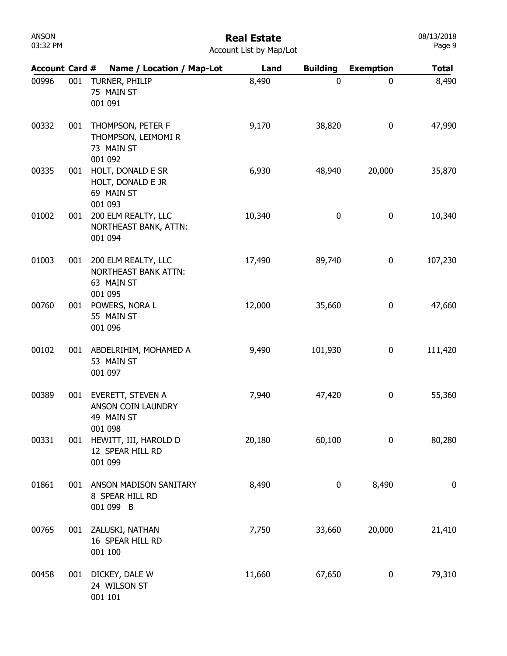| ANSON    |  |
|----------|--|
| 03:32 PM |  |

08/13/2018 Page 9

| <b>Account Card #</b> |     | Name / Location / Map-Lot                                                   | Land   | <b>Building</b> | <b>Exemption</b> | <b>Total</b> |
|-----------------------|-----|-----------------------------------------------------------------------------|--------|-----------------|------------------|--------------|
| 00996                 | 001 | TURNER, PHILIP<br>75 MAIN ST<br>001 091                                     | 8,490  | 0               | 0                | 8,490        |
| 00332                 | 001 | THOMPSON, PETER F<br>THOMPSON, LEIMOMI R<br>73 MAIN ST<br>001 092           | 9,170  | 38,820          | 0                | 47,990       |
| 00335                 | 001 | HOLT, DONALD E SR<br>HOLT, DONALD E JR<br>69 MAIN ST<br>001 093             | 6,930  | 48,940          | 20,000           | 35,870       |
| 01002                 | 001 | 200 ELM REALTY, LLC<br>NORTHEAST BANK, ATTN:<br>001 094                     | 10,340 | 0               | $\bf{0}$         | 10,340       |
| 01003                 | 001 | 200 ELM REALTY, LLC<br><b>NORTHEAST BANK ATTN:</b><br>63 MAIN ST<br>001 095 | 17,490 | 89,740          | $\bf{0}$         | 107,230      |
| 00760                 | 001 | POWERS, NORA L<br>55 MAIN ST<br>001 096                                     | 12,000 | 35,660          | $\bf{0}$         | 47,660       |
| 00102                 |     | 001 ABDELRIHIM, MOHAMED A<br>53 MAIN ST<br>001 097                          | 9,490  | 101,930         | 0                | 111,420      |
| 00389                 | 001 | EVERETT, STEVEN A<br>ANSON COIN LAUNDRY<br>49 MAIN ST<br>001 098            | 7,940  | 47,420          | $\bf{0}$         | 55,360       |
| 00331                 | 001 | HEWITT, III, HAROLD D<br>12 SPEAR HILL RD<br>001 099                        | 20,180 | 60,100          | $\mathbf 0$      | 80,280       |
| 01861                 | 001 | ANSON MADISON SANITARY<br>8 SPEAR HILL RD<br>001 099 B                      | 8,490  | 0               | 8,490            | 0            |
| 00765                 | 001 | ZALUSKI, NATHAN<br>16 SPEAR HILL RD<br>001 100                              | 7,750  | 33,660          | 20,000           | 21,410       |
| 00458                 | 001 | DICKEY, DALE W<br>24 WILSON ST<br>001 101                                   | 11,660 | 67,650          | 0                | 79,310       |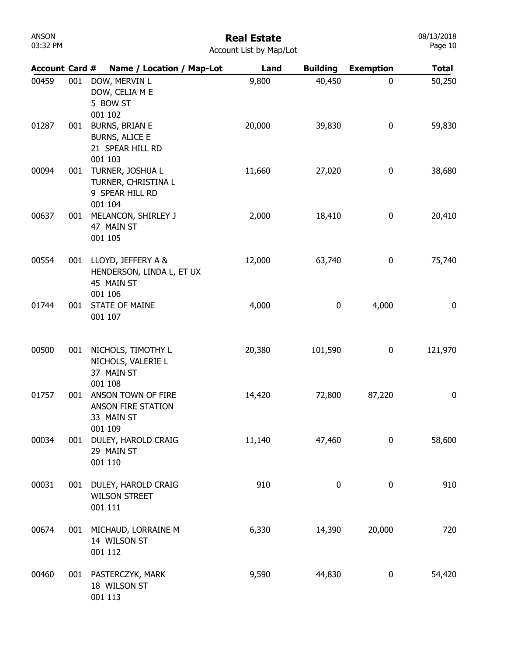### Real Estate

|  | <b>Account List by Map/Lot</b> |  |  |  |  |
|--|--------------------------------|--|--|--|--|
|--|--------------------------------|--|--|--|--|

| <b>Account Card #</b> |     | Name / Location / Map-Lot                                                     | Land   | <b>Building</b>  | <b>Exemption</b> | <b>Total</b> |
|-----------------------|-----|-------------------------------------------------------------------------------|--------|------------------|------------------|--------------|
| 00459                 | 001 | DOW, MERVIN L<br>DOW, CELIA M E<br>5 BOW ST<br>001 102                        | 9,800  | 40,450           | 0                | 50,250       |
| 01287                 | 001 | <b>BURNS, BRIAN E</b><br><b>BURNS, ALICE E</b><br>21 SPEAR HILL RD<br>001 103 | 20,000 | 39,830           | 0                | 59,830       |
| 00094                 | 001 | TURNER, JOSHUA L<br>TURNER, CHRISTINA L<br>9 SPEAR HILL RD<br>001 104         | 11,660 | 27,020           | 0                | 38,680       |
| 00637                 | 001 | MELANCON, SHIRLEY J<br>47 MAIN ST<br>001 105                                  | 2,000  | 18,410           | 0                | 20,410       |
| 00554                 | 001 | LLOYD, JEFFERY A &<br>HENDERSON, LINDA L, ET UX<br>45 MAIN ST<br>001 106      | 12,000 | 63,740           | 0                | 75,740       |
| 01744                 | 001 | <b>STATE OF MAINE</b><br>001 107                                              | 4,000  | 0                | 4,000            | 0            |
| 00500                 | 001 | NICHOLS, TIMOTHY L<br>NICHOLS, VALERIE L<br>37 MAIN ST<br>001 108             | 20,380 | 101,590          | 0                | 121,970      |
| 01757                 | 001 | ANSON TOWN OF FIRE<br>ANSON FIRE STATION<br>33 MAIN ST<br>001 109             | 14,420 | 72,800           | 87,220           | 0            |
| 00034                 | 001 | DULEY, HAROLD CRAIG<br>29 MAIN ST<br>001 110                                  | 11,140 | 47,460           | $\bf{0}$         | 58,600       |
| 00031                 | 001 | DULEY, HAROLD CRAIG<br><b>WILSON STREET</b><br>001 111                        | 910    | $\boldsymbol{0}$ | 0                | 910          |
| 00674                 | 001 | MICHAUD, LORRAINE M<br>14 WILSON ST<br>001 112                                | 6,330  | 14,390           | 20,000           | 720          |
| 00460                 | 001 | PASTERCZYK, MARK<br>18 WILSON ST<br>001 113                                   | 9,590  | 44,830           | $\boldsymbol{0}$ | 54,420       |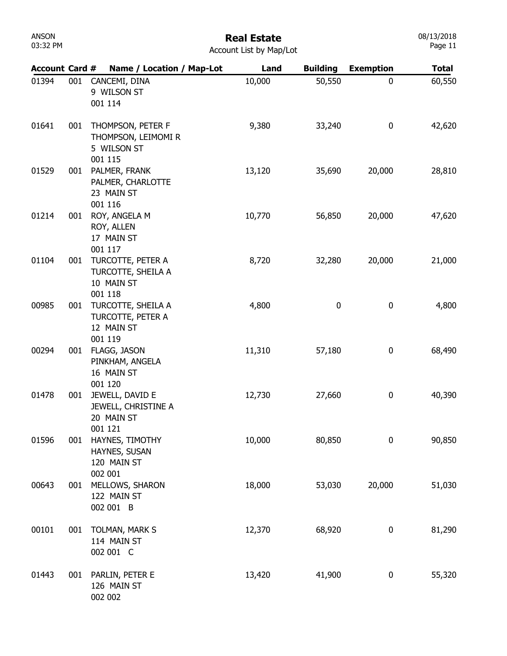| ANSON    |  |
|----------|--|
| 03:32 PM |  |

| <b>Account Card #</b> |     | Name / Location / Map-Lot                                        | Land   | <b>Building</b> | <b>Exemption</b> | <b>Total</b> |
|-----------------------|-----|------------------------------------------------------------------|--------|-----------------|------------------|--------------|
| 01394                 | 001 | CANCEMI, DINA<br>9 WILSON ST                                     | 10,000 | 50,550          | 0                | 60,550       |
|                       |     | 001 114                                                          |        |                 |                  |              |
| 01641                 | 001 | THOMPSON, PETER F<br>THOMPSON, LEIMOMI R<br>5 WILSON ST          | 9,380  | 33,240          | 0                | 42,620       |
| 01529                 | 001 | 001 115<br>PALMER, FRANK<br>PALMER, CHARLOTTE<br>23 MAIN ST      | 13,120 | 35,690          | 20,000           | 28,810       |
| 01214                 | 001 | 001 116<br>ROY, ANGELA M<br>ROY, ALLEN<br>17 MAIN ST             | 10,770 | 56,850          | 20,000           | 47,620       |
| 01104                 | 001 | 001 117<br>TURCOTTE, PETER A<br>TURCOTTE, SHEILA A<br>10 MAIN ST | 8,720  | 32,280          | 20,000           | 21,000       |
| 00985                 | 001 | 001 118<br>TURCOTTE, SHEILA A<br>TURCOTTE, PETER A<br>12 MAIN ST | 4,800  | 0               | 0                | 4,800        |
| 00294                 | 001 | 001 119<br>FLAGG, JASON<br>PINKHAM, ANGELA<br>16 MAIN ST         | 11,310 | 57,180          | 0                | 68,490       |
| 01478                 | 001 | 001 120<br>JEWELL, DAVID E<br>JEWELL, CHRISTINE A<br>20 MAIN ST  | 12,730 | 27,660          | 0                | 40,390       |
| 01596                 | 001 | 001 121<br>HAYNES, TIMOTHY<br>HAYNES, SUSAN<br>120 MAIN ST       | 10,000 | 80,850          | 0                | 90,850       |
| 00643                 | 001 | 002 001<br>MELLOWS, SHARON<br>122 MAIN ST<br>002 001 B           | 18,000 | 53,030          | 20,000           | 51,030       |
| 00101                 | 001 | TOLMAN, MARK S<br>114 MAIN ST<br>002 001 C                       | 12,370 | 68,920          | 0                | 81,290       |
| 01443                 | 001 | PARLIN, PETER E<br>126 MAIN ST<br>002 002                        | 13,420 | 41,900          | 0                | 55,320       |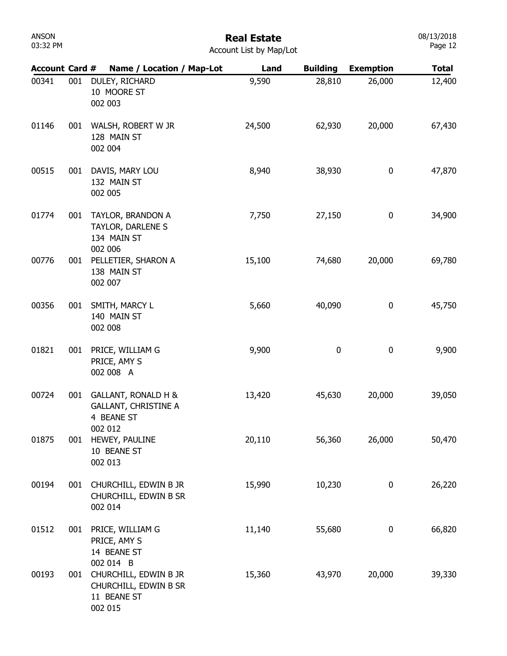# Real Estate

08/13/2018 Page 12

| <b>Account Card #</b> |     | Name / Location / Map-Lot                                                   | Land   | <b>Building</b> | <b>Exemption</b> | <b>Total</b> |
|-----------------------|-----|-----------------------------------------------------------------------------|--------|-----------------|------------------|--------------|
| 00341                 | 001 | DULEY, RICHARD<br>10 MOORE ST<br>002 003                                    | 9,590  | 28,810          | 26,000           | 12,400       |
| 01146                 | 001 | WALSH, ROBERT W JR<br>128 MAIN ST<br>002 004                                | 24,500 | 62,930          | 20,000           | 67,430       |
| 00515                 | 001 | DAVIS, MARY LOU<br>132 MAIN ST<br>002 005                                   | 8,940  | 38,930          | 0                | 47,870       |
| 01774                 | 001 | TAYLOR, BRANDON A<br>TAYLOR, DARLENE S<br>134 MAIN ST<br>002 006            | 7,750  | 27,150          | 0                | 34,900       |
| 00776                 | 001 | PELLETIER, SHARON A<br>138 MAIN ST<br>002 007                               | 15,100 | 74,680          | 20,000           | 69,780       |
| 00356                 | 001 | SMITH, MARCY L<br>140 MAIN ST<br>002 008                                    | 5,660  | 40,090          | 0                | 45,750       |
| 01821                 | 001 | PRICE, WILLIAM G<br>PRICE, AMY S<br>002 008 A                               | 9,900  | 0               | 0                | 9,900        |
| 00724                 | 001 | GALLANT, RONALD H &<br><b>GALLANT, CHRISTINE A</b><br>4 BEANE ST<br>002 012 | 13,420 | 45,630          | 20,000           | 39,050       |
| 01875                 | 001 | HEWEY, PAULINE<br>10 BEANE ST<br>002 013                                    | 20,110 | 56,360          | 26,000           | 50,470       |
| 00194                 | 001 | CHURCHILL, EDWIN B JR<br>CHURCHILL, EDWIN B SR<br>002 014                   | 15,990 | 10,230          | 0                | 26,220       |
| 01512                 | 001 | PRICE, WILLIAM G<br>PRICE, AMY S<br>14 BEANE ST<br>002 014 B                | 11,140 | 55,680          | 0                | 66,820       |
| 00193                 | 001 | CHURCHILL, EDWIN B JR<br>CHURCHILL, EDWIN B SR<br>11 BEANE ST<br>002 015    | 15,360 | 43,970          | 20,000           | 39,330       |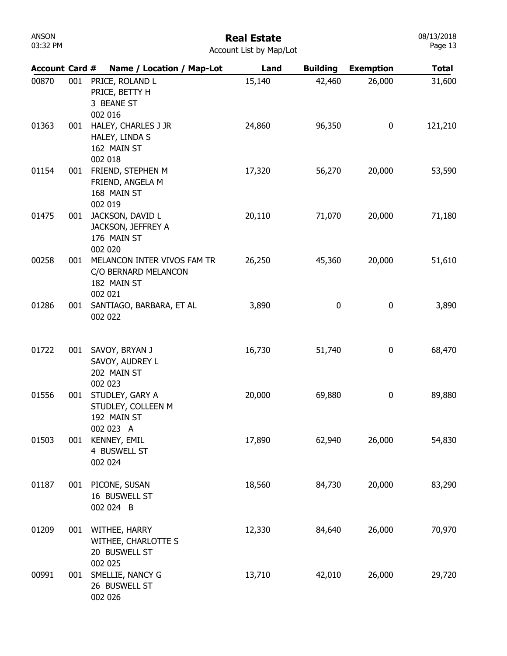| ANSON    |  |
|----------|--|
| 03:32 PM |  |

|  | <b>Account List by Map/Lot</b> |  |  |  |  |
|--|--------------------------------|--|--|--|--|
|--|--------------------------------|--|--|--|--|

| <b>Account Card #</b> |     | Name / Location / Map-Lot                                                     | Land   | <b>Building</b> | <b>Exemption</b> | <b>Total</b> |
|-----------------------|-----|-------------------------------------------------------------------------------|--------|-----------------|------------------|--------------|
| 00870                 | 001 | PRICE, ROLAND L<br>PRICE, BETTY H<br>3 BEANE ST<br>002 016                    | 15,140 | 42,460          | 26,000           | 31,600       |
| 01363                 | 001 | HALEY, CHARLES J JR<br>HALEY, LINDA S<br>162 MAIN ST<br>002 018               | 24,860 | 96,350          | $\bf{0}$         | 121,210      |
| 01154                 | 001 | FRIEND, STEPHEN M<br>FRIEND, ANGELA M<br>168 MAIN ST<br>002 019               | 17,320 | 56,270          | 20,000           | 53,590       |
| 01475                 | 001 | JACKSON, DAVID L<br>JACKSON, JEFFREY A<br>176 MAIN ST<br>002 020              | 20,110 | 71,070          | 20,000           | 71,180       |
| 00258                 | 001 | MELANCON INTER VIVOS FAM TR<br>C/O BERNARD MELANCON<br>182 MAIN ST<br>002 021 | 26,250 | 45,360          | 20,000           | 51,610       |
| 01286                 | 001 | SANTIAGO, BARBARA, ET AL<br>002 022                                           | 3,890  | 0               | 0                | 3,890        |
| 01722                 | 001 | SAVOY, BRYAN J<br>SAVOY, AUDREY L<br>202 MAIN ST<br>002 023                   | 16,730 | 51,740          | 0                | 68,470       |
| 01556                 | 001 | STUDLEY, GARY A<br>STUDLEY, COLLEEN M<br>192 MAIN ST<br>002 023 A             | 20,000 | 69,880          | 0                | 89,880       |
| 01503                 | 001 | KENNEY, EMIL<br>4 BUSWELL ST<br>002 024                                       | 17,890 | 62,940          | 26,000           | 54,830       |
| 01187                 | 001 | PICONE, SUSAN<br>16 BUSWELL ST<br>002 024 B                                   | 18,560 | 84,730          | 20,000           | 83,290       |
| 01209                 | 001 | WITHEE, HARRY<br>WITHEE, CHARLOTTE S<br>20 BUSWELL ST<br>002 025              | 12,330 | 84,640          | 26,000           | 70,970       |
| 00991                 | 001 | SMELLIE, NANCY G<br>26 BUSWELL ST<br>002 026                                  | 13,710 | 42,010          | 26,000           | 29,720       |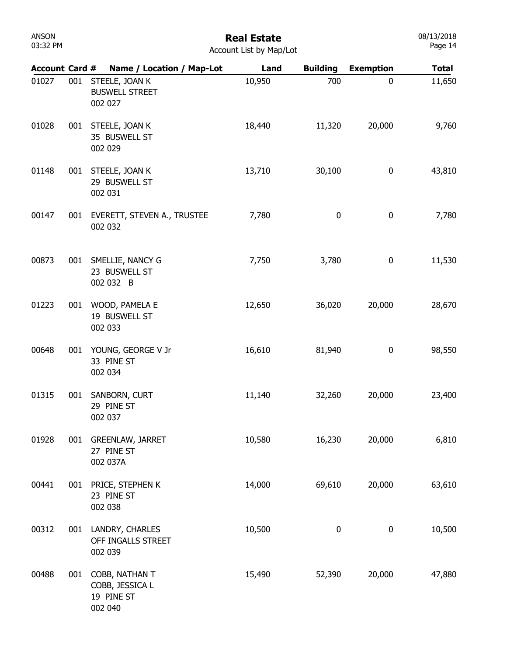## Real Estate

| <b>Account Card #</b> |     | Name / Location / Map-Lot                                  | Land   | <b>Building</b> | <b>Exemption</b> | <b>Total</b> |
|-----------------------|-----|------------------------------------------------------------|--------|-----------------|------------------|--------------|
| 01027                 | 001 | STEELE, JOAN K<br><b>BUSWELL STREET</b><br>002 027         | 10,950 | 700             | $\mathbf 0$      | 11,650       |
| 01028                 | 001 | STEELE, JOAN K<br>35 BUSWELL ST<br>002 029                 | 18,440 | 11,320          | 20,000           | 9,760        |
| 01148                 | 001 | STEELE, JOAN K<br>29 BUSWELL ST<br>002 031                 | 13,710 | 30,100          | 0                | 43,810       |
| 00147                 | 001 | EVERETT, STEVEN A., TRUSTEE<br>002 032                     | 7,780  | 0               | $\bf{0}$         | 7,780        |
| 00873                 | 001 | SMELLIE, NANCY G<br>23 BUSWELL ST<br>002 032 B             | 7,750  | 3,780           | $\bf{0}$         | 11,530       |
| 01223                 | 001 | WOOD, PAMELA E<br>19 BUSWELL ST<br>002 033                 | 12,650 | 36,020          | 20,000           | 28,670       |
| 00648                 | 001 | YOUNG, GEORGE V Jr<br>33 PINE ST<br>002 034                | 16,610 | 81,940          | $\bf{0}$         | 98,550       |
| 01315                 | 001 | SANBORN, CURT<br>29 PINE ST<br>002 037                     | 11,140 | 32,260          | 20,000           | 23,400       |
| 01928                 | 001 | <b>GREENLAW, JARRET</b><br>27 PINE ST<br>002 037A          | 10,580 | 16,230          | 20,000           | 6,810        |
| 00441                 | 001 | PRICE, STEPHEN K<br>23 PINE ST<br>002 038                  | 14,000 | 69,610          | 20,000           | 63,610       |
| 00312                 | 001 | LANDRY, CHARLES<br>OFF INGALLS STREET<br>002 039           | 10,500 | 0               | 0                | 10,500       |
| 00488                 | 001 | COBB, NATHAN T<br>COBB, JESSICA L<br>19 PINE ST<br>002 040 | 15,490 | 52,390          | 20,000           | 47,880       |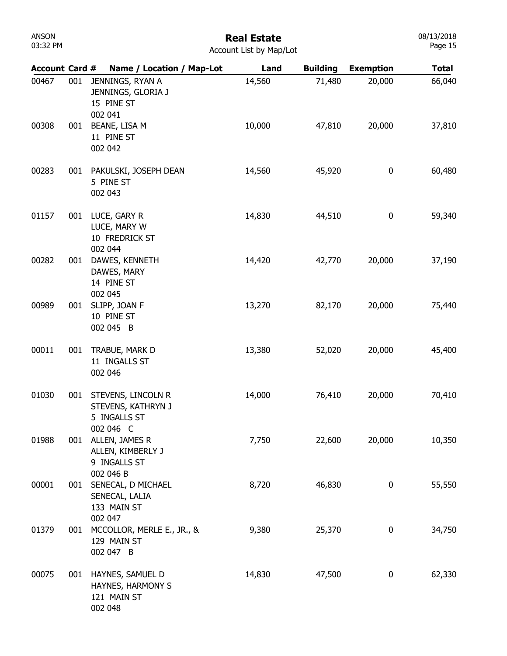#### Real Estate

| <b>Account Card #</b> |     | Name / Location / Map-Lot                                             | Land   | <b>Building</b> | <b>Exemption</b> | <b>Total</b> |
|-----------------------|-----|-----------------------------------------------------------------------|--------|-----------------|------------------|--------------|
| 00467                 | 001 | JENNINGS, RYAN A<br>JENNINGS, GLORIA J<br>15 PINE ST<br>002 041       | 14,560 | 71,480          | 20,000           | 66,040       |
| 00308                 | 001 | BEANE, LISA M<br>11 PINE ST<br>002 042                                | 10,000 | 47,810          | 20,000           | 37,810       |
| 00283                 | 001 | PAKULSKI, JOSEPH DEAN<br>5 PINE ST<br>002 043                         | 14,560 | 45,920          | 0                | 60,480       |
| 01157                 | 001 | LUCE, GARY R<br>LUCE, MARY W<br>10 FREDRICK ST<br>002 044             | 14,830 | 44,510          | 0                | 59,340       |
| 00282                 | 001 | DAWES, KENNETH<br>DAWES, MARY<br>14 PINE ST<br>002 045                | 14,420 | 42,770          | 20,000           | 37,190       |
| 00989                 | 001 | SLIPP, JOAN F<br>10 PINE ST<br>002 045 B                              | 13,270 | 82,170          | 20,000           | 75,440       |
| 00011                 | 001 | TRABUE, MARK D<br>11 INGALLS ST<br>002 046                            | 13,380 | 52,020          | 20,000           | 45,400       |
| 01030                 | 001 | STEVENS, LINCOLN R<br>STEVENS, KATHRYN J<br>5 INGALLS ST<br>002 046 C | 14,000 | 76,410          | 20,000           | 70,410       |
| 01988                 | 001 | ALLEN, JAMES R<br>ALLEN, KIMBERLY J<br>9 INGALLS ST<br>002 046 B      | 7,750  | 22,600          | 20,000           | 10,350       |
| 00001                 | 001 | SENECAL, D MICHAEL<br>SENECAL, LALIA<br>133 MAIN ST<br>002 047        | 8,720  | 46,830          | 0                | 55,550       |
| 01379                 | 001 | MCCOLLOR, MERLE E., JR., &<br>129 MAIN ST<br>002 047 B                | 9,380  | 25,370          | 0                | 34,750       |
| 00075                 | 001 | HAYNES, SAMUEL D<br>HAYNES, HARMONY S<br>121 MAIN ST<br>002 048       | 14,830 | 47,500          | 0                | 62,330       |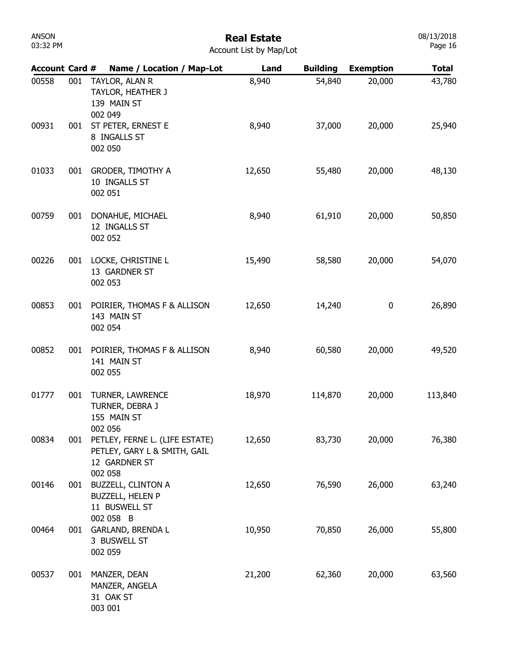| ANSON    |  |
|----------|--|
| 03:32 PM |  |

08/13/2018 Page 16

| <b>Account Card #</b> |     | Name / Location / Map-Lot                                                                  | Land   | <b>Building</b> | <b>Exemption</b> | <b>Total</b> |
|-----------------------|-----|--------------------------------------------------------------------------------------------|--------|-----------------|------------------|--------------|
| 00558                 | 001 | TAYLOR, ALAN R<br>TAYLOR, HEATHER J<br>139 MAIN ST<br>002 049                              | 8,940  | 54,840          | 20,000           | 43,780       |
| 00931                 | 001 | ST PETER, ERNEST E<br>8 INGALLS ST<br>002 050                                              | 8,940  | 37,000          | 20,000           | 25,940       |
| 01033                 | 001 | <b>GRODER, TIMOTHY A</b><br>10 INGALLS ST<br>002 051                                       | 12,650 | 55,480          | 20,000           | 48,130       |
| 00759                 | 001 | DONAHUE, MICHAEL<br>12 INGALLS ST<br>002 052                                               | 8,940  | 61,910          | 20,000           | 50,850       |
| 00226                 | 001 | LOCKE, CHRISTINE L<br>13 GARDNER ST<br>002 053                                             | 15,490 | 58,580          | 20,000           | 54,070       |
| 00853                 | 001 | POIRIER, THOMAS F & ALLISON<br>143 MAIN ST<br>002 054                                      | 12,650 | 14,240          | 0                | 26,890       |
| 00852                 | 001 | POIRIER, THOMAS F & ALLISON<br>141 MAIN ST<br>002 055                                      | 8,940  | 60,580          | 20,000           | 49,520       |
| 01777                 | 001 | TURNER, LAWRENCE<br>TURNER, DEBRA J<br>155 MAIN ST<br>002 056                              | 18,970 | 114,870         | 20,000           | 113,840      |
| 00834                 | 001 | PETLEY, FERNE L. (LIFE ESTATE)<br>PETLEY, GARY L & SMITH, GAIL<br>12 GARDNER ST<br>002 058 | 12,650 | 83,730          | 20,000           | 76,380       |
| 00146                 | 001 | <b>BUZZELL, CLINTON A</b><br><b>BUZZELL, HELEN P</b><br>11 BUSWELL ST<br>002 058 B         | 12,650 | 76,590          | 26,000           | 63,240       |
| 00464                 | 001 | <b>GARLAND, BRENDA L</b><br>3 BUSWELL ST<br>002 059                                        | 10,950 | 70,850          | 26,000           | 55,800       |
| 00537                 | 001 | MANZER, DEAN<br>MANZER, ANGELA<br>31 OAK ST<br>003 001                                     | 21,200 | 62,360          | 20,000           | 63,560       |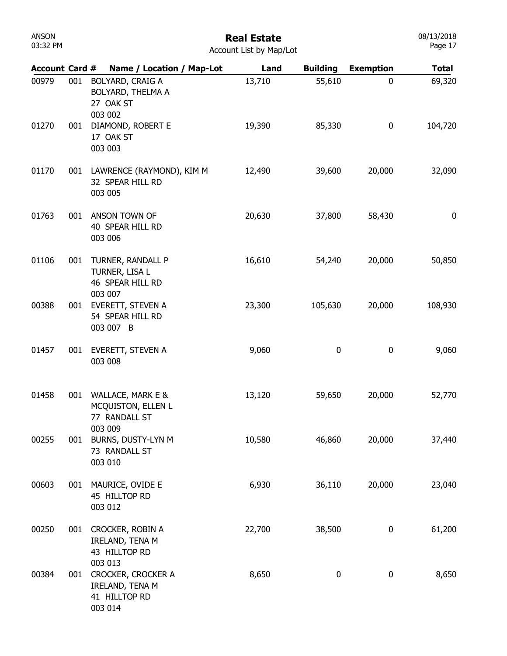| ANSON    |  |
|----------|--|
| 03:32 PM |  |

#### Real Estate Account List by Map/Lot

| <b>Account Card #</b> |     | Name / Location / Map-Lot                                             | Land   | <b>Building</b> | <b>Exemption</b> | <b>Total</b> |
|-----------------------|-----|-----------------------------------------------------------------------|--------|-----------------|------------------|--------------|
| 00979                 | 001 | BOLYARD, CRAIG A<br>BOLYARD, THELMA A<br>27 OAK ST<br>003 002         | 13,710 | 55,610          | 0                | 69,320       |
| 01270                 | 001 | DIAMOND, ROBERT E<br>17 OAK ST<br>003 003                             | 19,390 | 85,330          | 0                | 104,720      |
| 01170                 | 001 | LAWRENCE (RAYMOND), KIM M<br>32 SPEAR HILL RD<br>003 005              | 12,490 | 39,600          | 20,000           | 32,090       |
| 01763                 | 001 | ANSON TOWN OF<br>40 SPEAR HILL RD<br>003 006                          | 20,630 | 37,800          | 58,430           | 0            |
| 01106                 | 001 | TURNER, RANDALL P<br>TURNER, LISA L<br>46 SPEAR HILL RD<br>003 007    | 16,610 | 54,240          | 20,000           | 50,850       |
| 00388                 | 001 | EVERETT, STEVEN A<br>54 SPEAR HILL RD<br>003 007 B                    | 23,300 | 105,630         | 20,000           | 108,930      |
| 01457                 | 001 | EVERETT, STEVEN A<br>003 008                                          | 9,060  | 0               | 0                | 9,060        |
| 01458                 | 001 | WALLACE, MARK E &<br>MCQUISTON, ELLEN L<br>77 RANDALL ST              | 13,120 | 59,650          | 20,000           | 52,770       |
| 00255                 | 001 | 003 009<br>BURNS, DUSTY-LYN M<br>73 RANDALL ST<br>003 010             | 10,580 | 46,860          | 20,000           | 37,440       |
| 00603                 |     | 001 MAURICE, OVIDE E<br>45 HILLTOP RD<br>003 012                      | 6,930  | 36,110          | 20,000           | 23,040       |
| 00250                 |     | 001 CROCKER, ROBIN A<br>IRELAND, TENA M<br>43 HILLTOP RD<br>003 013   | 22,700 | 38,500          | $\boldsymbol{0}$ | 61,200       |
| 00384                 |     | 001 CROCKER, CROCKER A<br>IRELAND, TENA M<br>41 HILLTOP RD<br>003 014 | 8,650  | 0               | $\boldsymbol{0}$ | 8,650        |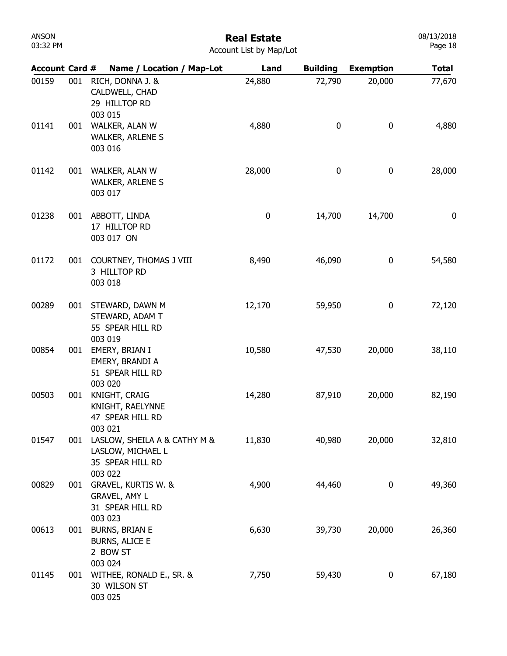#### Real Estate

08/13/2018 Page 18

| <b>Account Card #</b> |     | Name / Location / Map-Lot                                                        | Land      | <b>Building</b> | <b>Exemption</b> | <b>Total</b> |
|-----------------------|-----|----------------------------------------------------------------------------------|-----------|-----------------|------------------|--------------|
| 00159                 | 001 | RICH, DONNA J. &<br>CALDWELL, CHAD<br>29 HILLTOP RD<br>003 015                   | 24,880    | 72,790          | 20,000           | 77,670       |
| 01141                 | 001 | WALKER, ALAN W<br><b>WALKER, ARLENE S</b><br>003 016                             | 4,880     | 0               | 0                | 4,880        |
| 01142                 | 001 | WALKER, ALAN W<br><b>WALKER, ARLENE S</b><br>003 017                             | 28,000    | $\pmb{0}$       | 0                | 28,000       |
| 01238                 | 001 | ABBOTT, LINDA<br>17 HILLTOP RD<br>003 017 ON                                     | $\pmb{0}$ | 14,700          | 14,700           | 0            |
| 01172                 | 001 | COURTNEY, THOMAS J VIII<br>3 HILLTOP RD<br>003 018                               | 8,490     | 46,090          | 0                | 54,580       |
| 00289                 | 001 | STEWARD, DAWN M<br>STEWARD, ADAM T<br>55 SPEAR HILL RD<br>003 019                | 12,170    | 59,950          | 0                | 72,120       |
| 00854                 | 001 | EMERY, BRIAN I<br>EMERY, BRANDI A<br>51 SPEAR HILL RD<br>003 020                 | 10,580    | 47,530          | 20,000           | 38,110       |
| 00503                 | 001 | KNIGHT, CRAIG<br>KNIGHT, RAELYNNE<br>47 SPEAR HILL RD<br>003 021                 | 14,280    | 87,910          | 20,000           | 82,190       |
| 01547                 | 001 | LASLOW, SHEILA A & CATHY M &<br>LASLOW, MICHAEL L<br>35 SPEAR HILL RD<br>003 022 | 11,830    | 40,980          | 20,000           | 32,810       |
| 00829                 | 001 | GRAVEL, KURTIS W. &<br><b>GRAVEL, AMY L</b><br>31 SPEAR HILL RD<br>003 023       | 4,900     | 44,460          | 0                | 49,360       |
| 00613                 | 001 | <b>BURNS, BRIAN E</b><br><b>BURNS, ALICE E</b><br>2 BOW ST<br>003 024            | 6,630     | 39,730          | 20,000           | 26,360       |
| 01145                 | 001 | WITHEE, RONALD E., SR. &<br>30 WILSON ST<br>003 025                              | 7,750     | 59,430          | $\boldsymbol{0}$ | 67,180       |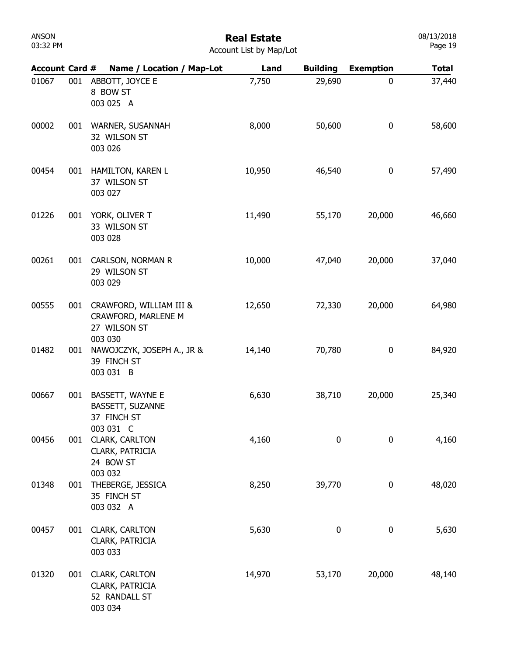#### Real Estate Account List by Map/Lot

| <b>Account Card #</b> |     | Name / Location / Map-Lot                                            | Land   | <b>Building</b> | <b>Exemption</b> | <b>Total</b> |
|-----------------------|-----|----------------------------------------------------------------------|--------|-----------------|------------------|--------------|
| 01067                 | 001 | ABBOTT, JOYCE E<br>8 BOW ST<br>003 025 A                             | 7,750  | 29,690          | 0                | 37,440       |
| 00002                 | 001 | WARNER, SUSANNAH<br>32 WILSON ST<br>003 026                          | 8,000  | 50,600          | $\mathbf 0$      | 58,600       |
| 00454                 | 001 | HAMILTON, KAREN L<br>37 WILSON ST<br>003 027                         | 10,950 | 46,540          | $\boldsymbol{0}$ | 57,490       |
| 01226                 | 001 | YORK, OLIVER T<br>33 WILSON ST<br>003 028                            | 11,490 | 55,170          | 20,000           | 46,660       |
| 00261                 | 001 | CARLSON, NORMAN R<br>29 WILSON ST<br>003 029                         | 10,000 | 47,040          | 20,000           | 37,040       |
| 00555                 | 001 | CRAWFORD, WILLIAM III &<br>CRAWFORD, MARLENE M<br>27 WILSON ST       | 12,650 | 72,330          | 20,000           | 64,980       |
| 01482                 | 001 | 003 030<br>NAWOJCZYK, JOSEPH A., JR &<br>39 FINCH ST<br>003 031 B    | 14,140 | 70,780          | $\boldsymbol{0}$ | 84,920       |
| 00667                 | 001 | BASSETT, WAYNE E<br>BASSETT, SUZANNE<br>37 FINCH ST                  | 6,630  | 38,710          | 20,000           | 25,340       |
| 00456                 | 001 | 003 031 C<br><b>CLARK, CARLTON</b><br>CLARK, PATRICIA<br>24 BOW ST   | 4,160  | 0               | $\bf{0}$         | 4,160        |
| 01348                 | 001 | 003 032<br>THEBERGE, JESSICA<br>35 FINCH ST<br>003 032 A             | 8,250  | 39,770          | 0                | 48,020       |
| 00457                 | 001 | <b>CLARK, CARLTON</b><br>CLARK, PATRICIA<br>003 033                  | 5,630  | 0               | 0                | 5,630        |
| 01320                 | 001 | <b>CLARK, CARLTON</b><br>CLARK, PATRICIA<br>52 RANDALL ST<br>003 034 | 14,970 | 53,170          | 20,000           | 48,140       |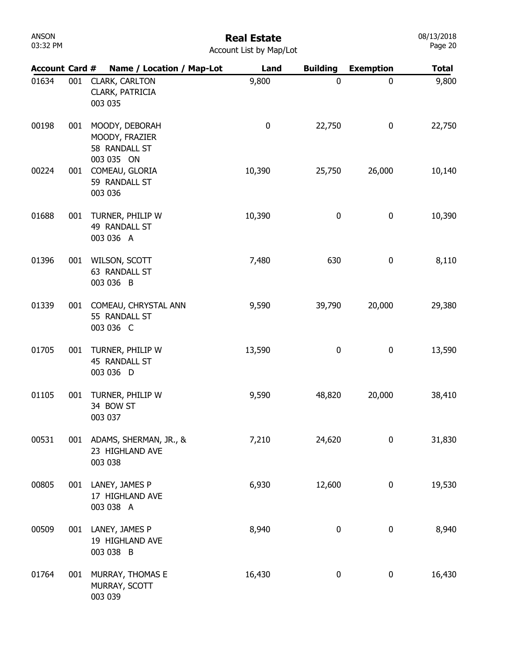# Real Estate

| Account List by Map/Lot |  |
|-------------------------|--|
|-------------------------|--|

| <b>Account Card #</b> |     | Name / Location / Map-Lot                                       | Land      | <b>Building</b> | <b>Exemption</b> | <b>Total</b> |
|-----------------------|-----|-----------------------------------------------------------------|-----------|-----------------|------------------|--------------|
| 01634                 | 001 | CLARK, CARLTON<br>CLARK, PATRICIA<br>003 035                    | 9,800     | 0               | $\mathbf 0$      | 9,800        |
| 00198                 | 001 | MOODY, DEBORAH<br>MOODY, FRAZIER<br>58 RANDALL ST<br>003 035 ON | $\pmb{0}$ | 22,750          | $\boldsymbol{0}$ | 22,750       |
| 00224                 | 001 | COMEAU, GLORIA<br>59 RANDALL ST<br>003 036                      | 10,390    | 25,750          | 26,000           | 10,140       |
| 01688                 | 001 | TURNER, PHILIP W<br>49 RANDALL ST<br>003 036 A                  | 10,390    | $\mathbf 0$     | 0                | 10,390       |
| 01396                 | 001 | WILSON, SCOTT<br>63 RANDALL ST<br>003 036 B                     | 7,480     | 630             | 0                | 8,110        |
| 01339                 | 001 | COMEAU, CHRYSTAL ANN<br>55 RANDALL ST<br>003 036 C              | 9,590     | 39,790          | 20,000           | 29,380       |
| 01705                 | 001 | TURNER, PHILIP W<br>45 RANDALL ST<br>003 036 D                  | 13,590    | 0               | 0                | 13,590       |
| 01105                 | 001 | TURNER, PHILIP W<br>34 BOW ST<br>003 037                        | 9,590     | 48,820          | 20,000           | 38,410       |
| 00531                 | 001 | ADAMS, SHERMAN, JR., &<br>23 HIGHLAND AVE<br>003 038            | 7,210     | 24,620          | $\bf{0}$         | 31,830       |
| 00805                 | 001 | LANEY, JAMES P<br>17 HIGHLAND AVE<br>003 038 A                  | 6,930     | 12,600          | $\boldsymbol{0}$ | 19,530       |
| 00509                 | 001 | LANEY, JAMES P<br>19 HIGHLAND AVE<br>003 038 B                  | 8,940     | 0               | 0                | 8,940        |
| 01764                 | 001 | MURRAY, THOMAS E<br>MURRAY, SCOTT<br>003 039                    | 16,430    | 0               | 0                | 16,430       |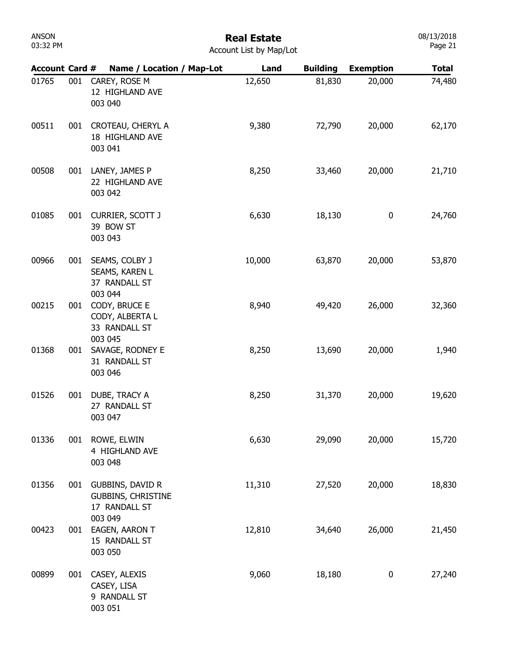## Real Estate

08/13/2018 Page 21

| <b>Account Card #</b> |     | Name / Location / Map-Lot                                                        | Land   | <b>Building</b> | <b>Exemption</b> | <b>Total</b> |
|-----------------------|-----|----------------------------------------------------------------------------------|--------|-----------------|------------------|--------------|
| 01765                 | 001 | CAREY, ROSE M<br>12 HIGHLAND AVE<br>003 040                                      | 12,650 | 81,830          | 20,000           | 74,480       |
| 00511                 | 001 | CROTEAU, CHERYL A<br>18 HIGHLAND AVE<br>003 041                                  | 9,380  | 72,790          | 20,000           | 62,170       |
| 00508                 | 001 | LANEY, JAMES P<br>22 HIGHLAND AVE<br>003 042                                     | 8,250  | 33,460          | 20,000           | 21,710       |
| 01085                 | 001 | CURRIER, SCOTT J<br>39 BOW ST<br>003 043                                         | 6,630  | 18,130          | 0                | 24,760       |
| 00966                 | 001 | SEAMS, COLBY J<br>SEAMS, KAREN L<br>37 RANDALL ST<br>003 044                     | 10,000 | 63,870          | 20,000           | 53,870       |
| 00215                 | 001 | CODY, BRUCE E<br>CODY, ALBERTA L<br>33 RANDALL ST<br>003 045                     | 8,940  | 49,420          | 26,000           | 32,360       |
| 01368                 | 001 | SAVAGE, RODNEY E<br>31 RANDALL ST<br>003 046                                     | 8,250  | 13,690          | 20,000           | 1,940        |
| 01526                 | 001 | DUBE, TRACY A<br>27 RANDALL ST<br>003 047                                        | 8,250  | 31,370          | 20,000           | 19,620       |
| 01336                 | 001 | ROWE, ELWIN<br>4 HIGHLAND AVE<br>003 048                                         | 6,630  | 29,090          | 20,000           | 15,720       |
| 01356                 | 001 | <b>GUBBINS, DAVID R</b><br><b>GUBBINS, CHRISTINE</b><br>17 RANDALL ST<br>003 049 | 11,310 | 27,520          | 20,000           | 18,830       |
| 00423                 | 001 | EAGEN, AARON T<br>15 RANDALL ST<br>003 050                                       | 12,810 | 34,640          | 26,000           | 21,450       |
| 00899                 | 001 | CASEY, ALEXIS<br>CASEY, LISA<br>9 RANDALL ST<br>003 051                          | 9,060  | 18,180          | 0                | 27,240       |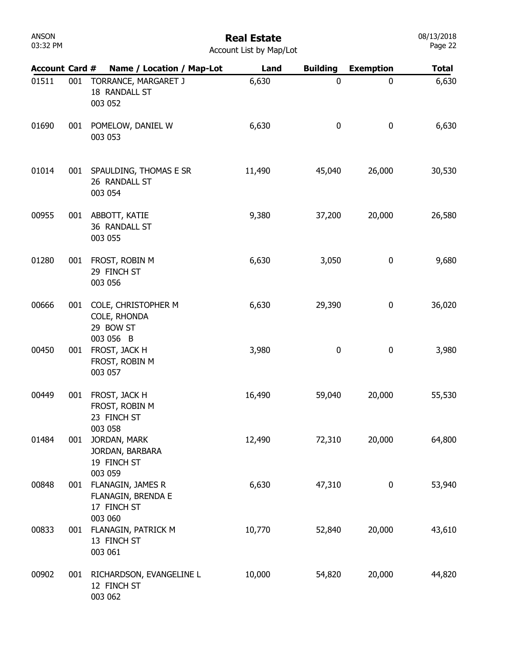| ANSON    |  |
|----------|--|
| 03:32 PM |  |

08/13/2018 Page 22

| <b>Account Card #</b> |     | Name / Location / Map-Lot                                     | Land   | <b>Building</b> | <b>Exemption</b> | <b>Total</b> |
|-----------------------|-----|---------------------------------------------------------------|--------|-----------------|------------------|--------------|
| 01511                 | 001 | TORRANCE, MARGARET J<br>18 RANDALL ST<br>003 052              | 6,630  | 0               | $\mathbf 0$      | 6,630        |
| 01690                 | 001 | POMELOW, DANIEL W<br>003 053                                  | 6,630  | 0               | $\bf{0}$         | 6,630        |
| 01014                 | 001 | SPAULDING, THOMAS E SR<br>26 RANDALL ST<br>003 054            | 11,490 | 45,040          | 26,000           | 30,530       |
| 00955                 | 001 | ABBOTT, KATIE<br>36 RANDALL ST<br>003 055                     | 9,380  | 37,200          | 20,000           | 26,580       |
| 01280                 | 001 | FROST, ROBIN M<br>29 FINCH ST<br>003 056                      | 6,630  | 3,050           | $\pmb{0}$        | 9,680        |
| 00666                 | 001 | COLE, CHRISTOPHER M<br>COLE, RHONDA<br>29 BOW ST<br>003 056 B | 6,630  | 29,390          | $\bf{0}$         | 36,020       |
| 00450                 | 001 | FROST, JACK H<br>FROST, ROBIN M<br>003 057                    | 3,980  | 0               | $\pmb{0}$        | 3,980        |
| 00449                 | 001 | FROST, JACK H<br>FROST, ROBIN M<br>23 FINCH ST<br>003 058     | 16,490 | 59,040          | 20,000           | 55,530       |
| 01484                 | 001 | JORDAN, MARK<br>JORDAN, BARBARA<br>19 FINCH ST<br>003 059     | 12,490 | 72,310          | 20,000           | 64,800       |
| 00848                 | 001 | FLANAGIN, JAMES R<br>FLANAGIN, BRENDA E<br>17 FINCH ST        | 6,630  | 47,310          | 0                | 53,940       |
| 00833                 | 001 | 003 060<br>FLANAGIN, PATRICK M<br>13 FINCH ST<br>003 061      | 10,770 | 52,840          | 20,000           | 43,610       |
| 00902                 | 001 | RICHARDSON, EVANGELINE L<br>12 FINCH ST<br>003 062            | 10,000 | 54,820          | 20,000           | 44,820       |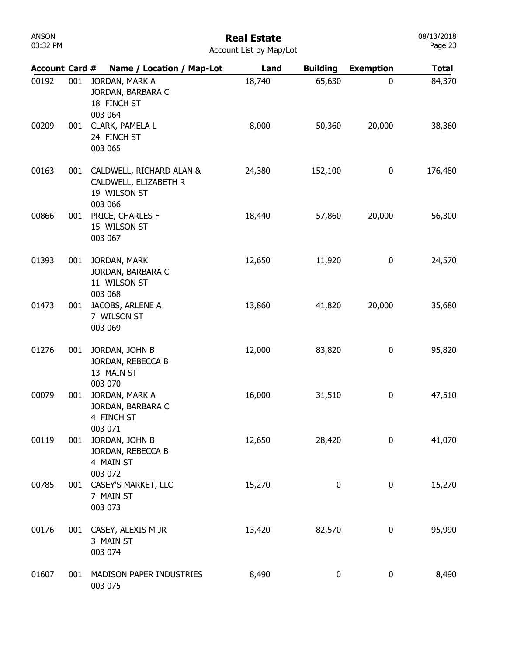| ANSON    |  |
|----------|--|
| 03:32 PM |  |

#### Real Estate Account List by Map/Lot

| <b>Account Card #</b> |     | Name / Location / Map-Lot                                                    | Land   | <b>Building</b>  | <b>Exemption</b> | <b>Total</b> |
|-----------------------|-----|------------------------------------------------------------------------------|--------|------------------|------------------|--------------|
| 00192                 | 001 | JORDAN, MARK A<br>JORDAN, BARBARA C<br>18 FINCH ST<br>003 064                | 18,740 | 65,630           | 0                | 84,370       |
| 00209                 |     | 001 CLARK, PAMELA L<br>24 FINCH ST<br>003 065                                | 8,000  | 50,360           | 20,000           | 38,360       |
| 00163                 | 001 | CALDWELL, RICHARD ALAN &<br>CALDWELL, ELIZABETH R<br>19 WILSON ST<br>003 066 | 24,380 | 152,100          | 0                | 176,480      |
| 00866                 | 001 | PRICE, CHARLES F<br>15 WILSON ST<br>003 067                                  | 18,440 | 57,860           | 20,000           | 56,300       |
| 01393                 | 001 | JORDAN, MARK<br>JORDAN, BARBARA C<br>11 WILSON ST                            | 12,650 | 11,920           | 0                | 24,570       |
| 01473                 | 001 | 003 068<br>JACOBS, ARLENE A<br>7 WILSON ST<br>003 069                        | 13,860 | 41,820           | 20,000           | 35,680       |
| 01276                 | 001 | JORDAN, JOHN B<br>JORDAN, REBECCA B<br>13 MAIN ST                            | 12,000 | 83,820           | 0                | 95,820       |
| 00079                 | 001 | 003 070<br>JORDAN, MARK A<br>JORDAN, BARBARA C<br>4 FINCH ST                 | 16,000 | 31,510           | 0                | 47,510       |
| 00119                 | 001 | 003 071<br>JORDAN, JOHN B<br>JORDAN, REBECCA B<br>4 MAIN ST                  | 12,650 | 28,420           | 0                | 41,070       |
| 00785                 | 001 | 003 072<br>CASEY'S MARKET, LLC<br>7 MAIN ST<br>003 073                       | 15,270 | $\bf{0}$         | 0                | 15,270       |
| 00176                 |     | 001 CASEY, ALEXIS M JR<br>3 MAIN ST<br>003 074                               | 13,420 | 82,570           | 0                | 95,990       |
| 01607                 | 001 | MADISON PAPER INDUSTRIES<br>003 075                                          | 8,490  | $\boldsymbol{0}$ | $\boldsymbol{0}$ | 8,490        |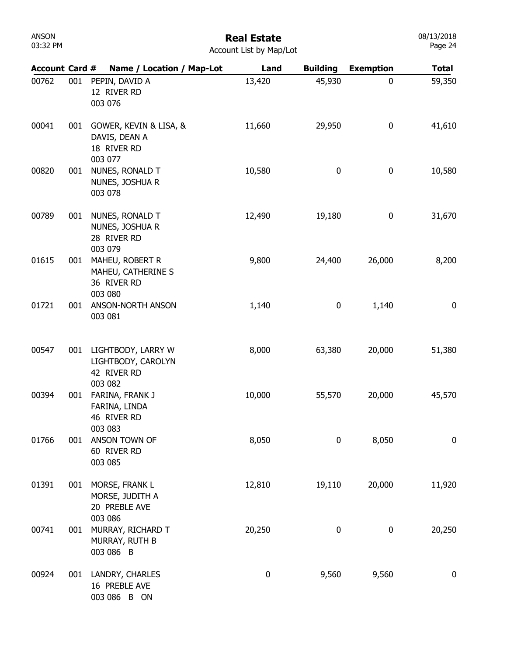# Real Estate

|  | Account List by Map/Lot |
|--|-------------------------|
|  |                         |

| <b>Account Card #</b> |     | Name / Location / Map-Lot                                          | Land      | <b>Building</b> | <b>Exemption</b> | <b>Total</b>     |
|-----------------------|-----|--------------------------------------------------------------------|-----------|-----------------|------------------|------------------|
| 00762                 | 001 | PEPIN, DAVID A<br>12 RIVER RD<br>003 076                           | 13,420    | 45,930          | 0                | 59,350           |
| 00041                 | 001 | GOWER, KEVIN & LISA, &<br>DAVIS, DEAN A<br>18 RIVER RD<br>003 077  | 11,660    | 29,950          | 0                | 41,610           |
| 00820                 | 001 | NUNES, RONALD T<br>NUNES, JOSHUA R<br>003 078                      | 10,580    | 0               | 0                | 10,580           |
| 00789                 | 001 | NUNES, RONALD T<br>NUNES, JOSHUA R<br>28 RIVER RD<br>003 079       | 12,490    | 19,180          | 0                | 31,670           |
| 01615                 | 001 | MAHEU, ROBERT R<br>MAHEU, CATHERINE S<br>36 RIVER RD<br>003 080    | 9,800     | 24,400          | 26,000           | 8,200            |
| 01721                 | 001 | ANSON-NORTH ANSON<br>003 081                                       | 1,140     | 0               | 1,140            | 0                |
| 00547                 | 001 | LIGHTBODY, LARRY W<br>LIGHTBODY, CAROLYN<br>42 RIVER RD<br>003 082 | 8,000     | 63,380          | 20,000           | 51,380           |
| 00394                 | 001 | FARINA, FRANK J<br>FARINA, LINDA<br>46 RIVER RD<br>003 083         | 10,000    | 55,570          | 20,000           | 45,570           |
| 01766                 | 001 | ANSON TOWN OF<br>60 RIVER RD<br>003 085                            | 8,050     | $\bf{0}$        | 8,050            | 0                |
| 01391                 | 001 | MORSE, FRANK L<br>MORSE, JUDITH A<br>20 PREBLE AVE<br>003 086      | 12,810    | 19,110          | 20,000           | 11,920           |
| 00741                 | 001 | MURRAY, RICHARD T<br>MURRAY, RUTH B<br>003 086 B                   | 20,250    | 0               | 0                | 20,250           |
| 00924                 | 001 | LANDRY, CHARLES<br>16 PREBLE AVE<br>003 086 B ON                   | $\pmb{0}$ | 9,560           | 9,560            | $\boldsymbol{0}$ |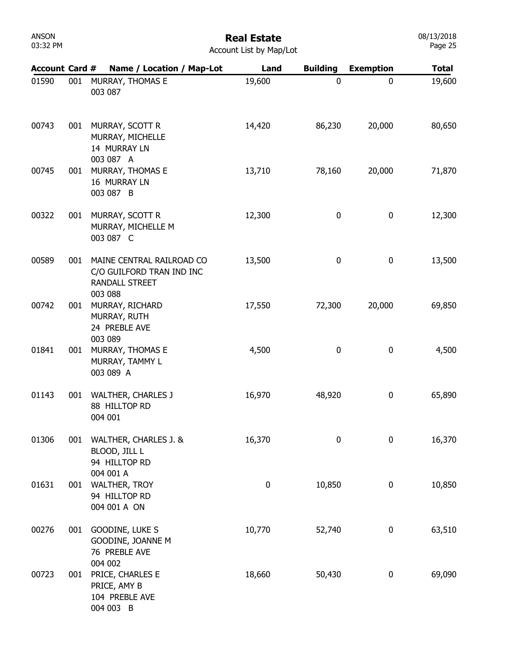#### Real Estate

| <b>Account Card #</b> |     | Name / Location / Map-Lot                                                                  | Land      | <b>Building</b> | <b>Exemption</b> | <b>Total</b> |
|-----------------------|-----|--------------------------------------------------------------------------------------------|-----------|-----------------|------------------|--------------|
| 01590                 | 001 | MURRAY, THOMAS E<br>003 087                                                                | 19,600    | 0               | 0                | 19,600       |
| 00743                 | 001 | MURRAY, SCOTT R<br>MURRAY, MICHELLE<br>14 MURRAY LN<br>003 087 A                           | 14,420    | 86,230          | 20,000           | 80,650       |
| 00745                 | 001 | MURRAY, THOMAS E<br>16 MURRAY LN<br>003 087 B                                              | 13,710    | 78,160          | 20,000           | 71,870       |
| 00322                 | 001 | MURRAY, SCOTT R<br>MURRAY, MICHELLE M<br>003 087 C                                         | 12,300    | 0               | $\bf{0}$         | 12,300       |
| 00589                 | 001 | MAINE CENTRAL RAILROAD CO<br>C/O GUILFORD TRAN IND INC<br><b>RANDALL STREET</b><br>003 088 | 13,500    | $\pmb{0}$       | 0                | 13,500       |
| 00742                 | 001 | MURRAY, RICHARD<br>MURRAY, RUTH<br>24 PREBLE AVE                                           | 17,550    | 72,300          | 20,000           | 69,850       |
| 01841                 | 001 | 003 089<br>MURRAY, THOMAS E<br>MURRAY, TAMMY L<br>003 089 A                                | 4,500     | 0               | 0                | 4,500        |
| 01143                 | 001 | <b>WALTHER, CHARLES J</b><br>88 HILLTOP RD<br>004 001                                      | 16,970    | 48,920          | $\bf{0}$         | 65,890       |
| 01306                 | 001 | WALTHER, CHARLES J. &<br>BLOOD, JILL L<br>94 HILLTOP RD                                    | 16,370    | 0               | $\mathbf 0$      | 16,370       |
| 01631                 | 001 | 004 001 A<br><b>WALTHER, TROY</b><br>94 HILLTOP RD<br>004 001 A ON                         | $\pmb{0}$ | 10,850          | 0                | 10,850       |
| 00276                 | 001 | GOODINE, LUKE S<br>GOODINE, JOANNE M<br>76 PREBLE AVE<br>004 002                           | 10,770    | 52,740          | 0                | 63,510       |
| 00723                 | 001 | PRICE, CHARLES E<br>PRICE, AMY B<br>104 PREBLE AVE<br>004 003 B                            | 18,660    | 50,430          | $\boldsymbol{0}$ | 69,090       |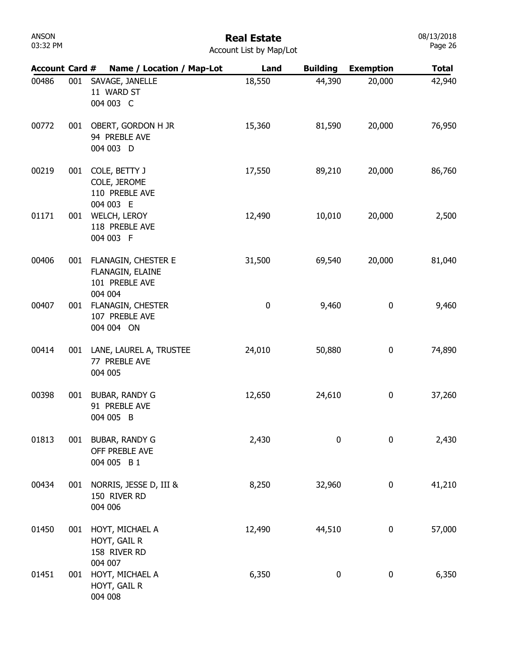## Real Estate

| Account List by Map/Lot |  |  |  |
|-------------------------|--|--|--|
|-------------------------|--|--|--|

| <b>Account Card #</b> |     | Name / Location / Map-Lot                                            | Land      | <b>Building</b> | <b>Exemption</b> | <b>Total</b> |
|-----------------------|-----|----------------------------------------------------------------------|-----------|-----------------|------------------|--------------|
| 00486                 | 001 | SAVAGE, JANELLE<br>11 WARD ST<br>004 003 C                           | 18,550    | 44,390          | 20,000           | 42,940       |
| 00772                 | 001 | OBERT, GORDON H JR<br>94 PREBLE AVE<br>004 003 D                     | 15,360    | 81,590          | 20,000           | 76,950       |
| 00219                 | 001 | COLE, BETTY J<br>COLE, JEROME<br>110 PREBLE AVE<br>004 003 E         | 17,550    | 89,210          | 20,000           | 86,760       |
| 01171                 | 001 | <b>WELCH, LEROY</b><br>118 PREBLE AVE<br>004 003 F                   | 12,490    | 10,010          | 20,000           | 2,500        |
| 00406                 | 001 | FLANAGIN, CHESTER E<br>FLANAGIN, ELAINE<br>101 PREBLE AVE<br>004 004 | 31,500    | 69,540          | 20,000           | 81,040       |
| 00407                 | 001 | FLANAGIN, CHESTER<br>107 PREBLE AVE<br>004 004 ON                    | $\pmb{0}$ | 9,460           | 0                | 9,460        |
| 00414                 | 001 | LANE, LAUREL A, TRUSTEE<br>77 PREBLE AVE<br>004 005                  | 24,010    | 50,880          | 0                | 74,890       |
| 00398                 | 001 | BUBAR, RANDY G<br>91 PREBLE AVE<br>004 005 B                         | 12,650    | 24,610          | 0                | 37,260       |
| 01813                 | 001 | <b>BUBAR, RANDY G</b><br>OFF PREBLE AVE<br>004 005 B 1               | 2,430     | 0               | 0                | 2,430        |
| 00434                 | 001 | NORRIS, JESSE D, III &<br>150 RIVER RD<br>004 006                    | 8,250     | 32,960          | $\boldsymbol{0}$ | 41,210       |
| 01450                 | 001 | HOYT, MICHAEL A<br>HOYT, GAIL R<br>158 RIVER RD                      | 12,490    | 44,510          | $\boldsymbol{0}$ | 57,000       |
| 01451                 | 001 | 004 007<br>HOYT, MICHAEL A<br>HOYT, GAIL R<br>004 008                | 6,350     | 0               | $\boldsymbol{0}$ | 6,350        |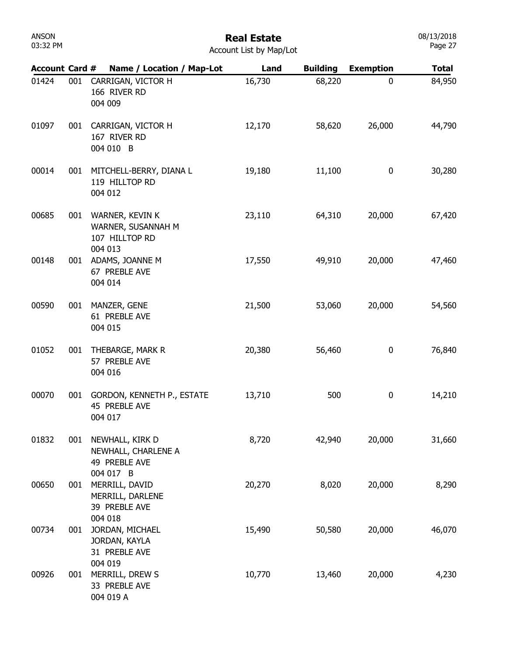| ANSON    |  |
|----------|--|
| 03:32 PM |  |

08/13/2018 Page 27

| <b>Account Card #</b> |     | Name / Location / Map-Lot                                          | Land   | <b>Building</b> | <b>Exemption</b> | <b>Total</b> |
|-----------------------|-----|--------------------------------------------------------------------|--------|-----------------|------------------|--------------|
| 01424                 | 001 | CARRIGAN, VICTOR H<br>166 RIVER RD<br>004 009                      | 16,730 | 68,220          | 0                | 84,950       |
| 01097                 | 001 | CARRIGAN, VICTOR H<br>167 RIVER RD<br>004 010 B                    | 12,170 | 58,620          | 26,000           | 44,790       |
| 00014                 | 001 | MITCHELL-BERRY, DIANA L<br>119 HILLTOP RD<br>004 012               | 19,180 | 11,100          | 0                | 30,280       |
| 00685                 | 001 | WARNER, KEVIN K<br>WARNER, SUSANNAH M<br>107 HILLTOP RD<br>004 013 | 23,110 | 64,310          | 20,000           | 67,420       |
| 00148                 | 001 | ADAMS, JOANNE M<br>67 PREBLE AVE<br>004 014                        | 17,550 | 49,910          | 20,000           | 47,460       |
| 00590                 | 001 | MANZER, GENE<br>61 PREBLE AVE<br>004 015                           | 21,500 | 53,060          | 20,000           | 54,560       |
| 01052                 | 001 | THEBARGE, MARK R<br>57 PREBLE AVE<br>004 016                       | 20,380 | 56,460          | 0                | 76,840       |
| 00070                 | 001 | GORDON, KENNETH P., ESTATE<br>45 PREBLE AVE<br>004 017             | 13,710 | 500             | 0                | 14,210       |
| 01832                 | 001 | NEWHALL, KIRK D<br>NEWHALL, CHARLENE A<br>49 PREBLE AVE            | 8,720  | 42,940          | 20,000           | 31,660       |
| 00650                 | 001 | 004 017 B<br>MERRILL, DAVID<br>MERRILL, DARLENE<br>39 PREBLE AVE   | 20,270 | 8,020           | 20,000           | 8,290        |
| 00734                 | 001 | 004 018<br>JORDAN, MICHAEL<br>JORDAN, KAYLA<br>31 PREBLE AVE       | 15,490 | 50,580          | 20,000           | 46,070       |
| 00926                 | 001 | 004 019<br>MERRILL, DREW S<br>33 PREBLE AVE<br>004 019 A           | 10,770 | 13,460          | 20,000           | 4,230        |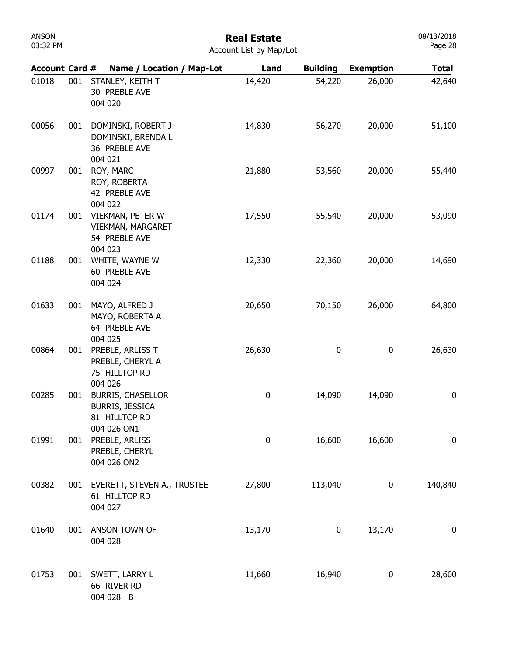| ANSON    |  |
|----------|--|
| 03:32 PM |  |

| <b>Account Card #</b> |     | Name / Location / Map-Lot                                                          | Land   | <b>Building</b>  | <b>Exemption</b> | <b>Total</b>     |
|-----------------------|-----|------------------------------------------------------------------------------------|--------|------------------|------------------|------------------|
| 01018                 | 001 | STANLEY, KEITH T<br>30 PREBLE AVE<br>004 020                                       | 14,420 | 54,220           | 26,000           | 42,640           |
| 00056                 | 001 | DOMINSKI, ROBERT J<br>DOMINSKI, BRENDA L<br>36 PREBLE AVE<br>004 021               | 14,830 | 56,270           | 20,000           | 51,100           |
| 00997                 | 001 | ROY, MARC<br>ROY, ROBERTA<br>42 PREBLE AVE<br>004 022                              | 21,880 | 53,560           | 20,000           | 55,440           |
| 01174                 | 001 | VIEKMAN, PETER W<br>VIEKMAN, MARGARET<br>54 PREBLE AVE<br>004 023                  | 17,550 | 55,540           | 20,000           | 53,090           |
| 01188                 | 001 | WHITE, WAYNE W<br>60 PREBLE AVE<br>004 024                                         | 12,330 | 22,360           | 20,000           | 14,690           |
| 01633                 | 001 | MAYO, ALFRED J<br>MAYO, ROBERTA A<br>64 PREBLE AVE<br>004 025                      | 20,650 | 70,150           | 26,000           | 64,800           |
| 00864                 | 001 | PREBLE, ARLISS T<br>PREBLE, CHERYL A<br>75 HILLTOP RD<br>004 026                   | 26,630 | $\boldsymbol{0}$ | 0                | 26,630           |
| 00285                 | 001 | <b>BURRIS, CHASELLOR</b><br><b>BURRIS, JESSICA</b><br>81 HILLTOP RD<br>004 026 ON1 | 0      | 14,090           | 14,090           | $\boldsymbol{0}$ |
| 01991                 | 001 | PREBLE, ARLISS<br>PREBLE, CHERYL<br>004 026 ON2                                    | 0      | 16,600           | 16,600           | $\bf{0}$         |
| 00382                 | 001 | EVERETT, STEVEN A., TRUSTEE<br>61 HILLTOP RD<br>004 027                            | 27,800 | 113,040          | 0                | 140,840          |
| 01640                 | 001 | ANSON TOWN OF<br>004 028                                                           | 13,170 | $\boldsymbol{0}$ | 13,170           | $\boldsymbol{0}$ |
| 01753                 | 001 | SWETT, LARRY L<br>66 RIVER RD<br>004 028 B                                         | 11,660 | 16,940           | 0                | 28,600           |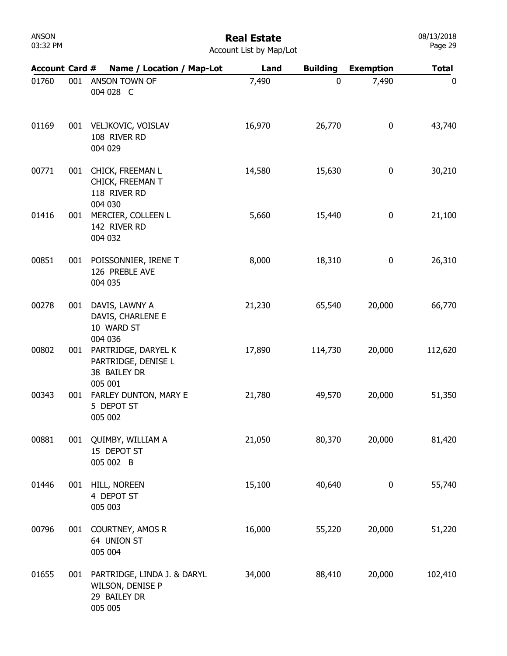| ANSON    |  |
|----------|--|
| 03:32 PM |  |

|  | <b>Account List by Map/Lot</b> |  |  |  |  |
|--|--------------------------------|--|--|--|--|
|--|--------------------------------|--|--|--|--|

| <b>Account Card #</b> |     | Name / Location / Map-Lot                                                  | Land   | <b>Building</b> | <b>Exemption</b> | <b>Total</b> |
|-----------------------|-----|----------------------------------------------------------------------------|--------|-----------------|------------------|--------------|
| 01760                 | 001 | ANSON TOWN OF<br>004 028 C                                                 | 7,490  | 0               | 7,490            | 0            |
| 01169                 | 001 | VELJKOVIC, VOISLAV<br>108 RIVER RD<br>004 029                              | 16,970 | 26,770          | 0                | 43,740       |
| 00771                 | 001 | CHICK, FREEMAN L<br>CHICK, FREEMAN T<br>118 RIVER RD<br>004 030            | 14,580 | 15,630          | 0                | 30,210       |
| 01416                 | 001 | MERCIER, COLLEEN L<br>142 RIVER RD<br>004 032                              | 5,660  | 15,440          | 0                | 21,100       |
| 00851                 | 001 | POISSONNIER, IRENE T<br>126 PREBLE AVE<br>004 035                          | 8,000  | 18,310          | 0                | 26,310       |
| 00278                 | 001 | DAVIS, LAWNY A<br>DAVIS, CHARLENE E<br>10 WARD ST<br>004 036               | 21,230 | 65,540          | 20,000           | 66,770       |
| 00802                 | 001 | PARTRIDGE, DARYEL K<br>PARTRIDGE, DENISE L<br>38 BAILEY DR<br>005 001      | 17,890 | 114,730         | 20,000           | 112,620      |
| 00343                 | 001 | FARLEY DUNTON, MARY E<br>5 DEPOT ST<br>005 002                             | 21,780 | 49,570          | 20,000           | 51,350       |
| 00881                 | 001 | QUIMBY, WILLIAM A<br>15 DEPOT ST<br>005 002 B                              | 21,050 | 80,370          | 20,000           | 81,420       |
| 01446                 | 001 | HILL, NOREEN<br>4 DEPOT ST<br>005 003                                      | 15,100 | 40,640          | 0                | 55,740       |
| 00796                 | 001 | <b>COURTNEY, AMOS R</b><br>64 UNION ST<br>005 004                          | 16,000 | 55,220          | 20,000           | 51,220       |
| 01655                 | 001 | PARTRIDGE, LINDA J. & DARYL<br>WILSON, DENISE P<br>29 BAILEY DR<br>005 005 | 34,000 | 88,410          | 20,000           | 102,410      |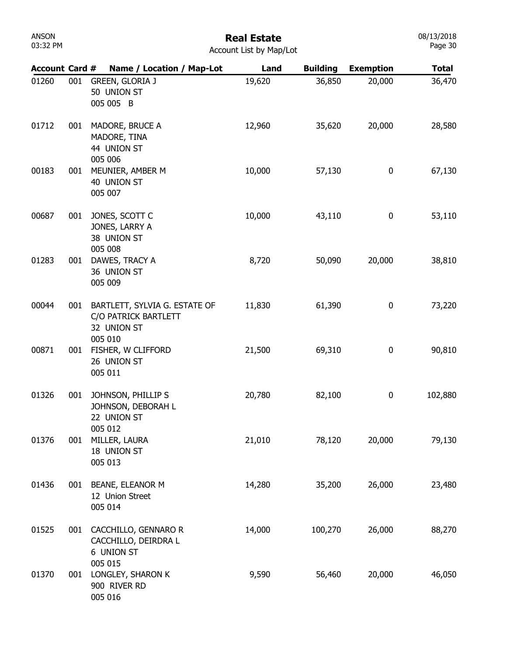#### Real Estate

| <b>U3:32 PM</b>       |     |                                                                                 | Account List by Map/Lot |                 |                  | Page 30      |
|-----------------------|-----|---------------------------------------------------------------------------------|-------------------------|-----------------|------------------|--------------|
| <b>Account Card #</b> |     | Name / Location / Map-Lot                                                       | Land                    | <b>Building</b> | <b>Exemption</b> | <b>Total</b> |
| 01260                 | 001 | <b>GREEN, GLORIA J</b><br>50 UNION ST<br>005 005 B                              | 19,620                  | 36,850          | 20,000           | 36,470       |
| 01712                 | 001 | MADORE, BRUCE A<br>MADORE, TINA<br>44 UNION ST<br>005 006                       | 12,960                  | 35,620          | 20,000           | 28,580       |
| 00183                 | 001 | MEUNIER, AMBER M<br>40 UNION ST<br>005 007                                      | 10,000                  | 57,130          | 0                | 67,130       |
| 00687                 | 001 | JONES, SCOTT C<br>JONES, LARRY A<br>38 UNION ST<br>005 008                      | 10,000                  | 43,110          | $\bf{0}$         | 53,110       |
| 01283                 | 001 | DAWES, TRACY A<br>36 UNION ST<br>005 009                                        | 8,720                   | 50,090          | 20,000           | 38,810       |
| 00044                 | 001 | BARTLETT, SYLVIA G. ESTATE OF<br>C/O PATRICK BARTLETT<br>32 UNION ST<br>005 010 | 11,830                  | 61,390          | 0                | 73,220       |
| 00871                 | 001 | FISHER, W CLIFFORD<br>26 UNION ST<br>005 011                                    | 21,500                  | 69,310          | 0                | 90,810       |
| 01326                 | 001 | JOHNSON, PHILLIP S<br>JOHNSON, DEBORAH L<br>22 UNION ST                         | 20,780                  | 82,100          | $\bf{0}$         | 102,880      |
| 01376                 | 001 | 005 012<br>MILLER, LAURA<br>18 UNION ST<br>005 013                              | 21,010                  | 78,120          | 20,000           | 79,130       |
| 01436                 | 001 | BEANE, ELEANOR M<br>12 Union Street<br>005 014                                  | 14,280                  | 35,200          | 26,000           | 23,480       |
| 01525                 | 001 | CACCHILLO, GENNARO R<br>CACCHILLO, DEIRDRA L<br>6 UNION ST                      | 14,000                  | 100,270         | 26,000           | 88,270       |
| 01370                 | 001 | 005 015<br>LONGLEY, SHARON K<br>900 RIVER RD<br>005 016                         | 9,590                   | 56,460          | 20,000           | 46,050       |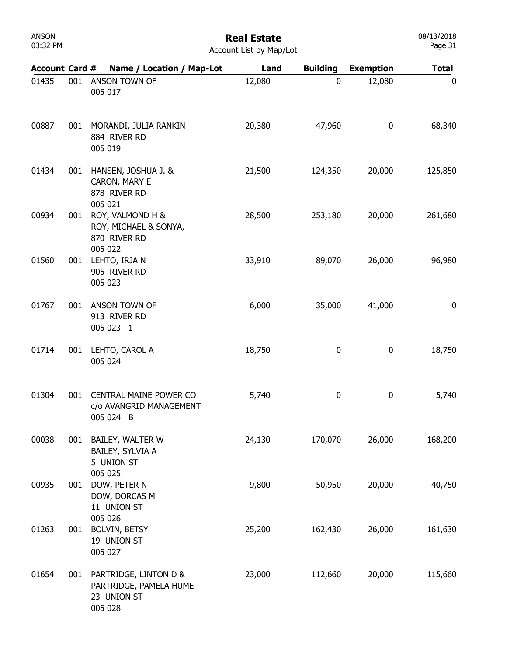| ANSON    |  |
|----------|--|
| 03:32 PM |  |

| Account List by Map/Lot |  |
|-------------------------|--|
|-------------------------|--|

| <b>Account Card #</b> |     | Name / Location / Map-Lot                                                 | Land   | <b>Building</b> | <b>Exemption</b> | <b>Total</b> |
|-----------------------|-----|---------------------------------------------------------------------------|--------|-----------------|------------------|--------------|
| 01435                 | 001 | ANSON TOWN OF<br>005 017                                                  | 12,080 | 0               | 12,080           | 0            |
| 00887                 | 001 | MORANDI, JULIA RANKIN<br>884 RIVER RD<br>005 019                          | 20,380 | 47,960          | 0                | 68,340       |
| 01434                 | 001 | HANSEN, JOSHUA J. &<br>CARON, MARY E<br>878 RIVER RD<br>005 021           | 21,500 | 124,350         | 20,000           | 125,850      |
| 00934                 | 001 | ROY, VALMOND H &<br>ROY, MICHAEL & SONYA,<br>870 RIVER RD<br>005 022      | 28,500 | 253,180         | 20,000           | 261,680      |
| 01560                 | 001 | LEHTO, IRJA N<br>905 RIVER RD<br>005 023                                  | 33,910 | 89,070          | 26,000           | 96,980       |
| 01767                 | 001 | ANSON TOWN OF<br>913 RIVER RD<br>005 023 1                                | 6,000  | 35,000          | 41,000           | 0            |
| 01714                 | 001 | LEHTO, CAROL A<br>005 024                                                 | 18,750 | 0               | 0                | 18,750       |
| 01304                 | 001 | CENTRAL MAINE POWER CO<br>c/o AVANGRID MANAGEMENT<br>005 024 B            | 5,740  | 0               | 0                | 5,740        |
| 00038                 | 001 | BAILEY, WALTER W<br>BAILEY, SYLVIA A<br>5 UNION ST                        | 24,130 | 170,070         | 26,000           | 168,200      |
| 00935                 | 001 | 005 025<br>DOW, PETER N<br>DOW, DORCAS M<br>11 UNION ST                   | 9,800  | 50,950          | 20,000           | 40,750       |
| 01263                 | 001 | 005 026<br><b>BOLVIN, BETSY</b><br>19 UNION ST<br>005 027                 | 25,200 | 162,430         | 26,000           | 161,630      |
| 01654                 | 001 | PARTRIDGE, LINTON D &<br>PARTRIDGE, PAMELA HUME<br>23 UNION ST<br>005 028 | 23,000 | 112,660         | 20,000           | 115,660      |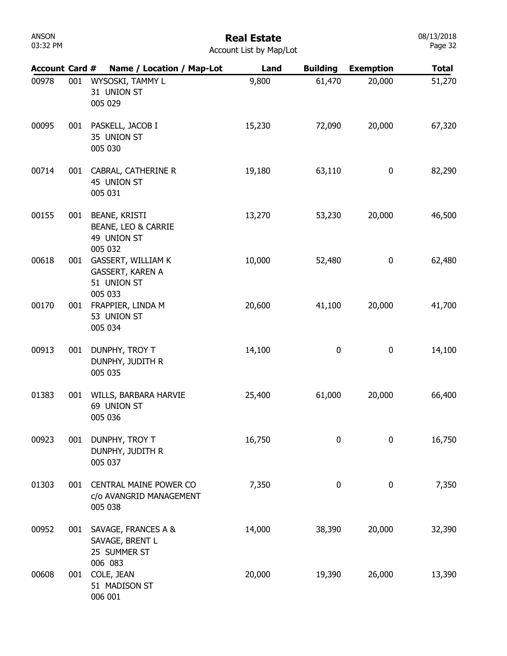## Real Estate

| Account List by Map/Lot |  |  |  |  |
|-------------------------|--|--|--|--|
|-------------------------|--|--|--|--|

| <b>Account Card #</b> |     | Name / Location / Map-Lot                                               | Land   | <b>Building</b> | <b>Exemption</b> | <b>Total</b> |
|-----------------------|-----|-------------------------------------------------------------------------|--------|-----------------|------------------|--------------|
| 00978                 | 001 | WYSOSKI, TAMMY L<br>31 UNION ST<br>005 029                              | 9,800  | 61,470          | 20,000           | 51,270       |
| 00095                 | 001 | PASKELL, JACOB I<br>35 UNION ST<br>005 030                              | 15,230 | 72,090          | 20,000           | 67,320       |
| 00714                 | 001 | CABRAL, CATHERINE R<br>45 UNION ST<br>005 031                           | 19,180 | 63,110          | 0                | 82,290       |
| 00155                 | 001 | <b>BEANE, KRISTI</b><br>BEANE, LEO & CARRIE<br>49 UNION ST<br>005 032   | 13,270 | 53,230          | 20,000           | 46,500       |
| 00618                 | 001 | <b>GASSERT, WILLIAM K</b><br>GASSERT, KAREN A<br>51 UNION ST<br>005 033 | 10,000 | 52,480          | 0                | 62,480       |
| 00170                 | 001 | FRAPPIER, LINDA M<br>53 UNION ST<br>005 034                             | 20,600 | 41,100          | 20,000           | 41,700       |
| 00913                 | 001 | DUNPHY, TROY T<br>DUNPHY, JUDITH R<br>005 035                           | 14,100 | 0               | 0                | 14,100       |
| 01383                 | 001 | WILLS, BARBARA HARVIE<br>69 UNION ST<br>005 036                         | 25,400 | 61,000          | 20,000           | 66,400       |
| 00923                 | 001 | DUNPHY, TROY T<br>DUNPHY, JUDITH R<br>005 037                           | 16,750 | 0               | 0                | 16,750       |
| 01303                 | 001 | <b>CENTRAL MAINE POWER CO</b><br>c/o AVANGRID MANAGEMENT<br>005 038     | 7,350  | 0               | 0                | 7,350        |
| 00952                 | 001 | SAVAGE, FRANCES A &<br>SAVAGE, BRENT L<br>25 SUMMER ST                  | 14,000 | 38,390          | 20,000           | 32,390       |
| 00608                 | 001 | 006 083<br>COLE, JEAN<br>51 MADISON ST<br>006 001                       | 20,000 | 19,390          | 26,000           | 13,390       |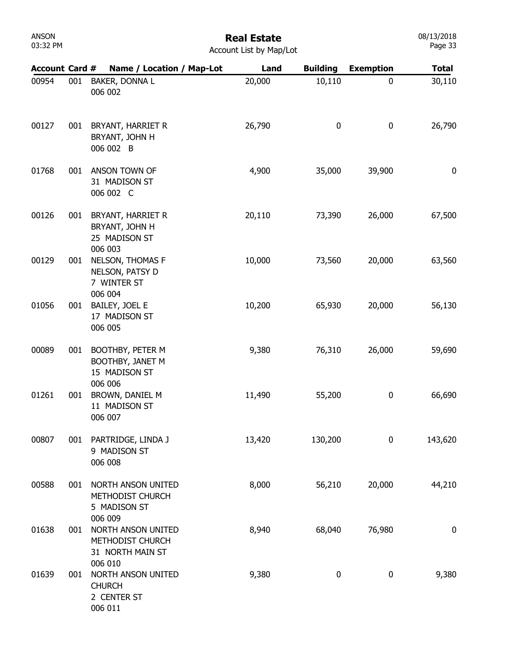## Real Estate

| <b>Account Card #</b> |     | Name / Location / Map-Lot                                                | Land   | <b>Building</b> | <b>Exemption</b> | <b>Total</b> |
|-----------------------|-----|--------------------------------------------------------------------------|--------|-----------------|------------------|--------------|
| 00954                 | 001 | BAKER, DONNA L<br>006 002                                                | 20,000 | 10,110          | $\mathbf{0}$     | 30,110       |
| 00127                 | 001 | BRYANT, HARRIET R<br>BRYANT, JOHN H<br>006 002 B                         | 26,790 | $\bf{0}$        | $\bf{0}$         | 26,790       |
| 01768                 | 001 | ANSON TOWN OF<br>31 MADISON ST<br>006 002 C                              | 4,900  | 35,000          | 39,900           | 0            |
| 00126                 | 001 | BRYANT, HARRIET R<br>BRYANT, JOHN H<br>25 MADISON ST<br>006 003          | 20,110 | 73,390          | 26,000           | 67,500       |
| 00129                 | 001 | NELSON, THOMAS F<br>NELSON, PATSY D<br>7 WINTER ST                       | 10,000 | 73,560          | 20,000           | 63,560       |
| 01056                 | 001 | 006 004<br>BAILEY, JOEL E<br>17 MADISON ST<br>006 005                    | 10,200 | 65,930          | 20,000           | 56,130       |
| 00089                 | 001 | BOOTHBY, PETER M<br>BOOTHBY, JANET M<br>15 MADISON ST                    | 9,380  | 76,310          | 26,000           | 59,690       |
| 01261                 | 001 | 006 006<br>BROWN, DANIEL M<br>11 MADISON ST<br>006 007                   | 11,490 | 55,200          | $\pmb{0}$        | 66,690       |
| 00807                 | 001 | PARTRIDGE, LINDA J<br>9 MADISON ST<br>006 008                            | 13,420 | 130,200         | 0                | 143,620      |
| 00588                 | 001 | NORTH ANSON UNITED<br>METHODIST CHURCH<br>5 MADISON ST                   | 8,000  | 56,210          | 20,000           | 44,210       |
| 01638                 | 001 | 006 009<br>NORTH ANSON UNITED<br>METHODIST CHURCH<br>31 NORTH MAIN ST    | 8,940  | 68,040          | 76,980           | $\pmb{0}$    |
| 01639                 | 001 | 006 010<br>NORTH ANSON UNITED<br><b>CHURCH</b><br>2 CENTER ST<br>006 011 | 9,380  | $\pmb{0}$       | $\pmb{0}$        | 9,380        |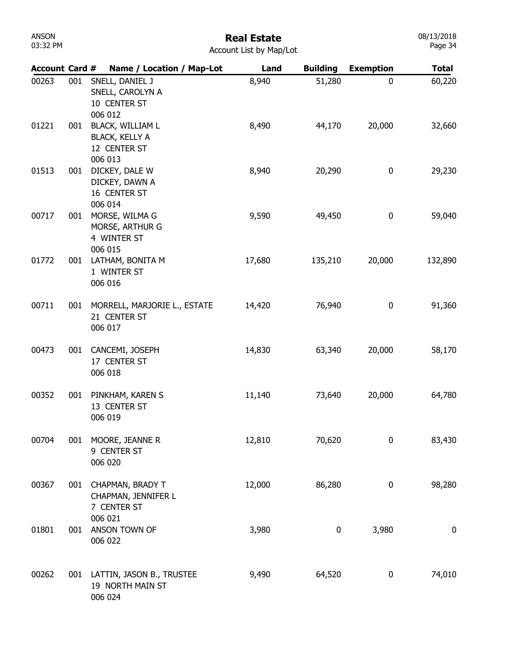| ANSON    |  |
|----------|--|
| 03:32 PM |  |

08/13/2018 Page 34

| <b>Account Card #</b> |     | Name / Location / Map-Lot                                                   | Land   | <b>Building</b> | <b>Exemption</b> | <b>Total</b>     |
|-----------------------|-----|-----------------------------------------------------------------------------|--------|-----------------|------------------|------------------|
| 00263                 | 001 | SNELL, DANIEL J<br>SNELL, CAROLYN A<br>10 CENTER ST<br>006 012              | 8,940  | 51,280          | 0                | 60,220           |
| 01221                 | 001 | <b>BLACK, WILLIAM L</b><br><b>BLACK, KELLY A</b><br>12 CENTER ST<br>006 013 | 8,490  | 44,170          | 20,000           | 32,660           |
| 01513                 | 001 | DICKEY, DALE W<br>DICKEY, DAWN A<br>16 CENTER ST<br>006 014                 | 8,940  | 20,290          | 0                | 29,230           |
| 00717                 | 001 | MORSE, WILMA G<br>MORSE, ARTHUR G<br>4 WINTER ST<br>006 015                 | 9,590  | 49,450          | 0                | 59,040           |
| 01772                 | 001 | LATHAM, BONITA M<br>1 WINTER ST<br>006 016                                  | 17,680 | 135,210         | 20,000           | 132,890          |
| 00711                 | 001 | MORRELL, MARJORIE L., ESTATE<br>21 CENTER ST<br>006 017                     | 14,420 | 76,940          | 0                | 91,360           |
| 00473                 | 001 | CANCEMI, JOSEPH<br>17 CENTER ST<br>006 018                                  | 14,830 | 63,340          | 20,000           | 58,170           |
| 00352                 | 001 | PINKHAM, KAREN S<br>13 CENTER ST<br>006 019                                 | 11,140 | 73,640          | 20,000           | 64,780           |
| 00704                 | 001 | MOORE, JEANNE R<br>9 CENTER ST<br>006 020                                   | 12,810 | 70,620          | 0                | 83,430           |
| 00367                 | 001 | <b>CHAPMAN, BRADY T</b><br>CHAPMAN, JENNIFER L<br>7 CENTER ST<br>006 021    | 12,000 | 86,280          | 0                | 98,280           |
| 01801                 | 001 | ANSON TOWN OF<br>006 022                                                    | 3,980  | 0               | 3,980            | $\boldsymbol{0}$ |
| 00262                 |     | 001 LATTIN, JASON B., TRUSTEE<br>19 NORTH MAIN ST<br>006 024                | 9,490  | 64,520          | 0                | 74,010           |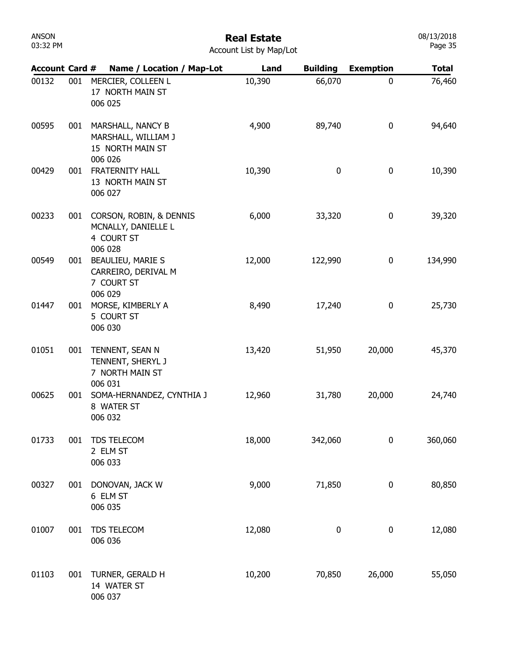| ANSON    |  |
|----------|--|
| 03:32 PM |  |

| <b>Account Card #</b> |     | Name / Location / Map-Lot                                               | Land   | <b>Building</b> | <b>Exemption</b> | <b>Total</b> |
|-----------------------|-----|-------------------------------------------------------------------------|--------|-----------------|------------------|--------------|
| 00132                 | 001 | MERCIER, COLLEEN L<br>17 NORTH MAIN ST<br>006 025                       | 10,390 | 66,070          | $\mathbf 0$      | 76,460       |
| 00595                 | 001 | MARSHALL, NANCY B<br>MARSHALL, WILLIAM J<br>15 NORTH MAIN ST<br>006 026 | 4,900  | 89,740          | $\mathbf 0$      | 94,640       |
| 00429                 | 001 | <b>FRATERNITY HALL</b><br>13 NORTH MAIN ST<br>006 027                   | 10,390 | 0               | 0                | 10,390       |
| 00233                 | 001 | CORSON, ROBIN, & DENNIS<br>MCNALLY, DANIELLE L<br>4 COURT ST<br>006 028 | 6,000  | 33,320          | $\mathbf 0$      | 39,320       |
| 00549                 | 001 | BEAULIEU, MARIE S<br>CARREIRO, DERIVAL M<br>7 COURT ST<br>006 029       | 12,000 | 122,990         | 0                | 134,990      |
| 01447                 | 001 | MORSE, KIMBERLY A<br>5 COURT ST<br>006 030                              | 8,490  | 17,240          | $\mathbf 0$      | 25,730       |
| 01051                 | 001 | TENNENT, SEAN N<br>TENNENT, SHERYL J<br>7 NORTH MAIN ST<br>006 031      | 13,420 | 51,950          | 20,000           | 45,370       |
| 00625                 | 001 | SOMA-HERNANDEZ, CYNTHIA J<br>8 WATER ST<br>006 032                      | 12,960 | 31,780          | 20,000           | 24,740       |
| 01733                 | 001 | TDS TELECOM<br>2 ELM ST<br>006 033                                      | 18,000 | 342,060         | 0                | 360,060      |
| 00327                 | 001 | DONOVAN, JACK W<br>6 ELM ST<br>006 035                                  | 9,000  | 71,850          | 0                | 80,850       |
| 01007                 | 001 | TDS TELECOM<br>006 036                                                  | 12,080 | 0               | $\pmb{0}$        | 12,080       |
| 01103                 | 001 | TURNER, GERALD H<br>14 WATER ST<br>006 037                              | 10,200 | 70,850          | 26,000           | 55,050       |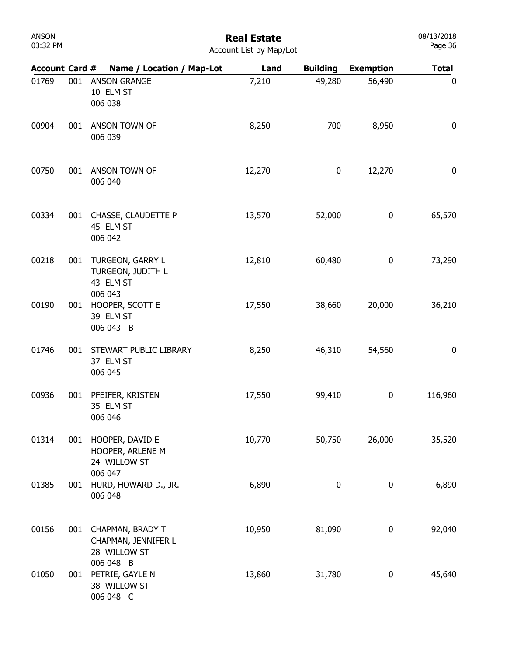# Real Estate

08/13/2018 Page 36

| <b>Account Card #</b> |     | Name / Location / Map-Lot                                 | Land   | <b>Building</b> | <b>Exemption</b> | <b>Total</b>     |
|-----------------------|-----|-----------------------------------------------------------|--------|-----------------|------------------|------------------|
| 01769                 | 001 | <b>ANSON GRANGE</b><br>10 ELM ST<br>006 038               | 7,210  | 49,280          | 56,490           | $\mathbf 0$      |
| 00904                 | 001 | ANSON TOWN OF<br>006 039                                  | 8,250  | 700             | 8,950            | $\boldsymbol{0}$ |
| 00750                 | 001 | ANSON TOWN OF<br>006 040                                  | 12,270 | 0               | 12,270           | $\mathbf 0$      |
| 00334                 | 001 | CHASSE, CLAUDETTE P<br>45 ELM ST<br>006 042               | 13,570 | 52,000          | $\bf{0}$         | 65,570           |
| 00218                 |     | 001 TURGEON, GARRY L<br>TURGEON, JUDITH L<br>43 ELM ST    | 12,810 | 60,480          | $\bf{0}$         | 73,290           |
| 00190                 | 001 | 006 043<br>HOOPER, SCOTT E<br>39 ELM ST<br>006 043 B      | 17,550 | 38,660          | 20,000           | 36,210           |
| 01746                 | 001 | STEWART PUBLIC LIBRARY<br>37 ELM ST<br>006 045            | 8,250  | 46,310          | 54,560           | 0                |
| 00936                 | 001 | PFEIFER, KRISTEN<br>35 ELM ST<br>006 046                  | 17,550 | 99,410          | $\bf{0}$         | 116,960          |
| 01314                 | 001 | HOOPER, DAVID E<br>HOOPER, ARLENE M<br>24 WILLOW ST       | 10,770 | 50,750          | 26,000           | 35,520           |
| 01385                 | 001 | 006 047<br>HURD, HOWARD D., JR.<br>006 048                | 6,890  | 0               | $\bf{0}$         | 6,890            |
| 00156                 | 001 | CHAPMAN, BRADY T<br>CHAPMAN, JENNIFER L<br>28 WILLOW ST   | 10,950 | 81,090          | $\pmb{0}$        | 92,040           |
| 01050                 | 001 | 006 048 B<br>PETRIE, GAYLE N<br>38 WILLOW ST<br>006 048 C | 13,860 | 31,780          | 0                | 45,640           |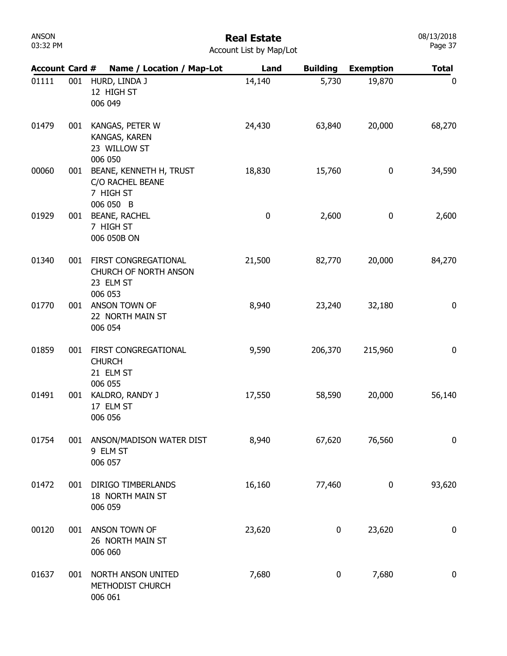# Real Estate

| <b>Account Card #</b> |     | Name / Location / Map-Lot                                                    | Land     | <b>Building</b> | <b>Exemption</b> | <b>Total</b>     |
|-----------------------|-----|------------------------------------------------------------------------------|----------|-----------------|------------------|------------------|
| 01111                 | 001 | HURD, LINDA J<br>12 HIGH ST<br>006 049                                       | 14,140   | 5,730           | 19,870           | 0                |
| 01479                 | 001 | KANGAS, PETER W<br>KANGAS, KAREN<br>23 WILLOW ST<br>006 050                  | 24,430   | 63,840          | 20,000           | 68,270           |
| 00060                 | 001 | BEANE, KENNETH H, TRUST<br>C/O RACHEL BEANE<br>7 HIGH ST<br>006 050 B        | 18,830   | 15,760          | $\pmb{0}$        | 34,590           |
| 01929                 | 001 | <b>BEANE, RACHEL</b><br>7 HIGH ST<br>006 050B ON                             | $\bf{0}$ | 2,600           | $\bf{0}$         | 2,600            |
| 01340                 | 001 | FIRST CONGREGATIONAL<br><b>CHURCH OF NORTH ANSON</b><br>23 ELM ST<br>006 053 | 21,500   | 82,770          | 20,000           | 84,270           |
| 01770                 | 001 | ANSON TOWN OF<br>22 NORTH MAIN ST<br>006 054                                 | 8,940    | 23,240          | 32,180           | 0                |
| 01859                 | 001 | FIRST CONGREGATIONAL<br><b>CHURCH</b><br>21 ELM ST<br>006 055                | 9,590    | 206,370         | 215,960          | $\mathbf 0$      |
| 01491                 | 001 | KALDRO, RANDY J<br>17 ELM ST<br>006 056                                      | 17,550   | 58,590          | 20,000           | 56,140           |
| 01754                 | 001 | ANSON/MADISON WATER DIST<br>9 ELM ST<br>006 057                              | 8,940    | 67,620          | 76,560           | 0                |
| 01472                 | 001 | DIRIGO TIMBERLANDS<br>18 NORTH MAIN ST<br>006 059                            | 16,160   | 77,460          | 0                | 93,620           |
| 00120                 | 001 | ANSON TOWN OF<br>26 NORTH MAIN ST<br>006 060                                 | 23,620   | 0               | 23,620           | $\bf{0}$         |
| 01637                 | 001 | NORTH ANSON UNITED<br>METHODIST CHURCH<br>006 061                            | 7,680    | 0               | 7,680            | $\boldsymbol{0}$ |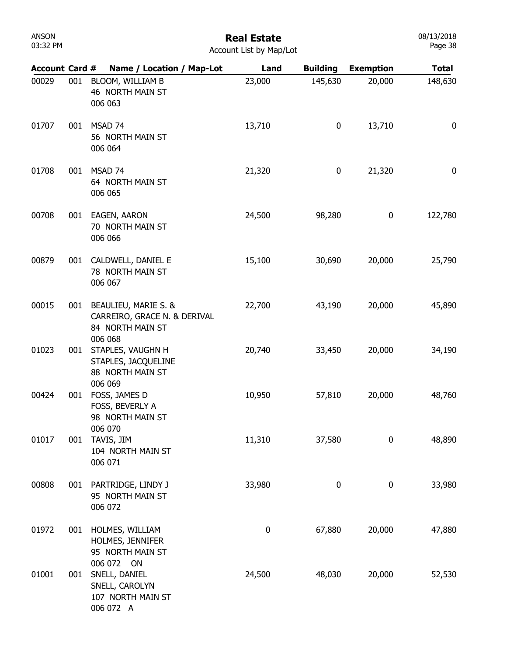### Real Estate

| Account List by Map/Lot |  |  |  |  |
|-------------------------|--|--|--|--|
|-------------------------|--|--|--|--|

| <b>Account Card #</b> |     | Name / Location / Map-Lot                                                       | Land     | <b>Building</b> | <b>Exemption</b> | <b>Total</b> |
|-----------------------|-----|---------------------------------------------------------------------------------|----------|-----------------|------------------|--------------|
| 00029                 | 001 | BLOOM, WILLIAM B<br>46 NORTH MAIN ST<br>006 063                                 | 23,000   | 145,630         | 20,000           | 148,630      |
| 01707                 | 001 | MSAD 74<br>56 NORTH MAIN ST<br>006 064                                          | 13,710   | 0               | 13,710           | $\mathbf 0$  |
| 01708                 | 001 | MSAD 74<br>64 NORTH MAIN ST<br>006 065                                          | 21,320   | 0               | 21,320           | $\mathbf 0$  |
| 00708                 | 001 | EAGEN, AARON<br>70 NORTH MAIN ST<br>006 066                                     | 24,500   | 98,280          | 0                | 122,780      |
| 00879                 | 001 | CALDWELL, DANIEL E<br>78 NORTH MAIN ST<br>006 067                               | 15,100   | 30,690          | 20,000           | 25,790       |
| 00015                 | 001 | BEAULIEU, MARIE S. &<br>CARREIRO, GRACE N. & DERIVAL<br>84 NORTH MAIN ST        | 22,700   | 43,190          | 20,000           | 45,890       |
| 01023                 | 001 | 006 068<br>STAPLES, VAUGHN H<br>STAPLES, JACQUELINE<br>88 NORTH MAIN ST         | 20,740   | 33,450          | 20,000           | 34,190       |
| 00424                 | 001 | 006 069<br>FOSS, JAMES D<br>FOSS, BEVERLY A<br>98 NORTH MAIN ST                 | 10,950   | 57,810          | 20,000           | 48,760       |
| 01017                 | 001 | 006 070<br>TAVIS, JIM<br>104 NORTH MAIN ST<br>006 071                           | 11,310   | 37,580          | 0                | 48,890       |
| 00808                 | 001 | PARTRIDGE, LINDY J<br>95 NORTH MAIN ST<br>006 072                               | 33,980   | 0               | 0                | 33,980       |
| 01972                 | 001 | HOLMES, WILLIAM<br>HOLMES, JENNIFER<br>95 NORTH MAIN ST                         | $\bf{0}$ | 67,880          | 20,000           | 47,880       |
| 01001                 | 001 | 006 072 ON<br>SNELL, DANIEL<br>SNELL, CAROLYN<br>107 NORTH MAIN ST<br>006 072 A | 24,500   | 48,030          | 20,000           | 52,530       |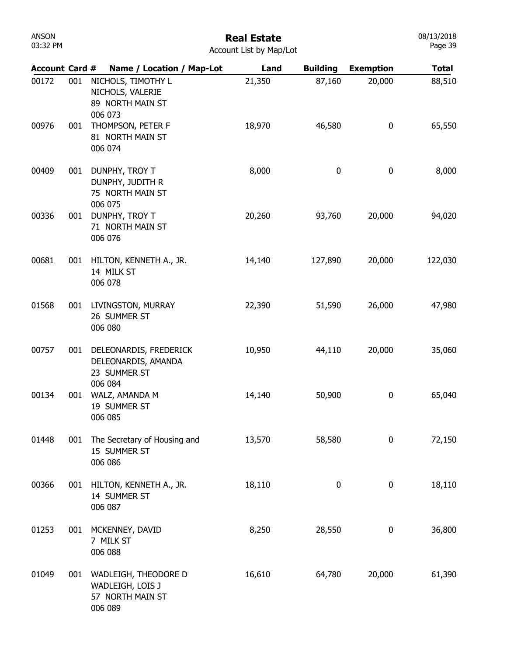| ANSON    |  |  |  |  |  |
|----------|--|--|--|--|--|
| 03:32 PM |  |  |  |  |  |

| <b>Account Card #</b> |     | Name / Location / Map-Lot                                                | Land   | <b>Building</b> | <b>Exemption</b> | <b>Total</b> |
|-----------------------|-----|--------------------------------------------------------------------------|--------|-----------------|------------------|--------------|
| 00172                 | 001 | NICHOLS, TIMOTHY L<br>NICHOLS, VALERIE<br>89 NORTH MAIN ST<br>006 073    | 21,350 | 87,160          | 20,000           | 88,510       |
| 00976                 | 001 | THOMPSON, PETER F<br>81 NORTH MAIN ST<br>006 074                         | 18,970 | 46,580          | 0                | 65,550       |
| 00409                 | 001 | DUNPHY, TROY T<br>DUNPHY, JUDITH R<br>75 NORTH MAIN ST<br>006 075        | 8,000  | 0               | 0                | 8,000        |
| 00336                 | 001 | DUNPHY, TROY T<br>71 NORTH MAIN ST<br>006 076                            | 20,260 | 93,760          | 20,000           | 94,020       |
| 00681                 | 001 | HILTON, KENNETH A., JR.<br>14 MILK ST<br>006 078                         | 14,140 | 127,890         | 20,000           | 122,030      |
| 01568                 | 001 | LIVINGSTON, MURRAY<br>26 SUMMER ST<br>006 080                            | 22,390 | 51,590          | 26,000           | 47,980       |
| 00757                 | 001 | DELEONARDIS, FREDERICK<br>DELEONARDIS, AMANDA<br>23 SUMMER ST<br>006 084 | 10,950 | 44,110          | 20,000           | 35,060       |
| 00134                 | 001 | WALZ, AMANDA M<br>19 SUMMER ST<br>006 085                                | 14,140 | 50,900          | 0                | 65,040       |
| 01448                 | 001 | The Secretary of Housing and<br>15 SUMMER ST<br>006 086                  | 13,570 | 58,580          | 0                | 72,150       |
| 00366                 | 001 | HILTON, KENNETH A., JR.<br>14 SUMMER ST<br>006 087                       | 18,110 | 0               | 0                | 18,110       |
| 01253                 | 001 | MCKENNEY, DAVID<br>7 MILK ST<br>006 088                                  | 8,250  | 28,550          | 0                | 36,800       |
| 01049                 | 001 | WADLEIGH, THEODORE D<br>WADLEIGH, LOIS J<br>57 NORTH MAIN ST<br>006 089  | 16,610 | 64,780          | 20,000           | 61,390       |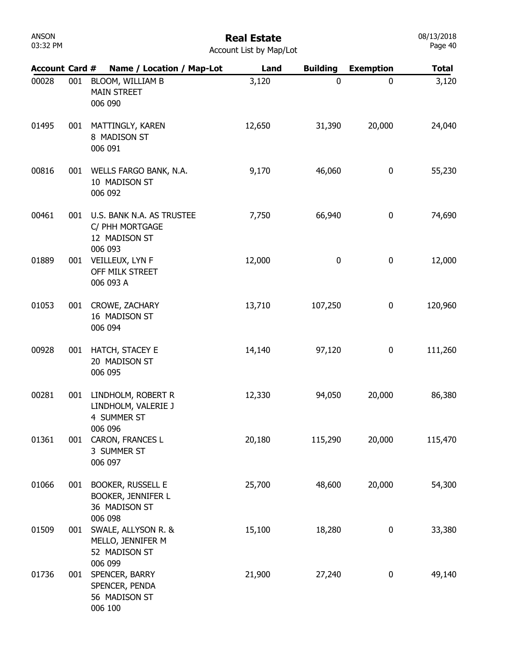| ANSON    |  |  |  |  |  |
|----------|--|--|--|--|--|
| 03:32 PM |  |  |  |  |  |

| <b>Account Card #</b> |     | Name / Location / Map-Lot                                                  | Land   | <b>Building</b> | <b>Exemption</b> | <b>Total</b> |
|-----------------------|-----|----------------------------------------------------------------------------|--------|-----------------|------------------|--------------|
| 00028                 | 001 | BLOOM, WILLIAM B<br><b>MAIN STREET</b><br>006 090                          | 3,120  | $\mathbf 0$     | 0                | 3,120        |
| 01495                 | 001 | MATTINGLY, KAREN<br>8 MADISON ST<br>006 091                                | 12,650 | 31,390          | 20,000           | 24,040       |
| 00816                 | 001 | WELLS FARGO BANK, N.A.<br>10 MADISON ST<br>006 092                         | 9,170  | 46,060          | 0                | 55,230       |
| 00461                 | 001 | U.S. BANK N.A. AS TRUSTEE<br>C/ PHH MORTGAGE<br>12 MADISON ST              | 7,750  | 66,940          | 0                | 74,690       |
| 01889                 | 001 | 006 093<br>VEILLEUX, LYN F<br>OFF MILK STREET<br>006 093 A                 | 12,000 | $\pmb{0}$       | 0                | 12,000       |
| 01053                 | 001 | CROWE, ZACHARY<br>16 MADISON ST<br>006 094                                 | 13,710 | 107,250         | 0                | 120,960      |
| 00928                 | 001 | HATCH, STACEY E<br>20 MADISON ST<br>006 095                                | 14,140 | 97,120          | 0                | 111,260      |
| 00281                 | 001 | LINDHOLM, ROBERT R<br>LINDHOLM, VALERIE J<br>4 SUMMER ST                   | 12,330 | 94,050          | 20,000           | 86,380       |
| 01361                 | 001 | 006 096<br>CARON, FRANCES L<br>3 SUMMER ST<br>006 097                      | 20,180 | 115,290         | 20,000           | 115,470      |
| 01066                 | 001 | <b>BOOKER, RUSSELL E</b><br>BOOKER, JENNIFER L<br>36 MADISON ST<br>006 098 | 25,700 | 48,600          | 20,000           | 54,300       |
| 01509                 | 001 | SWALE, ALLYSON R. &<br>MELLO, JENNIFER M<br>52 MADISON ST<br>006 099       | 15,100 | 18,280          | 0                | 33,380       |
| 01736                 | 001 | SPENCER, BARRY<br>SPENCER, PENDA<br>56 MADISON ST<br>006 100               | 21,900 | 27,240          | 0                | 49,140       |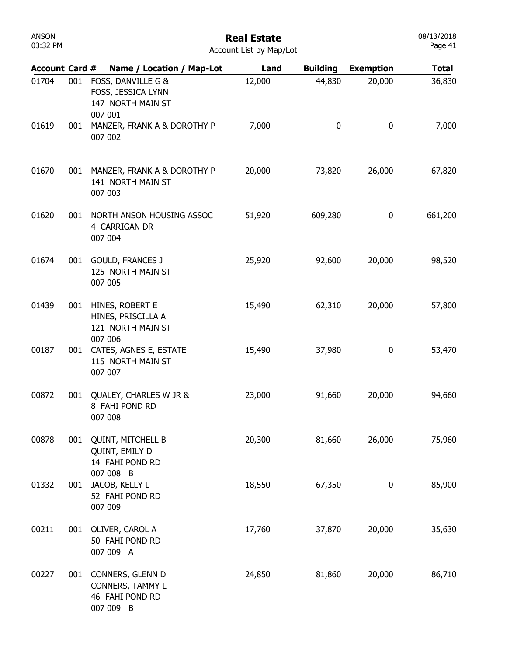#### Real Estate Account List by Map/Lot

| <b>Account Card #</b> |     | Name / Location / Map-Lot                                                  | Land   | <b>Building</b> | <b>Exemption</b> | <b>Total</b> |
|-----------------------|-----|----------------------------------------------------------------------------|--------|-----------------|------------------|--------------|
| 01704                 | 001 | FOSS, DANVILLE G &<br>FOSS, JESSICA LYNN<br>147 NORTH MAIN ST<br>007 001   | 12,000 | 44,830          | 20,000           | 36,830       |
| 01619                 | 001 | MANZER, FRANK A & DOROTHY P<br>007 002                                     | 7,000  | $\bf{0}$        | $\pmb{0}$        | 7,000        |
| 01670                 |     | 001 MANZER, FRANK A & DOROTHY P<br>141 NORTH MAIN ST<br>007 003            | 20,000 | 73,820          | 26,000           | 67,820       |
| 01620                 | 001 | NORTH ANSON HOUSING ASSOC<br>4 CARRIGAN DR<br>007 004                      | 51,920 | 609,280         | 0                | 661,200      |
| 01674                 |     | 001 GOULD, FRANCES J<br>125 NORTH MAIN ST<br>007 005                       | 25,920 | 92,600          | 20,000           | 98,520       |
| 01439                 | 001 | HINES, ROBERT E<br>HINES, PRISCILLA A<br>121 NORTH MAIN ST<br>007 006      | 15,490 | 62,310          | 20,000           | 57,800       |
| 00187                 |     | 001 CATES, AGNES E, ESTATE<br>115 NORTH MAIN ST<br>007 007                 | 15,490 | 37,980          | 0                | 53,470       |
| 00872                 | 001 | QUALEY, CHARLES W JR &<br>8 FAHI POND RD<br>007 008                        | 23,000 | 91,660          | 20,000           | 94,660       |
| 00878                 | 001 | <b>QUINT, MITCHELL B</b><br>QUINT, EMILY D<br>14 FAHI POND RD<br>007 008 B | 20,300 | 81,660          | 26,000           | 75,960       |
| 01332                 | 001 | JACOB, KELLY L<br>52 FAHI POND RD<br>007 009                               | 18,550 | 67,350          | 0                | 85,900       |
| 00211                 | 001 | OLIVER, CAROL A<br>50 FAHI POND RD<br>007 009 A                            | 17,760 | 37,870          | 20,000           | 35,630       |
| 00227                 | 001 | CONNERS, GLENN D<br>CONNERS, TAMMY L<br>46 FAHI POND RD<br>007 009 B       | 24,850 | 81,860          | 20,000           | 86,710       |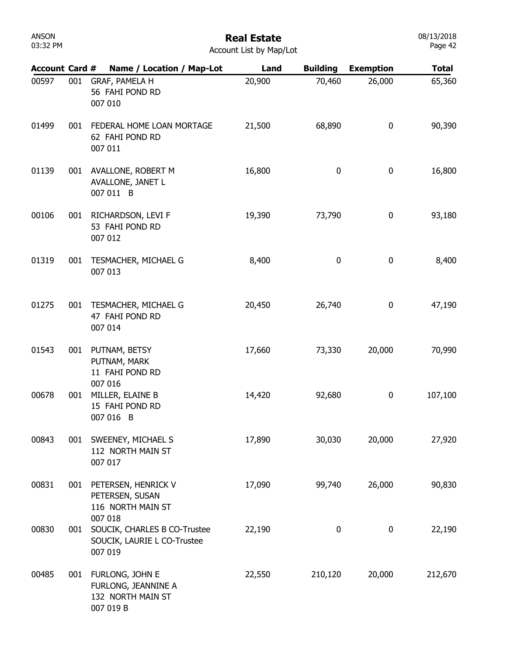| ANSON    |  |  |  |  |
|----------|--|--|--|--|
| 03:32 PM |  |  |  |  |

| <b>Account Card #</b> |     | Name / Location / Map-Lot                                                         | Land   | <b>Building</b> | <b>Exemption</b> | <b>Total</b> |
|-----------------------|-----|-----------------------------------------------------------------------------------|--------|-----------------|------------------|--------------|
| 00597                 | 001 | GRAF, PAMELA H<br>56 FAHI POND RD<br>007 010                                      | 20,900 | 70,460          | 26,000           | 65,360       |
| 01499                 | 001 | FEDERAL HOME LOAN MORTAGE<br>62 FAHI POND RD<br>007 011                           | 21,500 | 68,890          | 0                | 90,390       |
| 01139                 | 001 | AVALLONE, ROBERT M<br>AVALLONE, JANET L<br>007 011 B                              | 16,800 | 0               | 0                | 16,800       |
| 00106                 | 001 | RICHARDSON, LEVI F<br>53 FAHI POND RD<br>007 012                                  | 19,390 | 73,790          | 0                | 93,180       |
| 01319                 | 001 | TESMACHER, MICHAEL G<br>007 013                                                   | 8,400  | $\pmb{0}$       | 0                | 8,400        |
| 01275                 | 001 | TESMACHER, MICHAEL G<br>47 FAHI POND RD<br>007 014                                | 20,450 | 26,740          | 0                | 47,190       |
| 01543                 | 001 | PUTNAM, BETSY<br>PUTNAM, MARK<br>11 FAHI POND RD                                  | 17,660 | 73,330          | 20,000           | 70,990       |
| 00678                 | 001 | 007 016<br>MILLER, ELAINE B<br>15 FAHI POND RD<br>007 016 B                       | 14,420 | 92,680          | 0                | 107,100      |
| 00843                 | 001 | SWEENEY, MICHAEL S<br>112 NORTH MAIN ST<br>007 017                                | 17,890 | 30,030          | 20,000           | 27,920       |
| 00831                 | 001 | PETERSEN, HENRICK V<br>PETERSEN, SUSAN<br>116 NORTH MAIN ST                       | 17,090 | 99,740          | 26,000           | 90,830       |
| 00830                 | 001 | 007 018<br>SOUCIK, CHARLES B CO-Trustee<br>SOUCIK, LAURIE L CO-Trustee<br>007 019 | 22,190 | 0               | 0                | 22,190       |
| 00485                 | 001 | FURLONG, JOHN E<br>FURLONG, JEANNINE A<br>132 NORTH MAIN ST<br>007 019 B          | 22,550 | 210,120         | 20,000           | 212,670      |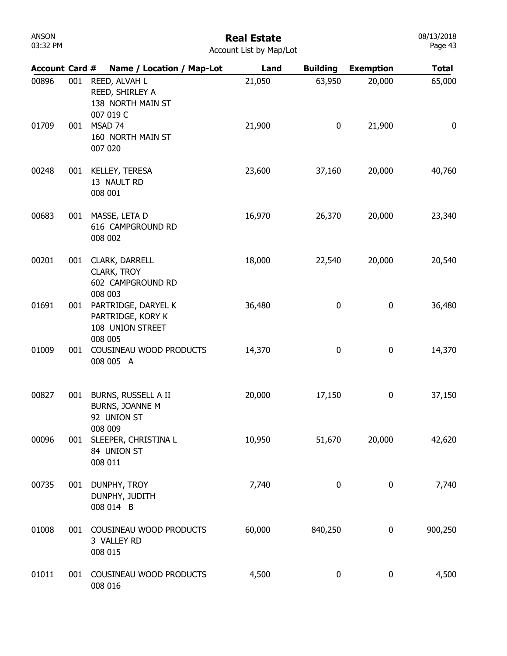# Real Estate

08/13/2018 Page 43

Account List by Map/Lot

| Account Card # |     | Name / Location / Map-Lot                                               | Land   | <b>Building</b>  | <b>Exemption</b> | <b>Total</b> |
|----------------|-----|-------------------------------------------------------------------------|--------|------------------|------------------|--------------|
| 00896          | 001 | REED, ALVAH L<br>REED, SHIRLEY A<br>138 NORTH MAIN ST<br>007 019 C      | 21,050 | 63,950           | 20,000           | 65,000       |
| 01709          | 001 | MSAD 74<br>160 NORTH MAIN ST<br>007 020                                 | 21,900 | 0                | 21,900           | 0            |
| 00248          | 001 | KELLEY, TERESA<br>13 NAULT RD<br>008 001                                | 23,600 | 37,160           | 20,000           | 40,760       |
| 00683          | 001 | MASSE, LETA D<br>616 CAMPGROUND RD<br>008 002                           | 16,970 | 26,370           | 20,000           | 23,340       |
| 00201          | 001 | CLARK, DARRELL<br>CLARK, TROY<br>602 CAMPGROUND RD<br>008 003           | 18,000 | 22,540           | 20,000           | 20,540       |
| 01691          | 001 | PARTRIDGE, DARYEL K<br>PARTRIDGE, KORY K<br>108 UNION STREET<br>008 005 | 36,480 | $\boldsymbol{0}$ | 0                | 36,480       |
| 01009          | 001 | COUSINEAU WOOD PRODUCTS<br>008 005 A                                    | 14,370 | 0                | 0                | 14,370       |
| 00827          | 001 | BURNS, RUSSELL A II<br>BURNS, JOANNE M<br>92 UNION ST                   | 20,000 | 17,150           | 0                | 37,150       |
| 00096          |     | 008 009<br>001 SLEEPER, CHRISTINA L<br>84 UNION ST<br>008 011           | 10,950 | 51,670           | 20,000           | 42,620       |
| 00735          | 001 | DUNPHY, TROY<br>DUNPHY, JUDITH<br>008 014 B                             | 7,740  | 0                | 0                | 7,740        |
| 01008          | 001 | COUSINEAU WOOD PRODUCTS<br>3 VALLEY RD<br>008 015                       | 60,000 | 840,250          | 0                | 900,250      |
| 01011          | 001 | COUSINEAU WOOD PRODUCTS<br>008 016                                      | 4,500  | $\bf{0}$         | 0                | 4,500        |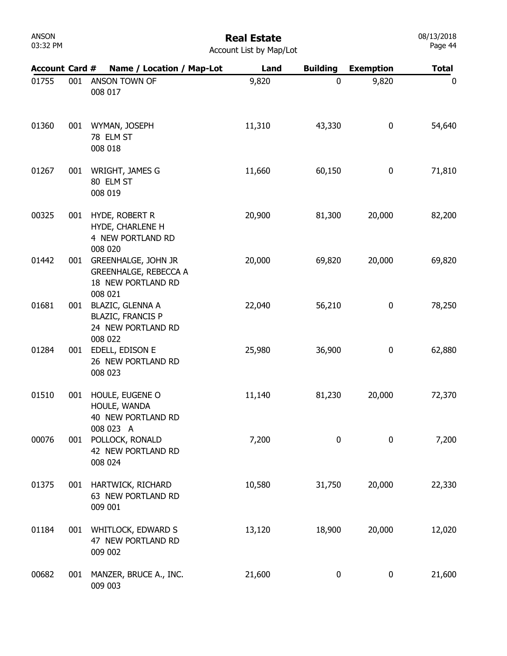# Real Estate

| <b>Account List by Map/Lot</b> |  |  |
|--------------------------------|--|--|
|                                |  |  |

| <b>Account Card #</b> |     | Name / Location / Map-Lot                                                                              | Land   | <b>Building</b> | <b>Exemption</b> | <b>Total</b> |
|-----------------------|-----|--------------------------------------------------------------------------------------------------------|--------|-----------------|------------------|--------------|
| 01755                 | 001 | ANSON TOWN OF<br>008 017                                                                               | 9,820  | $\mathbf 0$     | 9,820            | 0            |
| 01360                 | 001 | WYMAN, JOSEPH<br>78 ELM ST<br>008 018                                                                  | 11,310 | 43,330          | 0                | 54,640       |
| 01267                 | 001 | WRIGHT, JAMES G<br>80 ELM ST<br>008 019                                                                | 11,660 | 60,150          | 0                | 71,810       |
| 00325                 | 001 | HYDE, ROBERT R<br>HYDE, CHARLENE H<br>4 NEW PORTLAND RD                                                | 20,900 | 81,300          | 20,000           | 82,200       |
| 01442                 | 001 | 008 020<br><b>GREENHALGE, JOHN JR</b><br><b>GREENHALGE, REBECCA A</b><br>18 NEW PORTLAND RD<br>008 021 | 20,000 | 69,820          | 20,000           | 69,820       |
| 01681                 | 001 | <b>BLAZIC, GLENNA A</b><br><b>BLAZIC, FRANCIS P</b><br>24 NEW PORTLAND RD<br>008 022                   | 22,040 | 56,210          | 0                | 78,250       |
| 01284                 | 001 | EDELL, EDISON E<br>26 NEW PORTLAND RD<br>008 023                                                       | 25,980 | 36,900          | 0                | 62,880       |
| 01510                 | 001 | HOULE, EUGENE O<br>HOULE, WANDA<br>40 NEW PORTLAND RD                                                  | 11,140 | 81,230          | 20,000           | 72,370       |
| 00076                 | 001 | 008 023 A<br>POLLOCK, RONALD<br>42 NEW PORTLAND RD<br>008 024                                          | 7,200  | 0               | 0                | 7,200        |
| 01375                 | 001 | HARTWICK, RICHARD<br>63 NEW PORTLAND RD<br>009 001                                                     | 10,580 | 31,750          | 20,000           | 22,330       |
| 01184                 | 001 | <b>WHITLOCK, EDWARD S</b><br>47 NEW PORTLAND RD<br>009 002                                             | 13,120 | 18,900          | 20,000           | 12,020       |
| 00682                 | 001 | MANZER, BRUCE A., INC.<br>009 003                                                                      | 21,600 | 0               | 0                | 21,600       |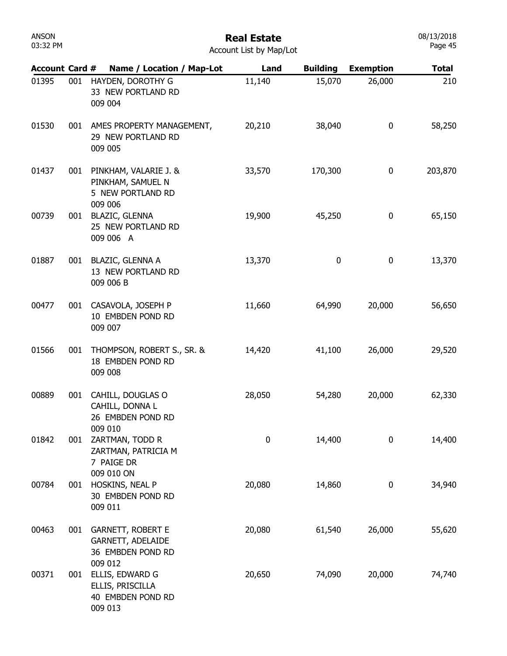| 03:32 PM | Account List by Map/Lot |                                                                                |        |                 |                  |              |  |
|----------|-------------------------|--------------------------------------------------------------------------------|--------|-----------------|------------------|--------------|--|
|          |                         | Account Card # Name / Location / Map-Lot                                       | Land   | <b>Building</b> | <b>Exemption</b> | <b>Total</b> |  |
| 01395    | 001                     | HAYDEN, DOROTHY G<br>33 NEW PORTLAND RD<br>009 004                             | 11,140 | 15,070          | 26,000           | 210          |  |
| 01530    |                         | 001 AMES PROPERTY MANAGEMENT,<br>29 NEW PORTLAND RD<br>009 005                 | 20,210 | 38,040          | 0                | 58,250       |  |
| 01437    |                         | 001 PINKHAM, VALARIE J. &<br>PINKHAM, SAMUEL N<br>5 NEW PORTLAND RD<br>009 006 | 33,570 | 170,300         | 0                | 203,870      |  |
| 00739    | 001                     | <b>BLAZIC, GLENNA</b><br>25 NEW PORTLAND RD<br>009 006 A                       | 19,900 | 45,250          | 0                | 65,150       |  |
| 01887    |                         | 001 BLAZIC, GLENNA A<br>13 NEW PORTLAND RD<br>009 006 B                        | 13,370 | 0               | 0                | 13,370       |  |
| 00477    |                         | 001 CASAVOLA, JOSEPH P<br>10 EMBDEN POND RD<br>009 007                         | 11,660 | 64,990          | 20,000           | 56,650       |  |
| 01566    | 001                     | THOMPSON, ROBERT S., SR. &<br>18 EMBDEN POND RD<br>009 008                     | 14,420 | 41,100          | 26,000           | 29,520       |  |
| 00889    | 001                     | CAHILL, DOUGLAS O<br>CAHILL, DONNA L<br>26 EMBDEN POND RD                      | 28,050 | 54,280          | 20,000           | 62,330       |  |
| 01842    | 001                     | 009 010<br>ZARTMAN, TODD R<br>ZARTMAN, PATRICIA M<br>7 PAIGE DR                | 0      | 14,400          | 0                | 14,400       |  |
| 00784    | 001                     | 009 010 ON<br>HOSKINS, NEAL P<br>30 EMBDEN POND RD<br>009 011                  | 20,080 | 14,860          | 0                | 34,940       |  |
| 00463    | 001                     | <b>GARNETT, ROBERT E</b><br>GARNETT, ADELAIDE<br>36 EMBDEN POND RD<br>009 012  | 20,080 | 61,540          | 26,000           | 55,620       |  |
| 00371    | 001                     | ELLIS, EDWARD G<br>ELLIS, PRISCILLA<br>40 EMBDEN POND RD<br>009 013            | 20,650 | 74,090          | 20,000           | 74,740       |  |

08/13/2018 Page 45

ANSON 03:32 PM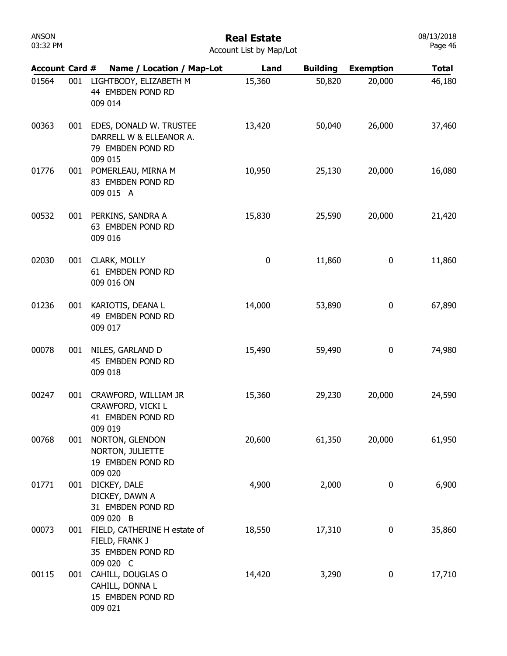| 03:32 PM              |     |                                                                                        | Account List by Map/Lot |                 |                  | Page 46      |
|-----------------------|-----|----------------------------------------------------------------------------------------|-------------------------|-----------------|------------------|--------------|
| <b>Account Card #</b> |     | Name / Location / Map-Lot                                                              | Land                    | <b>Building</b> | <b>Exemption</b> | <b>Total</b> |
| 01564                 | 001 | LIGHTBODY, ELIZABETH M<br>44 EMBDEN POND RD<br>009 014                                 | 15,360                  | 50,820          | 20,000           | 46,180       |
| 00363                 |     | 001 EDES, DONALD W. TRUSTEE<br>DARRELL W & ELLEANOR A.<br>79 EMBDEN POND RD<br>009 015 | 13,420                  | 50,040          | 26,000           | 37,460       |
| 01776                 | 001 | POMERLEAU, MIRNA M<br>83 EMBDEN POND RD<br>009 015 A                                   | 10,950                  | 25,130          | 20,000           | 16,080       |
| 00532                 |     | 001 PERKINS, SANDRA A<br>63 EMBDEN POND RD<br>009 016                                  | 15,830                  | 25,590          | 20,000           | 21,420       |
| 02030                 |     | 001 CLARK, MOLLY<br>61 EMBDEN POND RD<br>009 016 ON                                    | 0                       | 11,860          | 0                | 11,860       |
| 01236                 | 001 | KARIOTIS, DEANA L<br>49 EMBDEN POND RD<br>009 017                                      | 14,000                  | 53,890          | 0                | 67,890       |
| 00078                 | 001 | NILES, GARLAND D<br>45 EMBDEN POND RD<br>009 018                                       | 15,490                  | 59,490          | 0                | 74,980       |
| 00247                 | 001 | CRAWFORD, WILLIAM JR<br>CRAWFORD, VICKI L<br>41 EMBDEN POND RD<br>009 019              | 15,360                  | 29,230          | 20,000           | 24,590       |
| 00768                 | 001 | NORTON, GLENDON<br>NORTON, JULIETTE<br>19 EMBDEN POND RD<br>009 020                    | 20,600                  | 61,350          | 20,000           | 61,950       |
| 01771                 | 001 | DICKEY, DALE<br>DICKEY, DAWN A<br>31 EMBDEN POND RD<br>009 020 B                       | 4,900                   | 2,000           | 0                | 6,900        |
| 00073                 | 001 | FIELD, CATHERINE H estate of<br>FIELD, FRANK J<br>35 EMBDEN POND RD<br>009020C         | 18,550                  | 17,310          | 0                | 35,860       |

009 020 C 00115 CAHILL, DOUGLAS O 001 14,420 3,290 0 17,710 15 EMBDEN POND RD 009 021 CAHILL, DONNA L

03:32 PM

ANSON

#### Real Estate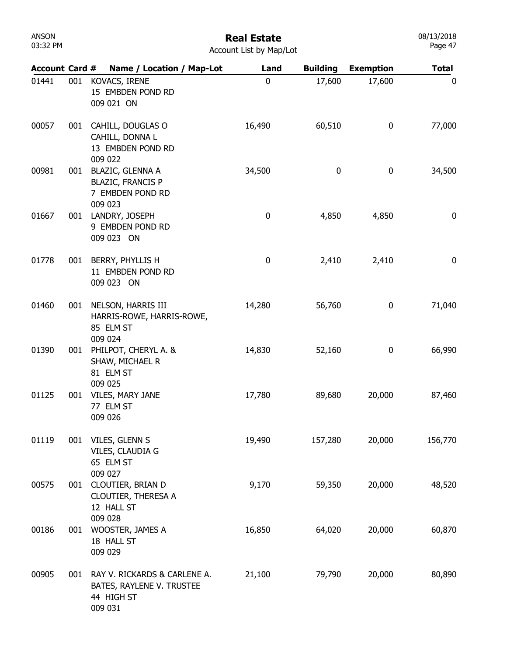| ANSON    |  |
|----------|--|
| 03:32 PM |  |

08/13/2018 Page 47

Account List by Map/Lot

| <b>Account Card #</b> |     | Name / Location / Map-Lot                                                          | Land        | <b>Building</b> | <b>Exemption</b> | <b>Total</b> |
|-----------------------|-----|------------------------------------------------------------------------------------|-------------|-----------------|------------------|--------------|
| 01441                 | 001 | KOVACS, IRENE<br>15 EMBDEN POND RD<br>009 021 ON                                   | $\mathbf 0$ | 17,600          | 17,600           | 0            |
| 00057                 | 001 | CAHILL, DOUGLAS O<br>CAHILL, DONNA L<br>13 EMBDEN POND RD<br>009 022               | 16,490      | 60,510          | 0                | 77,000       |
| 00981                 | 001 | <b>BLAZIC, GLENNA A</b><br><b>BLAZIC, FRANCIS P</b><br>7 EMBDEN POND RD<br>009 023 | 34,500      | 0               | 0                | 34,500       |
| 01667                 | 001 | LANDRY, JOSEPH<br>9 EMBDEN POND RD<br>009 023 ON                                   | 0           | 4,850           | 4,850            | $\bf{0}$     |
| 01778                 | 001 | BERRY, PHYLLIS H<br>11 EMBDEN POND RD<br>009 023 ON                                | 0           | 2,410           | 2,410            | $\bf{0}$     |
| 01460                 | 001 | NELSON, HARRIS III<br>HARRIS-ROWE, HARRIS-ROWE,<br>85 ELM ST<br>009 024            | 14,280      | 56,760          | 0                | 71,040       |
| 01390                 |     | 001 PHILPOT, CHERYL A. &<br>SHAW, MICHAEL R<br>81 ELM ST<br>009 025                | 14,830      | 52,160          | 0                | 66,990       |
| 01125                 | 001 | VILES, MARY JANE<br>77 ELM ST<br>009 026                                           | 17,780      | 89,680          | 20,000           | 87,460       |
| 01119                 | 001 | VILES, GLENN S<br>VILES, CLAUDIA G<br>65 ELM ST<br>009 027                         | 19,490      | 157,280         | 20,000           | 156,770      |
| 00575                 | 001 | CLOUTIER, BRIAN D<br>CLOUTIER, THERESA A<br>12 HALL ST<br>009 028                  | 9,170       | 59,350          | 20,000           | 48,520       |
| 00186                 | 001 | WOOSTER, JAMES A<br>18 HALL ST<br>009 029                                          | 16,850      | 64,020          | 20,000           | 60,870       |
| 00905                 | 001 | RAY V. RICKARDS & CARLENE A.<br>BATES, RAYLENE V. TRUSTEE<br>44 HIGH ST<br>009 031 | 21,100      | 79,790          | 20,000           | 80,890       |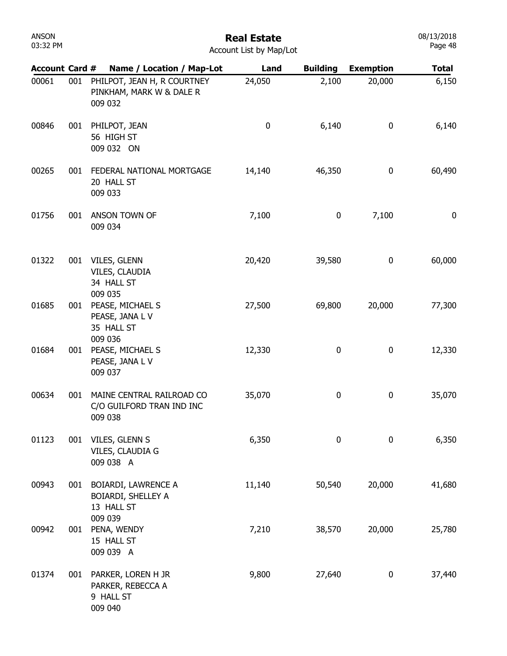| <b>ANSON</b><br>03:32 PM | <b>Real Estate</b><br>Account List by Map/Lot |                                                                     |          |                 |                  |              |  |
|--------------------------|-----------------------------------------------|---------------------------------------------------------------------|----------|-----------------|------------------|--------------|--|
| <b>Account Card #</b>    |                                               | Name / Location / Map-Lot                                           | Land     | <b>Building</b> | <b>Exemption</b> | <b>Total</b> |  |
| 00061                    | 001                                           | PHILPOT, JEAN H, R COURTNEY<br>PINKHAM, MARK W & DALE R<br>009 032  | 24,050   | 2,100           | 20,000           | 6,150        |  |
| 00846                    | 001                                           | PHILPOT, JEAN<br>56 HIGH ST<br>009 032 ON                           | $\bf{0}$ | 6,140           | $\bf{0}$         | 6,140        |  |
| 00265                    | 001                                           | FEDERAL NATIONAL MORTGAGE<br>20 HALL ST<br>009 033                  | 14,140   | 46,350          | 0                | 60,490       |  |
| 01756                    | 001                                           | ANSON TOWN OF<br>009 034                                            | 7,100    | 0               | 7,100            | $\bf{0}$     |  |
| 01322                    | 001                                           | VILES, GLENN<br>VILES, CLAUDIA<br>34 HALL ST<br>009 035             | 20,420   | 39,580          | 0                | 60,000       |  |
| 01685                    | 001                                           | PEASE, MICHAEL S<br>PEASE, JANA L V<br>35 HALL ST<br>009 036        | 27,500   | 69,800          | 20,000           | 77,300       |  |
| 01684                    | 001                                           | PEASE, MICHAEL S<br>PEASE, JANA L V<br>009 037                      | 12,330   | 0               | 0                | 12,330       |  |
| 00634                    | 001                                           | MAINE CENTRAL RAILROAD CO<br>C/O GUILFORD TRAN IND INC<br>009 038   | 35,070   | 0               | 0                | 35,070       |  |
| 01123                    |                                               | 001 VILES, GLENN S<br>VILES, CLAUDIA G<br>009 038 A                 | 6,350    | $\mathbf 0$     | $\mathbf 0$      | 6,350        |  |
| 00943                    | 001                                           | <b>BOIARDI, LAWRENCE A</b><br>BOIARDI, SHELLEY A<br>13 HALL ST      | 11,140   | 50,540          | 20,000           | 41,680       |  |
| 00942                    | 001                                           | 009 039<br>PENA, WENDY<br>15 HALL ST<br>009 039 A                   | 7,210    | 38,570          | 20,000           | 25,780       |  |
| 01374                    |                                               | 001 PARKER, LOREN H JR<br>PARKER, REBECCA A<br>9 HALL ST<br>009 040 | 9,800    | 27,640          | 0                | 37,440       |  |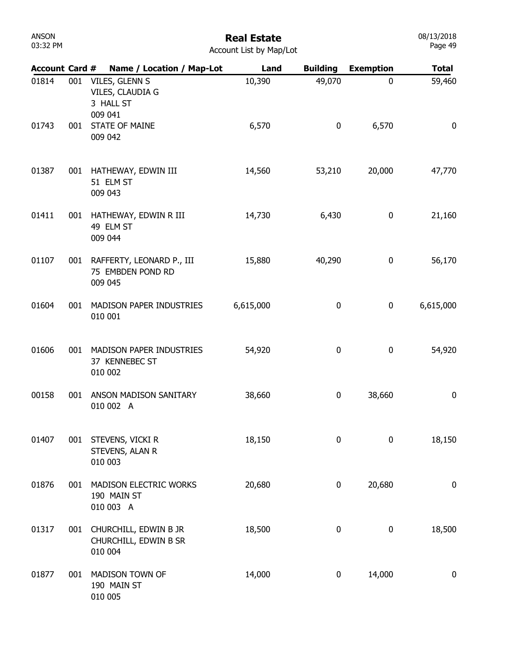# Real Estate

| <b>Account Card #</b> |     | Name / Location / Map-Lot                                  | Land      | <b>Building</b>  | <b>Exemption</b> | <b>Total</b>     |
|-----------------------|-----|------------------------------------------------------------|-----------|------------------|------------------|------------------|
| 01814                 | 001 | VILES, GLENN S<br>VILES, CLAUDIA G<br>3 HALL ST<br>009 041 | 10,390    | 49,070           | 0                | 59,460           |
| 01743                 | 001 | <b>STATE OF MAINE</b><br>009 042                           | 6,570     | $\boldsymbol{0}$ | 6,570            | 0                |
| 01387                 | 001 | HATHEWAY, EDWIN III<br>51 ELM ST<br>009 043                | 14,560    | 53,210           | 20,000           | 47,770           |
| 01411                 | 001 | HATHEWAY, EDWIN R III<br>49 ELM ST<br>009 044              | 14,730    | 6,430            | 0                | 21,160           |
| 01107                 | 001 | RAFFERTY, LEONARD P., III<br>75 EMBDEN POND RD<br>009 045  | 15,880    | 40,290           | 0                | 56,170           |
| 01604                 | 001 | MADISON PAPER INDUSTRIES<br>010 001                        | 6,615,000 | 0                | 0                | 6,615,000        |
| 01606                 | 001 | MADISON PAPER INDUSTRIES<br>37 KENNEBEC ST<br>010 002      | 54,920    | 0                | 0                | 54,920           |
| 00158                 | 001 | ANSON MADISON SANITARY<br>010 002 A                        | 38,660    | 0                | 38,660           | $\bf{0}$         |
| 01407                 | 001 | STEVENS, VICKI R<br>STEVENS, ALAN R<br>010 003             | 18,150    | $\pmb{0}$        | 0                | 18,150           |
| 01876                 | 001 | MADISON ELECTRIC WORKS<br>190 MAIN ST<br>010 003 A         | 20,680    | 0                | 20,680           | $\boldsymbol{0}$ |
| 01317                 | 001 | CHURCHILL, EDWIN B JR<br>CHURCHILL, EDWIN B SR<br>010 004  | 18,500    | $\boldsymbol{0}$ | 0                | 18,500           |
| 01877                 | 001 | MADISON TOWN OF<br>190 MAIN ST<br>010 005                  | 14,000    | 0                | 14,000           | $\bf{0}$         |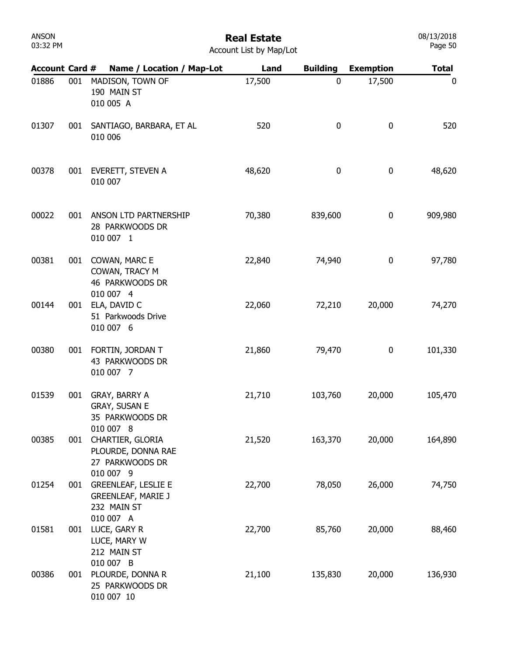# Real Estate

| Account List by Map/Lot |  |  |
|-------------------------|--|--|

| <b>Account Card #</b> |     | Name / Location / Map-Lot                                                           | Land   | <b>Building</b> | <b>Exemption</b> | <b>Total</b> |
|-----------------------|-----|-------------------------------------------------------------------------------------|--------|-----------------|------------------|--------------|
| 01886                 | 001 | MADISON, TOWN OF<br>190 MAIN ST<br>010 005 A                                        | 17,500 | 0               | 17,500           | 0            |
| 01307                 | 001 | SANTIAGO, BARBARA, ET AL<br>010 006                                                 | 520    | 0               | $\bf{0}$         | 520          |
| 00378                 | 001 | EVERETT, STEVEN A<br>010 007                                                        | 48,620 | 0               | $\pmb{0}$        | 48,620       |
| 00022                 | 001 | ANSON LTD PARTNERSHIP<br>28 PARKWOODS DR<br>010 007 1                               | 70,380 | 839,600         | 0                | 909,980      |
| 00381                 | 001 | COWAN, MARC E<br>COWAN, TRACY M<br>46 PARKWOODS DR<br>010 007 4                     | 22,840 | 74,940          | 0                | 97,780       |
| 00144                 | 001 | ELA, DAVID C<br>51 Parkwoods Drive<br>010 007 6                                     | 22,060 | 72,210          | 20,000           | 74,270       |
| 00380                 | 001 | FORTIN, JORDAN T<br>43 PARKWOODS DR<br>010 007 7                                    | 21,860 | 79,470          | 0                | 101,330      |
| 01539                 | 001 | GRAY, BARRY A<br>GRAY, SUSAN E<br>35 PARKWOODS DR<br>010 007 8                      | 21,710 | 103,760         | 20,000           | 105,470      |
| 00385                 | 001 | CHARTIER, GLORIA<br>PLOURDE, DONNA RAE<br>27 PARKWOODS DR<br>010 007 9              | 21,520 | 163,370         | 20,000           | 164,890      |
| 01254                 | 001 | <b>GREENLEAF, LESLIE E</b><br><b>GREENLEAF, MARIE J</b><br>232 MAIN ST<br>010 007 A | 22,700 | 78,050          | 26,000           | 74,750       |
| 01581                 | 001 | LUCE, GARY R<br>LUCE, MARY W<br>212 MAIN ST<br>010 007 B                            | 22,700 | 85,760          | 20,000           | 88,460       |
| 00386                 | 001 | PLOURDE, DONNA R<br>25 PARKWOODS DR<br>010 007 10                                   | 21,100 | 135,830         | 20,000           | 136,930      |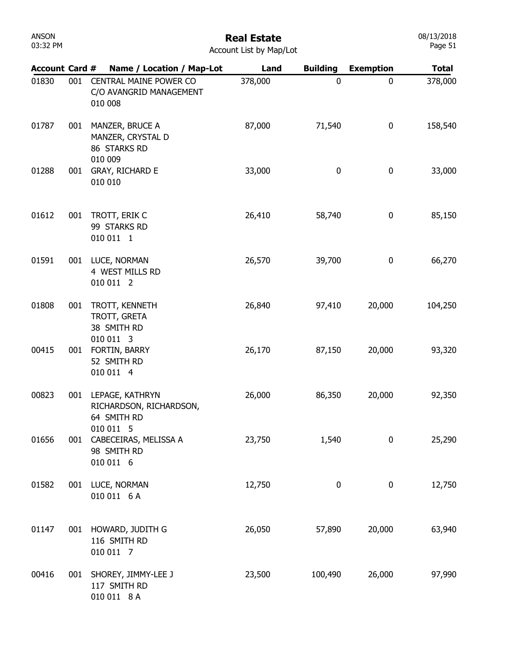| <b>ANSON</b><br>03:32 PM |     |                                                                | <b>Real Estate</b><br>Account List by Map/Lot |                 |                  | 08/13/2018<br>Page 51 |
|--------------------------|-----|----------------------------------------------------------------|-----------------------------------------------|-----------------|------------------|-----------------------|
| <b>Account Card #</b>    |     | Name / Location / Map-Lot                                      | Land                                          | <b>Building</b> | <b>Exemption</b> | <b>Total</b>          |
| 01830                    | 001 | CENTRAL MAINE POWER CO<br>C/O AVANGRID MANAGEMENT<br>010 008   | 378,000                                       | $\mathbf 0$     | $\mathbf 0$      | 378,000               |
| 01787                    | 001 | MANZER, BRUCE A<br>MANZER, CRYSTAL D<br>86 STARKS RD           | 87,000                                        | 71,540          | 0                | 158,540               |
| 01288                    | 001 | 010 009<br>GRAY, RICHARD E<br>010 010                          | 33,000                                        | $\bf{0}$        | 0                | 33,000                |
| 01612                    | 001 | TROTT, ERIK C<br>99 STARKS RD<br>010 011 1                     | 26,410                                        | 58,740          | 0                | 85,150                |
| 01591                    | 001 | LUCE, NORMAN<br>4 WEST MILLS RD<br>010 011 2                   | 26,570                                        | 39,700          | 0                | 66,270                |
| 01808                    | 001 | TROTT, KENNETH<br>TROTT, GRETA<br>38 SMITH RD                  | 26,840                                        | 97,410          | 20,000           | 104,250               |
| 00415                    | 001 | 010 011 3<br>FORTIN, BARRY<br>52 SMITH RD<br>010 011 4         | 26,170                                        | 87,150          | 20,000           | 93,320                |
| 00823                    | 001 | LEPAGE, KATHRYN<br>RICHARDSON, RICHARDSON,<br>64 SMITH RD      | 26,000                                        | 86,350          | 20,000           | 92,350                |
| 01656                    | 001 | 010 011 5<br>CABECEIRAS, MELISSA A<br>98 SMITH RD<br>010 011 6 | 23,750                                        | 1,540           | 0                | 25,290                |
| 01582                    | 001 | LUCE, NORMAN<br>010 011 6 A                                    | 12,750                                        | 0               | 0                | 12,750                |
| 01147                    | 001 | HOWARD, JUDITH G<br>116 SMITH RD<br>010 011 7                  | 26,050                                        | 57,890          | 20,000           | 63,940                |
| 00416                    | 001 | SHOREY, JIMMY-LEE J<br>117 SMITH RD<br>010 011 8 A             | 23,500                                        | 100,490         | 26,000           | 97,990                |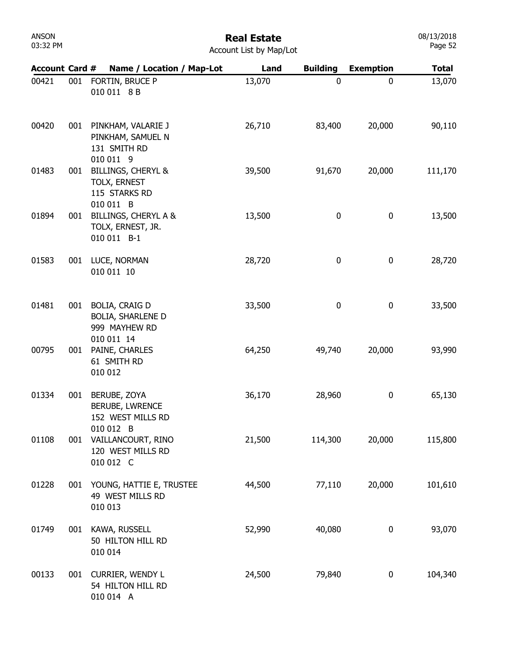| Account Card # |     | Name / Location / Map-Lot                                                        | Land   | <b>Building</b> | <b>Exemption</b> | <b>Total</b> |
|----------------|-----|----------------------------------------------------------------------------------|--------|-----------------|------------------|--------------|
| 00421          | 001 | FORTIN, BRUCE P<br>010 011 8 B                                                   | 13,070 | 0               | $\mathbf 0$      | 13,070       |
| 00420          | 001 | PINKHAM, VALARIE J<br>PINKHAM, SAMUEL N<br>131 SMITH RD<br>010 011 9             | 26,710 | 83,400          | 20,000           | 90,110       |
| 01483          | 001 | <b>BILLINGS, CHERYL &amp;</b><br>TOLX, ERNEST<br>115 STARKS RD<br>010 011 B      | 39,500 | 91,670          | 20,000           | 111,170      |
| 01894          | 001 | <b>BILLINGS, CHERYL A &amp;</b><br>TOLX, ERNEST, JR.<br>010 011 B-1              | 13,500 | 0               | 0                | 13,500       |
| 01583          | 001 | LUCE, NORMAN<br>010 011 10                                                       | 28,720 | 0               | $\pmb{0}$        | 28,720       |
| 01481          | 001 | <b>BOLIA, CRAIG D</b><br><b>BOLIA, SHARLENE D</b><br>999 MAYHEW RD<br>010 011 14 | 33,500 | 0               | 0                | 33,500       |
| 00795          | 001 | PAINE, CHARLES<br>61 SMITH RD<br>010 012                                         | 64,250 | 49,740          | 20,000           | 93,990       |
| 01334          | 001 | BERUBE, ZOYA<br><b>BERUBE, LWRENCE</b><br>152 WEST MILLS RD<br>010 012<br>B      | 36,170 | 28,960          | 0                | 65,130       |
| 01108          | 001 | VAILLANCOURT, RINO<br>120 WEST MILLS RD<br>010 012 C                             | 21,500 | 114,300         | 20,000           | 115,800      |
| 01228          |     | 001 YOUNG, HATTIE E, TRUSTEE<br>49 WEST MILLS RD<br>010 013                      | 44,500 | 77,110          | 20,000           | 101,610      |
| 01749          |     | 001 KAWA, RUSSELL<br>50 HILTON HILL RD<br>010 014                                | 52,990 | 40,080          | 0                | 93,070       |
| 00133          |     | 001 CURRIER, WENDY L<br>54 HILTON HILL RD<br>010 014 A                           | 24,500 | 79,840          | $\bf{0}$         | 104,340      |

#### Real Estate Account List by Map/Lot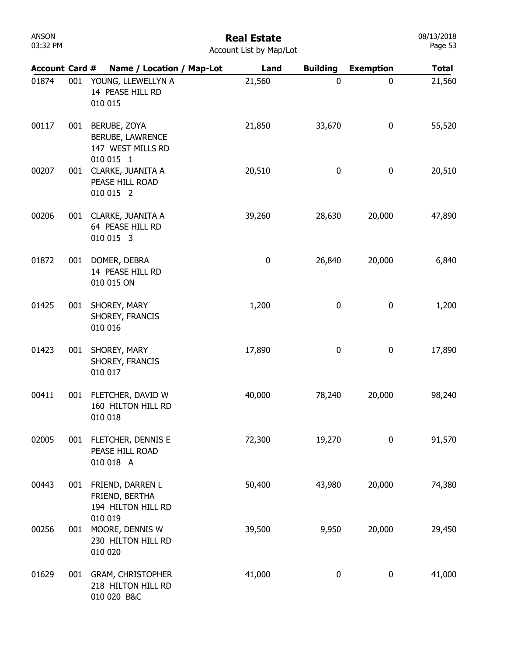| <b>ANSON</b> |  |
|--------------|--|
| 03:32 PM     |  |

| <b>Account Card #</b> |     | Name / Location / Map-Lot                                                 | Land      | <b>Building</b> | <b>Exemption</b> | <b>Total</b> |
|-----------------------|-----|---------------------------------------------------------------------------|-----------|-----------------|------------------|--------------|
| 01874                 | 001 | YOUNG, LLEWELLYN A<br>14 PEASE HILL RD<br>010 015                         | 21,560    | 0               | 0                | 21,560       |
| 00117                 | 001 | BERUBE, ZOYA<br><b>BERUBE, LAWRENCE</b><br>147 WEST MILLS RD<br>010 015 1 | 21,850    | 33,670          | 0                | 55,520       |
| 00207                 | 001 | CLARKE, JUANITA A<br>PEASE HILL ROAD<br>010 015 2                         | 20,510    | 0               | 0                | 20,510       |
| 00206                 | 001 | CLARKE, JUANITA A<br>64 PEASE HILL RD<br>010 015 3                        | 39,260    | 28,630          | 20,000           | 47,890       |
| 01872                 | 001 | DOMER, DEBRA<br>14 PEASE HILL RD<br>010 015 ON                            | $\pmb{0}$ | 26,840          | 20,000           | 6,840        |
| 01425                 | 001 | SHOREY, MARY<br>SHOREY, FRANCIS<br>010 016                                | 1,200     | 0               | 0                | 1,200        |
| 01423                 | 001 | SHOREY, MARY<br>SHOREY, FRANCIS<br>010 017                                | 17,890    | 0               | 0                | 17,890       |
| 00411                 | 001 | FLETCHER, DAVID W<br>160 HILTON HILL RD<br>010 018                        | 40,000    | 78,240          | 20,000           | 98,240       |
| 02005                 | 001 | FLETCHER, DENNIS E<br>PEASE HILL ROAD<br>010 018 A                        | 72,300    | 19,270          | 0                | 91,570       |
| 00443                 | 001 | FRIEND, DARREN L<br>FRIEND, BERTHA<br>194 HILTON HILL RD                  | 50,400    | 43,980          | 20,000           | 74,380       |
| 00256                 | 001 | 010 019<br>MOORE, DENNIS W<br>230 HILTON HILL RD<br>010 020               | 39,500    | 9,950           | 20,000           | 29,450       |
| 01629                 | 001 | <b>GRAM, CHRISTOPHER</b><br>218 HILTON HILL RD<br>010 020 B&C             | 41,000    | 0               | 0                | 41,000       |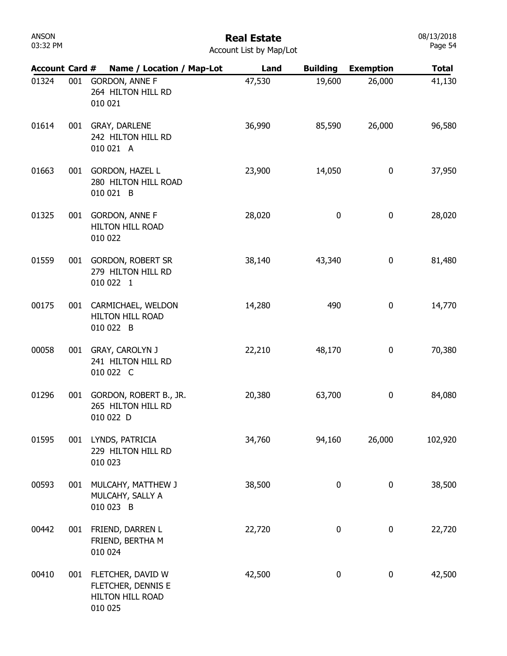# Real Estate

08/13/2018 Page 54

Account List by Map/Lot

| <b>Account Card #</b> |     | Name / Location / Map-Lot                                                  | Land   | <b>Building</b> | <b>Exemption</b> | <b>Total</b> |
|-----------------------|-----|----------------------------------------------------------------------------|--------|-----------------|------------------|--------------|
| 01324                 | 001 | <b>GORDON, ANNE F</b><br>264 HILTON HILL RD<br>010 021                     | 47,530 | 19,600          | 26,000           | 41,130       |
| 01614                 | 001 | GRAY, DARLENE<br>242 HILTON HILL RD<br>010 021 A                           | 36,990 | 85,590          | 26,000           | 96,580       |
| 01663                 | 001 | <b>GORDON, HAZEL L</b><br>280 HILTON HILL ROAD<br>010 021 B                | 23,900 | 14,050          | 0                | 37,950       |
| 01325                 | 001 | <b>GORDON, ANNE F</b><br><b>HILTON HILL ROAD</b><br>010 022                | 28,020 | 0               | 0                | 28,020       |
| 01559                 |     | 001 GORDON, ROBERT SR<br>279 HILTON HILL RD<br>010 022 1                   | 38,140 | 43,340          | 0                | 81,480       |
| 00175                 | 001 | CARMICHAEL, WELDON<br><b>HILTON HILL ROAD</b><br>010 022 B                 | 14,280 | 490             | 0                | 14,770       |
| 00058                 | 001 | <b>GRAY, CAROLYN J</b><br>241 HILTON HILL RD<br>010 022 C                  | 22,210 | 48,170          | 0                | 70,380       |
| 01296                 | 001 | GORDON, ROBERT B., JR.<br>265 HILTON HILL RD<br>010 022 D                  | 20,380 | 63,700          | 0                | 84,080       |
| 01595                 | 001 | LYNDS, PATRICIA<br>229 HILTON HILL RD<br>010 023                           | 34,760 | 94,160          | 26,000           | 102,920      |
| 00593                 | 001 | MULCAHY, MATTHEW J<br>MULCAHY, SALLY A<br>010 023 B                        | 38,500 | 0               | 0                | 38,500       |
| 00442                 | 001 | FRIEND, DARREN L<br>FRIEND, BERTHA M<br>010 024                            | 22,720 | 0               | 0                | 22,720       |
| 00410                 |     | 001 FLETCHER, DAVID W<br>FLETCHER, DENNIS E<br>HILTON HILL ROAD<br>010 025 | 42,500 | 0               | 0                | 42,500       |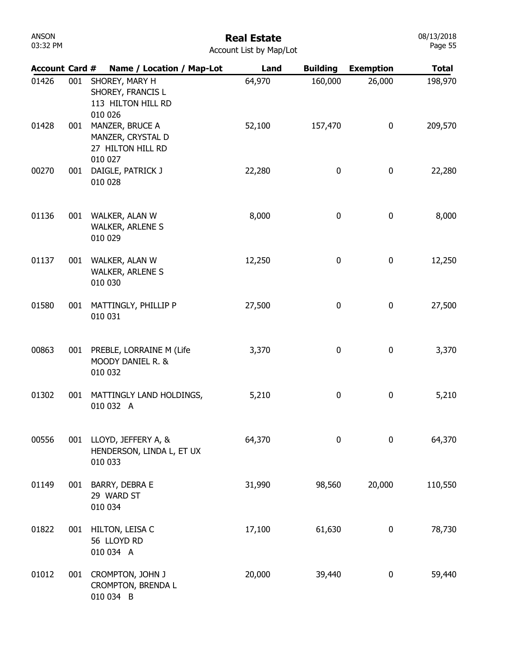|       |     | Account Card # Name / Location / Map-Lot                             | Land   | <b>Building</b> | <b>Exemption</b> | <b>Total</b> |
|-------|-----|----------------------------------------------------------------------|--------|-----------------|------------------|--------------|
| 01426 | 001 | SHOREY, MARY H<br>SHOREY, FRANCIS L<br>113 HILTON HILL RD<br>010 026 | 64,970 | 160,000         | 26,000           | 198,970      |
| 01428 | 001 | MANZER, BRUCE A<br>MANZER, CRYSTAL D<br>27 HILTON HILL RD<br>010 027 | 52,100 | 157,470         | 0                | 209,570      |
| 00270 | 001 | DAIGLE, PATRICK J<br>010 028                                         | 22,280 | 0               | 0                | 22,280       |
| 01136 | 001 | WALKER, ALAN W<br><b>WALKER, ARLENE S</b><br>010 029                 | 8,000  | 0               | 0                | 8,000        |
| 01137 | 001 | WALKER, ALAN W<br><b>WALKER, ARLENE S</b><br>010 030                 | 12,250 | 0               | 0                | 12,250       |
| 01580 | 001 | MATTINGLY, PHILLIP P<br>010 031                                      | 27,500 | 0               | 0                | 27,500       |
| 00863 |     | 001 PREBLE, LORRAINE M (Life<br>MOODY DANIEL R. &<br>010 032         | 3,370  | 0               | 0                | 3,370        |
| 01302 | 001 | MATTINGLY LAND HOLDINGS,<br>010 032 A                                | 5,210  | 0               | 0                | 5,210        |
| 00556 | 001 | LLOYD, JEFFERY A, &<br>HENDERSON, LINDA L, ET UX<br>010 033          | 64,370 | $\bf{0}$        | 0                | 64,370       |
| 01149 | 001 | BARRY, DEBRA E<br>29 WARD ST<br>010 034                              | 31,990 | 98,560          | 20,000           | 110,550      |
| 01822 | 001 | HILTON, LEISA C<br>56 LLOYD RD<br>010 034 A                          | 17,100 | 61,630          | 0                | 78,730       |
| 01012 | 001 | CROMPTON, JOHN J<br>CROMPTON, BRENDA L<br>010 034 B                  | 20,000 | 39,440          | 0                | 59,440       |

Real Estate Account List by Map/Lot

08/13/2018 Page 55

ANSON 03:32 PM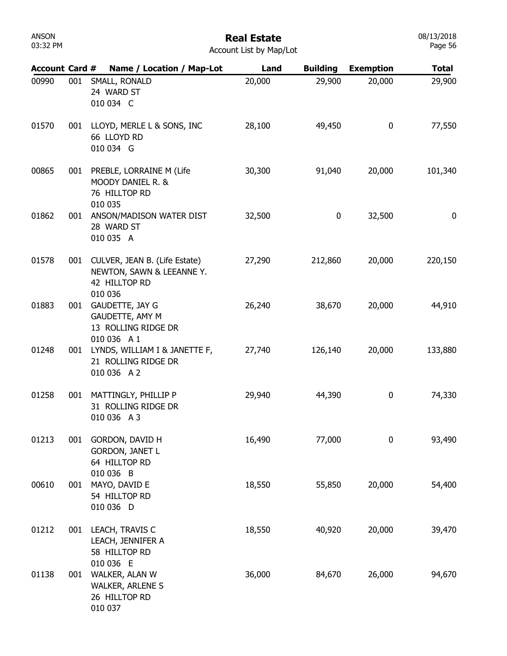#### Real Estate Account List by Map/Lot

|       |     | Account Card # Name / Location / Map-Lot                                                   | Land   | <b>Building</b> | <b>Exemption</b> | Total   |
|-------|-----|--------------------------------------------------------------------------------------------|--------|-----------------|------------------|---------|
| 00990 | 001 | SMALL, RONALD<br>24 WARD ST<br>010 034 C                                                   | 20,000 | 29,900          | 20,000           | 29,900  |
| 01570 | 001 | LLOYD, MERLE L & SONS, INC<br>66 LLOYD RD<br>010 034 G                                     | 28,100 | 49,450          | 0                | 77,550  |
| 00865 |     | 001 PREBLE, LORRAINE M (Life<br>MOODY DANIEL R. &<br>76 HILLTOP RD<br>010 035              | 30,300 | 91,040          | 20,000           | 101,340 |
| 01862 | 001 | ANSON/MADISON WATER DIST<br>28 WARD ST<br>010 035 A                                        | 32,500 | 0               | 32,500           | 0       |
| 01578 |     | 001 CULVER, JEAN B. (Life Estate)<br>NEWTON, SAWN & LEEANNE Y.<br>42 HILLTOP RD<br>010 036 | 27,290 | 212,860         | 20,000           | 220,150 |
| 01883 |     | 001 GAUDETTE, JAY G<br>GAUDETTE, AMY M<br>13 ROLLING RIDGE DR<br>010 036 A 1               | 26,240 | 38,670          | 20,000           | 44,910  |
| 01248 |     | 001 LYNDS, WILLIAM I & JANETTE F,<br>21 ROLLING RIDGE DR<br>010 036 A 2                    | 27,740 | 126,140         | 20,000           | 133,880 |
| 01258 |     | 001 MATTINGLY, PHILLIP P<br>31 ROLLING RIDGE DR<br>010 036 A 3                             | 29,940 | 44,390          | 0                | 74,330  |
| 01213 | 001 | GORDON, DAVID H<br><b>GORDON, JANET L</b><br>64 HILLTOP RD<br>010 036 B                    | 16,490 | 77,000          | 0                | 93,490  |
| 00610 | 001 | MAYO, DAVID E<br>54 HILLTOP RD<br>010 036 D                                                | 18,550 | 55,850          | 20,000           | 54,400  |
| 01212 | 001 | LEACH, TRAVIS C<br>LEACH, JENNIFER A<br>58 HILLTOP RD<br>010 036 E                         | 18,550 | 40,920          | 20,000           | 39,470  |
| 01138 | 001 | WALKER, ALAN W<br><b>WALKER, ARLENE S</b><br>26 HILLTOP RD<br>010 037                      | 36,000 | 84,670          | 26,000           | 94,670  |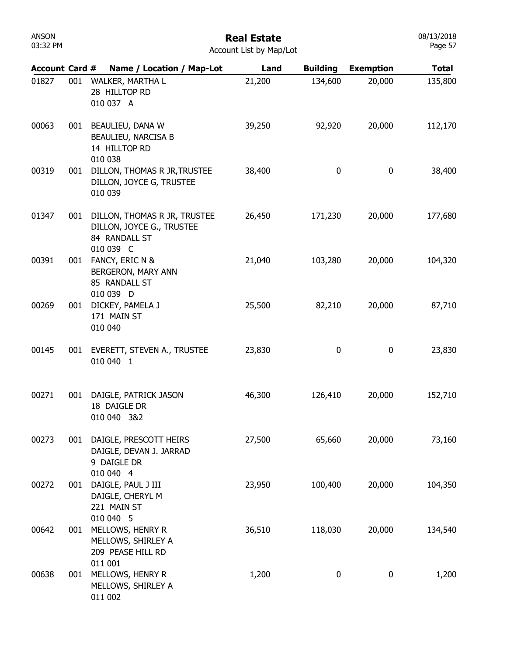| ANSON    |  |
|----------|--|
| 03:32 PM |  |

#### Real Estate Account List by Map/Lot

| <b>Account Card #</b> |     | Name / Location / Map-Lot                                                               | Land   | <b>Building</b> | <b>Exemption</b> | <b>Total</b> |
|-----------------------|-----|-----------------------------------------------------------------------------------------|--------|-----------------|------------------|--------------|
| 01827                 | 001 | WALKER, MARTHA L<br>28 HILLTOP RD<br>010 037 A                                          | 21,200 | 134,600         | 20,000           | 135,800      |
| 00063                 | 001 | BEAULIEU, DANA W<br>BEAULIEU, NARCISA B<br>14 HILLTOP RD<br>010 038                     | 39,250 | 92,920          | 20,000           | 112,170      |
| 00319                 | 001 | DILLON, THOMAS R JR, TRUSTEE<br>DILLON, JOYCE G, TRUSTEE<br>010 039                     | 38,400 | 0               | 0                | 38,400       |
| 01347                 | 001 | DILLON, THOMAS R JR, TRUSTEE<br>DILLON, JOYCE G., TRUSTEE<br>84 RANDALL ST<br>010 039 C | 26,450 | 171,230         | 20,000           | 177,680      |
| 00391                 | 001 | FANCY, ERIC N &<br>BERGERON, MARY ANN<br>85 RANDALL ST<br>010 039 D                     | 21,040 | 103,280         | 20,000           | 104,320      |
| 00269                 | 001 | DICKEY, PAMELA J<br>171 MAIN ST<br>010 040                                              | 25,500 | 82,210          | 20,000           | 87,710       |
| 00145                 | 001 | EVERETT, STEVEN A., TRUSTEE<br>010 040 1                                                | 23,830 | 0               | 0                | 23,830       |
| 00271                 | 001 | DAIGLE, PATRICK JASON<br>18 DAIGLE DR<br>010 040 3&2                                    | 46,300 | 126,410         | 20,000           | 152,710      |
| 00273                 | 001 | DAIGLE, PRESCOTT HEIRS<br>DAIGLE, DEVAN J. JARRAD<br>9 DAIGLE DR                        | 27,500 | 65,660          | 20,000           | 73,160       |
| 00272                 | 001 | 010 040 4<br>DAIGLE, PAUL J III<br>DAIGLE, CHERYL M<br>221 MAIN ST                      | 23,950 | 100,400         | 20,000           | 104,350      |
| 00642                 | 001 | 010 040 5<br>MELLOWS, HENRY R<br>MELLOWS, SHIRLEY A<br>209 PEASE HILL RD                | 36,510 | 118,030         | 20,000           | 134,540      |
| 00638                 | 001 | 011 001<br>MELLOWS, HENRY R<br>MELLOWS, SHIRLEY A<br>011 002                            | 1,200  | 0               | 0                | 1,200        |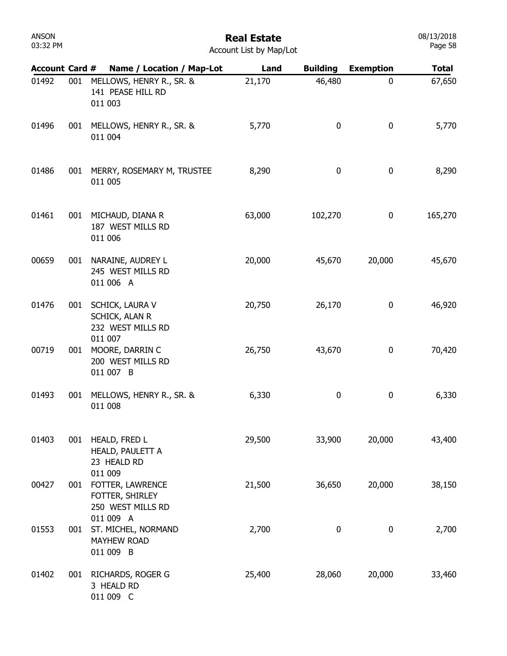| 01492 | 001 | MELLOWS, HENRY R., SR. &<br>141 PEASE HILL RD<br>011 003                | 21,170 | 46,480           | $\mathbf 0$ | 67,650  |
|-------|-----|-------------------------------------------------------------------------|--------|------------------|-------------|---------|
| 01496 | 001 | MELLOWS, HENRY R., SR. &<br>011 004                                     | 5,770  | $\boldsymbol{0}$ | 0           | 5,770   |
| 01486 | 001 | MERRY, ROSEMARY M, TRUSTEE<br>011 005                                   | 8,290  | $\boldsymbol{0}$ | 0           | 8,290   |
| 01461 | 001 | MICHAUD, DIANA R<br>187 WEST MILLS RD<br>011 006                        | 63,000 | 102,270          | 0           | 165,270 |
| 00659 | 001 | NARAINE, AUDREY L<br>245 WEST MILLS RD<br>011 006 A                     | 20,000 | 45,670           | 20,000      | 45,670  |
| 01476 | 001 | SCHICK, LAURA V<br>SCHICK, ALAN R<br>232 WEST MILLS RD                  | 20,750 | 26,170           | 0           | 46,920  |
| 00719 | 001 | 011 007<br>MOORE, DARRIN C<br>200 WEST MILLS RD<br>011 007 B            | 26,750 | 43,670           | 0           | 70,420  |
| 01493 | 001 | MELLOWS, HENRY R., SR. &<br>011 008                                     | 6,330  | $\boldsymbol{0}$ | $\bf{0}$    | 6,330   |
| 01403 | 001 | HEALD, FRED L<br>HEALD, PAULETT A<br>23 HEALD RD                        | 29,500 | 33,900           | 20,000      | 43,400  |
| 00427 |     | 011 009<br>001 FOTTER, LAWRENCE<br>FOTTER, SHIRLEY<br>250 WEST MILLS RD | 21,500 | 36,650           | 20,000      | 38,150  |
| 01553 | 001 | 011 009 A<br>ST. MICHEL, NORMAND<br><b>MAYHEW ROAD</b><br>011 009 B     | 2,700  | $\boldsymbol{0}$ | $\bf{0}$    | 2,700   |
| 01402 | 001 | RICHARDS, ROGER G<br>3 HEALD RD<br>011 009 C                            | 25,400 | 28,060           | 20,000      | 33,460  |

Account List by Map/Lot

Account Card # Name / Location / Map-Lot Land Building Exemption Total

Real Estate

ANSON 03:32 PM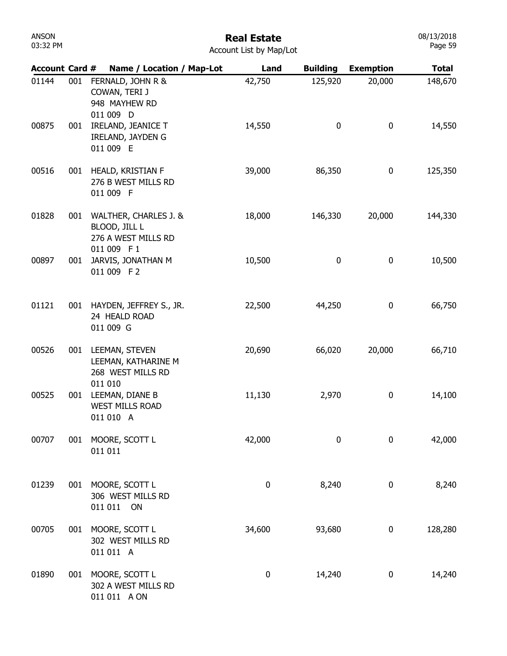# Real Estate

| <b>Account Card #</b> |     | Name / Location / Map-Lot                                         | Land      | <b>Building</b> | <b>Exemption</b> | <b>Total</b> |
|-----------------------|-----|-------------------------------------------------------------------|-----------|-----------------|------------------|--------------|
| 01144                 | 001 | FERNALD, JOHN R &<br>COWAN, TERI J<br>948 MAYHEW RD<br>011 009 D  | 42,750    | 125,920         | 20,000           | 148,670      |
| 00875                 | 001 | IRELAND, JEANICE T<br>IRELAND, JAYDEN G<br>011 009 E              | 14,550    | 0               | $\boldsymbol{0}$ | 14,550       |
| 00516                 | 001 | HEALD, KRISTIAN F<br>276 B WEST MILLS RD<br>011 009 F             | 39,000    | 86,350          | $\boldsymbol{0}$ | 125,350      |
| 01828                 | 001 | WALTHER, CHARLES J. &<br>BLOOD, JILL L<br>276 A WEST MILLS RD     | 18,000    | 146,330         | 20,000           | 144,330      |
| 00897                 | 001 | 011 009 F1<br>JARVIS, JONATHAN M<br>011 009 F2                    | 10,500    | 0               | 0                | 10,500       |
| 01121                 | 001 | HAYDEN, JEFFREY S., JR.<br>24 HEALD ROAD<br>011 009 G             | 22,500    | 44,250          | 0                | 66,750       |
| 00526                 | 001 | LEEMAN, STEVEN<br>LEEMAN, KATHARINE M<br>268 WEST MILLS RD        | 20,690    | 66,020          | 20,000           | 66,710       |
| 00525                 | 001 | 011 010<br>LEEMAN, DIANE B<br><b>WEST MILLS ROAD</b><br>011 010 A | 11,130    | 2,970           | 0                | 14,100       |
| 00707                 | 001 | MOORE, SCOTT L<br>011 011                                         | 42,000    | $\pmb{0}$       | 0                | 42,000       |
| 01239                 | 001 | MOORE, SCOTT L<br>306 WEST MILLS RD<br>011 011 ON                 | $\pmb{0}$ | 8,240           | 0                | 8,240        |
| 00705                 | 001 | MOORE, SCOTT L<br>302 WEST MILLS RD<br>011 011 A                  | 34,600    | 93,680          | 0                | 128,280      |
| 01890                 | 001 | MOORE, SCOTT L<br>302 A WEST MILLS RD<br>011 011 A ON             | $\pmb{0}$ | 14,240          | 0                | 14,240       |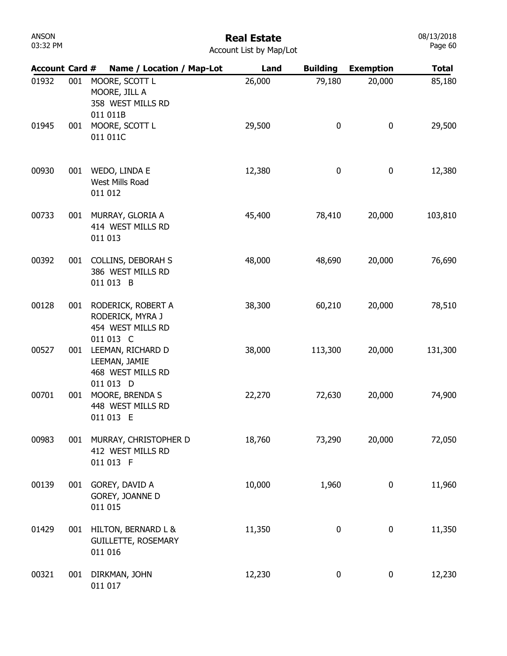# Real Estate

|  | <b>Account List by Map/Lot</b> |  |  |  |  |
|--|--------------------------------|--|--|--|--|
|--|--------------------------------|--|--|--|--|

| <b>Account Card #</b> |     | Name / Location / Map-Lot                                                | Land   | <b>Building</b> | <b>Exemption</b> | <b>Total</b> |
|-----------------------|-----|--------------------------------------------------------------------------|--------|-----------------|------------------|--------------|
| 01932                 | 001 | MOORE, SCOTT L<br>MOORE, JILL A<br>358 WEST MILLS RD<br>011 011B         | 26,000 | 79,180          | 20,000           | 85,180       |
| 01945                 | 001 | MOORE, SCOTT L<br>011 011C                                               | 29,500 | 0               | 0                | 29,500       |
| 00930                 | 001 | WEDO, LINDA E<br>West Mills Road<br>011 012                              | 12,380 | 0               | 0                | 12,380       |
| 00733                 | 001 | MURRAY, GLORIA A<br>414 WEST MILLS RD<br>011 013                         | 45,400 | 78,410          | 20,000           | 103,810      |
| 00392                 | 001 | <b>COLLINS, DEBORAH S</b><br>386 WEST MILLS RD<br>011 013 B              | 48,000 | 48,690          | 20,000           | 76,690       |
| 00128                 | 001 | RODERICK, ROBERT A<br>RODERICK, MYRA J<br>454 WEST MILLS RD<br>011 013 C | 38,300 | 60,210          | 20,000           | 78,510       |
| 00527                 | 001 | LEEMAN, RICHARD D<br>LEEMAN, JAMIE<br>468 WEST MILLS RD<br>011 013 D     | 38,000 | 113,300         | 20,000           | 131,300      |
| 00701                 | 001 | MOORE, BRENDA S<br>448 WEST MILLS RD<br>011 013 E                        | 22,270 | 72,630          | 20,000           | 74,900       |
| 00983                 | 001 | MURRAY, CHRISTOPHER D<br>412 WEST MILLS RD<br>011 013 F                  | 18,760 | 73,290          | 20,000           | 72,050       |
| 00139                 | 001 | GOREY, DAVID A<br>GOREY, JOANNE D<br>011 015                             | 10,000 | 1,960           | 0                | 11,960       |
| 01429                 | 001 | HILTON, BERNARD L &<br><b>GUILLETTE, ROSEMARY</b><br>011 016             | 11,350 | 0               | 0                | 11,350       |
| 00321                 | 001 | DIRKMAN, JOHN<br>011 017                                                 | 12,230 | 0               | 0                | 12,230       |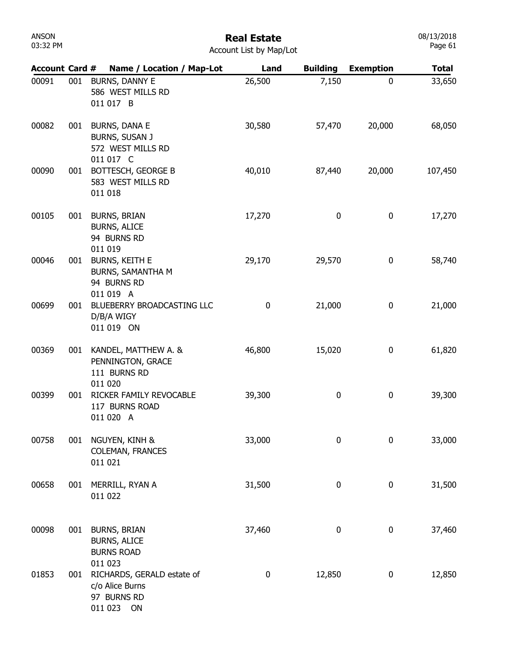### Real Estate

| Account List by Map/Lot |  |  |  |  |  |
|-------------------------|--|--|--|--|--|
|-------------------------|--|--|--|--|--|

| <b>Account Card #</b> |     | Name / Location / Map-Lot                                                     | Land        | <b>Building</b> | <b>Exemption</b> | <b>Total</b> |
|-----------------------|-----|-------------------------------------------------------------------------------|-------------|-----------------|------------------|--------------|
| 00091                 | 001 | BURNS, DANNY E<br>586 WEST MILLS RD<br>011 017 B                              | 26,500      | 7,150           | $\mathbf 0$      | 33,650       |
| 00082                 | 001 | <b>BURNS, DANA E</b><br>BURNS, SUSAN J<br>572 WEST MILLS RD<br>011 017 C      | 30,580      | 57,470          | 20,000           | 68,050       |
| 00090                 | 001 | BOTTESCH, GEORGE B<br>583 WEST MILLS RD<br>011 018                            | 40,010      | 87,440          | 20,000           | 107,450      |
| 00105                 | 001 | <b>BURNS, BRIAN</b><br><b>BURNS, ALICE</b><br>94 BURNS RD<br>011 019          | 17,270      | 0               | 0                | 17,270       |
| 00046                 | 001 | <b>BURNS, KEITH E</b><br>BURNS, SAMANTHA M<br>94 BURNS RD<br>011 019 A        | 29,170      | 29,570          | 0                | 58,740       |
| 00699                 | 001 | BLUEBERRY BROADCASTING LLC<br>D/B/A WIGY<br>011 019 ON                        | $\mathbf 0$ | 21,000          | 0                | 21,000       |
| 00369                 | 001 | KANDEL, MATTHEW A. &<br>PENNINGTON, GRACE<br>111 BURNS RD<br>011 020          | 46,800      | 15,020          | 0                | 61,820       |
| 00399                 | 001 | RICKER FAMILY REVOCABLE<br>117 BURNS ROAD<br>011 020 A                        | 39,300      | 0               | $\bf{0}$         | 39,300       |
| 00758                 | 001 | NGUYEN, KINH &<br><b>COLEMAN, FRANCES</b><br>011 021                          | 33,000      | 0               | $\mathbf 0$      | 33,000       |
| 00658                 | 001 | MERRILL, RYAN A<br>011 022                                                    | 31,500      | 0               | $\bf{0}$         | 31,500       |
| 00098                 | 001 | <b>BURNS, BRIAN</b><br><b>BURNS, ALICE</b><br><b>BURNS ROAD</b><br>011 023    | 37,460      | 0               | 0                | 37,460       |
| 01853                 | 001 | RICHARDS, GERALD estate of<br>c/o Alice Burns<br>97 BURNS RD<br>011 023<br>ON | $\pmb{0}$   | 12,850          | $\bf{0}$         | 12,850       |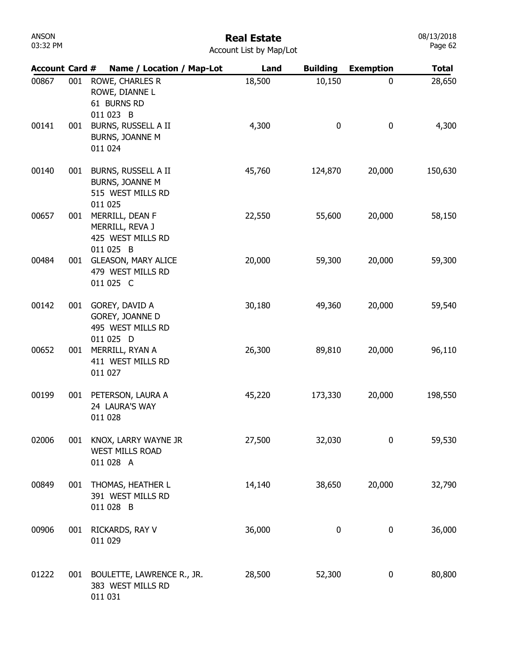# Real Estate

| Account List by Map/Lot |  |  |  |
|-------------------------|--|--|--|
|-------------------------|--|--|--|

| <b>Account Card #</b> |     | Name / Location / Map-Lot                                              | Land   | <b>Building</b> | <b>Exemption</b> | <b>Total</b> |
|-----------------------|-----|------------------------------------------------------------------------|--------|-----------------|------------------|--------------|
| 00867                 | 001 | ROWE, CHARLES R<br>ROWE, DIANNE L<br>61 BURNS RD<br>011 023 B          | 18,500 | 10,150          | 0                | 28,650       |
| 00141                 | 001 | BURNS, RUSSELL A II<br>BURNS, JOANNE M<br>011 024                      | 4,300  | 0               | 0                | 4,300        |
| 00140                 | 001 | BURNS, RUSSELL A II<br>BURNS, JOANNE M<br>515 WEST MILLS RD<br>011 025 | 45,760 | 124,870         | 20,000           | 150,630      |
| 00657                 | 001 | MERRILL, DEAN F<br>MERRILL, REVA J<br>425 WEST MILLS RD<br>011 025 B   | 22,550 | 55,600          | 20,000           | 58,150       |
| 00484                 | 001 | <b>GLEASON, MARY ALICE</b><br>479 WEST MILLS RD<br>011 025 C           | 20,000 | 59,300          | 20,000           | 59,300       |
| 00142                 | 001 | GOREY, DAVID A<br>GOREY, JOANNE D<br>495 WEST MILLS RD<br>011 025 D    | 30,180 | 49,360          | 20,000           | 59,540       |
| 00652                 | 001 | MERRILL, RYAN A<br>411 WEST MILLS RD<br>011 027                        | 26,300 | 89,810          | 20,000           | 96,110       |
| 00199                 | 001 | PETERSON, LAURA A<br>24 LAURA'S WAY<br>011 028                         | 45,220 | 173,330         | 20,000           | 198,550      |
| 02006                 | 001 | KNOX, LARRY WAYNE JR<br><b>WEST MILLS ROAD</b><br>011 028 A            | 27,500 | 32,030          | 0                | 59,530       |
| 00849                 | 001 | THOMAS, HEATHER L<br>391 WEST MILLS RD<br>011 028 B                    | 14,140 | 38,650          | 20,000           | 32,790       |
| 00906                 | 001 | RICKARDS, RAY V<br>011 029                                             | 36,000 | $\bf{0}$        | 0                | 36,000       |
| 01222                 | 001 | BOULETTE, LAWRENCE R., JR.<br>383 WEST MILLS RD<br>011 031             | 28,500 | 52,300          | 0                | 80,800       |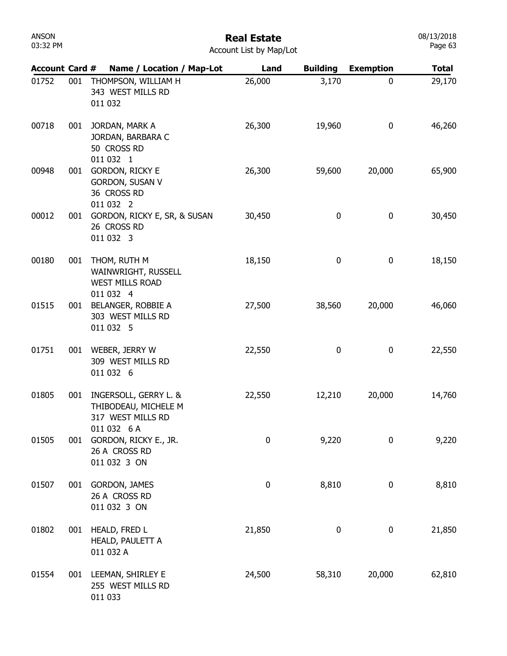| ANSON    |  |
|----------|--|
| 03:32 PM |  |

Account List by Map/Lot

| <b>Account Card #</b> |     | Name / Location / Map-Lot                                                         | Land      | <b>Building</b> | <b>Exemption</b> | <b>Total</b> |
|-----------------------|-----|-----------------------------------------------------------------------------------|-----------|-----------------|------------------|--------------|
| 01752                 | 001 | THOMPSON, WILLIAM H<br>343 WEST MILLS RD<br>011 032                               | 26,000    | 3,170           | 0                | 29,170       |
| 00718                 | 001 | JORDAN, MARK A<br>JORDAN, BARBARA C<br>50 CROSS RD<br>011 032 1                   | 26,300    | 19,960          | 0                | 46,260       |
| 00948                 | 001 | GORDON, RICKY E<br><b>GORDON, SUSAN V</b><br>36 CROSS RD<br>011 032 2             | 26,300    | 59,600          | 20,000           | 65,900       |
| 00012                 | 001 | GORDON, RICKY E, SR, & SUSAN<br>26 CROSS RD<br>011 032 3                          | 30,450    | 0               | 0                | 30,450       |
| 00180                 | 001 | THOM, RUTH M<br>WAINWRIGHT, RUSSELL<br><b>WEST MILLS ROAD</b><br>011 032 4        | 18,150    | 0               | $\pmb{0}$        | 18,150       |
| 01515                 | 001 | BELANGER, ROBBIE A<br>303 WEST MILLS RD<br>011 032 5                              | 27,500    | 38,560          | 20,000           | 46,060       |
| 01751                 | 001 | WEBER, JERRY W<br>309 WEST MILLS RD<br>011 032 6                                  | 22,550    | 0               | 0                | 22,550       |
| 01805                 | 001 | INGERSOLL, GERRY L. &<br>THIBODEAU, MICHELE M<br>317 WEST MILLS RD<br>011 032 6 A | 22,550    | 12,210          | 20,000           | 14,760       |
| 01505                 | 001 | GORDON, RICKY E., JR.<br>26 A CROSS RD<br>011 032 3 ON                            | 0         | 9,220           | 0                | 9,220        |
| 01507                 | 001 | GORDON, JAMES<br>26 A CROSS RD<br>011 032 3 ON                                    | $\pmb{0}$ | 8,810           | 0                | 8,810        |
| 01802                 | 001 | HEALD, FRED L<br>HEALD, PAULETT A<br>011 032 A                                    | 21,850    | 0               | 0                | 21,850       |
| 01554                 |     | 001 LEEMAN, SHIRLEY E<br>255 WEST MILLS RD<br>011 033                             | 24,500    | 58,310          | 20,000           | 62,810       |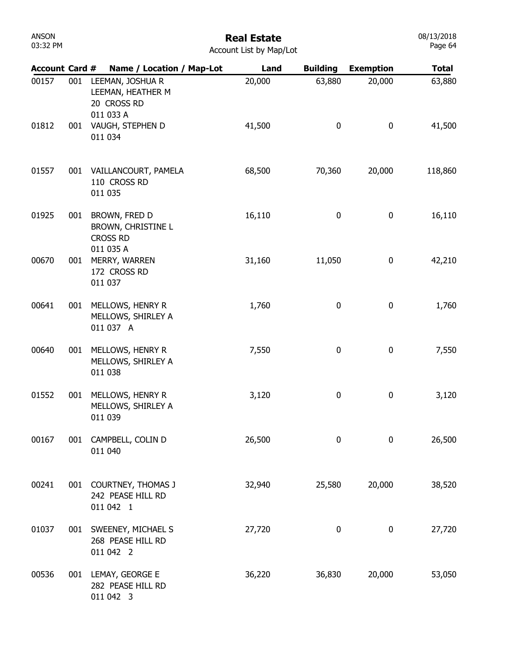# Real Estate

| <b>Account Card #</b> |     | Name / Location / Map-Lot                                           | Land   | <b>Building</b> | <b>Exemption</b> | <b>Total</b> |
|-----------------------|-----|---------------------------------------------------------------------|--------|-----------------|------------------|--------------|
| 00157                 | 001 | LEEMAN, JOSHUA R<br>LEEMAN, HEATHER M<br>20 CROSS RD<br>011 033 A   | 20,000 | 63,880          | 20,000           | 63,880       |
| 01812                 | 001 | VAUGH, STEPHEN D<br>011 034                                         | 41,500 | $\pmb{0}$       | $\pmb{0}$        | 41,500       |
| 01557                 | 001 | VAILLANCOURT, PAMELA<br>110 CROSS RD<br>011 035                     | 68,500 | 70,360          | 20,000           | 118,860      |
| 01925                 | 001 | BROWN, FRED D<br>BROWN, CHRISTINE L<br><b>CROSS RD</b><br>011 035 A | 16,110 | 0               | $\bf{0}$         | 16,110       |
| 00670                 | 001 | MERRY, WARREN<br>172 CROSS RD<br>011 037                            | 31,160 | 11,050          | 0                | 42,210       |
| 00641                 | 001 | MELLOWS, HENRY R<br>MELLOWS, SHIRLEY A<br>011 037 A                 | 1,760  | 0               | $\bf{0}$         | 1,760        |
| 00640                 | 001 | MELLOWS, HENRY R<br>MELLOWS, SHIRLEY A<br>011 038                   | 7,550  | 0               | $\bf{0}$         | 7,550        |
| 01552                 | 001 | MELLOWS, HENRY R<br>MELLOWS, SHIRLEY A<br>011 039                   | 3,120  | 0               | $\bf{0}$         | 3,120        |
| 00167                 | 001 | CAMPBELL, COLIN D<br>011 040                                        | 26,500 | 0               | $\mathbf 0$      | 26,500       |
| 00241                 | 001 | <b>COURTNEY, THOMAS J</b><br>242 PEASE HILL RD<br>011 042 1         | 32,940 | 25,580          | 20,000           | 38,520       |
| 01037                 | 001 | SWEENEY, MICHAEL S<br>268 PEASE HILL RD<br>011 042 2                | 27,720 | 0               | $\bf{0}$         | 27,720       |
| 00536                 |     | 001 LEMAY, GEORGE E<br>282 PEASE HILL RD<br>011 042 3               | 36,220 | 36,830          | 20,000           | 53,050       |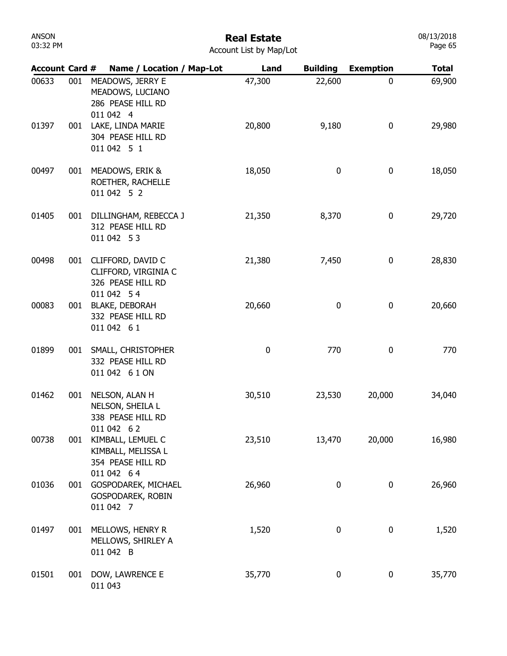### Real Estate

| Account List by Map/Lot |  |  |
|-------------------------|--|--|
|                         |  |  |

| <b>Account Card #</b> |     | Name / Location / Map-Lot                                                  | Land        | <b>Building</b> | <b>Exemption</b> | <b>Total</b> |
|-----------------------|-----|----------------------------------------------------------------------------|-------------|-----------------|------------------|--------------|
| 00633                 | 001 | MEADOWS, JERRY E<br>MEADOWS, LUCIANO<br>286 PEASE HILL RD<br>011 042 4     | 47,300      | 22,600          | $\mathbf 0$      | 69,900       |
| 01397                 | 001 | LAKE, LINDA MARIE<br>304 PEASE HILL RD<br>011 042 5 1                      | 20,800      | 9,180           | 0                | 29,980       |
| 00497                 | 001 | MEADOWS, ERIK &<br>ROETHER, RACHELLE<br>011 042 5 2                        | 18,050      | 0               | 0                | 18,050       |
| 01405                 | 001 | DILLINGHAM, REBECCA J<br>312 PEASE HILL RD<br>011 042 53                   | 21,350      | 8,370           | 0                | 29,720       |
| 00498                 | 001 | CLIFFORD, DAVID C<br>CLIFFORD, VIRGINIA C<br>326 PEASE HILL RD             | 21,380      | 7,450           | 0                | 28,830       |
| 00083                 | 001 | 011 042 54<br><b>BLAKE, DEBORAH</b><br>332 PEASE HILL RD<br>011 042 61     | 20,660      | $\mathbf 0$     | 0                | 20,660       |
| 01899                 | 001 | SMALL, CHRISTOPHER<br>332 PEASE HILL RD<br>011 042 6 1 ON                  | $\mathbf 0$ | 770             | 0                | 770          |
| 01462                 | 001 | NELSON, ALAN H<br>NELSON, SHEILA L<br>338 PEASE HILL RD                    | 30,510      | 23,530          | 20,000           | 34,040       |
| 00738                 | 001 | 011 042 62<br>KIMBALL, LEMUEL C<br>KIMBALL, MELISSA L<br>354 PEASE HILL RD | 23,510      | 13,470          | 20,000           | 16,980       |
| 01036                 | 001 | 011 042 64<br>GOSPODAREK, MICHAEL<br>GOSPODAREK, ROBIN<br>011 042 7        | 26,960      | 0               | 0                | 26,960       |
| 01497                 | 001 | MELLOWS, HENRY R<br>MELLOWS, SHIRLEY A<br>011 042 B                        | 1,520       | 0               | 0                | 1,520        |
| 01501                 | 001 | DOW, LAWRENCE E<br>011 043                                                 | 35,770      | 0               | 0                | 35,770       |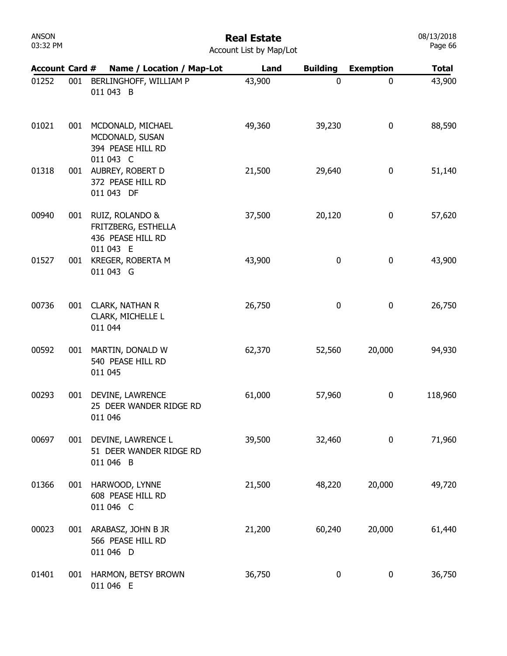| Account Card # |     | Name / Location / Map-Lot                                        | Land   | <b>Building</b> | <b>Exemption</b> | <b>Total</b> |
|----------------|-----|------------------------------------------------------------------|--------|-----------------|------------------|--------------|
| 01252          |     | 001 BERLINGHOFF, WILLIAM P<br>011 043 B                          | 43,900 | $\mathbf 0$     | $\mathbf 0$      | 43,900       |
| 01021          | 001 | MCDONALD, MICHAEL<br>MCDONALD, SUSAN<br>394 PEASE HILL RD        | 49,360 | 39,230          | 0                | 88,590       |
| 01318          | 001 | 011 043 C<br>AUBREY, ROBERT D<br>372 PEASE HILL RD<br>011 043 DF | 21,500 | 29,640          | 0                | 51,140       |
| 00940          |     | 001 RUIZ, ROLANDO &<br>FRITZBERG, ESTHELLA<br>436 PEASE HILL RD  | 37,500 | 20,120          | $\pmb{0}$        | 57,620       |
| 01527          |     | 011 043 E<br>001 KREGER, ROBERTA M<br>011 043 G                  | 43,900 | 0               | 0                | 43,900       |
| 00736          |     | 001 CLARK, NATHAN R<br>CLARK, MICHELLE L<br>011 044              | 26,750 | $\pmb{0}$       | $\pmb{0}$        | 26,750       |
| 00592          | 001 | MARTIN, DONALD W<br>540 PEASE HILL RD<br>011 045                 | 62,370 | 52,560          | 20,000           | 94,930       |
| 00293          | 001 | <b>DEVINE, LAWRENCE</b><br>25 DEER WANDER RIDGE RD<br>011 046    | 61,000 | 57,960          | $\pmb{0}$        | 118,960      |
| 00697          |     | 001 DEVINE, LAWRENCE L<br>51 DEER WANDER RIDGE RD<br>011 046 B   | 39,500 | 32,460          | $\bf{0}$         | 71,960       |
| 01366          | 001 | HARWOOD, LYNNE<br>608 PEASE HILL RD<br>011 046 C                 | 21,500 | 48,220          | 20,000           | 49,720       |
| 00023          |     | 001 ARABASZ, JOHN B JR<br>566 PEASE HILL RD<br>011 046 D         | 21,200 | 60,240          | 20,000           | 61,440       |
| 01401          |     | 001 HARMON, BETSY BROWN<br>011 046 E                             | 36,750 | 0               | 0                | 36,750       |

Real Estate Account List by Map/Lot 08/13/2018 Page 66

ANSON 03:32 PM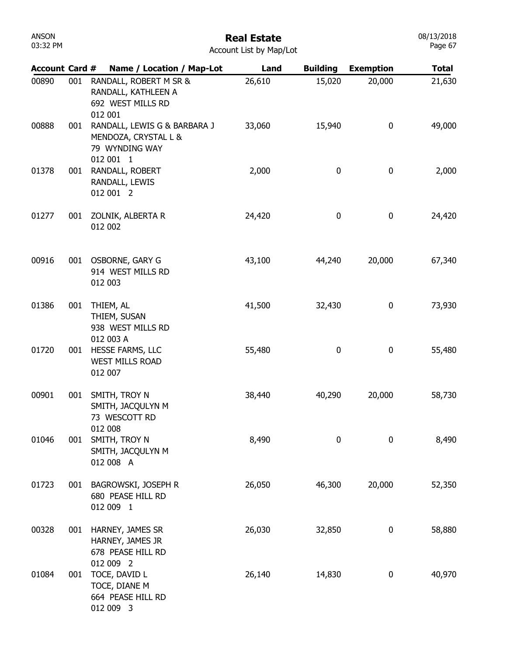| <b>ANSON</b><br>03:32 PM | <b>Real Estate</b><br>Account List by Map/Lot |                                                                                     |        |                  |                  |              |  |
|--------------------------|-----------------------------------------------|-------------------------------------------------------------------------------------|--------|------------------|------------------|--------------|--|
| <b>Account Card #</b>    |                                               | Name / Location / Map-Lot                                                           | Land   | <b>Building</b>  | <b>Exemption</b> | <b>Total</b> |  |
| 00890                    | 001                                           | RANDALL, ROBERT M SR &<br>RANDALL, KATHLEEN A<br>692 WEST MILLS RD<br>012 001       | 26,610 | 15,020           | 20,000           | 21,630       |  |
| 00888                    | 001                                           | RANDALL, LEWIS G & BARBARA J<br>MENDOZA, CRYSTAL L &<br>79 WYNDING WAY<br>012 001 1 | 33,060 | 15,940           | $\boldsymbol{0}$ | 49,000       |  |
| 01378                    | 001                                           | RANDALL, ROBERT<br>RANDALL, LEWIS<br>012 001 2                                      | 2,000  | 0                | $\boldsymbol{0}$ | 2,000        |  |
| 01277                    | 001                                           | ZOLNIK, ALBERTA R<br>012 002                                                        | 24,420 | 0                | $\bf{0}$         | 24,420       |  |
| 00916                    | 001                                           | OSBORNE, GARY G<br>914 WEST MILLS RD<br>012 003                                     | 43,100 | 44,240           | 20,000           | 67,340       |  |
| 01386                    | 001                                           | THIEM, AL<br>THIEM, SUSAN<br>938 WEST MILLS RD<br>012 003 A                         | 41,500 | 32,430           | $\bf{0}$         | 73,930       |  |
| 01720                    | 001                                           | HESSE FARMS, LLC<br><b>WEST MILLS ROAD</b><br>012 007                               | 55,480 | 0                | $\pmb{0}$        | 55,480       |  |
| 00901                    | 001                                           | SMITH, TROY N<br>SMITH, JACQULYN M<br>73 WESCOTT RD<br>012 008                      | 38,440 | 40,290           | 20,000           | 58,730       |  |
| 01046                    | 001                                           | SMITH, TROY N<br>SMITH, JACQULYN M<br>012 008 A                                     | 8,490  | $\boldsymbol{0}$ | $\boldsymbol{0}$ | 8,490        |  |
| 01723                    | 001                                           | BAGROWSKI, JOSEPH R<br>680 PEASE HILL RD<br>012 009 1                               | 26,050 | 46,300           | 20,000           | 52,350       |  |
| 00328                    | 001                                           | HARNEY, JAMES SR<br>HARNEY, JAMES JR<br>678 PEASE HILL RD<br>012 009 2              | 26,030 | 32,850           | $\boldsymbol{0}$ | 58,880       |  |
| 01084                    | 001                                           | TOCE, DAVID L<br>TOCE, DIANE M<br>664 PEASE HILL RD<br>012 009 3                    | 26,140 | 14,830           | $\boldsymbol{0}$ | 40,970       |  |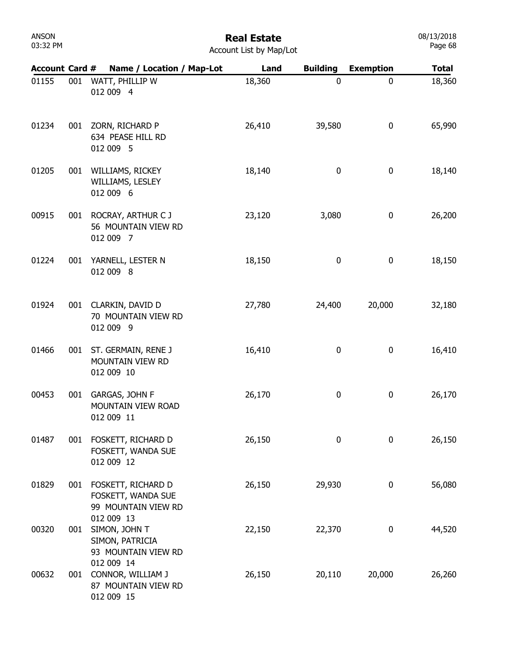| ANSON    |  |
|----------|--|
| 03:32 PM |  |

| <b>Account Card #</b> |     | Name / Location / Map-Lot                                                         | Land   | <b>Building</b>  | <b>Exemption</b> | <b>Total</b> |
|-----------------------|-----|-----------------------------------------------------------------------------------|--------|------------------|------------------|--------------|
| 01155                 | 001 | WATT, PHILLIP W<br>012 009 4                                                      | 18,360 | $\mathbf 0$      | $\mathbf 0$      | 18,360       |
| 01234                 |     | 001 ZORN, RICHARD P<br>634 PEASE HILL RD<br>012 009 5                             | 26,410 | 39,580           | 0                | 65,990       |
| 01205                 | 001 | WILLIAMS, RICKEY<br>WILLIAMS, LESLEY<br>012 009 6                                 | 18,140 | 0                | 0                | 18,140       |
| 00915                 |     | 001 ROCRAY, ARTHUR C J<br>56 MOUNTAIN VIEW RD<br>012 009 7                        | 23,120 | 3,080            | 0                | 26,200       |
| 01224                 | 001 | YARNELL, LESTER N<br>012 009 8                                                    | 18,150 | $\boldsymbol{0}$ | 0                | 18,150       |
| 01924                 |     | 001 CLARKIN, DAVID D<br>70 MOUNTAIN VIEW RD<br>012 009 9                          | 27,780 | 24,400           | 20,000           | 32,180       |
| 01466                 | 001 | ST. GERMAIN, RENE J<br>MOUNTAIN VIEW RD<br>012 009 10                             | 16,410 | 0                | 0                | 16,410       |
| 00453                 | 001 | GARGAS, JOHN F<br>MOUNTAIN VIEW ROAD<br>012 009 11                                | 26,170 | 0                | 0                | 26,170       |
| 01487                 | 001 | FOSKETT, RICHARD D<br>FOSKETT, WANDA SUE<br>012 009 12                            | 26,150 | 0                | 0                | 26,150       |
| 01829                 |     | 001 FOSKETT, RICHARD D<br>FOSKETT, WANDA SUE<br>99 MOUNTAIN VIEW RD<br>012 009 13 | 26,150 | 29,930           | $\boldsymbol{0}$ | 56,080       |
| 00320                 | 001 | SIMON, JOHN T<br>SIMON, PATRICIA<br>93 MOUNTAIN VIEW RD<br>012 009 14             | 22,150 | 22,370           | $\boldsymbol{0}$ | 44,520       |
| 00632                 | 001 | CONNOR, WILLIAM J<br>87 MOUNTAIN VIEW RD<br>012 009 15                            | 26,150 | 20,110           | 20,000           | 26,260       |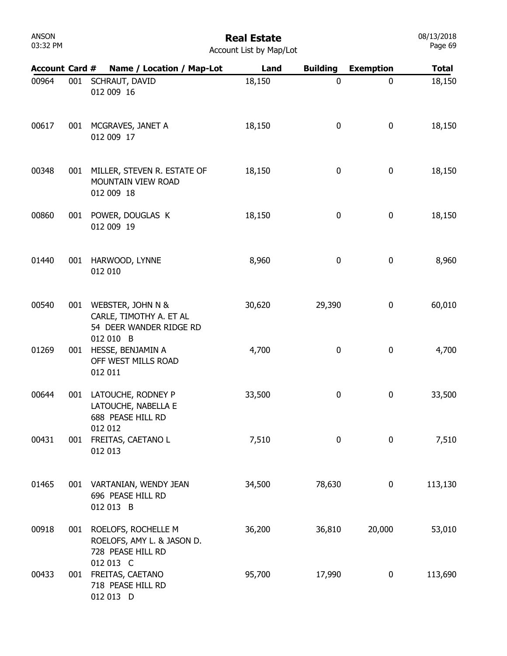| ANSON    |  |
|----------|--|
| 03:32 PM |  |

| <b>Account Card #</b> |     | Name / Location / Map-Lot                                               | Land   | <b>Building</b> | <b>Exemption</b> | <b>Total</b> |
|-----------------------|-----|-------------------------------------------------------------------------|--------|-----------------|------------------|--------------|
| 00964                 | 001 | SCHRAUT, DAVID<br>012 009 16                                            | 18,150 | $\mathbf 0$     | $\mathbf 0$      | 18,150       |
| 00617                 | 001 | MCGRAVES, JANET A<br>012 009 17                                         | 18,150 | 0               | 0                | 18,150       |
| 00348                 | 001 | MILLER, STEVEN R. ESTATE OF<br>MOUNTAIN VIEW ROAD<br>012 009 18         | 18,150 | 0               | $\bf{0}$         | 18,150       |
| 00860                 | 001 | POWER, DOUGLAS K<br>012 009 19                                          | 18,150 | 0               | 0                | 18,150       |
| 01440                 | 001 | HARWOOD, LYNNE<br>012 010                                               | 8,960  | 0               | $\pmb{0}$        | 8,960        |
| 00540                 | 001 | WEBSTER, JOHN N &<br>CARLE, TIMOTHY A. ET AL<br>54 DEER WANDER RIDGE RD | 30,620 | 29,390          | 0                | 60,010       |
| 01269                 | 001 | 012 010 B<br>HESSE, BENJAMIN A<br>OFF WEST MILLS ROAD<br>012 011        | 4,700  | 0               | 0                | 4,700        |
| 00644                 | 001 | LATOUCHE, RODNEY P<br>LATOUCHE, NABELLA E<br>688 PEASE HILL RD          | 33,500 | 0               | 0                | 33,500       |
| 00431                 | 001 | 012 012<br>FREITAS, CAETANO L<br>012 013                                | 7,510  | 0               | $\mathbf 0$      | 7,510        |
| 01465                 |     | 001 VARTANIAN, WENDY JEAN<br>696 PEASE HILL RD<br>012 013 B             | 34,500 | 78,630          | 0                | 113,130      |
| 00918                 | 001 | ROELOFS, ROCHELLE M<br>ROELOFS, AMY L. & JASON D.<br>728 PEASE HILL RD  | 36,200 | 36,810          | 20,000           | 53,010       |
| 00433                 | 001 | 012 013 C<br>FREITAS, CAETANO<br>718 PEASE HILL RD<br>012 013 D         | 95,700 | 17,990          | 0                | 113,690      |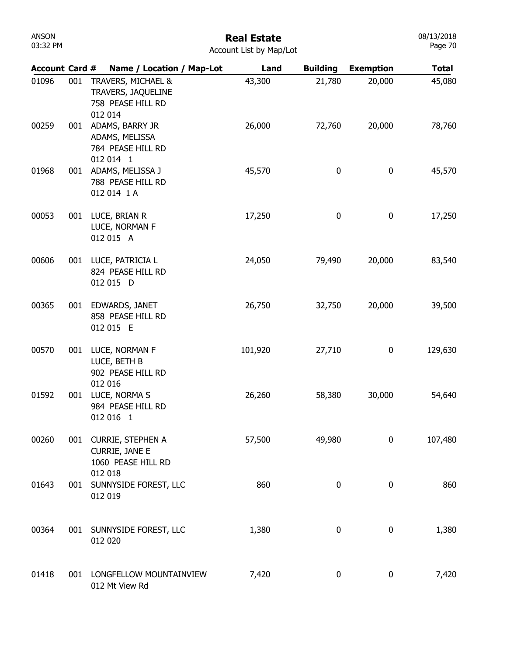### Real Estate

| <b>Account Card #</b> |     | Name / Location / Map-Lot                                                | Land    | <b>Building</b> | <b>Exemption</b> | <b>Total</b> |
|-----------------------|-----|--------------------------------------------------------------------------|---------|-----------------|------------------|--------------|
| 01096                 | 001 | TRAVERS, MICHAEL &<br>TRAVERS, JAQUELINE<br>758 PEASE HILL RD<br>012 014 | 43,300  | 21,780          | 20,000           | 45,080       |
| 00259                 | 001 | ADAMS, BARRY JR<br>ADAMS, MELISSA<br>784 PEASE HILL RD<br>012 014 1      | 26,000  | 72,760          | 20,000           | 78,760       |
| 01968                 | 001 | ADAMS, MELISSA J<br>788 PEASE HILL RD<br>012 014 1 A                     | 45,570  | $\bf{0}$        | $\bf{0}$         | 45,570       |
| 00053                 | 001 | LUCE, BRIAN R<br>LUCE, NORMAN F<br>012 015 A                             | 17,250  | 0               | $\boldsymbol{0}$ | 17,250       |
| 00606                 | 001 | LUCE, PATRICIA L<br>824 PEASE HILL RD<br>012 015 D                       | 24,050  | 79,490          | 20,000           | 83,540       |
| 00365                 | 001 | EDWARDS, JANET<br>858 PEASE HILL RD<br>012 015 E                         | 26,750  | 32,750          | 20,000           | 39,500       |
| 00570                 | 001 | LUCE, NORMAN F<br>LUCE, BETH B<br>902 PEASE HILL RD                      | 101,920 | 27,710          | 0                | 129,630      |
| 01592                 | 001 | 012 016<br>LUCE, NORMA S<br>984 PEASE HILL RD<br>012 016 1               | 26,260  | 58,380          | 30,000           | 54,640       |
| 00260                 | 001 | <b>CURRIE, STEPHEN A</b><br><b>CURRIE, JANE E</b><br>1060 PEASE HILL RD  | 57,500  | 49,980          | 0                | 107,480      |
| 01643                 | 001 | 012 018<br>SUNNYSIDE FOREST, LLC<br>012 019                              | 860     | 0               | 0                | 860          |
| 00364                 | 001 | SUNNYSIDE FOREST, LLC<br>012 020                                         | 1,380   | 0               | 0                | 1,380        |
| 01418                 | 001 | LONGFELLOW MOUNTAINVIEW<br>012 Mt View Rd                                | 7,420   | 0               | 0                | 7,420        |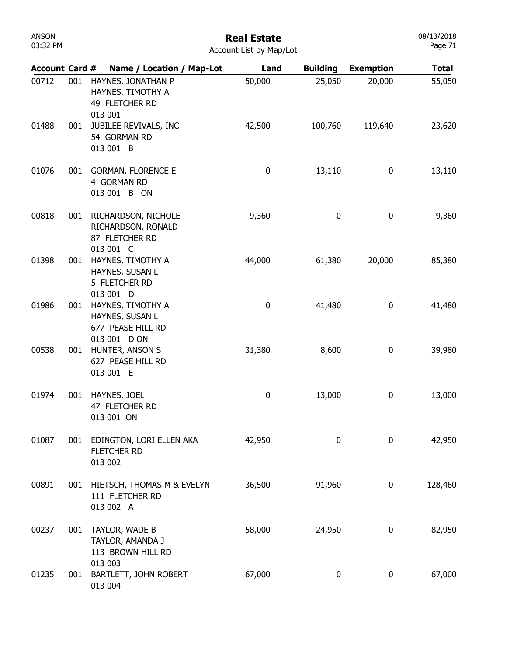#### Real Estate Account List by Map/Lot

| <b>Account Card #</b> |     | Name / Location / Map-Lot                                              | Land      | <b>Building</b>  | <b>Exemption</b> | <b>Total</b> |
|-----------------------|-----|------------------------------------------------------------------------|-----------|------------------|------------------|--------------|
| 00712                 | 001 | HAYNES, JONATHAN P<br>HAYNES, TIMOTHY A<br>49 FLETCHER RD<br>013 001   | 50,000    | 25,050           | 20,000           | 55,050       |
| 01488                 | 001 | JUBILEE REVIVALS, INC<br>54 GORMAN RD<br>013 001 B                     | 42,500    | 100,760          | 119,640          | 23,620       |
| 01076                 | 001 | <b>GORMAN, FLORENCE E</b><br>4 GORMAN RD<br>013 001 B ON               | $\pmb{0}$ | 13,110           | 0                | 13,110       |
| 00818                 | 001 | RICHARDSON, NICHOLE<br>RICHARDSON, RONALD<br>87 FLETCHER RD            | 9,360     | 0                | $\bf{0}$         | 9,360        |
| 01398                 | 001 | 013 001 C<br>HAYNES, TIMOTHY A<br>HAYNES, SUSAN L<br>5 FLETCHER RD     | 44,000    | 61,380           | 20,000           | 85,380       |
| 01986                 | 001 | 013 001 D<br>HAYNES, TIMOTHY A<br>HAYNES, SUSAN L<br>677 PEASE HILL RD | 0         | 41,480           | 0                | 41,480       |
| 00538                 | 001 | 013 001 D ON<br>HUNTER, ANSON S<br>627 PEASE HILL RD<br>013 001 E      | 31,380    | 8,600            | 0                | 39,980       |
| 01974                 | 001 | HAYNES, JOEL<br>47 FLETCHER RD<br>013 001 ON                           | 0         | 13,000           | 0                | 13,000       |
| 01087                 | 001 | EDINGTON, LORI ELLEN AKA<br>FLETCHER RD<br>013 002                     | 42,950    | $\mathbf 0$      | $\mathbf 0$      | 42,950       |
| 00891                 | 001 | HIETSCH, THOMAS M & EVELYN<br>111 FLETCHER RD<br>013 002 A             | 36,500    | 91,960           | 0                | 128,460      |
| 00237                 | 001 | TAYLOR, WADE B<br>TAYLOR, AMANDA J<br>113 BROWN HILL RD                | 58,000    | 24,950           | 0                | 82,950       |
| 01235                 | 001 | 013 003<br>BARTLETT, JOHN ROBERT<br>013 004                            | 67,000    | $\boldsymbol{0}$ | $\bf{0}$         | 67,000       |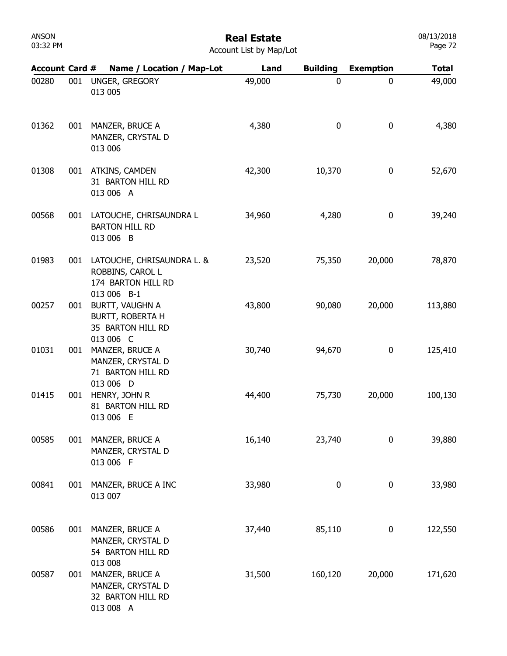# Real Estate

| <b>Account Card #</b> |     | Name / Location / Map-Lot                                                           | Land   | <b>Building</b> | <b>Exemption</b> | <b>Total</b> |
|-----------------------|-----|-------------------------------------------------------------------------------------|--------|-----------------|------------------|--------------|
| 00280                 | 001 | UNGER, GREGORY<br>013 005                                                           | 49,000 | 0               | 0                | 49,000       |
| 01362                 | 001 | MANZER, BRUCE A<br>MANZER, CRYSTAL D<br>013 006                                     | 4,380  | 0               | 0                | 4,380        |
| 01308                 | 001 | ATKINS, CAMDEN<br>31 BARTON HILL RD<br>013 006 A                                    | 42,300 | 10,370          | 0                | 52,670       |
| 00568                 | 001 | LATOUCHE, CHRISAUNDRA L<br><b>BARTON HILL RD</b><br>013 006 B                       | 34,960 | 4,280           | 0                | 39,240       |
| 01983                 | 001 | LATOUCHE, CHRISAUNDRA L. &<br>ROBBINS, CAROL L<br>174 BARTON HILL RD<br>013 006 B-1 | 23,520 | 75,350          | 20,000           | 78,870       |
| 00257                 | 001 | BURTT, VAUGHN A<br>BURTT, ROBERTA H<br>35 BARTON HILL RD<br>013 006 C               | 43,800 | 90,080          | 20,000           | 113,880      |
| 01031                 | 001 | MANZER, BRUCE A<br>MANZER, CRYSTAL D<br>71 BARTON HILL RD<br>013 006 D              | 30,740 | 94,670          | 0                | 125,410      |
| 01415                 | 001 | HENRY, JOHN R<br>81 BARTON HILL RD<br>013 006 E                                     | 44,400 | 75,730          | 20,000           | 100,130      |
| 00585                 | 001 | MANZER, BRUCE A<br>MANZER, CRYSTAL D<br>013 006 F                                   | 16,140 | 23,740          | $\mathbf 0$      | 39,880       |
| 00841                 | 001 | MANZER, BRUCE A INC<br>013 007                                                      | 33,980 | 0               | $\boldsymbol{0}$ | 33,980       |
| 00586                 | 001 | MANZER, BRUCE A<br>MANZER, CRYSTAL D<br>54 BARTON HILL RD<br>013 008                | 37,440 | 85,110          | $\boldsymbol{0}$ | 122,550      |
| 00587                 | 001 | MANZER, BRUCE A<br>MANZER, CRYSTAL D<br>32 BARTON HILL RD<br>013 008 A              | 31,500 | 160,120         | 20,000           | 171,620      |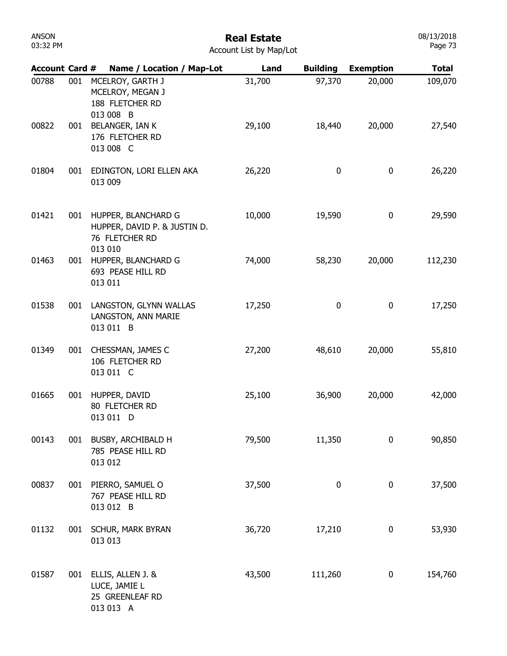| ANSON    |  |
|----------|--|
| 03:32 PM |  |

#### Real Estate Account List by Map/Lot

| <b>Account Card #</b> |     | Name / Location / Map-Lot                                                        | Land   | <b>Building</b> | <b>Exemption</b> | <b>Total</b> |
|-----------------------|-----|----------------------------------------------------------------------------------|--------|-----------------|------------------|--------------|
| 00788                 | 001 | MCELROY, GARTH J<br>MCELROY, MEGAN J<br>188 FLETCHER RD<br>013 008 B             | 31,700 | 97,370          | 20,000           | 109,070      |
| 00822                 | 001 | BELANGER, IAN K<br>176 FLETCHER RD<br>013 008 C                                  | 29,100 | 18,440          | 20,000           | 27,540       |
| 01804                 | 001 | EDINGTON, LORI ELLEN AKA<br>013 009                                              | 26,220 | 0               | 0                | 26,220       |
| 01421                 | 001 | HUPPER, BLANCHARD G<br>HUPPER, DAVID P. & JUSTIN D.<br>76 FLETCHER RD<br>013 010 | 10,000 | 19,590          | 0                | 29,590       |
| 01463                 | 001 | HUPPER, BLANCHARD G<br>693 PEASE HILL RD<br>013 011                              | 74,000 | 58,230          | 20,000           | 112,230      |
| 01538                 | 001 | LANGSTON, GLYNN WALLAS<br>LANGSTON, ANN MARIE<br>013 011 B                       | 17,250 | 0               | 0                | 17,250       |
| 01349                 | 001 | CHESSMAN, JAMES C<br>106 FLETCHER RD<br>013 011 C                                | 27,200 | 48,610          | 20,000           | 55,810       |
| 01665                 | 001 | HUPPER, DAVID<br>80 FLETCHER RD<br>013 011 D                                     | 25,100 | 36,900          | 20,000           | 42,000       |
| 00143                 | 001 | BUSBY, ARCHIBALD H<br>785 PEASE HILL RD<br>013 012                               | 79,500 | 11,350          | 0                | 90,850       |
| 00837                 | 001 | PIERRO, SAMUEL O<br>767 PEASE HILL RD<br>013 012 B                               | 37,500 | 0               | 0                | 37,500       |
| 01132                 |     | 001 SCHUR, MARK BYRAN<br>013 013                                                 | 36,720 | 17,210          | 0                | 53,930       |
| 01587                 |     | 001 ELLIS, ALLEN J. &<br>LUCE, JAMIE L<br>25 GREENLEAF RD<br>013 013 A           | 43,500 | 111,260         | 0                | 154,760      |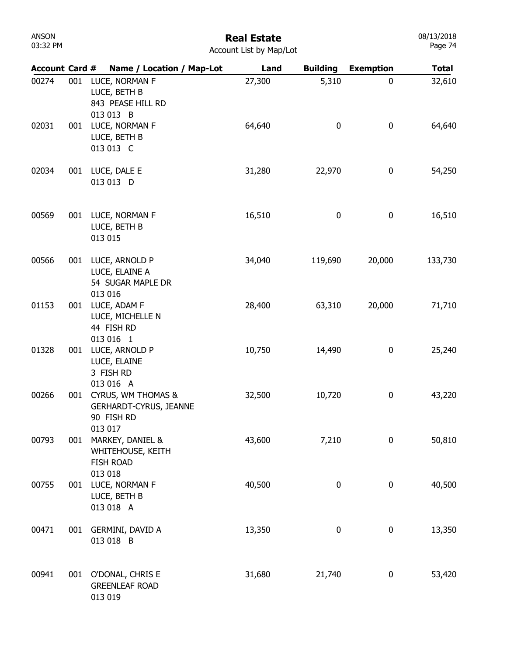# Real Estate

| Account List by Map/Lot |  |
|-------------------------|--|
|-------------------------|--|

| <b>Account Card #</b> |     | Name / Location / Map-Lot                                                               | Land   | <b>Building</b> | <b>Exemption</b> | <b>Total</b> |
|-----------------------|-----|-----------------------------------------------------------------------------------------|--------|-----------------|------------------|--------------|
| 00274                 | 001 | LUCE, NORMAN F<br>LUCE, BETH B<br>843 PEASE HILL RD<br>013 013 B                        | 27,300 | 5,310           | 0                | 32,610       |
| 02031                 | 001 | LUCE, NORMAN F<br>LUCE, BETH B<br>013 013 C                                             | 64,640 | $\mathbf 0$     | 0                | 64,640       |
| 02034                 | 001 | LUCE, DALE E<br>013 013 D                                                               | 31,280 | 22,970          | $\boldsymbol{0}$ | 54,250       |
| 00569                 | 001 | LUCE, NORMAN F<br>LUCE, BETH B<br>013 015                                               | 16,510 | 0               | $\boldsymbol{0}$ | 16,510       |
| 00566                 | 001 | LUCE, ARNOLD P<br>LUCE, ELAINE A<br>54 SUGAR MAPLE DR<br>013 016                        | 34,040 | 119,690         | 20,000           | 133,730      |
| 01153                 | 001 | LUCE, ADAM F<br>LUCE, MICHELLE N<br>44 FISH RD<br>013 016 1                             | 28,400 | 63,310          | 20,000           | 71,710       |
| 01328                 | 001 | LUCE, ARNOLD P<br>LUCE, ELAINE<br>3 FISH RD<br>013 016 A                                | 10,750 | 14,490          | 0                | 25,240       |
| 00266                 | 001 | <b>CYRUS, WM THOMAS &amp;</b><br><b>GERHARDT-CYRUS, JEANNE</b><br>90 FISH RD<br>013 017 | 32,500 | 10,720          | $\boldsymbol{0}$ | 43,220       |
| 00793                 | 001 | MARKEY, DANIEL &<br>WHITEHOUSE, KEITH<br><b>FISH ROAD</b><br>013 018                    | 43,600 | 7,210           | $\bf{0}$         | 50,810       |
| 00755                 | 001 | LUCE, NORMAN F<br>LUCE, BETH B<br>013 018 A                                             | 40,500 | 0               | $\boldsymbol{0}$ | 40,500       |
| 00471                 | 001 | GERMINI, DAVID A<br>013 018 B                                                           | 13,350 | 0               | $\boldsymbol{0}$ | 13,350       |
| 00941                 | 001 | O'DONAL, CHRIS E<br><b>GREENLEAF ROAD</b><br>013 019                                    | 31,680 | 21,740          | $\boldsymbol{0}$ | 53,420       |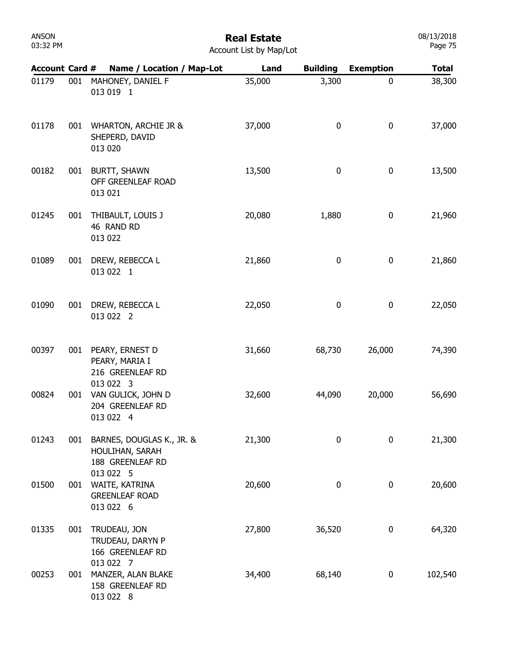## Real Estate

| <b>Account List by Map/Lot</b> |  |  |  |  |
|--------------------------------|--|--|--|--|
|--------------------------------|--|--|--|--|

| <b>Account Card #</b> |     | Name / Location / Map-Lot                                                     | Land   | <b>Building</b> | <b>Exemption</b> | <b>Total</b> |
|-----------------------|-----|-------------------------------------------------------------------------------|--------|-----------------|------------------|--------------|
| 01179                 | 001 | MAHONEY, DANIEL F<br>013 019 1                                                | 35,000 | 3,300           | $\mathbf 0$      | 38,300       |
| 01178                 | 001 | <b>WHARTON, ARCHIE JR &amp;</b><br>SHEPERD, DAVID<br>013 020                  | 37,000 | 0               | 0                | 37,000       |
| 00182                 | 001 | <b>BURTT, SHAWN</b><br>OFF GREENLEAF ROAD<br>013 021                          | 13,500 | 0               | 0                | 13,500       |
| 01245                 | 001 | THIBAULT, LOUIS J<br>46 RAND RD<br>013 022                                    | 20,080 | 1,880           | 0                | 21,960       |
| 01089                 | 001 | DREW, REBECCA L<br>013 022 1                                                  | 21,860 | 0               | 0                | 21,860       |
| 01090                 | 001 | DREW, REBECCA L<br>013 022 2                                                  | 22,050 | 0               | $\pmb{0}$        | 22,050       |
| 00397                 |     | 001 PEARY, ERNEST D<br>PEARY, MARIA I<br>216 GREENLEAF RD<br>013 022 3        | 31,660 | 68,730          | 26,000           | 74,390       |
| 00824                 | 001 | VAN GULICK, JOHN D<br>204 GREENLEAF RD<br>013 022 4                           | 32,600 | 44,090          | 20,000           | 56,690       |
| 01243                 | 001 | BARNES, DOUGLAS K., JR. &<br>HOULIHAN, SARAH<br>188 GREENLEAF RD<br>013 022 5 | 21,300 | 0               | 0                | 21,300       |
| 01500                 | 001 | WAITE, KATRINA<br><b>GREENLEAF ROAD</b><br>013 022 6                          | 20,600 | 0               | 0                | 20,600       |
| 01335                 | 001 | TRUDEAU, JON<br>TRUDEAU, DARYN P<br>166 GREENLEAF RD<br>013 022 7             | 27,800 | 36,520          | $\boldsymbol{0}$ | 64,320       |
| 00253                 | 001 | MANZER, ALAN BLAKE<br>158 GREENLEAF RD<br>013 022 8                           | 34,400 | 68,140          | 0                | 102,540      |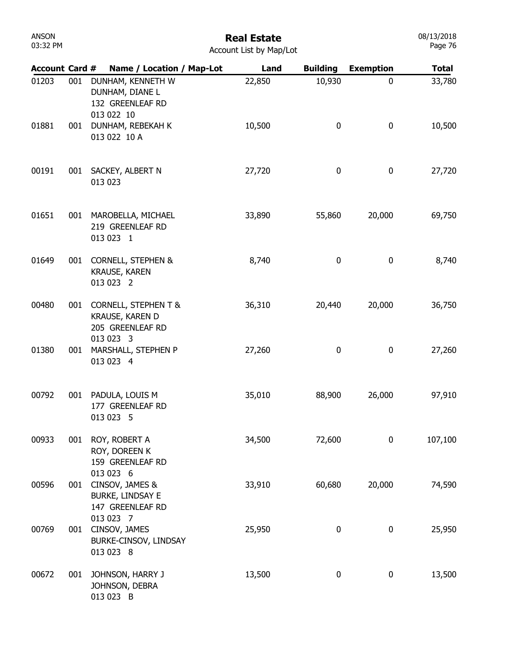# Real Estate

| <b>Account List by Map/Lot</b> |  |  |  |  |
|--------------------------------|--|--|--|--|
|--------------------------------|--|--|--|--|

| <b>Account Card #</b> |     | Name / Location / Map-Lot                                                           | Land   | <b>Building</b> | <b>Exemption</b> | <b>Total</b> |
|-----------------------|-----|-------------------------------------------------------------------------------------|--------|-----------------|------------------|--------------|
| 01203                 | 001 | DUNHAM, KENNETH W<br>DUNHAM, DIANE L<br>132 GREENLEAF RD<br>013 022 10              | 22,850 | 10,930          | $\boldsymbol{0}$ | 33,780       |
| 01881                 | 001 | DUNHAM, REBEKAH K<br>013 022 10 A                                                   | 10,500 | 0               | $\boldsymbol{0}$ | 10,500       |
| 00191                 | 001 | SACKEY, ALBERT N<br>013 023                                                         | 27,720 | 0               | $\boldsymbol{0}$ | 27,720       |
| 01651                 | 001 | MAROBELLA, MICHAEL<br>219 GREENLEAF RD<br>013 023 1                                 | 33,890 | 55,860          | 20,000           | 69,750       |
| 01649                 | 001 | <b>CORNELL, STEPHEN &amp;</b><br><b>KRAUSE, KAREN</b><br>013 023 2                  | 8,740  | 0               | 0                | 8,740        |
| 00480                 | 001 | <b>CORNELL, STEPHEN T &amp;</b><br>KRAUSE, KAREN D<br>205 GREENLEAF RD<br>013 023 3 | 36,310 | 20,440          | 20,000           | 36,750       |
| 01380                 | 001 | MARSHALL, STEPHEN P<br>013 023 4                                                    | 27,260 | 0               | 0                | 27,260       |
| 00792                 | 001 | PADULA, LOUIS M<br>177 GREENLEAF RD<br>013 023 5                                    | 35,010 | 88,900          | 26,000           | 97,910       |
| 00933                 | 001 | ROY, ROBERT A<br>ROY, DOREEN K<br>159 GREENLEAF RD<br>013 023 6                     | 34,500 | 72,600          | $\mathbf 0$      | 107,100      |
| 00596                 | 001 | CINSOV, JAMES &<br><b>BURKE, LINDSAY E</b><br>147 GREENLEAF RD<br>013 023 7         | 33,910 | 60,680          | 20,000           | 74,590       |
| 00769                 | 001 | CINSOV, JAMES<br>BURKE-CINSOV, LINDSAY<br>013 023 8                                 | 25,950 | 0               | 0                | 25,950       |
| 00672                 | 001 | JOHNSON, HARRY J<br>JOHNSON, DEBRA<br>013 023 B                                     | 13,500 | 0               | 0                | 13,500       |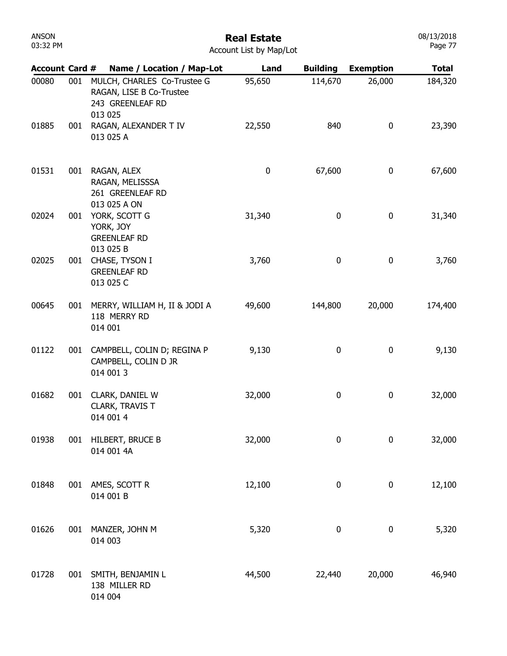| ANSON    |  |
|----------|--|
| 03:32 PM |  |

08/13/2018 Page 77

| <b>Account Card #</b> |     | Name / Location / Map-Lot                                                              | Land   | <b>Building</b> | <b>Exemption</b> | <b>Total</b> |
|-----------------------|-----|----------------------------------------------------------------------------------------|--------|-----------------|------------------|--------------|
| 00080                 | 001 | MULCH, CHARLES Co-Trustee G<br>RAGAN, LISE B Co-Trustee<br>243 GREENLEAF RD<br>013 025 | 95,650 | 114,670         | 26,000           | 184,320      |
| 01885                 | 001 | RAGAN, ALEXANDER T IV<br>013 025 A                                                     | 22,550 | 840             | 0                | 23,390       |
| 01531                 | 001 | RAGAN, ALEX<br>RAGAN, MELISSSA<br>261 GREENLEAF RD<br>013 025 A ON                     | 0      | 67,600          | 0                | 67,600       |
| 02024                 | 001 | YORK, SCOTT G<br>YORK, JOY<br><b>GREENLEAF RD</b><br>013 025 B                         | 31,340 | $\mathbf 0$     | 0                | 31,340       |
| 02025                 | 001 | CHASE, TYSON I<br><b>GREENLEAF RD</b><br>013 025 C                                     | 3,760  | 0               | $\bf{0}$         | 3,760        |
| 00645                 | 001 | MERRY, WILLIAM H, II & JODI A<br>118 MERRY RD<br>014 001                               | 49,600 | 144,800         | 20,000           | 174,400      |
| 01122                 | 001 | CAMPBELL, COLIN D; REGINA P<br>CAMPBELL, COLIN D JR<br>014 001 3                       | 9,130  | 0               | 0                | 9,130        |
| 01682                 | 001 | CLARK, DANIEL W<br>CLARK, TRAVIS T<br>014 001 4                                        | 32,000 | 0               | 0                | 32,000       |
| 01938                 | 001 | HILBERT, BRUCE B<br>014 001 4A                                                         | 32,000 | $\pmb{0}$       | $\pmb{0}$        | 32,000       |
| 01848                 | 001 | AMES, SCOTT R<br>014 001 B                                                             | 12,100 | 0               | 0                | 12,100       |
| 01626                 | 001 | MANZER, JOHN M<br>014 003                                                              | 5,320  | 0               | 0                | 5,320        |
| 01728                 | 001 | SMITH, BENJAMIN L<br>138 MILLER RD<br>014 004                                          | 44,500 | 22,440          | 20,000           | 46,940       |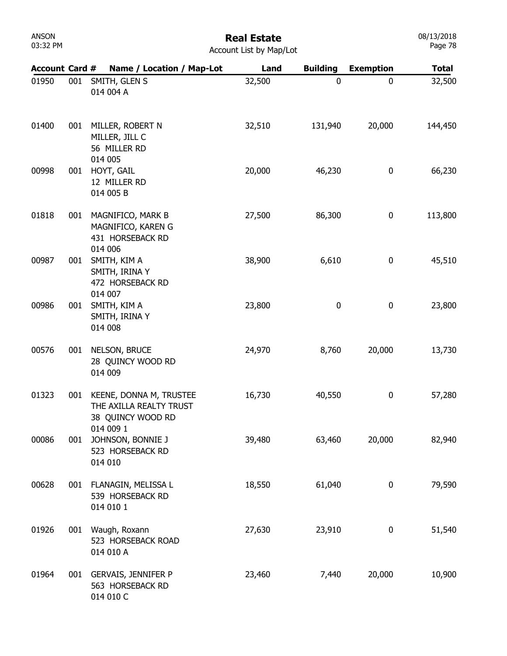#### Real Estate Account List by Map/Lot

| <b>Account Card #</b> |     | Name / Location / Map-Lot                                               | Land   | <b>Building</b> | <b>Exemption</b> | <b>Total</b> |
|-----------------------|-----|-------------------------------------------------------------------------|--------|-----------------|------------------|--------------|
| 01950                 | 001 | SMITH, GLEN S<br>014 004 A                                              | 32,500 | $\mathbf 0$     | 0                | 32,500       |
| 01400                 | 001 | MILLER, ROBERT N<br>MILLER, JILL C<br>56 MILLER RD                      | 32,510 | 131,940         | 20,000           | 144,450      |
| 00998                 | 001 | 014 005<br>HOYT, GAIL<br>12 MILLER RD<br>014 005 B                      | 20,000 | 46,230          | 0                | 66,230       |
| 01818                 | 001 | MAGNIFICO, MARK B<br>MAGNIFICO, KAREN G<br>431 HORSEBACK RD             | 27,500 | 86,300          | $\mathbf 0$      | 113,800      |
| 00987                 | 001 | 014 006<br>SMITH, KIM A<br>SMITH, IRINA Y<br>472 HORSEBACK RD           | 38,900 | 6,610           | $\pmb{0}$        | 45,510       |
| 00986                 | 001 | 014 007<br>SMITH, KIM A<br>SMITH, IRINA Y<br>014 008                    | 23,800 | 0               | $\pmb{0}$        | 23,800       |
| 00576                 | 001 | NELSON, BRUCE<br>28 QUINCY WOOD RD<br>014 009                           | 24,970 | 8,760           | 20,000           | 13,730       |
| 01323                 | 001 | KEENE, DONNA M, TRUSTEE<br>THE AXILLA REALTY TRUST<br>38 QUINCY WOOD RD | 16,730 | 40,550          | $\pmb{0}$        | 57,280       |
| 00086                 | 001 | 014 009 1<br>JOHNSON, BONNIE J<br>523 HORSEBACK RD<br>014 010           | 39,480 | 63,460          | 20,000           | 82,940       |
| 00628                 |     | 001 FLANAGIN, MELISSA L<br>539 HORSEBACK RD<br>014 010 1                | 18,550 | 61,040          | $\mathbf 0$      | 79,590       |
| 01926                 | 001 | Waugh, Roxann<br>523 HORSEBACK ROAD<br>014 010 A                        | 27,630 | 23,910          | $\pmb{0}$        | 51,540       |
| 01964                 |     | 001 GERVAIS, JENNIFER P<br>563 HORSEBACK RD<br>014 010 C                | 23,460 | 7,440           | 20,000           | 10,900       |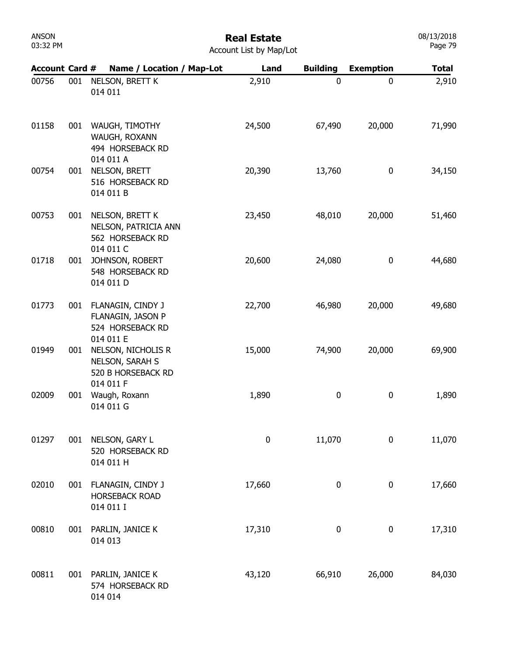| ANSON    |  |
|----------|--|
| 03:32 PM |  |

| <b>Account Card #</b> |     | Name / Location / Map-Lot                                                | Land             | <b>Building</b> | <b>Exemption</b> | <b>Total</b> |
|-----------------------|-----|--------------------------------------------------------------------------|------------------|-----------------|------------------|--------------|
| 00756                 | 001 | NELSON, BRETT K<br>014 011                                               | 2,910            | $\mathbf 0$     | 0                | 2,910        |
| 01158                 | 001 | WAUGH, TIMOTHY<br>WAUGH, ROXANN<br>494 HORSEBACK RD<br>014 011 A         | 24,500           | 67,490          | 20,000           | 71,990       |
| 00754                 | 001 | NELSON, BRETT<br>516 HORSEBACK RD<br>014 011 B                           | 20,390           | 13,760          | 0                | 34,150       |
| 00753                 | 001 | NELSON, BRETT K<br>NELSON, PATRICIA ANN<br>562 HORSEBACK RD<br>014 011 C | 23,450           | 48,010          | 20,000           | 51,460       |
| 01718                 | 001 | JOHNSON, ROBERT<br>548 HORSEBACK RD<br>014 011 D                         | 20,600           | 24,080          | 0                | 44,680       |
| 01773                 | 001 | FLANAGIN, CINDY J<br>FLANAGIN, JASON P<br>524 HORSEBACK RD               | 22,700           | 46,980          | 20,000           | 49,680       |
| 01949                 | 001 | 014 011 E<br>NELSON, NICHOLIS R<br>NELSON, SARAH S<br>520 B HORSEBACK RD | 15,000           | 74,900          | 20,000           | 69,900       |
| 02009                 | 001 | 014 011 F<br>Waugh, Roxann<br>014 011 G                                  | 1,890            | $\mathbf 0$     | 0                | 1,890        |
| 01297                 | 001 | NELSON, GARY L<br>520 HORSEBACK RD<br>014 011 H                          | $\boldsymbol{0}$ | 11,070          | 0                | 11,070       |
| 02010                 | 001 | FLANAGIN, CINDY J<br><b>HORSEBACK ROAD</b><br>014 011 I                  | 17,660           | 0               | 0                | 17,660       |
| 00810                 | 001 | PARLIN, JANICE K<br>014 013                                              | 17,310           | 0               | 0                | 17,310       |
| 00811                 | 001 | PARLIN, JANICE K<br>574 HORSEBACK RD<br>014 014                          | 43,120           | 66,910          | 26,000           | 84,030       |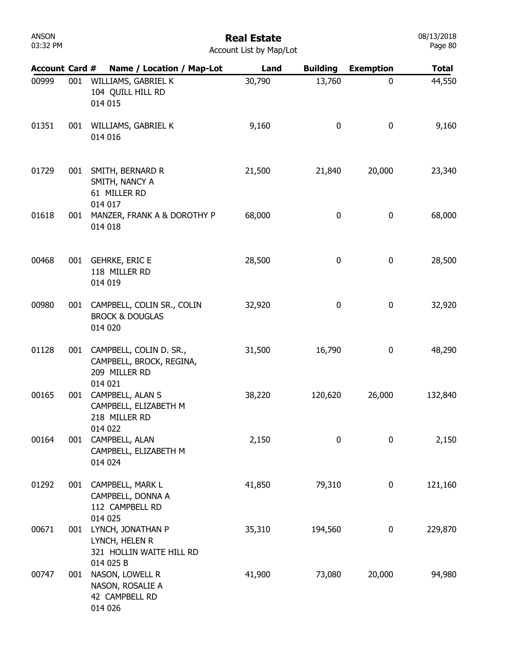### Real Estate

08/13/2018 Page 80

| <b>Account Card #</b> |     | Name / Location / Map-Lot                                                       | Land   | <b>Building</b> | <b>Exemption</b> | <b>Total</b> |
|-----------------------|-----|---------------------------------------------------------------------------------|--------|-----------------|------------------|--------------|
| 00999                 | 001 | WILLIAMS, GABRIEL K<br>104 QUILL HILL RD<br>014 015                             | 30,790 | 13,760          | 0                | 44,550       |
| 01351                 | 001 | WILLIAMS, GABRIEL K<br>014 016                                                  | 9,160  | 0               | 0                | 9,160        |
| 01729                 | 001 | SMITH, BERNARD R<br>SMITH, NANCY A<br>61 MILLER RD                              | 21,500 | 21,840          | 20,000           | 23,340       |
| 01618                 | 001 | 014 017<br>MANZER, FRANK A & DOROTHY P<br>014 018                               | 68,000 | 0               | 0                | 68,000       |
| 00468                 | 001 | <b>GEHRKE, ERIC E</b><br>118 MILLER RD<br>014 019                               | 28,500 | 0               | 0                | 28,500       |
| 00980                 | 001 | CAMPBELL, COLIN SR., COLIN<br><b>BROCK &amp; DOUGLAS</b><br>014 020             | 32,920 | 0               | 0                | 32,920       |
| 01128                 | 001 | CAMPBELL, COLIN D. SR.,<br>CAMPBELL, BROCK, REGINA,<br>209 MILLER RD<br>014 021 | 31,500 | 16,790          | 0                | 48,290       |
| 00165                 | 001 | CAMPBELL, ALAN S<br>CAMPBELL, ELIZABETH M<br>218 MILLER RD<br>014 022           | 38,220 | 120,620         | 26,000           | 132,840      |
| 00164                 |     | 001 CAMPBELL, ALAN<br>CAMPBELL, ELIZABETH M<br>014 024                          | 2,150  | 0               | 0                | 2,150        |
| 01292                 | 001 | CAMPBELL, MARK L<br>CAMPBELL, DONNA A<br>112 CAMPBELL RD<br>014 025             | 41,850 | 79,310          | 0                | 121,160      |
| 00671                 | 001 | LYNCH, JONATHAN P<br>LYNCH, HELEN R<br>321 HOLLIN WAITE HILL RD<br>014 025 B    | 35,310 | 194,560         | 0                | 229,870      |
| 00747                 | 001 | NASON, LOWELL R<br>NASON, ROSALIE A<br>42 CAMPBELL RD<br>014 026                | 41,900 | 73,080          | 20,000           | 94,980       |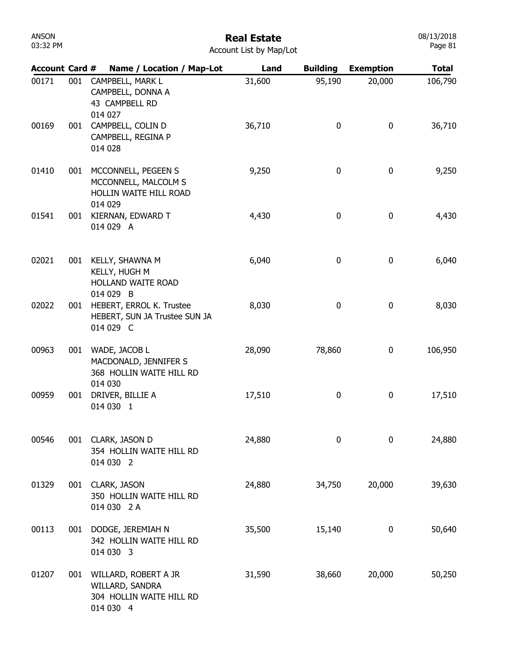## Real Estate

| Account List by Map/Lot |  |  |  |
|-------------------------|--|--|--|
|-------------------------|--|--|--|

| <b>Account Card #</b> |     | Name / Location / Map-Lot                                                           | Land   | <b>Building</b> | <b>Exemption</b> | <b>Total</b> |
|-----------------------|-----|-------------------------------------------------------------------------------------|--------|-----------------|------------------|--------------|
| 00171                 | 001 | CAMPBELL, MARK L<br>CAMPBELL, DONNA A<br>43 CAMPBELL RD<br>014 027                  | 31,600 | 95,190          | 20,000           | 106,790      |
| 00169                 | 001 | CAMPBELL, COLIN D<br>CAMPBELL, REGINA P<br>014 028                                  | 36,710 | 0               | 0                | 36,710       |
| 01410                 | 001 | MCCONNELL, PEGEEN S<br>MCCONNELL, MALCOLM S<br>HOLLIN WAITE HILL ROAD<br>014 029    | 9,250  | 0               | 0                | 9,250        |
| 01541                 | 001 | KIERNAN, EDWARD T<br>014 029 A                                                      | 4,430  | 0               | 0                | 4,430        |
| 02021                 | 001 | KELLY, SHAWNA M<br>KELLY, HUGH M<br>HOLLAND WAITE ROAD                              | 6,040  | 0               | 0                | 6,040        |
| 02022                 | 001 | 014 029 B<br>HEBERT, ERROL K. Trustee<br>HEBERT, SUN JA Trustee SUN JA<br>014 029 C | 8,030  | 0               | 0                | 8,030        |
| 00963                 | 001 | WADE, JACOB L<br>MACDONALD, JENNIFER S<br>368 HOLLIN WAITE HILL RD                  | 28,090 | 78,860          | 0                | 106,950      |
| 00959                 | 001 | 014 030<br>DRIVER, BILLIE A<br>014 030 1                                            | 17,510 | 0               | 0                | 17,510       |
| 00546                 | 001 | CLARK, JASON D<br>354 HOLLIN WAITE HILL RD<br>014 030 2                             | 24,880 | 0               | 0                | 24,880       |
| 01329                 | 001 | CLARK, JASON<br>350 HOLLIN WAITE HILL RD<br>014 030 2 A                             | 24,880 | 34,750          | 20,000           | 39,630       |
| 00113                 | 001 | DODGE, JEREMIAH N<br>342 HOLLIN WAITE HILL RD<br>014 030 3                          | 35,500 | 15,140          | 0                | 50,640       |
| 01207                 | 001 | WILLARD, ROBERT A JR<br>WILLARD, SANDRA<br>304 HOLLIN WAITE HILL RD<br>014 030 4    | 31,590 | 38,660          | 20,000           | 50,250       |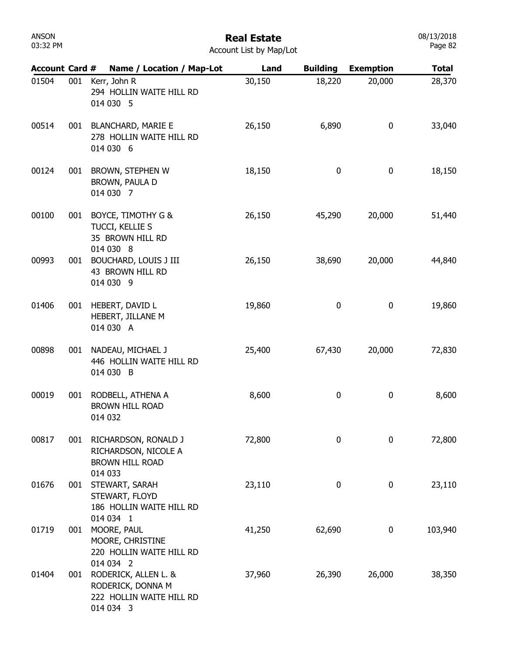| <b>ANSON</b> |  |
|--------------|--|
| 03:32 PM     |  |

08/13/2018 Page 82

| <b>Account Card #</b> |     | Name / Location / Map-Lot                                                          | Land   | <b>Building</b> | <b>Exemption</b> | <b>Total</b> |
|-----------------------|-----|------------------------------------------------------------------------------------|--------|-----------------|------------------|--------------|
| 01504                 | 001 | Kerr, John R<br>294 HOLLIN WAITE HILL RD<br>014 030 5                              | 30,150 | 18,220          | 20,000           | 28,370       |
| 00514                 | 001 | <b>BLANCHARD, MARIE E</b><br>278 HOLLIN WAITE HILL RD<br>014 030 6                 | 26,150 | 6,890           | $\boldsymbol{0}$ | 33,040       |
| 00124                 | 001 | BROWN, STEPHEN W<br>BROWN, PAULA D<br>014 030 7                                    | 18,150 | 0               | $\mathbf 0$      | 18,150       |
| 00100                 | 001 | BOYCE, TIMOTHY G &<br>TUCCI, KELLIE S<br>35 BROWN HILL RD<br>014 030 8             | 26,150 | 45,290          | 20,000           | 51,440       |
| 00993                 | 001 | <b>BOUCHARD, LOUIS J III</b><br>43 BROWN HILL RD<br>014 030 9                      | 26,150 | 38,690          | 20,000           | 44,840       |
| 01406                 | 001 | HEBERT, DAVID L<br>HEBERT, JILLANE M<br>014 030 A                                  | 19,860 | 0               | $\mathbf 0$      | 19,860       |
| 00898                 | 001 | NADEAU, MICHAEL J<br>446 HOLLIN WAITE HILL RD<br>014 030 B                         | 25,400 | 67,430          | 20,000           | 72,830       |
| 00019                 | 001 | RODBELL, ATHENA A<br><b>BROWN HILL ROAD</b><br>014 032                             | 8,600  | 0               | 0                | 8,600        |
| 00817                 | 001 | RICHARDSON, RONALD J<br>RICHARDSON, NICOLE A<br><b>BROWN HILL ROAD</b><br>014 033  | 72,800 | 0               | $\mathbf 0$      | 72,800       |
| 01676                 | 001 | STEWART, SARAH<br>STEWART, FLOYD<br>186 HOLLIN WAITE HILL RD<br>014 034 1          | 23,110 | 0               | 0                | 23,110       |
| 01719                 | 001 | MOORE, PAUL<br>MOORE, CHRISTINE<br>220 HOLLIN WAITE HILL RD<br>014 034 2           | 41,250 | 62,690          | 0                | 103,940      |
| 01404                 | 001 | RODERICK, ALLEN L. &<br>RODERICK, DONNA M<br>222 HOLLIN WAITE HILL RD<br>014 034 3 | 37,960 | 26,390          | 26,000           | 38,350       |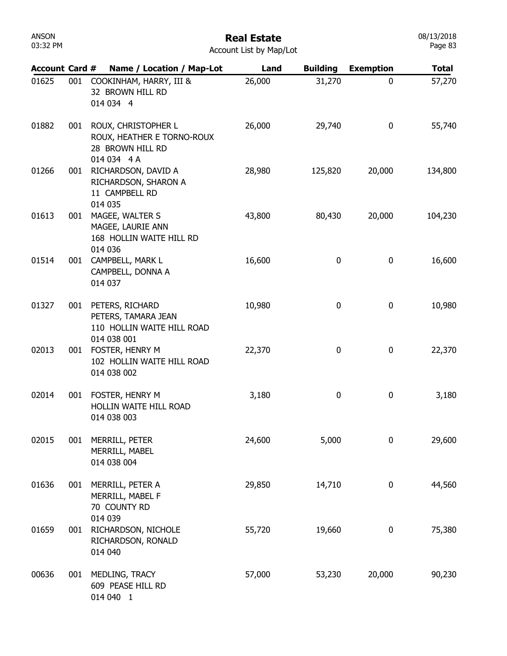| <b>UUCU</b><br>03:32 PM |     |                                                                                      | Kedi Estate<br>Account List by Map/Lot |                 |                  | 007 IU LUIU<br>Page 83 |
|-------------------------|-----|--------------------------------------------------------------------------------------|----------------------------------------|-----------------|------------------|------------------------|
| <b>Account Card #</b>   |     | Name / Location / Map-Lot                                                            | Land                                   | <b>Building</b> | <b>Exemption</b> | <b>Total</b>           |
| 01625                   | 001 | COOKINHAM, HARRY, III &<br>32 BROWN HILL RD<br>014 034 4                             | 26,000                                 | 31,270          | 0                | 57,270                 |
| 01882                   | 001 | ROUX, CHRISTOPHER L<br>ROUX, HEATHER E TORNO-ROUX<br>28 BROWN HILL RD<br>014 034 4 A | 26,000                                 | 29,740          | 0                | 55,740                 |
| 01266                   | 001 | RICHARDSON, DAVID A<br>RICHARDSON, SHARON A<br>11 CAMPBELL RD<br>014 035             | 28,980                                 | 125,820         | 20,000           | 134,800                |
| 01613                   | 001 | MAGEE, WALTER S<br>MAGEE, LAURIE ANN<br>168 HOLLIN WAITE HILL RD<br>014 036          | 43,800                                 | 80,430          | 20,000           | 104,230                |
| 01514                   | 001 | CAMPBELL, MARK L<br>CAMPBELL, DONNA A<br>014 037                                     | 16,600                                 | 0               | 0                | 16,600                 |
| 01327                   | 001 | PETERS, RICHARD<br>PETERS, TAMARA JEAN<br>110 HOLLIN WAITE HILL ROAD<br>014 038 001  | 10,980                                 | 0               | 0                | 10,980                 |
| 02013                   | 001 | FOSTER, HENRY M<br>102 HOLLIN WAITE HILL ROAD<br>014 038 002                         | 22,370                                 | 0               | 0                | 22,370                 |
| 02014                   | 001 | FOSTER, HENRY M<br>HOLLIN WAITE HILL ROAD<br>014 038 003                             | 3,180                                  | 0               | 0                | 3,180                  |
| 02015                   | 001 | MERRILL, PETER<br>MERRILL, MABEL<br>014 038 004                                      | 24,600                                 | 5,000           | 0                | 29,600                 |
| 01636                   | 001 | MERRILL, PETER A<br>MERRILL, MABEL F<br>70 COUNTY RD<br>014 039                      | 29,850                                 | 14,710          | 0                | 44,560                 |
| 01659                   | 001 | RICHARDSON, NICHOLE<br>RICHARDSON, RONALD<br>014 040                                 | 55,720                                 | 19,660          | 0                | 75,380                 |
| 00636                   | 001 | MEDLING, TRACY<br>609 PEASE HILL RD<br>014 040 1                                     | 57,000                                 | 53,230          | 20,000           | 90,230                 |

ANSON

## Real Estate

08/13/2018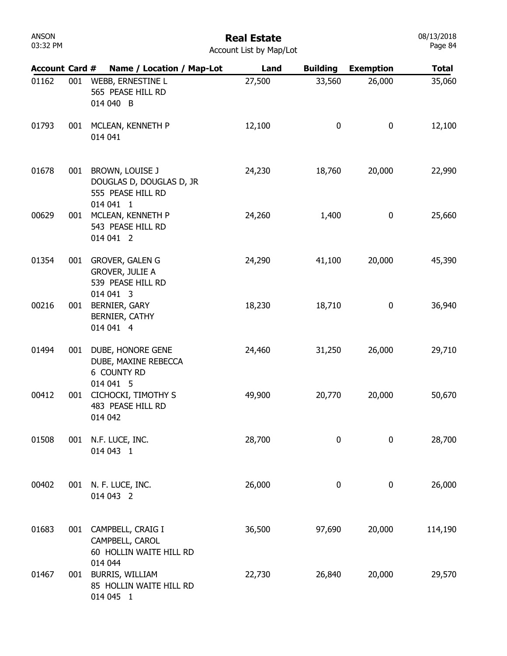## Real Estate

| <b>Account List by Map/Lot</b> |  |  |  |  |
|--------------------------------|--|--|--|--|
|--------------------------------|--|--|--|--|

| <b>Account Card #</b> |     | Name / Location / Map-Lot                                                          | Land   | <b>Building</b> | <b>Exemption</b> | <b>Total</b> |
|-----------------------|-----|------------------------------------------------------------------------------------|--------|-----------------|------------------|--------------|
| 01162                 | 001 | WEBB, ERNESTINE L<br>565 PEASE HILL RD<br>014 040 B                                | 27,500 | 33,560          | 26,000           | 35,060       |
| 01793                 | 001 | MCLEAN, KENNETH P<br>014 041                                                       | 12,100 | 0               | 0                | 12,100       |
| 01678                 | 001 | BROWN, LOUISE J<br>DOUGLAS D, DOUGLAS D, JR<br>555 PEASE HILL RD<br>014 041 1      | 24,230 | 18,760          | 20,000           | 22,990       |
| 00629                 | 001 | MCLEAN, KENNETH P<br>543 PEASE HILL RD<br>014 041 2                                | 24,260 | 1,400           | 0                | 25,660       |
| 01354                 | 001 | <b>GROVER, GALEN G</b><br><b>GROVER, JULIE A</b><br>539 PEASE HILL RD<br>014 041 3 | 24,290 | 41,100          | 20,000           | 45,390       |
| 00216                 | 001 | <b>BERNIER, GARY</b><br>BERNIER, CATHY<br>014 041 4                                | 18,230 | 18,710          | 0                | 36,940       |
| 01494                 | 001 | DUBE, HONORE GENE<br>DUBE, MAXINE REBECCA<br>6 COUNTY RD<br>014 041 5              | 24,460 | 31,250          | 26,000           | 29,710       |
| 00412                 | 001 | CICHOCKI, TIMOTHY S<br>483 PEASE HILL RD<br>014 042                                | 49,900 | 20,770          | 20,000           | 50,670       |
| 01508                 | 001 | N.F. LUCE, INC.<br>014 043 1                                                       | 28,700 | 0               | 0                | 28,700       |
| 00402                 | 001 | N. F. LUCE, INC.<br>014 043 2                                                      | 26,000 | 0               | 0                | 26,000       |
| 01683                 | 001 | CAMPBELL, CRAIG I<br>CAMPBELL, CAROL<br>60 HOLLIN WAITE HILL RD<br>014 044         | 36,500 | 97,690          | 20,000           | 114,190      |
| 01467                 | 001 | BURRIS, WILLIAM<br>85 HOLLIN WAITE HILL RD<br>014 045 1                            | 22,730 | 26,840          | 20,000           | 29,570       |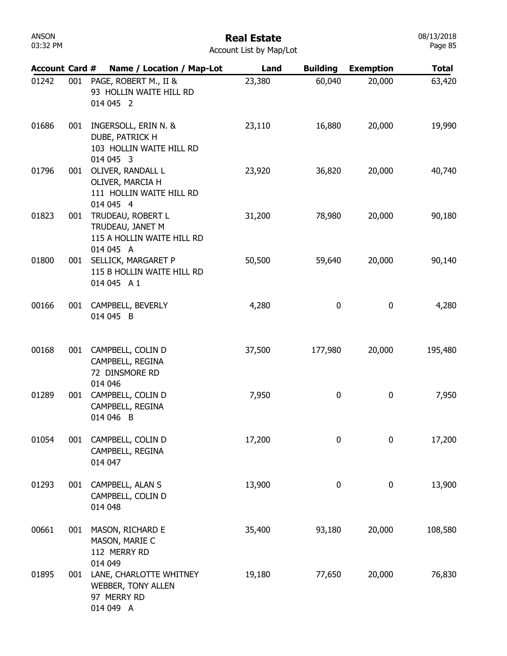| <b>ANSON</b><br>03:32 PM |     |                                                                                  | <b>Real Estate</b><br>Account List by Map/Lot |                 |                  | 08/13/2018<br>Page 85 |
|--------------------------|-----|----------------------------------------------------------------------------------|-----------------------------------------------|-----------------|------------------|-----------------------|
| <b>Account Card #</b>    |     | Name / Location / Map-Lot                                                        | Land                                          | <b>Building</b> | <b>Exemption</b> | <b>Total</b>          |
| 01242                    | 001 | PAGE, ROBERT M., II &<br>93 HOLLIN WAITE HILL RD<br>014 045 2                    | 23,380                                        | 60,040          | 20,000           | 63,420                |
| 01686                    | 001 | INGERSOLL, ERIN N. &<br>DUBE, PATRICK H<br>103 HOLLIN WAITE HILL RD<br>014 045 3 | 23,110                                        | 16,880          | 20,000           | 19,990                |
| 01796                    | 001 | OLIVER, RANDALL L<br>OLIVER, MARCIA H<br>111 HOLLIN WAITE HILL RD<br>014 045 4   | 23,920                                        | 36,820          | 20,000           | 40,740                |
| 01823                    | 001 | TRUDEAU, ROBERT L<br>TRUDEAU, JANET M<br>115 A HOLLIN WAITE HILL RD<br>014 045 A | 31,200                                        | 78,980          | 20,000           | 90,180                |
| 01800                    | 001 | SELLICK, MARGARET P<br>115 B HOLLIN WAITE HILL RD<br>014 045 A 1                 | 50,500                                        | 59,640          | 20,000           | 90,140                |
| 00166                    | 001 | CAMPBELL, BEVERLY<br>014 045 B                                                   | 4,280                                         | $\bf{0}$        | 0                | 4,280                 |
| 00168                    | 001 | CAMPBELL, COLIN D<br>CAMPBELL, REGINA<br>72 DINSMORE RD<br>014 046               | 37,500                                        | 177,980         | 20,000           | 195,480               |
| 01289                    | 001 | CAMPBELL, COLIN D<br>CAMPBELL, REGINA<br>014 046 B                               | 7,950                                         | 0               | 0                | 7,950                 |
| 01054                    | 001 | CAMPBELL, COLIN D<br>CAMPBELL, REGINA<br>014 047                                 | 17,200                                        | $\bf{0}$        | 0                | 17,200                |
| 01293                    | 001 | CAMPBELL, ALAN S<br>CAMPBELL, COLIN D<br>014 048                                 | 13,900                                        | 0               | 0                | 13,900                |
| 00661                    | 001 | MASON, RICHARD E<br>MASON, MARIE C<br>112 MERRY RD<br>014 049                    | 35,400                                        | 93,180          | 20,000           | 108,580               |
| 01895                    | 001 | LANE, CHARLOTTE WHITNEY<br><b>WEBBER, TONY ALLEN</b><br>97 MERRY RD<br>014 049 A | 19,180                                        | 77,650          | 20,000           | 76,830                |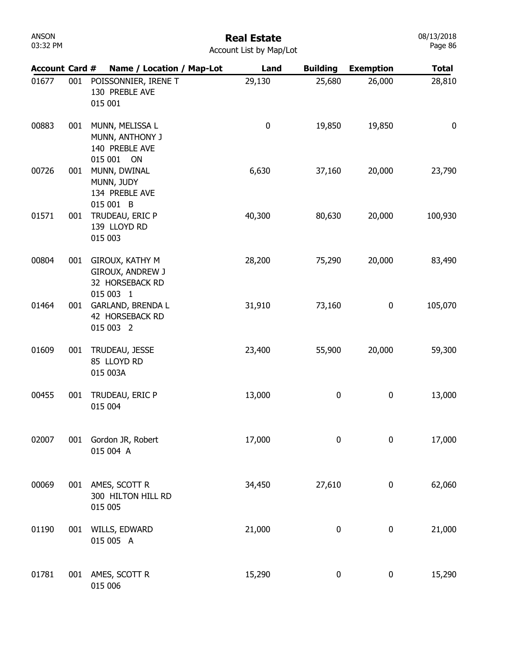| ANSON    |  |
|----------|--|
| 03:32 PM |  |

| <b>Account Card #</b> |     | Name / Location / Map-Lot                                             | Land      | <b>Building</b> | <b>Exemption</b> | <b>Total</b> |
|-----------------------|-----|-----------------------------------------------------------------------|-----------|-----------------|------------------|--------------|
| 01677                 | 001 | POISSONNIER, IRENE T<br>130 PREBLE AVE<br>015 001                     | 29,130    | 25,680          | 26,000           | 28,810       |
| 00883                 | 001 | MUNN, MELISSA L<br>MUNN, ANTHONY J<br>140 PREBLE AVE                  | $\pmb{0}$ | 19,850          | 19,850           | 0            |
| 00726                 | 001 | 015 001 ON<br>MUNN, DWINAL<br>MUNN, JUDY<br>134 PREBLE AVE            | 6,630     | 37,160          | 20,000           | 23,790       |
| 01571                 | 001 | 015 001 B<br>TRUDEAU, ERIC P<br>139 LLOYD RD<br>015 003               | 40,300    | 80,630          | 20,000           | 100,930      |
| 00804                 | 001 | GIROUX, KATHY M<br>GIROUX, ANDREW J<br>32 HORSEBACK RD                | 28,200    | 75,290          | 20,000           | 83,490       |
| 01464                 | 001 | 015 003 1<br><b>GARLAND, BRENDA L</b><br>42 HORSEBACK RD<br>015 003 2 | 31,910    | 73,160          | 0                | 105,070      |
| 01609                 | 001 | TRUDEAU, JESSE<br>85 LLOYD RD<br>015 003A                             | 23,400    | 55,900          | 20,000           | 59,300       |
| 00455                 | 001 | TRUDEAU, ERIC P<br>015 004                                            | 13,000    | 0               | 0                | 13,000       |
| 02007                 | 001 | Gordon JR, Robert<br>015 004 A                                        | 17,000    | 0               | $\pmb{0}$        | 17,000       |
| 00069                 | 001 | AMES, SCOTT R<br>300 HILTON HILL RD<br>015 005                        | 34,450    | 27,610          | 0                | 62,060       |
| 01190                 | 001 | WILLS, EDWARD<br>015 005 A                                            | 21,000    | 0               | 0                | 21,000       |
| 01781                 | 001 | AMES, SCOTT R<br>015 006                                              | 15,290    | $\pmb{0}$       | 0                | 15,290       |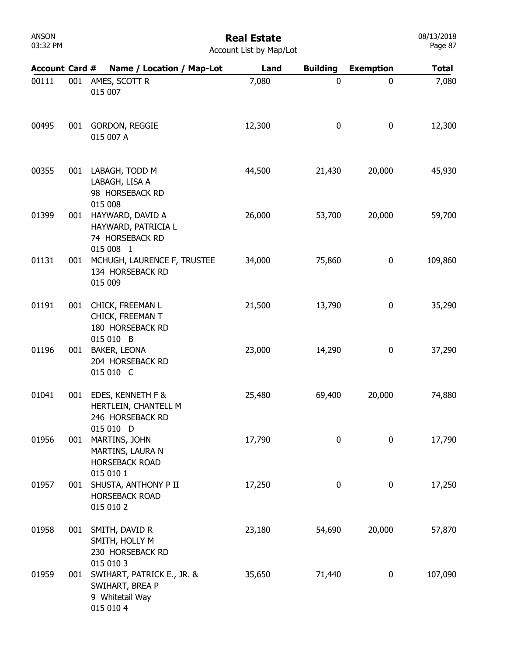## Real Estate

08/13/2018 Page 87

| <b>Account Card #</b> |     | Name / Location / Map-Lot                                                     | Land   | <b>Building</b>  | <b>Exemption</b> | <b>Total</b> |
|-----------------------|-----|-------------------------------------------------------------------------------|--------|------------------|------------------|--------------|
| 00111                 | 001 | AMES, SCOTT R<br>015 007                                                      | 7,080  | $\mathbf 0$      | 0                | 7,080        |
| 00495                 | 001 | GORDON, REGGIE<br>015 007 A                                                   | 12,300 | 0                | 0                | 12,300       |
| 00355                 | 001 | LABAGH, TODD M<br>LABAGH, LISA A<br>98 HORSEBACK RD<br>015 008                | 44,500 | 21,430           | 20,000           | 45,930       |
| 01399                 | 001 | HAYWARD, DAVID A<br>HAYWARD, PATRICIA L<br>74 HORSEBACK RD<br>015 008 1       | 26,000 | 53,700           | 20,000           | 59,700       |
| 01131                 | 001 | MCHUGH, LAURENCE F, TRUSTEE<br>134 HORSEBACK RD<br>015 009                    | 34,000 | 75,860           | 0                | 109,860      |
| 01191                 | 001 | CHICK, FREEMAN L<br>CHICK, FREEMAN T<br>180 HORSEBACK RD<br>015 010 B         | 21,500 | 13,790           | 0                | 35,290       |
| 01196                 | 001 | <b>BAKER, LEONA</b><br>204 HORSEBACK RD<br>015 010 C                          | 23,000 | 14,290           | 0                | 37,290       |
| 01041                 | 001 | EDES, KENNETH F &<br>HERTLEIN, CHANTELL M<br>246 HORSEBACK RD<br>015 010 D    | 25,480 | 69,400           | 20,000           | 74,880       |
| 01956                 | 001 | MARTINS, JOHN<br>MARTINS, LAURA N<br><b>HORSEBACK ROAD</b><br>015 010 1       | 17,790 | 0                | 0                | 17,790       |
| 01957                 | 001 | SHUSTA, ANTHONY P II<br><b>HORSEBACK ROAD</b><br>015 010 2                    | 17,250 | $\boldsymbol{0}$ | 0                | 17,250       |
| 01958                 | 001 | SMITH, DAVID R<br>SMITH, HOLLY M<br>230 HORSEBACK RD<br>015 010 3             | 23,180 | 54,690           | 20,000           | 57,870       |
| 01959                 | 001 | SWIHART, PATRICK E., JR. &<br>SWIHART, BREA P<br>9 Whitetail Way<br>015 010 4 | 35,650 | 71,440           | 0                | 107,090      |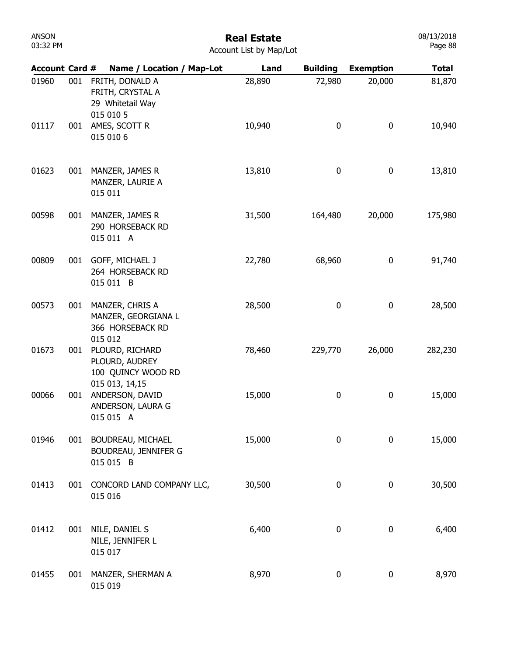## Real Estate

| <b>Account List by Map/Lot</b> |  |  |  |  |
|--------------------------------|--|--|--|--|
|--------------------------------|--|--|--|--|

| <b>Account Card #</b> |     | Name / Location / Map-Lot                                                  | Land   | <b>Building</b> | <b>Exemption</b> | <b>Total</b> |
|-----------------------|-----|----------------------------------------------------------------------------|--------|-----------------|------------------|--------------|
| 01960                 | 001 | FRITH, DONALD A<br>FRITH, CRYSTAL A<br>29 Whitetail Way<br>015 010 5       | 28,890 | 72,980          | 20,000           | 81,870       |
| 01117                 | 001 | AMES, SCOTT R<br>015 010 6                                                 | 10,940 | 0               | 0                | 10,940       |
| 01623                 | 001 | MANZER, JAMES R<br>MANZER, LAURIE A<br>015 011                             | 13,810 | 0               | 0                | 13,810       |
| 00598                 | 001 | MANZER, JAMES R<br>290 HORSEBACK RD<br>015 011 A                           | 31,500 | 164,480         | 20,000           | 175,980      |
| 00809                 | 001 | GOFF, MICHAEL J<br>264 HORSEBACK RD<br>015 011 B                           | 22,780 | 68,960          | 0                | 91,740       |
| 00573                 | 001 | MANZER, CHRIS A<br>MANZER, GEORGIANA L<br>366 HORSEBACK RD<br>015 012      | 28,500 | 0               | 0                | 28,500       |
| 01673                 | 001 | PLOURD, RICHARD<br>PLOURD, AUDREY<br>100 QUINCY WOOD RD<br>015 013, 14, 15 | 78,460 | 229,770         | 26,000           | 282,230      |
| 00066                 | 001 | ANDERSON, DAVID<br>ANDERSON, LAURA G<br>015 015 A                          | 15,000 | 0               | 0                | 15,000       |
| 01946                 | 001 | BOUDREAU, MICHAEL<br><b>BOUDREAU, JENNIFER G</b><br>015 015 B              | 15,000 | 0               | 0                | 15,000       |
| 01413                 | 001 | CONCORD LAND COMPANY LLC,<br>015 016                                       | 30,500 | 0               | 0                | 30,500       |
| 01412                 | 001 | NILE, DANIEL S<br>NILE, JENNIFER L<br>015 017                              | 6,400  | 0               | 0                | 6,400        |
| 01455                 | 001 | MANZER, SHERMAN A<br>015 019                                               | 8,970  | 0               | 0                | 8,970        |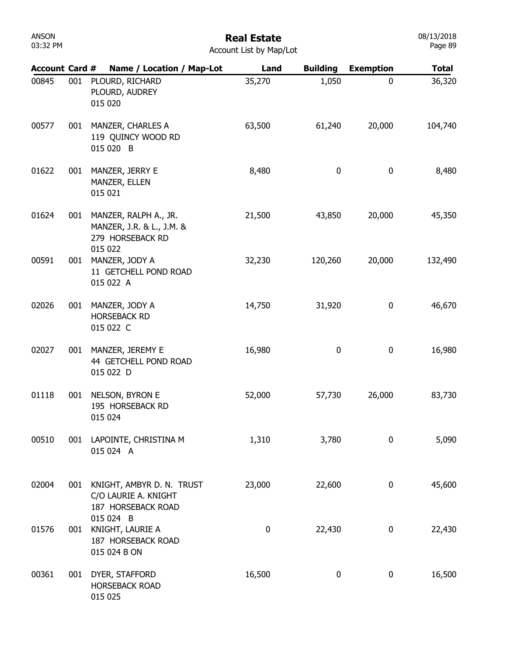#### Real Estate Account List by Map/Lot

| <b>Account Card #</b> |     | Name / Location / Map-Lot                                               | Land   | <b>Building</b> | <b>Exemption</b> | <b>Total</b> |
|-----------------------|-----|-------------------------------------------------------------------------|--------|-----------------|------------------|--------------|
| 00845                 | 001 | PLOURD, RICHARD<br>PLOURD, AUDREY<br>015 020                            | 35,270 | 1,050           | 0                | 36,320       |
| 00577                 | 001 | MANZER, CHARLES A<br>119 QUINCY WOOD RD<br>015 020 B                    | 63,500 | 61,240          | 20,000           | 104,740      |
| 01622                 | 001 | MANZER, JERRY E<br>MANZER, ELLEN<br>015 021                             | 8,480  | $\bf{0}$        | $\mathbf 0$      | 8,480        |
| 01624                 | 001 | MANZER, RALPH A., JR.<br>MANZER, J.R. & L., J.M. &<br>279 HORSEBACK RD  | 21,500 | 43,850          | 20,000           | 45,350       |
| 00591                 | 001 | 015 022<br>MANZER, JODY A<br>11 GETCHELL POND ROAD<br>015 022 A         | 32,230 | 120,260         | 20,000           | 132,490      |
| 02026                 | 001 | MANZER, JODY A<br><b>HORSEBACK RD</b><br>015 022 C                      | 14,750 | 31,920          | $\bf{0}$         | 46,670       |
| 02027                 | 001 | MANZER, JEREMY E<br>44 GETCHELL POND ROAD<br>015 022 D                  | 16,980 | 0               | $\pmb{0}$        | 16,980       |
| 01118                 | 001 | NELSON, BYRON E<br>195 HORSEBACK RD<br>015 024                          | 52,000 | 57,730          | 26,000           | 83,730       |
| 00510                 | 001 | LAPOINTE, CHRISTINA M<br>015 024 A                                      | 1,310  | 3,780           | 0                | 5,090        |
| 02004                 | 001 | KNIGHT, AMBYR D. N. TRUST<br>C/O LAURIE A. KNIGHT<br>187 HORSEBACK ROAD | 23,000 | 22,600          | 0                | 45,600       |
| 01576                 | 001 | 015 024 B<br>KNIGHT, LAURIE A<br>187 HORSEBACK ROAD<br>015 024 B ON     | 0      | 22,430          | $\pmb{0}$        | 22,430       |
| 00361                 | 001 | DYER, STAFFORD<br><b>HORSEBACK ROAD</b><br>015 025                      | 16,500 | 0               | $\pmb{0}$        | 16,500       |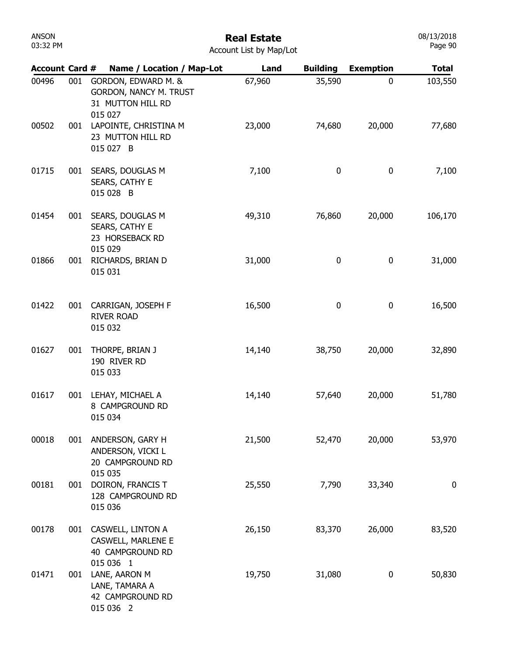| 03:32 PM              |     |                                                                                 | Account List by Map/Lot |                 |                  | Page 90      |
|-----------------------|-----|---------------------------------------------------------------------------------|-------------------------|-----------------|------------------|--------------|
| <b>Account Card #</b> |     | Name / Location / Map-Lot                                                       | Land                    | <b>Building</b> | <b>Exemption</b> | <b>Total</b> |
| 00496                 | 001 | GORDON, EDWARD M. &<br>GORDON, NANCY M. TRUST<br>31 MUTTON HILL RD<br>015 027   | 67,960                  | 35,590          | 0                | 103,550      |
| 00502                 | 001 | LAPOINTE, CHRISTINA M<br>23 MUTTON HILL RD<br>015 027 B                         | 23,000                  | 74,680          | 20,000           | 77,680       |
| 01715                 | 001 | SEARS, DOUGLAS M<br>SEARS, CATHY E<br>015 028 B                                 | 7,100                   | 0               | 0                | 7,100        |
| 01454                 | 001 | SEARS, DOUGLAS M<br>SEARS, CATHY E<br>23 HORSEBACK RD<br>015 029                | 49,310                  | 76,860          | 20,000           | 106,170      |
| 01866                 | 001 | RICHARDS, BRIAN D<br>015 031                                                    | 31,000                  | 0               | $\pmb{0}$        | 31,000       |
| 01422                 | 001 | CARRIGAN, JOSEPH F<br><b>RIVER ROAD</b><br>015 032                              | 16,500                  | 0               | $\pmb{0}$        | 16,500       |
| 01627                 | 001 | THORPE, BRIAN J<br>190 RIVER RD<br>015 033                                      | 14,140                  | 38,750          | 20,000           | 32,890       |
| 01617                 | 001 | LEHAY, MICHAEL A<br>8 CAMPGROUND RD<br>015 034                                  | 14,140                  | 57,640          | 20,000           | 51,780       |
| 00018                 | 001 | ANDERSON, GARY H<br>ANDERSON, VICKI L<br>20 CAMPGROUND RD<br>015 035            | 21,500                  | 52,470          | 20,000           | 53,970       |
| 00181                 | 001 | DOIRON, FRANCIS T<br>128 CAMPGROUND RD<br>015 036                               | 25,550                  | 7,790           | 33,340           | $\bf{0}$     |
| 00178                 | 001 | CASWELL, LINTON A<br><b>CASWELL, MARLENE E</b><br>40 CAMPGROUND RD<br>015 036 1 | 26,150                  | 83,370          | 26,000           | 83,520       |
| 01471                 | 001 | LANE, AARON M<br>LANE, TAMARA A<br>42 CAMPGROUND RD<br>015 036 2                | 19,750                  | 31,080          | 0                | 50,830       |

08/13/2018

ANSON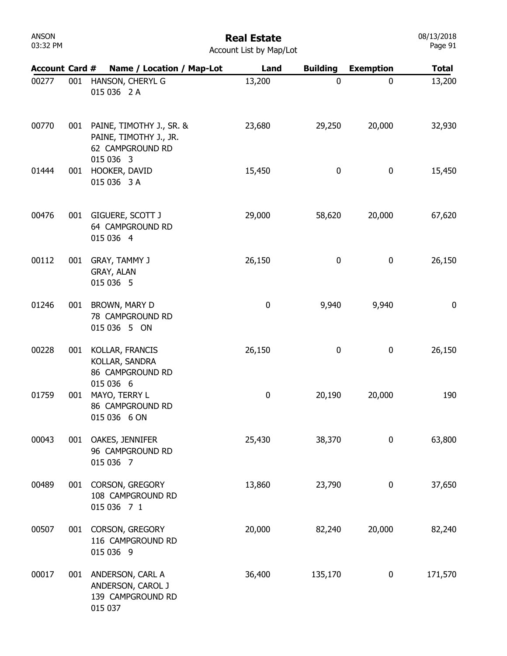| ANSON    |  |
|----------|--|
| 03:32 PM |  |

#### Real Estate Account List by Map/Lot

| <b>Account Card #</b> |     | Name / Location / Map-Lot                                                           | Land      | <b>Building</b> | <b>Exemption</b> | <b>Total</b> |
|-----------------------|-----|-------------------------------------------------------------------------------------|-----------|-----------------|------------------|--------------|
| 00277                 | 001 | HANSON, CHERYL G<br>015 036 2 A                                                     | 13,200    | 0               | $\mathbf 0$      | 13,200       |
| 00770                 | 001 | PAINE, TIMOTHY J., SR. &<br>PAINE, TIMOTHY J., JR.<br>62 CAMPGROUND RD<br>015 036 3 | 23,680    | 29,250          | 20,000           | 32,930       |
| 01444                 | 001 | HOOKER, DAVID<br>015 036 3 A                                                        | 15,450    | 0               | $\pmb{0}$        | 15,450       |
| 00476                 | 001 | GIGUERE, SCOTT J<br>64 CAMPGROUND RD<br>015 036 4                                   | 29,000    | 58,620          | 20,000           | 67,620       |
| 00112                 | 001 | GRAY, TAMMY J<br>GRAY, ALAN<br>015 036 5                                            | 26,150    | 0               | $\pmb{0}$        | 26,150       |
| 01246                 | 001 | BROWN, MARY D<br>78 CAMPGROUND RD<br>015 036 5 ON                                   | $\pmb{0}$ | 9,940           | 9,940            | 0            |
| 00228                 | 001 | KOLLAR, FRANCIS<br>KOLLAR, SANDRA<br>86 CAMPGROUND RD                               | 26,150    | 0               | $\pmb{0}$        | 26,150       |
| 01759                 | 001 | 015 036 6<br>MAYO, TERRY L<br>86 CAMPGROUND RD<br>015 036 6 ON                      | $\pmb{0}$ | 20,190          | 20,000           | 190          |
| 00043                 | 001 | OAKES, JENNIFER<br>96 CAMPGROUND RD<br>015 036 7                                    | 25,430    | 38,370          | 0                | 63,800       |
| 00489                 | 001 | CORSON, GREGORY<br>108 CAMPGROUND RD<br>015 036 7 1                                 | 13,860    | 23,790          | $\boldsymbol{0}$ | 37,650       |
| 00507                 | 001 | CORSON, GREGORY<br>116 CAMPGROUND RD<br>015 036 9                                   | 20,000    | 82,240          | 20,000           | 82,240       |
| 00017                 |     | 001 ANDERSON, CARL A<br>ANDERSON, CAROL J<br>139 CAMPGROUND RD<br>015 037           | 36,400    | 135,170         | $\mathbf 0$      | 171,570      |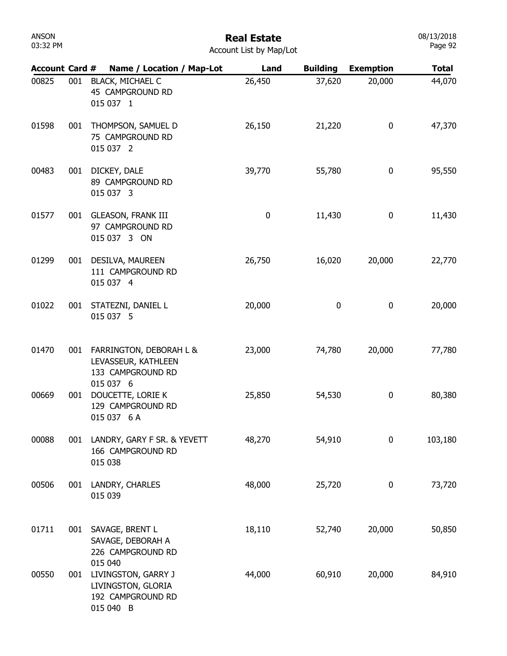| ANSON    |  |
|----------|--|
| 03:32 PM |  |

#### Real Estate Account List by Map/Lot

| <b>Account Card #</b> |     | Name / Location / Map-Lot                                                              | Land        | <b>Building</b> | <b>Exemption</b> | <b>Total</b> |
|-----------------------|-----|----------------------------------------------------------------------------------------|-------------|-----------------|------------------|--------------|
| 00825                 | 001 | <b>BLACK, MICHAEL C</b><br>45 CAMPGROUND RD<br>015 037 1                               | 26,450      | 37,620          | 20,000           | 44,070       |
| 01598                 | 001 | THOMPSON, SAMUEL D<br>75 CAMPGROUND RD<br>015 037 2                                    | 26,150      | 21,220          | 0                | 47,370       |
| 00483                 | 001 | DICKEY, DALE<br>89 CAMPGROUND RD<br>015 037 3                                          | 39,770      | 55,780          | 0                | 95,550       |
| 01577                 | 001 | <b>GLEASON, FRANK III</b><br>97 CAMPGROUND RD<br>015 037 3 ON                          | $\mathbf 0$ | 11,430          | $\mathbf 0$      | 11,430       |
| 01299                 | 001 | DESILVA, MAUREEN<br>111 CAMPGROUND RD<br>015 037 4                                     | 26,750      | 16,020          | 20,000           | 22,770       |
| 01022                 | 001 | STATEZNI, DANIEL L<br>015 037 5                                                        | 20,000      | 0               | $\mathbf 0$      | 20,000       |
| 01470                 | 001 | FARRINGTON, DEBORAH L &<br>LEVASSEUR, KATHLEEN<br>133 CAMPGROUND RD                    | 23,000      | 74,780          | 20,000           | 77,780       |
| 00669                 | 001 | 015 037 6<br>DOUCETTE, LORIE K<br>129 CAMPGROUND RD<br>015 037 6 A                     | 25,850      | 54,530          | 0                | 80,380       |
| 00088                 | 001 | LANDRY, GARY F SR. & YEVETT<br>166 CAMPGROUND RD<br>015 038                            | 48,270      | 54,910          | 0                | 103,180      |
| 00506                 | 001 | LANDRY, CHARLES<br>015 039                                                             | 48,000      | 25,720          | 0                | 73,720       |
| 01711                 | 001 | SAVAGE, BRENT L<br>SAVAGE, DEBORAH A<br>226 CAMPGROUND RD                              | 18,110      | 52,740          | 20,000           | 50,850       |
| 00550                 | 001 | 015 040<br>LIVINGSTON, GARRY J<br>LIVINGSTON, GLORIA<br>192 CAMPGROUND RD<br>015 040 B | 44,000      | 60,910          | 20,000           | 84,910       |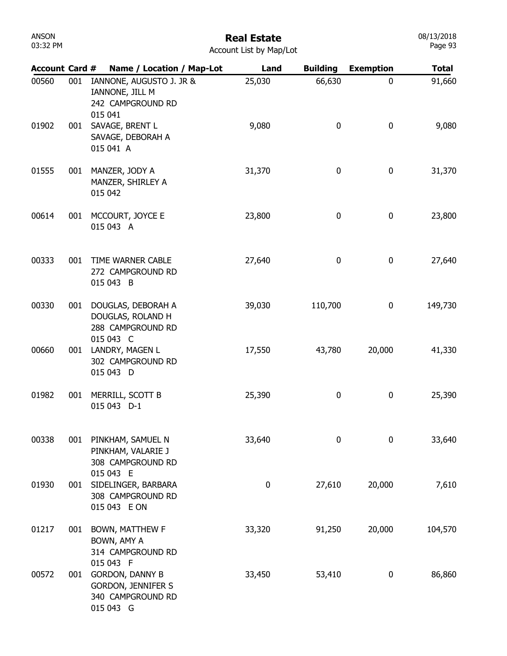| ANSON    |  |
|----------|--|
| 03:32 PM |  |

|  | <b>Account List by Map/Lot</b> |  |  |  |  |
|--|--------------------------------|--|--|--|--|
|--|--------------------------------|--|--|--|--|

| <b>Account Card #</b> |     | Name / Location / Map-Lot                                                                          | Land     | <b>Building</b> | <b>Exemption</b> | <b>Total</b> |
|-----------------------|-----|----------------------------------------------------------------------------------------------------|----------|-----------------|------------------|--------------|
| 00560                 | 001 | IANNONE, AUGUSTO J. JR &<br>IANNONE, JILL M<br>242 CAMPGROUND RD<br>015 041                        | 25,030   | 66,630          | 0                | 91,660       |
| 01902                 | 001 | SAVAGE, BRENT L<br>SAVAGE, DEBORAH A<br>015 041 A                                                  | 9,080    | 0               | 0                | 9,080        |
| 01555                 | 001 | MANZER, JODY A<br>MANZER, SHIRLEY A<br>015 042                                                     | 31,370   | 0               | 0                | 31,370       |
| 00614                 | 001 | MCCOURT, JOYCE E<br>015 043 A                                                                      | 23,800   | 0               | 0                | 23,800       |
| 00333                 | 001 | TIME WARNER CABLE<br>272 CAMPGROUND RD<br>015 043 B                                                | 27,640   | 0               | 0                | 27,640       |
| 00330                 | 001 | DOUGLAS, DEBORAH A<br>DOUGLAS, ROLAND H<br>288 CAMPGROUND RD                                       | 39,030   | 110,700         | 0                | 149,730      |
| 00660                 | 001 | 015 043 C<br>LANDRY, MAGEN L<br>302 CAMPGROUND RD<br>015 043 D                                     | 17,550   | 43,780          | 20,000           | 41,330       |
| 01982                 | 001 | MERRILL, SCOTT B<br>015 043 D-1                                                                    | 25,390   | 0               | 0                | 25,390       |
| 00338                 | 001 | PINKHAM, SAMUEL N<br>PINKHAM, VALARIE J<br>308 CAMPGROUND RD                                       | 33,640   | $\bf{0}$        | 0                | 33,640       |
| 01930                 | 001 | 015 043 E<br>SIDELINGER, BARBARA<br>308 CAMPGROUND RD<br>015 043 E ON                              | $\bf{0}$ | 27,610          | 20,000           | 7,610        |
| 01217                 | 001 | BOWN, MATTHEW F<br>BOWN, AMY A<br>314 CAMPGROUND RD                                                | 33,320   | 91,250          | 20,000           | 104,570      |
| 00572                 | 001 | 015 043 F<br><b>GORDON, DANNY B</b><br><b>GORDON, JENNIFER S</b><br>340 CAMPGROUND RD<br>015 043 G | 33,450   | 53,410          | 0                | 86,860       |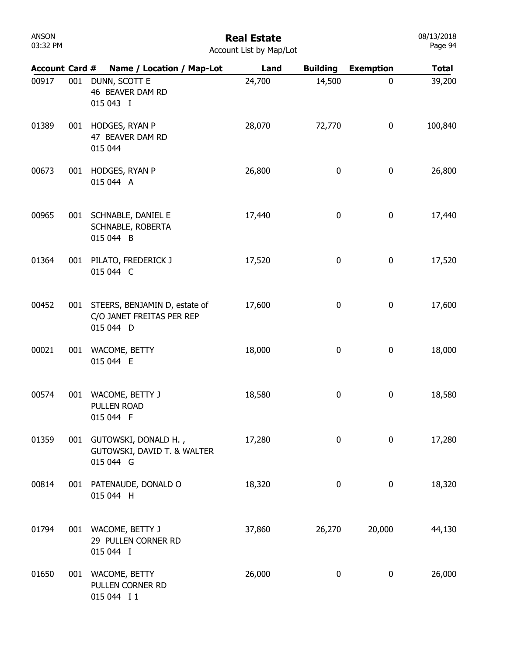| ANSON    |  |
|----------|--|
| 03:32 PM |  |

| <b>Account Card #</b> |     | Name / Location / Map-Lot                                               | Land   | <b>Building</b> | <b>Exemption</b> | <b>Total</b> |
|-----------------------|-----|-------------------------------------------------------------------------|--------|-----------------|------------------|--------------|
| 00917                 | 001 | DUNN, SCOTT E<br>46 BEAVER DAM RD<br>015 043 I                          | 24,700 | 14,500          | $\mathbf 0$      | 39,200       |
| 01389                 | 001 | HODGES, RYAN P<br>47 BEAVER DAM RD<br>015 044                           | 28,070 | 72,770          | $\boldsymbol{0}$ | 100,840      |
| 00673                 | 001 | HODGES, RYAN P<br>015 044 A                                             | 26,800 | 0               | 0                | 26,800       |
| 00965                 | 001 | SCHNABLE, DANIEL E<br>SCHNABLE, ROBERTA<br>015 044 B                    | 17,440 | 0               | 0                | 17,440       |
| 01364                 | 001 | PILATO, FREDERICK J<br>015 044 C                                        | 17,520 | $\mathbf 0$     | $\pmb{0}$        | 17,520       |
| 00452                 | 001 | STEERS, BENJAMIN D, estate of<br>C/O JANET FREITAS PER REP<br>015 044 D | 17,600 | 0               | $\boldsymbol{0}$ | 17,600       |
| 00021                 | 001 | WACOME, BETTY<br>015 044 E                                              | 18,000 | $\pmb{0}$       | $\pmb{0}$        | 18,000       |
| 00574                 | 001 | WACOME, BETTY J<br>PULLEN ROAD<br>015 044 F                             | 18,580 | 0               | 0                | 18,580       |
| 01359                 | 001 | GUTOWSKI, DONALD H.,<br>GUTOWSKI, DAVID T. & WALTER<br>015 044 G        | 17,280 | 0               | 0                | 17,280       |
| 00814                 | 001 | PATENAUDE, DONALD O<br>015 044 H                                        | 18,320 | $\bf{0}$        | 0                | 18,320       |
| 01794                 |     | 001 WACOME, BETTY J<br>29 PULLEN CORNER RD<br>015 044 I                 | 37,860 | 26,270          | 20,000           | 44,130       |
| 01650                 |     | 001 WACOME, BETTY<br>PULLEN CORNER RD<br>015 044 I 1                    | 26,000 | 0               | 0                | 26,000       |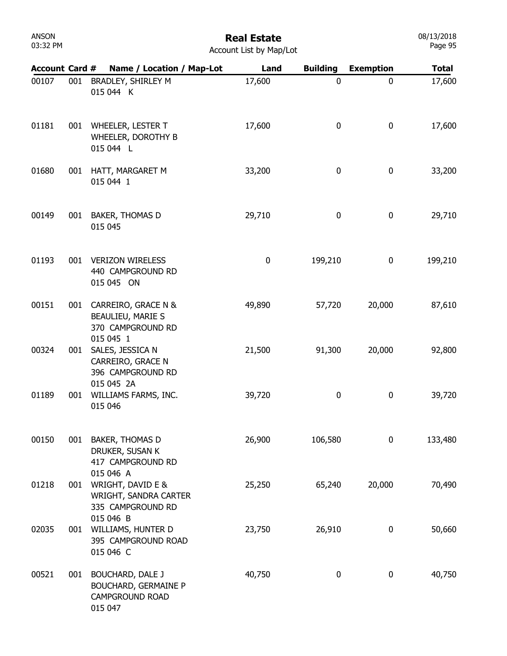# Real Estate

| <b>Account List by Map/Lot</b> |  |  |  |  |
|--------------------------------|--|--|--|--|
|--------------------------------|--|--|--|--|

| <b>Account Card #</b> |     | Name / Location / Map-Lot                                                                   | Land   | <b>Building</b> | <b>Exemption</b> | <b>Total</b> |
|-----------------------|-----|---------------------------------------------------------------------------------------------|--------|-----------------|------------------|--------------|
| 00107                 | 001 | BRADLEY, SHIRLEY M<br>015 044 K                                                             | 17,600 | 0               | 0                | 17,600       |
| 01181                 |     | 001 WHEELER, LESTER T<br>WHEELER, DOROTHY B<br>015 044 L                                    | 17,600 | 0               | 0                | 17,600       |
| 01680                 | 001 | HATT, MARGARET M<br>015 044 1                                                               | 33,200 | 0               | 0                | 33,200       |
| 00149                 | 001 | <b>BAKER, THOMAS D</b><br>015 045                                                           | 29,710 | 0               | 0                | 29,710       |
| 01193                 | 001 | <b>VERIZON WIRELESS</b><br>440 CAMPGROUND RD<br>015 045 ON                                  | 0      | 199,210         | 0                | 199,210      |
| 00151                 | 001 | CARREIRO, GRACE N &<br>BEAULIEU, MARIE S<br>370 CAMPGROUND RD<br>015 045 1                  | 49,890 | 57,720          | 20,000           | 87,610       |
| 00324                 | 001 | SALES, JESSICA N<br>CARREIRO, GRACE N<br>396 CAMPGROUND RD<br>015 045 2A                    | 21,500 | 91,300          | 20,000           | 92,800       |
| 01189                 | 001 | WILLIAMS FARMS, INC.<br>015 046                                                             | 39,720 | 0               | 0                | 39,720       |
| 00150                 | 001 | <b>BAKER, THOMAS D</b><br>DRUKER, SUSAN K<br>417 CAMPGROUND RD<br>015 046 A                 | 26,900 | 106,580         | 0                | 133,480      |
| 01218                 |     | 001 WRIGHT, DAVID E &<br>WRIGHT, SANDRA CARTER<br>335 CAMPGROUND RD<br>015 046 B            | 25,250 | 65,240          | 20,000           | 70,490       |
| 02035                 | 001 | WILLIAMS, HUNTER D<br>395 CAMPGROUND ROAD<br>015 046 C                                      | 23,750 | 26,910          | 0                | 50,660       |
| 00521                 | 001 | <b>BOUCHARD, DALE J</b><br><b>BOUCHARD, GERMAINE P</b><br><b>CAMPGROUND ROAD</b><br>015 047 | 40,750 | 0               | 0                | 40,750       |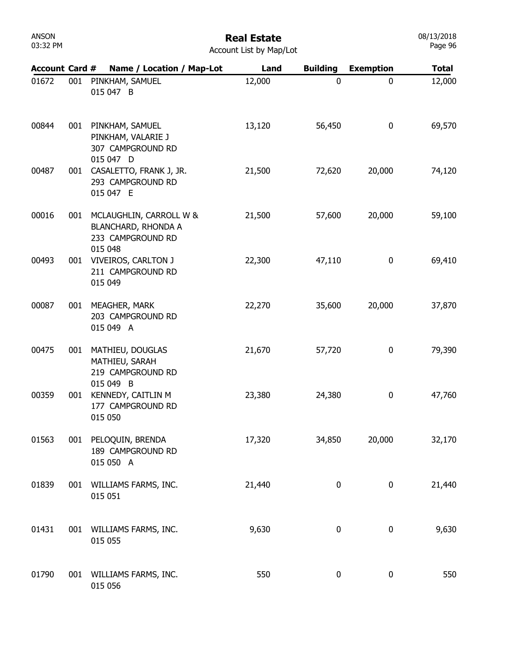| ANSON    |  |
|----------|--|
| 03:32 PM |  |

#### Real Estate Account List by Map/Lot

| <b>Account Card #</b> |     | Name / Location / Map-Lot                                                  | Land   | <b>Building</b>  | <b>Exemption</b> | <b>Total</b> |
|-----------------------|-----|----------------------------------------------------------------------------|--------|------------------|------------------|--------------|
| 01672                 | 001 | PINKHAM, SAMUEL<br>015 047 B                                               | 12,000 | $\mathbf 0$      | 0                | 12,000       |
| 00844                 | 001 | PINKHAM, SAMUEL<br>PINKHAM, VALARIE J<br>307 CAMPGROUND RD<br>015 047 D    | 13,120 | 56,450           | 0                | 69,570       |
| 00487                 | 001 | CASALETTO, FRANK J, JR.<br>293 CAMPGROUND RD<br>015 047 E                  | 21,500 | 72,620           | 20,000           | 74,120       |
| 00016                 | 001 | MCLAUGHLIN, CARROLL W &<br><b>BLANCHARD, RHONDA A</b><br>233 CAMPGROUND RD | 21,500 | 57,600           | 20,000           | 59,100       |
| 00493                 | 001 | 015 048<br><b>VIVEIROS, CARLTON J</b><br>211 CAMPGROUND RD<br>015 049      | 22,300 | 47,110           | 0                | 69,410       |
| 00087                 | 001 | MEAGHER, MARK<br>203 CAMPGROUND RD<br>015 049 A                            | 22,270 | 35,600           | 20,000           | 37,870       |
| 00475                 | 001 | MATHIEU, DOUGLAS<br>MATHIEU, SARAH<br>219 CAMPGROUND RD                    | 21,670 | 57,720           | 0                | 79,390       |
| 00359                 | 001 | 015 049 B<br>KENNEDY, CAITLIN M<br>177 CAMPGROUND RD<br>015 050            | 23,380 | 24,380           | 0                | 47,760       |
| 01563                 |     | 001 PELOQUIN, BRENDA<br>189 CAMPGROUND RD<br>015 050 A                     | 17,320 | 34,850           | 20,000           | 32,170       |
| 01839                 |     | 001 WILLIAMS FARMS, INC.<br>015 051                                        | 21,440 | $\boldsymbol{0}$ | 0                | 21,440       |
| 01431                 |     | 001 WILLIAMS FARMS, INC.<br>015 055                                        | 9,630  | 0                | 0                | 9,630        |
| 01790                 |     | 001 WILLIAMS FARMS, INC.<br>015 056                                        | 550    | 0                | 0                | 550          |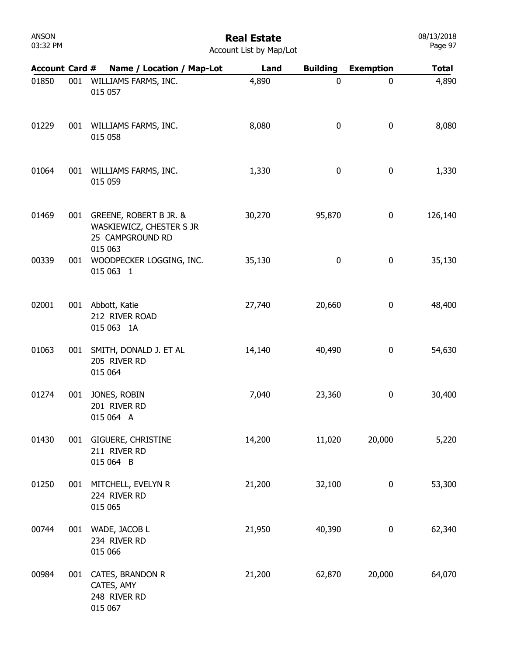### Real Estate

| <b>Account List by Map/Lot</b> |  |  |  |  |
|--------------------------------|--|--|--|--|
|--------------------------------|--|--|--|--|

| <b>Account Card #</b> |     | Name / Location / Map-Lot                                              | Land   | <b>Building</b> | <b>Exemption</b> | <b>Total</b> |
|-----------------------|-----|------------------------------------------------------------------------|--------|-----------------|------------------|--------------|
| 01850                 | 001 | WILLIAMS FARMS, INC.<br>015 057                                        | 4,890  | $\mathbf 0$     | 0                | 4,890        |
| 01229                 | 001 | WILLIAMS FARMS, INC.<br>015 058                                        | 8,080  | 0               | $\pmb{0}$        | 8,080        |
| 01064                 | 001 | WILLIAMS FARMS, INC.<br>015 059                                        | 1,330  | $\pmb{0}$       | 0                | 1,330        |
| 01469                 | 001 | GREENE, ROBERT B JR. &<br>WASKIEWICZ, CHESTER S JR<br>25 CAMPGROUND RD | 30,270 | 95,870          | 0                | 126,140      |
| 00339                 | 001 | 015 063<br>WOODPECKER LOGGING, INC.<br>015 063 1                       | 35,130 | $\pmb{0}$       | $\pmb{0}$        | 35,130       |
| 02001                 | 001 | Abbott, Katie<br>212 RIVER ROAD<br>015 063 1A                          | 27,740 | 20,660          | 0                | 48,400       |
| 01063                 | 001 | SMITH, DONALD J. ET AL<br>205 RIVER RD<br>015 064                      | 14,140 | 40,490          | 0                | 54,630       |
| 01274                 | 001 | JONES, ROBIN<br>201 RIVER RD<br>015 064 A                              | 7,040  | 23,360          | 0                | 30,400       |
| 01430                 | 001 | <b>GIGUERE, CHRISTINE</b><br>211 RIVER RD<br>015 064 B                 | 14,200 | 11,020          | 20,000           | 5,220        |
| 01250                 | 001 | MITCHELL, EVELYN R<br>224 RIVER RD<br>015 065                          | 21,200 | 32,100          | 0                | 53,300       |
| 00744                 | 001 | WADE, JACOB L<br>234 RIVER RD<br>015 066                               | 21,950 | 40,390          | 0                | 62,340       |
| 00984                 | 001 | CATES, BRANDON R<br>CATES, AMY<br>248 RIVER RD<br>015 067              | 21,200 | 62,870          | 20,000           | 64,070       |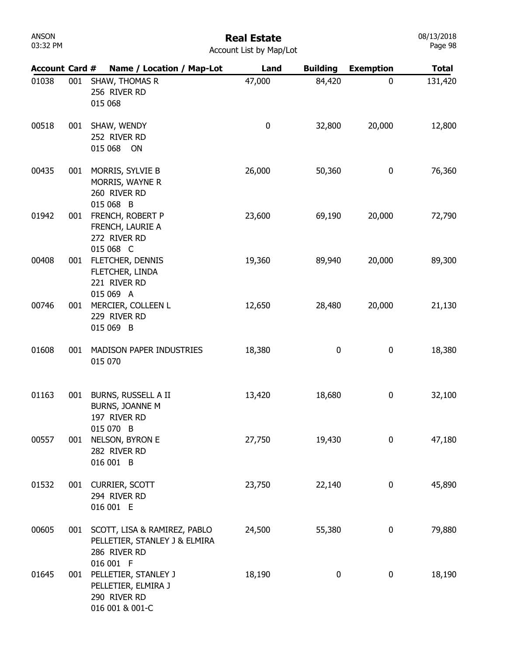### Real Estate

| <b>Account List by Map/Lot</b> |  |  |
|--------------------------------|--|--|
|                                |  |  |

| <b>Account Card #</b> |     | Name / Location / Map-Lot                                                                  | Land   | <b>Building</b> | <b>Exemption</b> | <b>Total</b> |
|-----------------------|-----|--------------------------------------------------------------------------------------------|--------|-----------------|------------------|--------------|
| 01038                 | 001 | SHAW, THOMAS R<br>256 RIVER RD<br>015 068                                                  | 47,000 | 84,420          | $\mathbf 0$      | 131,420      |
| 00518                 | 001 | SHAW, WENDY<br>252 RIVER RD<br>015 068 ON                                                  | 0      | 32,800          | 20,000           | 12,800       |
| 00435                 | 001 | MORRIS, SYLVIE B<br>MORRIS, WAYNE R<br>260 RIVER RD<br>015 068 B                           | 26,000 | 50,360          | 0                | 76,360       |
| 01942                 | 001 | FRENCH, ROBERT P<br>FRENCH, LAURIE A<br>272 RIVER RD<br>015 068 C                          | 23,600 | 69,190          | 20,000           | 72,790       |
| 00408                 | 001 | FLETCHER, DENNIS<br>FLETCHER, LINDA<br>221 RIVER RD<br>015 069 A                           | 19,360 | 89,940          | 20,000           | 89,300       |
| 00746                 | 001 | MERCIER, COLLEEN L<br>229 RIVER RD<br>015 069 B                                            | 12,650 | 28,480          | 20,000           | 21,130       |
| 01608                 | 001 | MADISON PAPER INDUSTRIES<br>015 070                                                        | 18,380 | 0               | 0                | 18,380       |
| 01163                 | 001 | BURNS, RUSSELL A II<br>BURNS, JOANNE M<br>197 RIVER RD<br>015 070 B                        | 13,420 | 18,680          | 0                | 32,100       |
| 00557                 | 001 | NELSON, BYRON E<br>282 RIVER RD<br>016 001 B                                               | 27,750 | 19,430          | 0                | 47,180       |
| 01532                 | 001 | CURRIER, SCOTT<br>294 RIVER RD<br>016 001 E                                                | 23,750 | 22,140          | 0                | 45,890       |
| 00605                 | 001 | SCOTT, LISA & RAMIREZ, PABLO<br>PELLETIER, STANLEY J & ELMIRA<br>286 RIVER RD<br>016 001 F | 24,500 | 55,380          | 0                | 79,880       |
| 01645                 | 001 | PELLETIER, STANLEY J<br>PELLETIER, ELMIRA J<br>290 RIVER RD<br>016 001 & 001-C             | 18,190 | 0               | 0                | 18,190       |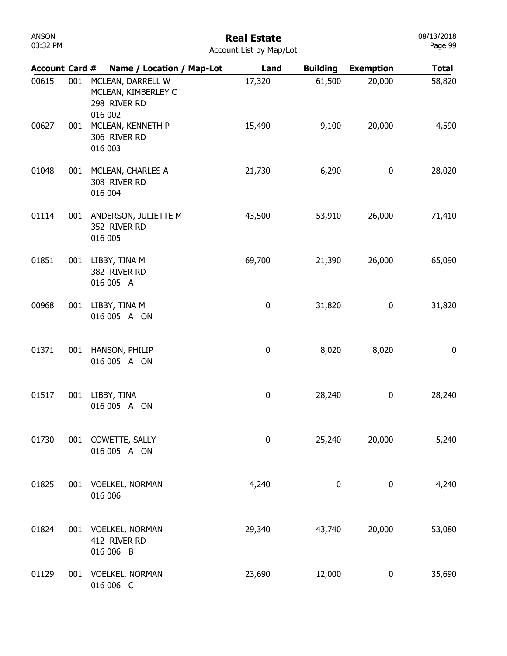| ANSON    |  |
|----------|--|
| 03:32 PM |  |

| <b>Account Card #</b> |     |                                                     | Name / Location / Map-Lot                | Land             | <b>Building</b> | <b>Exemption</b> | <b>Total</b> |
|-----------------------|-----|-----------------------------------------------------|------------------------------------------|------------------|-----------------|------------------|--------------|
| 00615                 | 001 | 298 RIVER RD<br>016 002                             | MCLEAN, DARRELL W<br>MCLEAN, KIMBERLEY C | 17,320           | 61,500          | 20,000           | 58,820       |
| 00627                 | 001 | MCLEAN, KENNETH P<br>306 RIVER RD<br>016 003        |                                          | 15,490           | 9,100           | 20,000           | 4,590        |
| 01048                 | 001 | MCLEAN, CHARLES A<br>308 RIVER RD<br>016 004        |                                          | 21,730           | 6,290           | 0                | 28,020       |
| 01114                 | 001 | 352 RIVER RD<br>016 005                             | ANDERSON, JULIETTE M                     | 43,500           | 53,910          | 26,000           | 71,410       |
| 01851                 | 001 | LIBBY, TINA M<br>382 RIVER RD<br>016 005 A          |                                          | 69,700           | 21,390          | 26,000           | 65,090       |
| 00968                 | 001 | LIBBY, TINA M<br>016 005 A ON                       |                                          | 0                | 31,820          | 0                | 31,820       |
| 01371                 | 001 | HANSON, PHILIP<br>016 005 A ON                      |                                          | $\pmb{0}$        | 8,020           | 8,020            | 0            |
| 01517                 | 001 | LIBBY, TINA<br>016 005 A ON                         |                                          | $\pmb{0}$        | 28,240          | 0                | 28,240       |
| 01730                 | 001 | COWETTE, SALLY<br>016 005 A ON                      |                                          | $\boldsymbol{0}$ | 25,240          | 20,000           | 5,240        |
| 01825                 | 001 | <b>VOELKEL, NORMAN</b><br>016 006                   |                                          | 4,240            | 0               | $\pmb{0}$        | 4,240        |
| 01824                 | 001 | <b>VOELKEL, NORMAN</b><br>412 RIVER RD<br>016 006 B |                                          | 29,340           | 43,740          | 20,000           | 53,080       |
| 01129                 | 001 | <b>VOELKEL, NORMAN</b><br>016 006 C                 |                                          | 23,690           | 12,000          | 0                | 35,690       |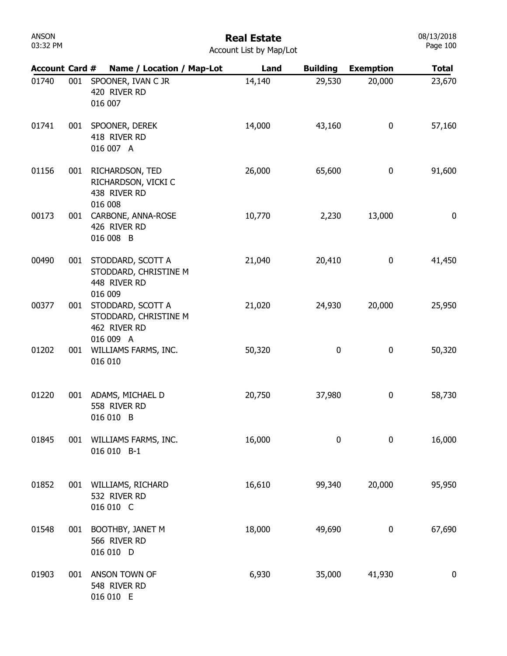# Real Estate

| <b>Account List by Map/Lot</b> |  |  |
|--------------------------------|--|--|
|                                |  |  |

| <b>Account Card #</b> |     | Name / Location / Map-Lot                                               | Land   | <b>Building</b> | <b>Exemption</b> | <b>Total</b>     |
|-----------------------|-----|-------------------------------------------------------------------------|--------|-----------------|------------------|------------------|
| 01740                 | 001 | SPOONER, IVAN C JR<br>420 RIVER RD<br>016 007                           | 14,140 | 29,530          | 20,000           | 23,670           |
| 01741                 | 001 | SPOONER, DEREK<br>418 RIVER RD<br>016 007 A                             | 14,000 | 43,160          | $\boldsymbol{0}$ | 57,160           |
| 01156                 | 001 | RICHARDSON, TED<br>RICHARDSON, VICKI C<br>438 RIVER RD<br>016 008       | 26,000 | 65,600          | 0                | 91,600           |
| 00173                 | 001 | CARBONE, ANNA-ROSE<br>426 RIVER RD<br>016 008 B                         | 10,770 | 2,230           | 13,000           | 0                |
| 00490                 | 001 | STODDARD, SCOTT A<br>STODDARD, CHRISTINE M<br>448 RIVER RD<br>016 009   | 21,040 | 20,410          | 0                | 41,450           |
| 00377                 | 001 | STODDARD, SCOTT A<br>STODDARD, CHRISTINE M<br>462 RIVER RD<br>016 009 A | 21,020 | 24,930          | 20,000           | 25,950           |
| 01202                 | 001 | WILLIAMS FARMS, INC.<br>016 010                                         | 50,320 | 0               | 0                | 50,320           |
| 01220                 | 001 | ADAMS, MICHAEL D<br>558 RIVER RD<br>016 010 B                           | 20,750 | 37,980          | $\boldsymbol{0}$ | 58,730           |
| 01845                 | 001 | WILLIAMS FARMS, INC.<br>016 010 B-1                                     | 16,000 | 0               | 0                | 16,000           |
| 01852                 | 001 | WILLIAMS, RICHARD<br>532 RIVER RD<br>016 010 C                          | 16,610 | 99,340          | 20,000           | 95,950           |
| 01548                 | 001 | BOOTHBY, JANET M<br>566 RIVER RD<br>016 010 D                           | 18,000 | 49,690          | 0                | 67,690           |
| 01903                 | 001 | ANSON TOWN OF<br>548 RIVER RD<br>016 010 E                              | 6,930  | 35,000          | 41,930           | $\boldsymbol{0}$ |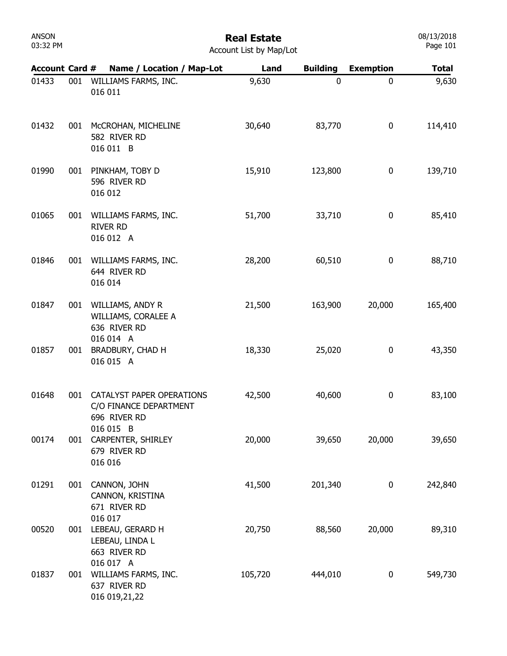## Real Estate

| <b>Account List by Map/Lot</b> |  |  |
|--------------------------------|--|--|
|                                |  |  |

| <b>Account Card #</b> |     | Name / Location / Map-Lot                                           | Land    | <b>Building</b> | <b>Exemption</b> | <b>Total</b> |
|-----------------------|-----|---------------------------------------------------------------------|---------|-----------------|------------------|--------------|
| 01433                 | 001 | WILLIAMS FARMS, INC.<br>016 011                                     | 9,630   | $\mathbf 0$     | 0                | 9,630        |
| 01432                 | 001 | MCCROHAN, MICHELINE<br>582 RIVER RD<br>016 011 B                    | 30,640  | 83,770          | 0                | 114,410      |
| 01990                 | 001 | PINKHAM, TOBY D<br>596 RIVER RD<br>016 012                          | 15,910  | 123,800         | 0                | 139,710      |
| 01065                 | 001 | WILLIAMS FARMS, INC.<br><b>RIVER RD</b><br>016 012 A                | 51,700  | 33,710          | 0                | 85,410       |
| 01846                 | 001 | WILLIAMS FARMS, INC.<br>644 RIVER RD<br>016 014                     | 28,200  | 60,510          | 0                | 88,710       |
| 01847                 | 001 | WILLIAMS, ANDY R<br>WILLIAMS, CORALEE A<br>636 RIVER RD             | 21,500  | 163,900         | 20,000           | 165,400      |
| 01857                 | 001 | 016 014 A<br>BRADBURY, CHAD H<br>016 015 A                          | 18,330  | 25,020          | 0                | 43,350       |
| 01648                 | 001 | CATALYST PAPER OPERATIONS<br>C/O FINANCE DEPARTMENT<br>696 RIVER RD | 42,500  | 40,600          | 0                | 83,100       |
| 00174                 | 001 | 016 015 B<br>CARPENTER, SHIRLEY<br>679 RIVER RD<br>016 016          | 20,000  | 39,650          | 20,000           | 39,650       |
| 01291                 | 001 | CANNON, JOHN<br>CANNON, KRISTINA<br>671 RIVER RD                    | 41,500  | 201,340         | 0                | 242,840      |
| 00520                 | 001 | 016 017<br>LEBEAU, GERARD H<br>LEBEAU, LINDA L<br>663 RIVER RD      | 20,750  | 88,560          | 20,000           | 89,310       |
| 01837                 | 001 | 016 017 A<br>WILLIAMS FARMS, INC.<br>637 RIVER RD<br>016 019,21,22  | 105,720 | 444,010         | 0                | 549,730      |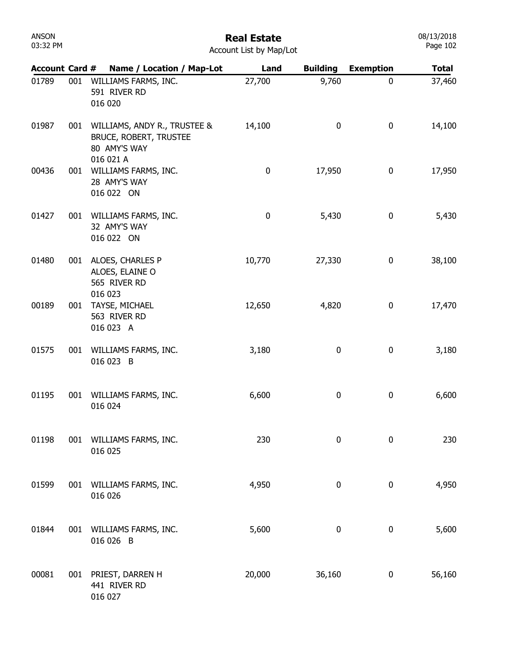| ANSON    |  |
|----------|--|
| 03:32 PM |  |

| <b>Account List by Map/Lot</b> |  |  |
|--------------------------------|--|--|

| <b>Account Card #</b> |     | Name / Location / Map-Lot                                                                  | Land      | <b>Building</b> | <b>Exemption</b> | <b>Total</b> |
|-----------------------|-----|--------------------------------------------------------------------------------------------|-----------|-----------------|------------------|--------------|
| 01789                 | 001 | WILLIAMS FARMS, INC.<br>591 RIVER RD<br>016 020                                            | 27,700    | 9,760           | $\boldsymbol{0}$ | 37,460       |
| 01987                 | 001 | WILLIAMS, ANDY R., TRUSTEE &<br><b>BRUCE, ROBERT, TRUSTEE</b><br>80 AMY'S WAY<br>016 021 A | 14,100    | 0               | 0                | 14,100       |
| 00436                 | 001 | WILLIAMS FARMS, INC.<br>28 AMY'S WAY<br>016 022 ON                                         | $\pmb{0}$ | 17,950          | 0                | 17,950       |
| 01427                 |     | 001 WILLIAMS FARMS, INC.<br>32 AMY'S WAY<br>016 022 ON                                     | 0         | 5,430           | 0                | 5,430        |
| 01480                 |     | 001 ALOES, CHARLES P<br>ALOES, ELAINE O<br>565 RIVER RD                                    | 10,770    | 27,330          | 0                | 38,100       |
| 00189                 | 001 | 016 023<br>TAYSE, MICHAEL<br>563 RIVER RD<br>016 023 A                                     | 12,650    | 4,820           | 0                | 17,470       |
| 01575                 | 001 | WILLIAMS FARMS, INC.<br>016 023 B                                                          | 3,180     | 0               | 0                | 3,180        |
| 01195                 | 001 | WILLIAMS FARMS, INC.<br>016 024                                                            | 6,600     | 0               | 0                | 6,600        |
| 01198                 | 001 | WILLIAMS FARMS, INC.<br>016 025                                                            | 230       | 0               | $\pmb{0}$        | 230          |
| 01599                 | 001 | WILLIAMS FARMS, INC.<br>016 026                                                            | 4,950     | 0               | 0                | 4,950        |
| 01844                 | 001 | WILLIAMS FARMS, INC.<br>016 026 B                                                          | 5,600     | 0               | 0                | 5,600        |
| 00081                 | 001 | PRIEST, DARREN H<br>441 RIVER RD<br>016 027                                                | 20,000    | 36,160          | 0                | 56,160       |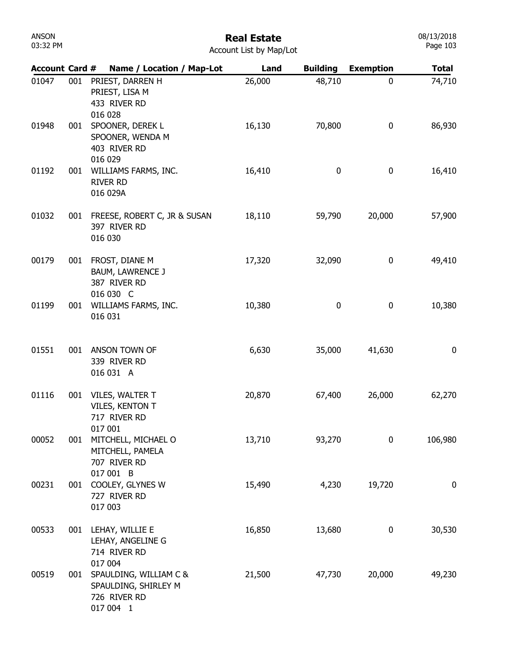| ANSON    |  |
|----------|--|
| 03:32 PM |  |

| <b>Account Card #</b> |     | Name / Location / Map-Lot                                                   | Land   | <b>Building</b> | <b>Exemption</b> | <b>Total</b> |
|-----------------------|-----|-----------------------------------------------------------------------------|--------|-----------------|------------------|--------------|
| 01047                 | 001 | PRIEST, DARREN H<br>PRIEST, LISA M<br>433 RIVER RD<br>016 028               | 26,000 | 48,710          | 0                | 74,710       |
| 01948                 | 001 | SPOONER, DEREK L<br>SPOONER, WENDA M<br>403 RIVER RD<br>016 029             | 16,130 | 70,800          | $\bf{0}$         | 86,930       |
| 01192                 | 001 | WILLIAMS FARMS, INC.<br><b>RIVER RD</b><br>016 029A                         | 16,410 | 0               | $\bf{0}$         | 16,410       |
| 01032                 | 001 | FREESE, ROBERT C, JR & SUSAN<br>397 RIVER RD<br>016 030                     | 18,110 | 59,790          | 20,000           | 57,900       |
| 00179                 | 001 | FROST, DIANE M<br><b>BAUM, LAWRENCE J</b><br>387 RIVER RD<br>016 030 C      | 17,320 | 32,090          | $\bf{0}$         | 49,410       |
| 01199                 | 001 | WILLIAMS FARMS, INC.<br>016 031                                             | 10,380 | 0               | $\bf{0}$         | 10,380       |
| 01551                 | 001 | ANSON TOWN OF<br>339 RIVER RD<br>016 031 A                                  | 6,630  | 35,000          | 41,630           | 0            |
| 01116                 | 001 | VILES, WALTER T<br>VILES, KENTON T<br>717 RIVER RD<br>017 001               | 20,870 | 67,400          | 26,000           | 62,270       |
| 00052                 | 001 | MITCHELL, MICHAEL O<br>MITCHELL, PAMELA<br>707 RIVER RD<br>017 001 B        | 13,710 | 93,270          | 0                | 106,980      |
| 00231                 | 001 | COOLEY, GLYNES W<br>727 RIVER RD<br>017 003                                 | 15,490 | 4,230           | 19,720           | 0            |
| 00533                 | 001 | LEHAY, WILLIE E<br>LEHAY, ANGELINE G<br>714 RIVER RD<br>017 004             | 16,850 | 13,680          | $\bf{0}$         | 30,530       |
| 00519                 | 001 | SPAULDING, WILLIAM C &<br>SPAULDING, SHIRLEY M<br>726 RIVER RD<br>017 004 1 | 21,500 | 47,730          | 20,000           | 49,230       |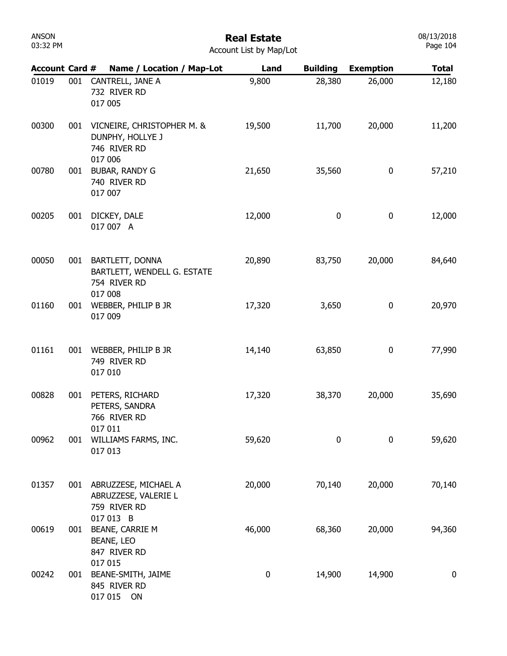# Real Estate

08/13/2018 Page 104

| <b>Account Card #</b> |     | Name / Location / Map-Lot                                                 | Land     | <b>Building</b> | <b>Exemption</b> | <b>Total</b> |
|-----------------------|-----|---------------------------------------------------------------------------|----------|-----------------|------------------|--------------|
| 01019                 | 001 | CANTRELL, JANE A<br>732 RIVER RD<br>017 005                               | 9,800    | 28,380          | 26,000           | 12,180       |
| 00300                 | 001 | VICNEIRE, CHRISTOPHER M. &<br>DUNPHY, HOLLYE J<br>746 RIVER RD<br>017 006 | 19,500   | 11,700          | 20,000           | 11,200       |
| 00780                 | 001 | <b>BUBAR, RANDY G</b><br>740 RIVER RD<br>017 007                          | 21,650   | 35,560          | $\pmb{0}$        | 57,210       |
| 00205                 | 001 | DICKEY, DALE<br>017 007 A                                                 | 12,000   | 0               | $\pmb{0}$        | 12,000       |
| 00050                 |     | 001 BARTLETT, DONNA<br>BARTLETT, WENDELL G. ESTATE<br>754 RIVER RD        | 20,890   | 83,750          | 20,000           | 84,640       |
| 01160                 | 001 | 017 008<br>WEBBER, PHILIP B JR<br>017 009                                 | 17,320   | 3,650           | $\bf{0}$         | 20,970       |
| 01161                 | 001 | WEBBER, PHILIP B JR<br>749 RIVER RD<br>017 010                            | 14,140   | 63,850          | $\bf{0}$         | 77,990       |
| 00828                 | 001 | PETERS, RICHARD<br>PETERS, SANDRA<br>766 RIVER RD                         | 17,320   | 38,370          | 20,000           | 35,690       |
| 00962                 | 001 | 017 011<br>WILLIAMS FARMS, INC.<br>017 013                                | 59,620   | 0               | $\mathbf 0$      | 59,620       |
| 01357                 |     | 001 ABRUZZESE, MICHAEL A<br>ABRUZZESE, VALERIE L<br>759 RIVER RD          | 20,000   | 70,140          | 20,000           | 70,140       |
| 00619                 | 001 | 017 013 B<br><b>BEANE, CARRIE M</b><br><b>BEANE, LEO</b><br>847 RIVER RD  | 46,000   | 68,360          | 20,000           | 94,360       |
| 00242                 | 001 | 017 015<br>BEANE-SMITH, JAIME<br>845 RIVER RD<br>017 015 ON               | $\bf{0}$ | 14,900          | 14,900           | $\mathbf 0$  |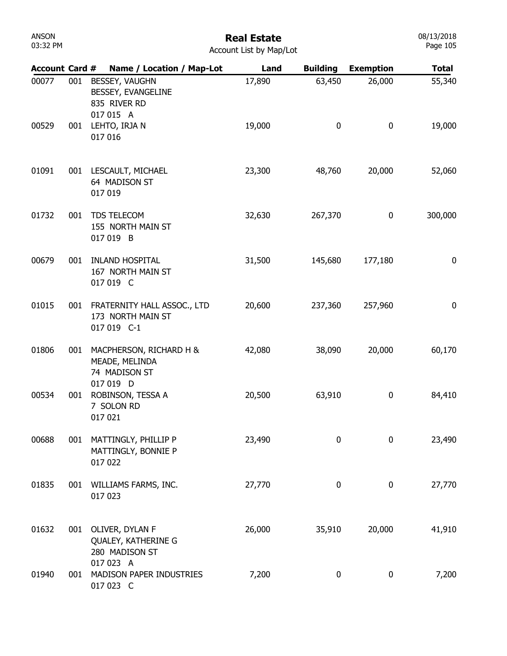# Real Estate

| Account List by Map/Lot |  |  |  |
|-------------------------|--|--|--|
|-------------------------|--|--|--|

| <b>Account Card #</b> |     | Name / Location / Map-Lot                                               | Land   | <b>Building</b>  | <b>Exemption</b> | <b>Total</b> |
|-----------------------|-----|-------------------------------------------------------------------------|--------|------------------|------------------|--------------|
| 00077                 | 001 | BESSEY, VAUGHN<br>BESSEY, EVANGELINE<br>835 RIVER RD<br>017 015 A       | 17,890 | 63,450           | 26,000           | 55,340       |
| 00529                 | 001 | LEHTO, IRJA N<br>017 016                                                | 19,000 | 0                | 0                | 19,000       |
| 01091                 | 001 | LESCAULT, MICHAEL<br>64 MADISON ST<br>017 019                           | 23,300 | 48,760           | 20,000           | 52,060       |
| 01732                 | 001 | TDS TELECOM<br>155 NORTH MAIN ST<br>017 019 B                           | 32,630 | 267,370          | 0                | 300,000      |
| 00679                 | 001 | <b>INLAND HOSPITAL</b><br>167 NORTH MAIN ST<br>017 019 C                | 31,500 | 145,680          | 177,180          | 0            |
| 01015                 | 001 | FRATERNITY HALL ASSOC., LTD<br>173 NORTH MAIN ST<br>017 019 C-1         | 20,600 | 237,360          | 257,960          | 0            |
| 01806                 | 001 | MACPHERSON, RICHARD H &<br>MEADE, MELINDA<br>74 MADISON ST<br>017 019 D | 42,080 | 38,090           | 20,000           | 60,170       |
| 00534                 | 001 | ROBINSON, TESSA A<br>7 SOLON RD<br>017 021                              | 20,500 | 63,910           | 0                | 84,410       |
| 00688                 | 001 | MATTINGLY, PHILLIP P<br>MATTINGLY, BONNIE P<br>017 022                  | 23,490 | 0                | 0                | 23,490       |
| 01835                 | 001 | WILLIAMS FARMS, INC.<br>017 023                                         | 27,770 | $\bf{0}$         | 0                | 27,770       |
| 01632                 | 001 | OLIVER, DYLAN F<br>QUALEY, KATHERINE G<br>280 MADISON ST                | 26,000 | 35,910           | 20,000           | 41,910       |
| 01940                 | 001 | 017 023 A<br>MADISON PAPER INDUSTRIES<br>017 023 C                      | 7,200  | $\boldsymbol{0}$ | 0                | 7,200        |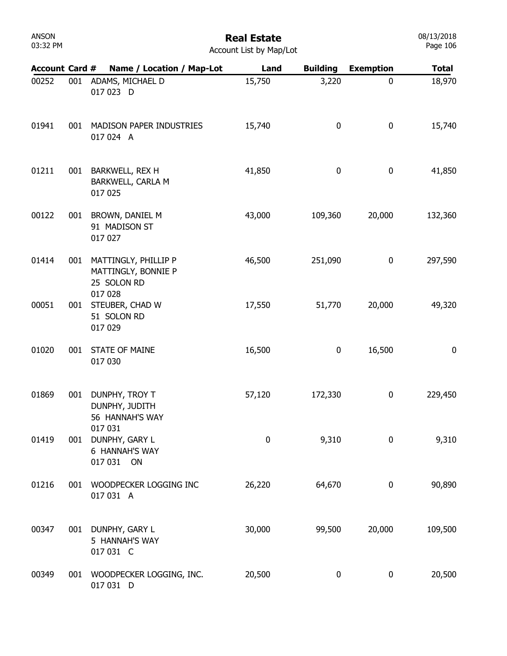# Real Estate

| <b>Account Card #</b> |     | Name / Location / Map-Lot                                             | Land   | <b>Building</b> | <b>Exemption</b> | <b>Total</b> |
|-----------------------|-----|-----------------------------------------------------------------------|--------|-----------------|------------------|--------------|
| 00252                 | 001 | ADAMS, MICHAEL D<br>017 023 D                                         | 15,750 | 3,220           | $\mathbf 0$      | 18,970       |
| 01941                 | 001 | MADISON PAPER INDUSTRIES<br>017 024 A                                 | 15,740 | 0               | 0                | 15,740       |
| 01211                 | 001 | BARKWELL, REX H<br>BARKWELL, CARLA M<br>017 025                       | 41,850 | 0               | 0                | 41,850       |
| 00122                 | 001 | BROWN, DANIEL M<br>91 MADISON ST<br>017 027                           | 43,000 | 109,360         | 20,000           | 132,360      |
| 01414                 | 001 | MATTINGLY, PHILLIP P<br>MATTINGLY, BONNIE P<br>25 SOLON RD<br>017 028 | 46,500 | 251,090         | 0                | 297,590      |
| 00051                 | 001 | STEUBER, CHAD W<br>51 SOLON RD<br>017 029                             | 17,550 | 51,770          | 20,000           | 49,320       |
| 01020                 | 001 | <b>STATE OF MAINE</b><br>017 030                                      | 16,500 | 0               | 16,500           | $\bf{0}$     |
| 01869                 | 001 | DUNPHY, TROY T<br>DUNPHY, JUDITH<br>56 HANNAH'S WAY                   | 57,120 | 172,330         | 0                | 229,450      |
| 01419                 |     | 017 031<br>001 DUNPHY, GARY L<br>6 HANNAH'S WAY<br>017 031 ON         | 0      | 9,310           | 0                | 9,310        |
| 01216                 | 001 | WOODPECKER LOGGING INC<br>017 031 A                                   | 26,220 | 64,670          | 0                | 90,890       |
| 00347                 |     | 001 DUNPHY, GARY L<br>5 HANNAH'S WAY<br>017 031 C                     | 30,000 | 99,500          | 20,000           | 109,500      |
| 00349                 | 001 | WOODPECKER LOGGING, INC.<br>017 031 D                                 | 20,500 | 0               | 0                | 20,500       |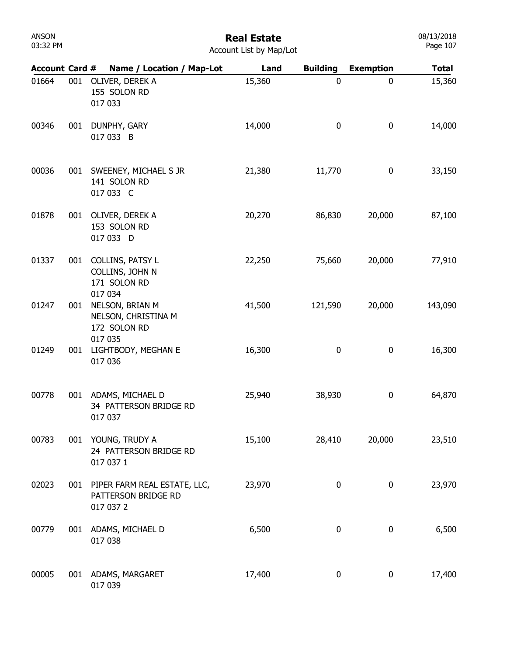# Real Estate

| <b>Account Card #</b> |     | Name / Location / Map-Lot                                         | Land   | <b>Building</b> | <b>Exemption</b> | <b>Total</b> |
|-----------------------|-----|-------------------------------------------------------------------|--------|-----------------|------------------|--------------|
| 01664                 | 001 | OLIVER, DEREK A<br>155 SOLON RD<br>017 033                        | 15,360 | 0               | 0                | 15,360       |
| 00346                 | 001 | DUNPHY, GARY<br>017 033 B                                         | 14,000 | 0               | 0                | 14,000       |
| 00036                 |     | 001 SWEENEY, MICHAEL S JR<br>141 SOLON RD<br>017 033 C            | 21,380 | 11,770          | 0                | 33,150       |
| 01878                 | 001 | OLIVER, DEREK A<br>153 SOLON RD<br>017 033 D                      | 20,270 | 86,830          | 20,000           | 87,100       |
| 01337                 | 001 | COLLINS, PATSY L<br>COLLINS, JOHN N<br>171 SOLON RD<br>017 034    | 22,250 | 75,660          | 20,000           | 77,910       |
| 01247                 | 001 | NELSON, BRIAN M<br>NELSON, CHRISTINA M<br>172 SOLON RD<br>017 035 | 41,500 | 121,590         | 20,000           | 143,090      |
| 01249                 | 001 | LIGHTBODY, MEGHAN E<br>017 036                                    | 16,300 | 0               | 0                | 16,300       |
| 00778                 |     | 001 ADAMS, MICHAEL D<br>34 PATTERSON BRIDGE RD<br>017 037         | 25,940 | 38,930          | 0                | 64,870       |
| 00783                 | 001 | YOUNG, TRUDY A<br>24 PATTERSON BRIDGE RD<br>017 037 1             | 15,100 | 28,410          | 20,000           | 23,510       |
| 02023                 | 001 | PIPER FARM REAL ESTATE, LLC,<br>PATTERSON BRIDGE RD<br>017 037 2  | 23,970 | 0               | $\boldsymbol{0}$ | 23,970       |
| 00779                 |     | 001 ADAMS, MICHAEL D<br>017 038                                   | 6,500  | 0               | 0                | 6,500        |
| 00005                 |     | 001 ADAMS, MARGARET<br>017 039                                    | 17,400 | 0               | 0                | 17,400       |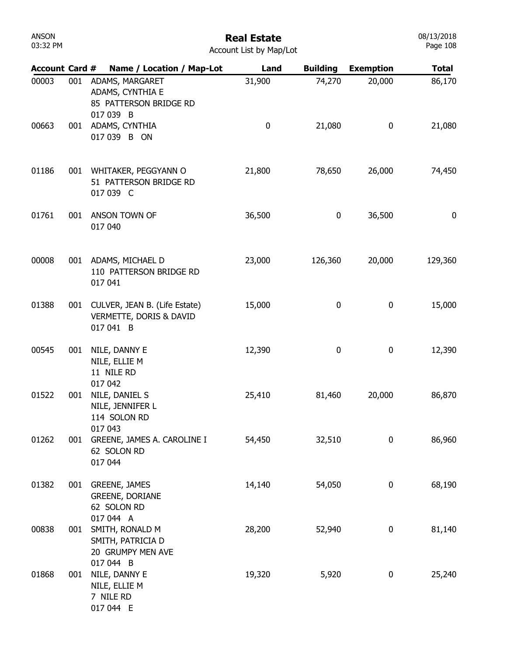| ANSON    |  |  |  |  |  |  |  |
|----------|--|--|--|--|--|--|--|
| 03:32 PM |  |  |  |  |  |  |  |

| <b>Account Card #</b> |     | Name / Location / Map-Lot                                                  | Land      | <b>Building</b> | <b>Exemption</b> | <b>Total</b> |
|-----------------------|-----|----------------------------------------------------------------------------|-----------|-----------------|------------------|--------------|
| 00003                 | 001 | ADAMS, MARGARET<br>ADAMS, CYNTHIA E<br>85 PATTERSON BRIDGE RD<br>017 039 B | 31,900    | 74,270          | 20,000           | 86,170       |
| 00663                 |     | 001 ADAMS, CYNTHIA<br>017 039 B ON                                         | $\pmb{0}$ | 21,080          | 0                | 21,080       |
| 01186                 | 001 | WHITAKER, PEGGYANN O<br>51 PATTERSON BRIDGE RD<br>017 039 C                | 21,800    | 78,650          | 26,000           | 74,450       |
| 01761                 | 001 | ANSON TOWN OF<br>017 040                                                   | 36,500    | $\pmb{0}$       | 36,500           | $\bf{0}$     |
| 00008                 |     | 001 ADAMS, MICHAEL D<br>110 PATTERSON BRIDGE RD<br>017 041                 | 23,000    | 126,360         | 20,000           | 129,360      |
| 01388                 |     | 001 CULVER, JEAN B. (Life Estate)<br>VERMETTE, DORIS & DAVID<br>017 041 B  | 15,000    | $\pmb{0}$       | 0                | 15,000       |
| 00545                 | 001 | NILE, DANNY E<br>NILE, ELLIE M<br>11 NILE RD<br>017 042                    | 12,390    | 0               | 0                | 12,390       |
| 01522                 | 001 | NILE, DANIEL S<br>NILE, JENNIFER L<br>114 SOLON RD<br>017 043              | 25,410    | 81,460          | 20,000           | 86,870       |
| 01262                 | 001 | GREENE, JAMES A. CAROLINE I<br>62 SOLON RD<br>017 044                      | 54,450    | 32,510          | 0                | 86,960       |
| 01382                 |     | 001 GREENE, JAMES<br><b>GREENE, DORIANE</b><br>62 SOLON RD<br>017 044 A    | 14,140    | 54,050          | 0                | 68,190       |
| 00838                 | 001 | SMITH, RONALD M<br>SMITH, PATRICIA D<br>20 GRUMPY MEN AVE<br>017 044 B     | 28,200    | 52,940          | 0                | 81,140       |
| 01868                 | 001 | NILE, DANNY E<br>NILE, ELLIE M<br>7 NILE RD<br>017 044 E                   | 19,320    | 5,920           | 0                | 25,240       |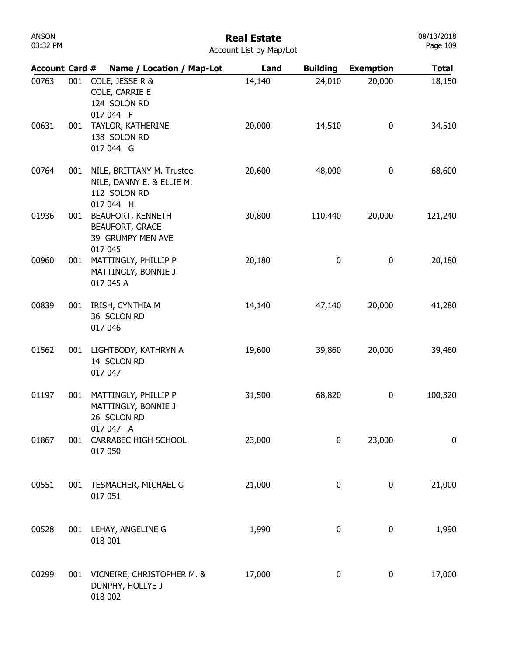#### Real Estate Account List by Map/Lot

| <b>Account Card #</b> |     | Name / Location / Map-Lot                                                           | Land   | <b>Building</b> | <b>Exemption</b> | <b>Total</b> |
|-----------------------|-----|-------------------------------------------------------------------------------------|--------|-----------------|------------------|--------------|
| 00763                 | 001 | COLE, JESSE R &<br>COLE, CARRIE E<br>124 SOLON RD<br>017 044 F                      | 14,140 | 24,010          | 20,000           | 18,150       |
| 00631                 | 001 | TAYLOR, KATHERINE<br>138 SOLON RD<br>017 044 G                                      | 20,000 | 14,510          | 0                | 34,510       |
| 00764                 | 001 | NILE, BRITTANY M. Trustee<br>NILE, DANNY E. & ELLIE M.<br>112 SOLON RD<br>017 044 H | 20,600 | 48,000          | $\pmb{0}$        | 68,600       |
| 01936                 | 001 | <b>BEAUFORT, KENNETH</b><br><b>BEAUFORT, GRACE</b><br>39 GRUMPY MEN AVE<br>017 045  | 30,800 | 110,440         | 20,000           | 121,240      |
| 00960                 | 001 | MATTINGLY, PHILLIP P<br>MATTINGLY, BONNIE J<br>017 045 A                            | 20,180 | 0               | 0                | 20,180       |
| 00839                 | 001 | IRISH, CYNTHIA M<br>36 SOLON RD<br>017 046                                          | 14,140 | 47,140          | 20,000           | 41,280       |
| 01562                 | 001 | LIGHTBODY, KATHRYN A<br>14 SOLON RD<br>017 047                                      | 19,600 | 39,860          | 20,000           | 39,460       |
| 01197                 | 001 | MATTINGLY, PHILLIP P<br>MATTINGLY, BONNIE J<br>26 SOLON RD                          | 31,500 | 68,820          | 0                | 100,320      |
| 01867                 | 001 | 017 047 A<br>CARRABEC HIGH SCHOOL<br>017 050                                        | 23,000 | 0               | 23,000           | 0            |
| 00551                 | 001 | TESMACHER, MICHAEL G<br>017 051                                                     | 21,000 | 0               | 0                | 21,000       |
| 00528                 | 001 | LEHAY, ANGELINE G<br>018 001                                                        | 1,990  | 0               | 0                | 1,990        |
| 00299                 |     | 001 VICNEIRE, CHRISTOPHER M. &<br>DUNPHY, HOLLYE J<br>018 002                       | 17,000 | 0               | $\pmb{0}$        | 17,000       |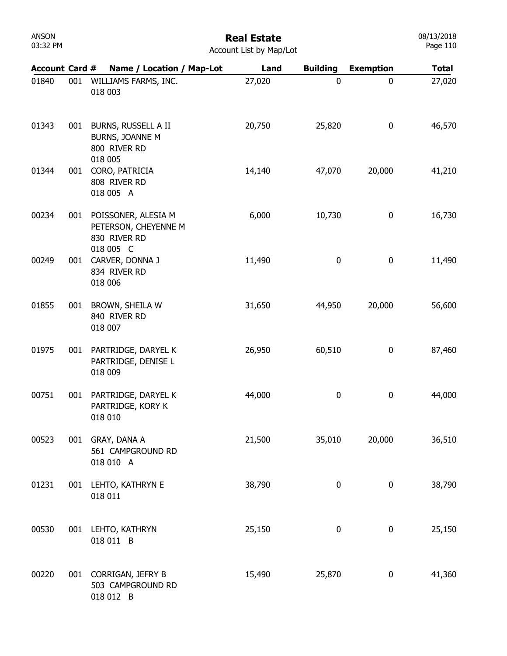| ANSON    |  |
|----------|--|
| 03:32 PM |  |

| <b>Account Card #</b> |     | Name / Location / Map-Lot                                                | Land   | <b>Building</b>  | <b>Exemption</b> | <b>Total</b> |
|-----------------------|-----|--------------------------------------------------------------------------|--------|------------------|------------------|--------------|
| 01840                 | 001 | WILLIAMS FARMS, INC.<br>018 003                                          | 27,020 | $\mathbf 0$      | 0                | 27,020       |
| 01343                 | 001 | BURNS, RUSSELL A II<br>BURNS, JOANNE M<br>800 RIVER RD<br>018 005        | 20,750 | 25,820           | 0                | 46,570       |
| 01344                 | 001 | CORO, PATRICIA<br>808 RIVER RD<br>018 005 A                              | 14,140 | 47,070           | 20,000           | 41,210       |
| 00234                 | 001 | POISSONER, ALESIA M<br>PETERSON, CHEYENNE M<br>830 RIVER RD<br>018 005 C | 6,000  | 10,730           | 0                | 16,730       |
| 00249                 | 001 | CARVER, DONNA J<br>834 RIVER RD<br>018 006                               | 11,490 | 0                | 0                | 11,490       |
| 01855                 | 001 | BROWN, SHEILA W<br>840 RIVER RD<br>018 007                               | 31,650 | 44,950           | 20,000           | 56,600       |
| 01975                 | 001 | PARTRIDGE, DARYEL K<br>PARTRIDGE, DENISE L<br>018 009                    | 26,950 | 60,510           | 0                | 87,460       |
| 00751                 | 001 | PARTRIDGE, DARYEL K<br>PARTRIDGE, KORY K<br>018 010                      | 44,000 | 0                | 0                | 44,000       |
| 00523                 |     | 001 GRAY, DANA A<br>561 CAMPGROUND RD<br>018 010 A                       | 21,500 | 35,010           | 20,000           | 36,510       |
| 01231                 |     | 001 LEHTO, KATHRYN E<br>018 011                                          | 38,790 | $\boldsymbol{0}$ | 0                | 38,790       |
| 00530                 |     | 001 LEHTO, KATHRYN<br>018 011 B                                          | 25,150 | $\pmb{0}$        | $\pmb{0}$        | 25,150       |
| 00220                 |     | 001 CORRIGAN, JEFRY B<br>503 CAMPGROUND RD<br>018 012 B                  | 15,490 | 25,870           | 0                | 41,360       |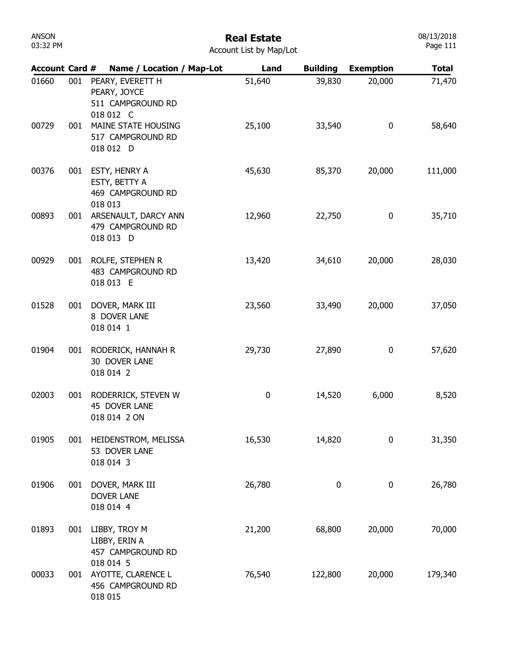| Account Card # |     | Name / Location / Map-Lot                                          | Land             | <b>Building</b> | <b>Exemption</b> | <b>Total</b> |
|----------------|-----|--------------------------------------------------------------------|------------------|-----------------|------------------|--------------|
| 01660          | 001 | PEARY, EVERETT H<br>PEARY, JOYCE<br>511 CAMPGROUND RD<br>018 012 C | 51,640           | 39,830          | 20,000           | 71,470       |
| 00729          | 001 | MAINE STATE HOUSING<br>517 CAMPGROUND RD<br>018 012 D              | 25,100           | 33,540          | 0                | 58,640       |
| 00376          | 001 | ESTY, HENRY A<br>ESTY, BETTY A<br>469 CAMPGROUND RD<br>018 013     | 45,630           | 85,370          | 20,000           | 111,000      |
| 00893          | 001 | ARSENAULT, DARCY ANN<br>479 CAMPGROUND RD<br>018 013 D             | 12,960           | 22,750          | 0                | 35,710       |
| 00929          | 001 | ROLFE, STEPHEN R<br>483 CAMPGROUND RD<br>018 013 E                 | 13,420           | 34,610          | 20,000           | 28,030       |
| 01528          | 001 | DOVER, MARK III<br>8 DOVER LANE<br>018 014 1                       | 23,560           | 33,490          | 20,000           | 37,050       |
| 01904          | 001 | RODERICK, HANNAH R<br>30 DOVER LANE<br>018 014 2                   | 29,730           | 27,890          | 0                | 57,620       |
| 02003          | 001 | RODERRICK, STEVEN W<br>45 DOVER LANE<br>018 014 2 ON               | $\boldsymbol{0}$ | 14,520          | 6,000            | 8,520        |
| 01905          | 001 | HEIDENSTROM, MELISSA<br>53 DOVER LANE<br>018 014 3                 | 16,530           | 14,820          | 0                | 31,350       |
| 01906          | 001 | DOVER, MARK III<br><b>DOVER LANE</b><br>018 014 4                  | 26,780           | 0               | 0                | 26,780       |
| 01893          | 001 | LIBBY, TROY M<br>LIBBY, ERIN A<br>457 CAMPGROUND RD                | 21,200           | 68,800          | 20,000           | 70,000       |
| 00033          | 001 | 018 014 5<br>AYOTTE, CLARENCE L<br>456 CAMPGROUND RD<br>018 015    | 76,540           | 122,800         | 20,000           | 179,340      |

08/13/2018 Page 111

ANSON 03:32 PM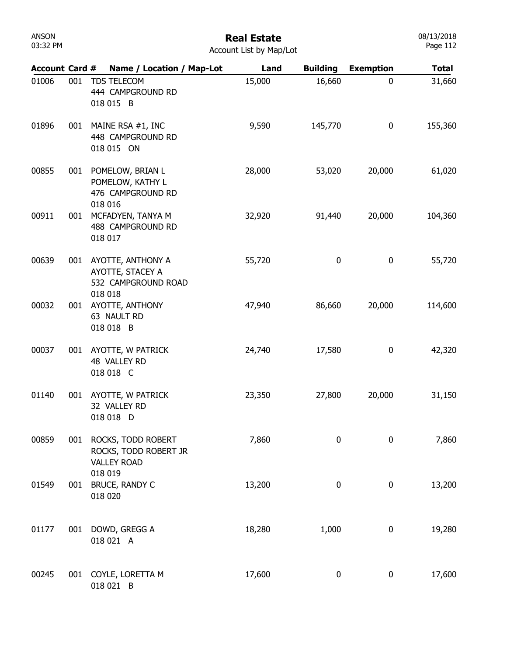# Real Estate

08/13/2018 Page 112

| <b>Account Card #</b> |     | Name / Location / Map-Lot                                             | Land   | <b>Building</b> | <b>Exemption</b> | <b>Total</b> |
|-----------------------|-----|-----------------------------------------------------------------------|--------|-----------------|------------------|--------------|
| 01006                 | 001 | TDS TELECOM<br>444 CAMPGROUND RD<br>018 015 B                         | 15,000 | 16,660          | 0                | 31,660       |
| 01896                 | 001 | MAINE RSA #1, INC<br>448 CAMPGROUND RD<br>018 015 ON                  | 9,590  | 145,770         | $\boldsymbol{0}$ | 155,360      |
| 00855                 | 001 | POMELOW, BRIAN L<br>POMELOW, KATHY L<br>476 CAMPGROUND RD             | 28,000 | 53,020          | 20,000           | 61,020       |
| 00911                 | 001 | 018 016<br>MCFADYEN, TANYA M<br>488 CAMPGROUND RD<br>018 017          | 32,920 | 91,440          | 20,000           | 104,360      |
| 00639                 |     | 001 AYOTTE, ANTHONY A<br>AYOTTE, STACEY A<br>532 CAMPGROUND ROAD      | 55,720 | 0               | $\boldsymbol{0}$ | 55,720       |
| 00032                 | 001 | 018 018<br>AYOTTE, ANTHONY<br>63 NAULT RD<br>018 018 B                | 47,940 | 86,660          | 20,000           | 114,600      |
| 00037                 | 001 | AYOTTE, W PATRICK<br>48 VALLEY RD<br>018 018 C                        | 24,740 | 17,580          | 0                | 42,320       |
| 01140                 | 001 | AYOTTE, W PATRICK<br>32 VALLEY RD<br>018 018 D                        | 23,350 | 27,800          | 20,000           | 31,150       |
| 00859                 |     | 001 ROCKS, TODD ROBERT<br>ROCKS, TODD ROBERT JR<br><b>VALLEY ROAD</b> | 7,860  | 0               | 0                | 7,860        |
| 01549                 | 001 | 018 019<br>BRUCE, RANDY C<br>018 020                                  | 13,200 | 0               | 0                | 13,200       |
| 01177                 | 001 | DOWD, GREGG A<br>018 021 A                                            | 18,280 | 1,000           | $\boldsymbol{0}$ | 19,280       |
| 00245                 |     | 001 COYLE, LORETTA M<br>018 021 B                                     | 17,600 | 0               | 0                | 17,600       |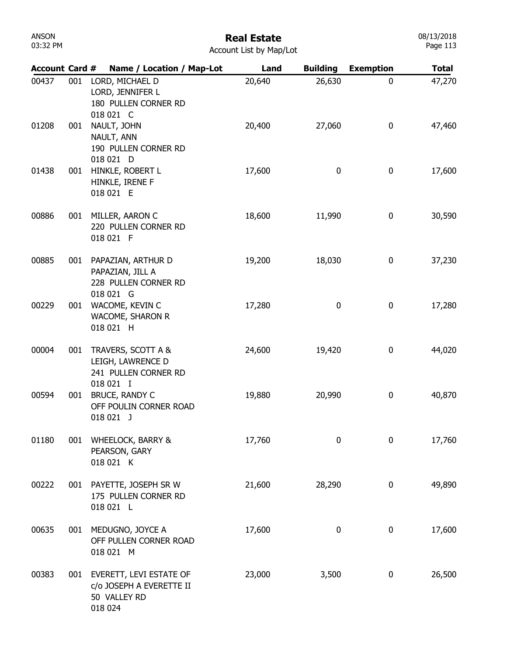| ANSON    |  |
|----------|--|
| 03:32 PM |  |

| <b>Account Card #</b> |     | Name / Location / Map-Lot                                                          | Land   | <b>Building</b> | <b>Exemption</b> | <b>Total</b> |
|-----------------------|-----|------------------------------------------------------------------------------------|--------|-----------------|------------------|--------------|
| 00437                 | 001 | LORD, MICHAEL D<br>LORD, JENNIFER L<br>180 PULLEN CORNER RD<br>018 021 C           | 20,640 | 26,630          | 0                | 47,270       |
| 01208                 | 001 | NAULT, JOHN<br>NAULT, ANN<br>190 PULLEN CORNER RD<br>018 021 D                     | 20,400 | 27,060          | 0                | 47,460       |
| 01438                 | 001 | HINKLE, ROBERT L<br>HINKLE, IRENE F<br>018 021 E                                   | 17,600 | 0               | 0                | 17,600       |
| 00886                 | 001 | MILLER, AARON C<br>220 PULLEN CORNER RD<br>018 021 F                               | 18,600 | 11,990          | 0                | 30,590       |
| 00885                 | 001 | PAPAZIAN, ARTHUR D<br>PAPAZIAN, JILL A<br>228 PULLEN CORNER RD<br>018 021 G        | 19,200 | 18,030          | 0                | 37,230       |
| 00229                 | 001 | WACOME, KEVIN C<br><b>WACOME, SHARON R</b><br>018 021 H                            | 17,280 | 0               | 0                | 17,280       |
| 00004                 | 001 | TRAVERS, SCOTT A &<br>LEIGH, LAWRENCE D<br>241 PULLEN CORNER RD<br>018 021 I       | 24,600 | 19,420          | 0                | 44,020       |
| 00594                 | 001 | BRUCE, RANDY C<br>OFF POULIN CORNER ROAD<br>018 021 J                              | 19,880 | 20,990          | 0                | 40,870       |
| 01180                 |     | 001 WHEELOCK, BARRY &<br>PEARSON, GARY<br>018 021 K                                | 17,760 | 0               | 0                | 17,760       |
| 00222                 |     | 001 PAYETTE, JOSEPH SR W<br>175 PULLEN CORNER RD<br>018 021 L                      | 21,600 | 28,290          | 0                | 49,890       |
| 00635                 | 001 | MEDUGNO, JOYCE A<br>OFF PULLEN CORNER ROAD<br>018 021 M                            | 17,600 | 0               | $\boldsymbol{0}$ | 17,600       |
| 00383                 |     | 001 EVERETT, LEVI ESTATE OF<br>c/o JOSEPH A EVERETTE II<br>50 VALLEY RD<br>018 024 | 23,000 | 3,500           | 0                | 26,500       |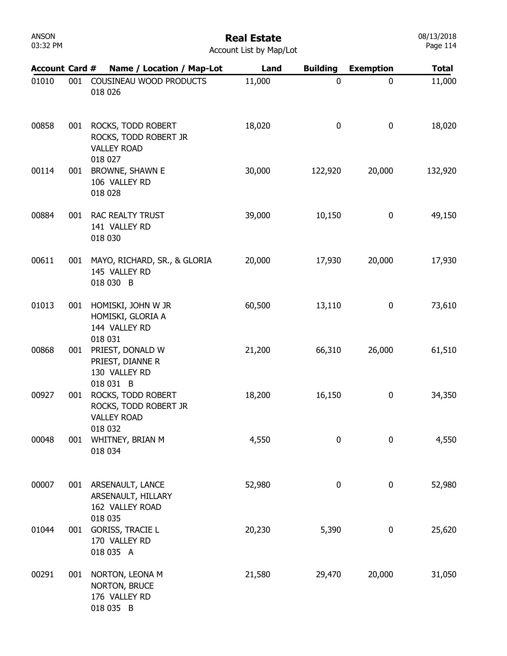| <b>ANSON</b> |  |
|--------------|--|
| 03:32 PM     |  |

#### Real Estate

08/13/2018 Page 114

| <b>Account Card #</b> |     | Name / Location / Map-Lot                                                      | Land   | <b>Building</b> | <b>Exemption</b> | <b>Total</b> |
|-----------------------|-----|--------------------------------------------------------------------------------|--------|-----------------|------------------|--------------|
| 01010                 | 001 | COUSINEAU WOOD PRODUCTS<br>018 026                                             | 11,000 | 0               | 0                | 11,000       |
| 00858                 | 001 | ROCKS, TODD ROBERT<br>ROCKS, TODD ROBERT JR<br><b>VALLEY ROAD</b><br>018 027   | 18,020 | 0               | $\mathbf 0$      | 18,020       |
| 00114                 | 001 | <b>BROWNE, SHAWN E</b><br>106 VALLEY RD<br>018 028                             | 30,000 | 122,920         | 20,000           | 132,920      |
| 00884                 | 001 | RAC REALTY TRUST<br>141 VALLEY RD<br>018 030                                   | 39,000 | 10,150          | $\boldsymbol{0}$ | 49,150       |
| 00611                 | 001 | MAYO, RICHARD, SR., & GLORIA<br>145 VALLEY RD<br>018 030 B                     | 20,000 | 17,930          | 20,000           | 17,930       |
| 01013                 | 001 | HOMISKI, JOHN W JR<br>HOMISKI, GLORIA A<br>144 VALLEY RD                       | 60,500 | 13,110          | $\boldsymbol{0}$ | 73,610       |
| 00868                 | 001 | 018 031<br>PRIEST, DONALD W<br>PRIEST, DIANNE R<br>130 VALLEY RD               | 21,200 | 66,310          | 26,000           | 61,510       |
| 00927                 | 001 | 018 031 B<br>ROCKS, TODD ROBERT<br>ROCKS, TODD ROBERT JR<br><b>VALLEY ROAD</b> | 18,200 | 16,150          | 0                | 34,350       |
| 00048                 | 001 | 018 032<br>WHITNEY, BRIAN M<br>018 034                                         | 4,550  | 0               | $\mathbf 0$      | 4,550        |
| 00007                 | 001 | ARSENAULT, LANCE<br>ARSENAULT, HILLARY<br>162 VALLEY ROAD                      | 52,980 | 0               | $\boldsymbol{0}$ | 52,980       |
| 01044                 | 001 | 018 035<br><b>GORISS, TRACIE L</b><br>170 VALLEY RD<br>018 035 A               | 20,230 | 5,390           | 0                | 25,620       |
| 00291                 | 001 | NORTON, LEONA M<br>NORTON, BRUCE<br>176 VALLEY RD<br>018 035 B                 | 21,580 | 29,470          | 20,000           | 31,050       |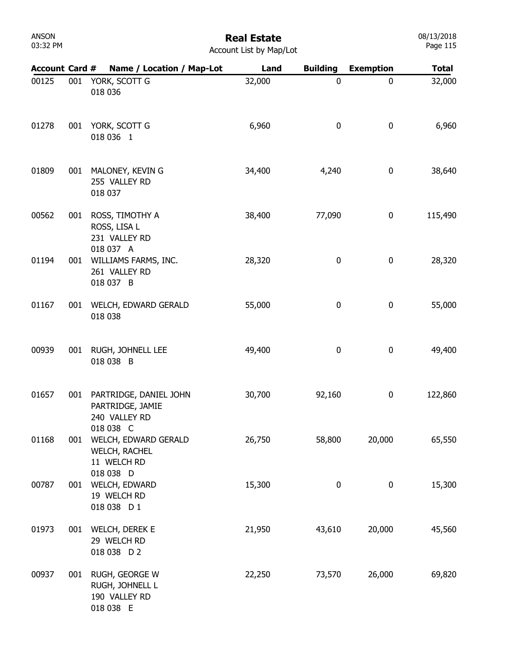# Real Estate

| <b>Account Card #</b> |     | Name / Location / Map-Lot                                                | Land   | <b>Building</b> | <b>Exemption</b> | <b>Total</b> |
|-----------------------|-----|--------------------------------------------------------------------------|--------|-----------------|------------------|--------------|
| 00125                 | 001 | YORK, SCOTT G<br>018 036                                                 | 32,000 | 0               | $\mathbf 0$      | 32,000       |
| 01278                 |     | 001 YORK, SCOTT G<br>018 036 1                                           | 6,960  | 0               | $\mathbf 0$      | 6,960        |
| 01809                 | 001 | MALONEY, KEVIN G<br>255 VALLEY RD<br>018 037                             | 34,400 | 4,240           | 0                | 38,640       |
| 00562                 | 001 | ROSS, TIMOTHY A<br>ROSS, LISA L<br>231 VALLEY RD<br>018 037 A            | 38,400 | 77,090          | 0                | 115,490      |
| 01194                 | 001 | WILLIAMS FARMS, INC.<br>261 VALLEY RD<br>018 037 B                       | 28,320 | 0               | 0                | 28,320       |
| 01167                 | 001 | WELCH, EDWARD GERALD<br>018 038                                          | 55,000 | 0               | 0                | 55,000       |
| 00939                 | 001 | RUGH, JOHNELL LEE<br>018 038 B                                           | 49,400 | 0               | $\pmb{0}$        | 49,400       |
| 01657                 | 001 | PARTRIDGE, DANIEL JOHN<br>PARTRIDGE, JAMIE<br>240 VALLEY RD<br>018 038 C | 30,700 | 92,160          | 0                | 122,860      |
| 01168                 | 001 | WELCH, EDWARD GERALD<br><b>WELCH, RACHEL</b><br>11 WELCH RD<br>018 038 D | 26,750 | 58,800          | 20,000           | 65,550       |
| 00787                 | 001 | WELCH, EDWARD<br>19 WELCH RD<br>018 038 D 1                              | 15,300 | 0               | $\boldsymbol{0}$ | 15,300       |
| 01973                 | 001 | WELCH, DEREK E<br>29 WELCH RD<br>018 038 D 2                             | 21,950 | 43,610          | 20,000           | 45,560       |
| 00937                 | 001 | RUGH, GEORGE W<br>RUGH, JOHNELL L<br>190 VALLEY RD<br>018 038 E          | 22,250 | 73,570          | 26,000           | 69,820       |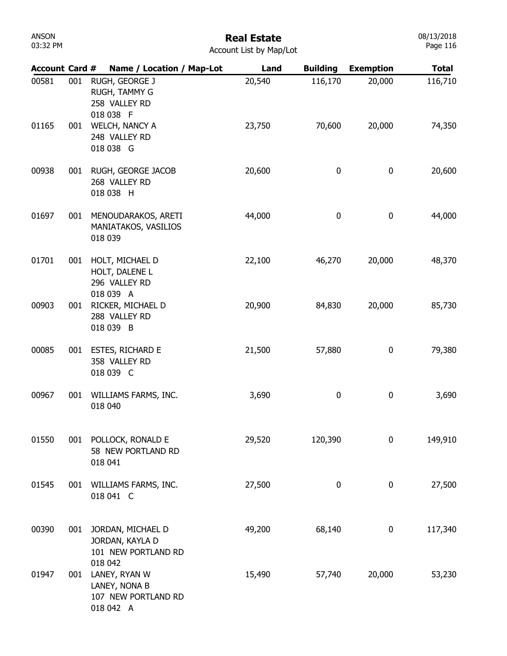# Real Estate

| Account List by Map/Lot |  |
|-------------------------|--|
|-------------------------|--|

| <b>Account Card #</b> |     | Name / Location / Map-Lot                                              | Land   | <b>Building</b>  | <b>Exemption</b> | <b>Total</b> |
|-----------------------|-----|------------------------------------------------------------------------|--------|------------------|------------------|--------------|
| 00581                 | 001 | RUGH, GEORGE J<br>RUGH, TAMMY G<br>258 VALLEY RD<br>018 038 F          | 20,540 | 116,170          | 20,000           | 116,710      |
| 01165                 | 001 | WELCH, NANCY A<br>248 VALLEY RD<br>018 038 G                           | 23,750 | 70,600           | 20,000           | 74,350       |
| 00938                 | 001 | RUGH, GEORGE JACOB<br>268 VALLEY RD<br>018 038 H                       | 20,600 | $\boldsymbol{0}$ | 0                | 20,600       |
| 01697                 | 001 | MENOUDARAKOS, ARETI<br>MANIATAKOS, VASILIOS<br>018 039                 | 44,000 | $\boldsymbol{0}$ | 0                | 44,000       |
| 01701                 | 001 | HOLT, MICHAEL D<br>HOLT, DALENE L<br>296 VALLEY RD                     | 22,100 | 46,270           | 20,000           | 48,370       |
| 00903                 | 001 | 018 039 A<br>RICKER, MICHAEL D<br>288 VALLEY RD<br>018 039 B           | 20,900 | 84,830           | 20,000           | 85,730       |
| 00085                 | 001 | ESTES, RICHARD E<br>358 VALLEY RD<br>018 039 C                         | 21,500 | 57,880           | 0                | 79,380       |
| 00967                 | 001 | WILLIAMS FARMS, INC.<br>018 040                                        | 3,690  | 0                | 0                | 3,690        |
| 01550                 | 001 | POLLOCK, RONALD E<br>58 NEW PORTLAND RD<br>018 041                     | 29,520 | 120,390          | 0                | 149,910      |
| 01545                 | 001 | WILLIAMS FARMS, INC.<br>018 041 C                                      | 27,500 | 0                | 0                | 27,500       |
| 00390                 | 001 | JORDAN, MICHAEL D<br>JORDAN, KAYLA D<br>101 NEW PORTLAND RD<br>018 042 | 49,200 | 68,140           | 0                | 117,340      |
| 01947                 | 001 | LANEY, RYAN W<br>LANEY, NONA B<br>107 NEW PORTLAND RD<br>018 042 A     | 15,490 | 57,740           | 20,000           | 53,230       |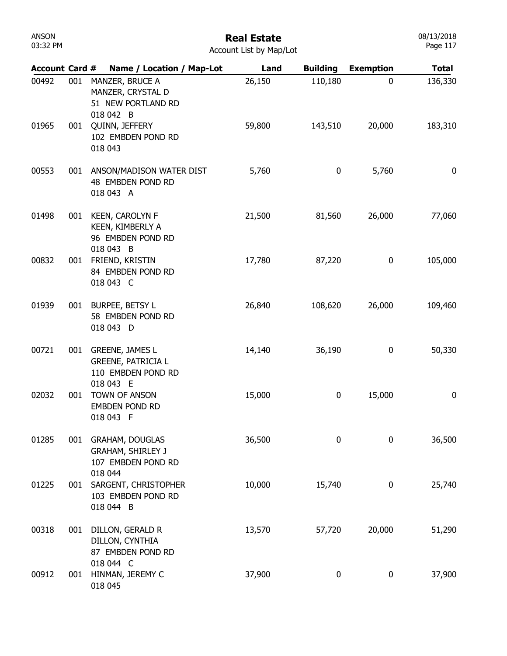| ANSON    |  |
|----------|--|
| 03:32 PM |  |

| <b>Account Card #</b> |     | Name / Location / Map-Lot                                                | Land   | <b>Building</b> | <b>Exemption</b> | <b>Total</b> |
|-----------------------|-----|--------------------------------------------------------------------------|--------|-----------------|------------------|--------------|
| 00492                 | 001 | MANZER, BRUCE A<br>MANZER, CRYSTAL D<br>51 NEW PORTLAND RD<br>018 042 B  | 26,150 | 110,180         | 0                | 136,330      |
| 01965                 | 001 | QUINN, JEFFERY<br>102 EMBDEN POND RD<br>018 043                          | 59,800 | 143,510         | 20,000           | 183,310      |
| 00553                 |     | 001 ANSON/MADISON WATER DIST<br>48 EMBDEN POND RD<br>018 043 A           | 5,760  | 0               | 5,760            | $\bf{0}$     |
| 01498                 | 001 | <b>KEEN, CAROLYN F</b><br>KEEN, KIMBERLY A<br>96 EMBDEN POND RD          | 21,500 | 81,560          | 26,000           | 77,060       |
| 00832                 | 001 | 018 043 B<br>FRIEND, KRISTIN<br>84 EMBDEN POND RD<br>018 043 C           | 17,780 | 87,220          | 0                | 105,000      |
| 01939                 | 001 | BURPEE, BETSY L<br>58 EMBDEN POND RD<br>018 043 D                        | 26,840 | 108,620         | 26,000           | 109,460      |
| 00721                 | 001 | GREENE, JAMES L<br><b>GREENE, PATRICIA L</b><br>110 EMBDEN POND RD       | 14,140 | 36,190          | 0                | 50,330       |
| 02032                 | 001 | 018 043 E<br>TOWN OF ANSON<br><b>EMBDEN POND RD</b><br>018 043 F         | 15,000 | 0               | 15,000           | 0            |
| 01285                 | 001 | <b>GRAHAM, DOUGLAS</b><br><b>GRAHAM, SHIRLEY J</b><br>107 EMBDEN POND RD | 36,500 | 0               | $\mathbf 0$      | 36,500       |
| 01225                 | 001 | 018 044<br>SARGENT, CHRISTOPHER<br>103 EMBDEN POND RD<br>018 044 B       | 10,000 | 15,740          | 0                | 25,740       |
| 00318                 | 001 | DILLON, GERALD R<br>DILLON, CYNTHIA<br>87 EMBDEN POND RD                 | 13,570 | 57,720          | 20,000           | 51,290       |
| 00912                 | 001 | 018 044 C<br>HINMAN, JEREMY C<br>018 045                                 | 37,900 | 0               | 0                | 37,900       |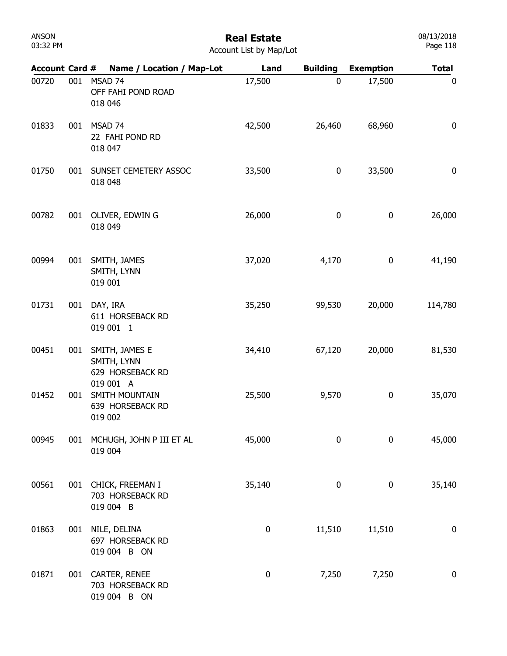# Real Estate

| <b>Account Card #</b> |     | Name / Location / Map-Lot                                      | Land      | <b>Building</b> | <b>Exemption</b> | <b>Total</b>     |
|-----------------------|-----|----------------------------------------------------------------|-----------|-----------------|------------------|------------------|
| 00720                 | 001 | MSAD 74<br>OFF FAHI POND ROAD<br>018 046                       | 17,500    | 0               | 17,500           | $\boldsymbol{0}$ |
| 01833                 | 001 | MSAD 74<br>22 FAHI POND RD<br>018 047                          | 42,500    | 26,460          | 68,960           | $\bf{0}$         |
| 01750                 | 001 | SUNSET CEMETERY ASSOC<br>018 048                               | 33,500    | 0               | 33,500           | $\bf{0}$         |
| 00782                 | 001 | OLIVER, EDWIN G<br>018 049                                     | 26,000    | 0               | 0                | 26,000           |
| 00994                 | 001 | SMITH, JAMES<br>SMITH, LYNN<br>019 001                         | 37,020    | 4,170           | 0                | 41,190           |
| 01731                 | 001 | DAY, IRA<br>611 HORSEBACK RD<br>019 001 1                      | 35,250    | 99,530          | 20,000           | 114,780          |
| 00451                 | 001 | SMITH, JAMES E<br>SMITH, LYNN<br>629 HORSEBACK RD<br>019 001 A | 34,410    | 67,120          | 20,000           | 81,530           |
| 01452                 | 001 | SMITH MOUNTAIN<br>639 HORSEBACK RD<br>019 002                  | 25,500    | 9,570           | 0                | 35,070           |
| 00945                 | 001 | MCHUGH, JOHN P III ET AL<br>019 004                            | 45,000    | 0               | 0                | 45,000           |
| 00561                 | 001 | CHICK, FREEMAN I<br>703 HORSEBACK RD<br>019 004 B              | 35,140    | $\pmb{0}$       | $\pmb{0}$        | 35,140           |
| 01863                 | 001 | NILE, DELINA<br>697 HORSEBACK RD<br>019 004 B ON               | $\pmb{0}$ | 11,510          | 11,510           | $\boldsymbol{0}$ |
| 01871                 | 001 | CARTER, RENEE<br>703 HORSEBACK RD<br>019 004 B ON              | $\pmb{0}$ | 7,250           | 7,250            | $\bf{0}$         |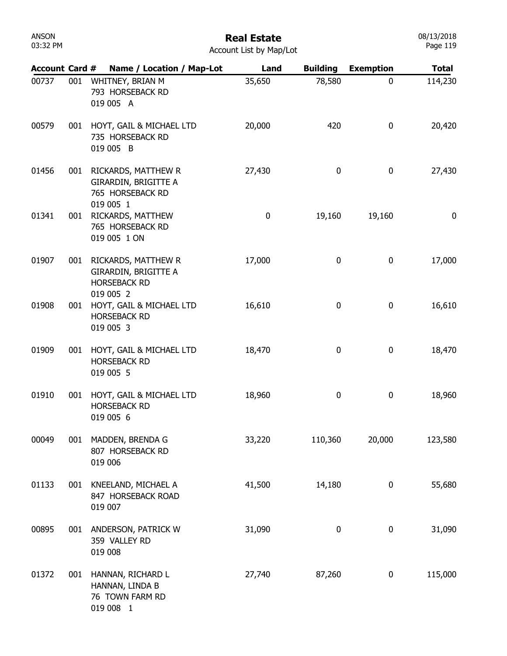## Real Estate

|  | <b>Account List by Map/Lot</b> |  |  |  |  |
|--|--------------------------------|--|--|--|--|
|--|--------------------------------|--|--|--|--|

| <b>Account Card #</b> |     | Name / Location / Map-Lot                                                       | Land      | <b>Building</b> | <b>Exemption</b> | <b>Total</b> |
|-----------------------|-----|---------------------------------------------------------------------------------|-----------|-----------------|------------------|--------------|
| 00737                 | 001 | WHITNEY, BRIAN M<br>793 HORSEBACK RD<br>019 005 A                               | 35,650    | 78,580          | 0                | 114,230      |
| 00579                 | 001 | HOYT, GAIL & MICHAEL LTD<br>735 HORSEBACK RD<br>019 005 B                       | 20,000    | 420             | 0                | 20,420       |
| 01456                 | 001 | RICKARDS, MATTHEW R<br>GIRARDIN, BRIGITTE A<br>765 HORSEBACK RD<br>019 005 1    | 27,430    | $\bf{0}$        | 0                | 27,430       |
| 01341                 | 001 | RICKARDS, MATTHEW<br>765 HORSEBACK RD<br>019 005 1 ON                           | $\pmb{0}$ | 19,160          | 19,160           | 0            |
| 01907                 | 001 | RICKARDS, MATTHEW R<br>GIRARDIN, BRIGITTE A<br><b>HORSEBACK RD</b><br>019 005 2 | 17,000    | $\bf{0}$        | $\boldsymbol{0}$ | 17,000       |
| 01908                 | 001 | HOYT, GAIL & MICHAEL LTD<br><b>HORSEBACK RD</b><br>019 005 3                    | 16,610    | 0               | 0                | 16,610       |
| 01909                 | 001 | HOYT, GAIL & MICHAEL LTD<br><b>HORSEBACK RD</b><br>019 005 5                    | 18,470    | 0               | 0                | 18,470       |
| 01910                 | 001 | HOYT, GAIL & MICHAEL LTD<br><b>HORSEBACK RD</b><br>019 005 6                    | 18,960    | 0               | 0                | 18,960       |
| 00049                 | 001 | MADDEN, BRENDA G<br>807 HORSEBACK RD<br>019 006                                 | 33,220    | 110,360         | 20,000           | 123,580      |
| 01133                 | 001 | KNEELAND, MICHAEL A<br>847 HORSEBACK ROAD<br>019 007                            | 41,500    | 14,180          | 0                | 55,680       |
| 00895                 | 001 | ANDERSON, PATRICK W<br>359 VALLEY RD<br>019 008                                 | 31,090    | 0               | 0                | 31,090       |
| 01372                 | 001 | HANNAN, RICHARD L<br>HANNAN, LINDA B<br>76 TOWN FARM RD<br>019 008 1            | 27,740    | 87,260          | 0                | 115,000      |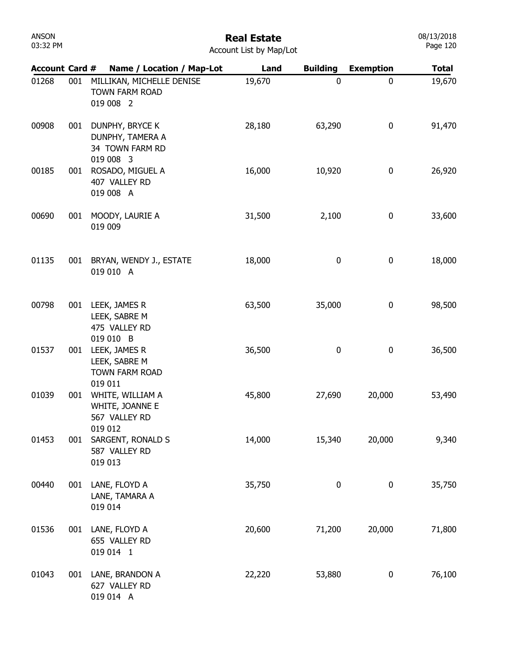| <b>ANSON</b><br>03:32 PM | <b>Real Estate</b><br>Account List by Map/Lot |                                                                     |        |                  |                  |              |  |
|--------------------------|-----------------------------------------------|---------------------------------------------------------------------|--------|------------------|------------------|--------------|--|
| <b>Account Card #</b>    |                                               | Name / Location / Map-Lot                                           | Land   | <b>Building</b>  | <b>Exemption</b> | <b>Total</b> |  |
| 01268                    | 001                                           | MILLIKAN, MICHELLE DENISE<br><b>TOWN FARM ROAD</b><br>019 008 2     | 19,670 | $\boldsymbol{0}$ | 0                | 19,670       |  |
| 00908                    | 001                                           | DUNPHY, BRYCE K<br>DUNPHY, TAMERA A<br>34 TOWN FARM RD<br>019 008 3 | 28,180 | 63,290           | $\boldsymbol{0}$ | 91,470       |  |
| 00185                    | 001                                           | ROSADO, MIGUEL A<br>407 VALLEY RD<br>019 008 A                      | 16,000 | 10,920           | 0                | 26,920       |  |
| 00690                    | 001                                           | MOODY, LAURIE A<br>019 009                                          | 31,500 | 2,100            | 0                | 33,600       |  |
| 01135                    | 001                                           | BRYAN, WENDY J., ESTATE<br>019 010 A                                | 18,000 | 0                | $\mathbf 0$      | 18,000       |  |
| 00798                    | 001                                           | LEEK, JAMES R<br>LEEK, SABRE M<br>475 VALLEY RD<br>019 010 B        | 63,500 | 35,000           | $\boldsymbol{0}$ | 98,500       |  |
| 01537                    | 001                                           | LEEK, JAMES R<br>LEEK, SABRE M<br>TOWN FARM ROAD<br>019 011         | 36,500 | $\bf{0}$         | $\boldsymbol{0}$ | 36,500       |  |
| 01039                    | 001                                           | WHITE, WILLIAM A<br>WHITE, JOANNE E<br>567 VALLEY RD<br>019 012     | 45,800 | 27,690           | 20,000           | 53,490       |  |
| 01453                    | 001                                           | SARGENT, RONALD S<br>587 VALLEY RD<br>019 013                       | 14,000 | 15,340           | 20,000           | 9,340        |  |
| 00440                    | 001                                           | LANE, FLOYD A<br>LANE, TAMARA A<br>019 014                          | 35,750 | $\bf{0}$         | $\mathbf 0$      | 35,750       |  |
| 01536                    | 001                                           | LANE, FLOYD A<br>655 VALLEY RD<br>019 014 1                         | 20,600 | 71,200           | 20,000           | 71,800       |  |
| 01043                    | 001                                           | LANE, BRANDON A<br>627 VALLEY RD<br>019 014 A                       | 22,220 | 53,880           | 0                | 76,100       |  |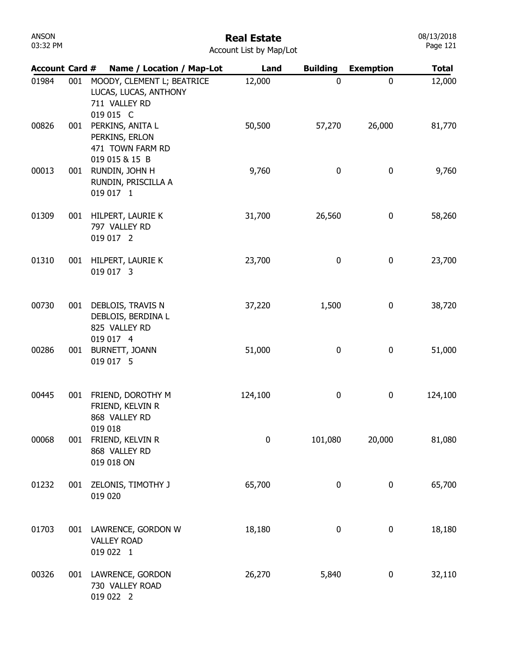| <b>ANSON</b><br>03:32 PM |     |                                                                                   | <b>Real Estate</b><br>Account List by Map/Lot |                  |                  | 08/13/2018<br>Page 121 |
|--------------------------|-----|-----------------------------------------------------------------------------------|-----------------------------------------------|------------------|------------------|------------------------|
| <b>Account Card #</b>    |     | Name / Location / Map-Lot                                                         | Land                                          | <b>Building</b>  | <b>Exemption</b> | <b>Total</b>           |
| 01984                    | 001 | MOODY, CLEMENT L; BEATRICE<br>LUCAS, LUCAS, ANTHONY<br>711 VALLEY RD<br>019 015 C | 12,000                                        | $\mathbf 0$      | $\mathbf 0$      | 12,000                 |
| 00826                    | 001 | PERKINS, ANITA L<br>PERKINS, ERLON<br>471 TOWN FARM RD<br>019 015 & 15 B          | 50,500                                        | 57,270           | 26,000           | 81,770                 |
| 00013                    | 001 | RUNDIN, JOHN H<br>RUNDIN, PRISCILLA A<br>019 017 1                                | 9,760                                         | $\mathbf 0$      | 0                | 9,760                  |
| 01309                    | 001 | HILPERT, LAURIE K<br>797 VALLEY RD<br>019 017 2                                   | 31,700                                        | 26,560           | 0                | 58,260                 |
| 01310                    | 001 | HILPERT, LAURIE K<br>019 017 3                                                    | 23,700                                        | $\mathbf 0$      | $\bf{0}$         | 23,700                 |
| 00730                    | 001 | DEBLOIS, TRAVIS N<br>DEBLOIS, BERDINA L<br>825 VALLEY RD<br>019 017 4             | 37,220                                        | 1,500            | $\bf{0}$         | 38,720                 |
| 00286                    | 001 | BURNETT, JOANN<br>019 017 5                                                       | 51,000                                        | $\boldsymbol{0}$ | $\bf{0}$         | 51,000                 |
| 00445                    | 001 | FRIEND, DOROTHY M<br>FRIEND, KELVIN R<br>868 VALLEY RD<br>019 018                 | 124,100                                       | 0                | 0                | 124,100                |
| 00068                    | 001 | FRIEND, KELVIN R<br>868 VALLEY RD<br>019 018 ON                                   | $\mathbf 0$                                   | 101,080          | 20,000           | 81,080                 |
| 01232                    | 001 | ZELONIS, TIMOTHY J<br>019 020                                                     | 65,700                                        | $\mathbf 0$      | 0                | 65,700                 |
| 01703                    | 001 | LAWRENCE, GORDON W<br><b>VALLEY ROAD</b><br>019 022 1                             | 18,180                                        | $\boldsymbol{0}$ | 0                | 18,180                 |
| 00326                    | 001 | LAWRENCE, GORDON<br>730 VALLEY ROAD<br>019 022 2                                  | 26,270                                        | 5,840            | 0                | 32,110                 |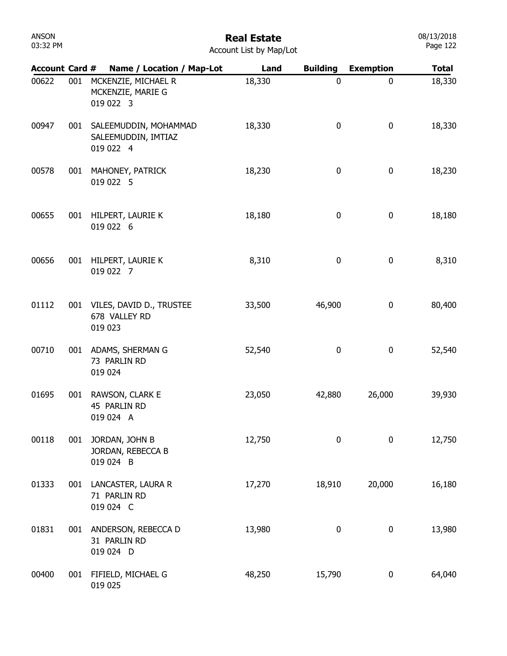| 03:32 PM              |     |                                                               | INGUI LOLULG<br>Account List by Map/Lot |                 |                  | Page 122     |
|-----------------------|-----|---------------------------------------------------------------|-----------------------------------------|-----------------|------------------|--------------|
| <b>Account Card #</b> |     | Name / Location / Map-Lot                                     | Land                                    | <b>Building</b> | <b>Exemption</b> | <b>Total</b> |
| 00622                 | 001 | MCKENZIE, MICHAEL R<br>MCKENZIE, MARIE G<br>019 022 3         | 18,330                                  | $\mathbf 0$     | 0                | 18,330       |
| 00947                 |     | 001 SALEEMUDDIN, MOHAMMAD<br>SALEEMUDDIN, IMTIAZ<br>019 022 4 | 18,330                                  | 0               | 0                | 18,330       |
| 00578                 |     | 001 MAHONEY, PATRICK<br>019 022 5                             | 18,230                                  | $\bf{0}$        | 0                | 18,230       |
| 00655                 |     | 001 HILPERT, LAURIE K<br>019 022 6                            | 18,180                                  | 0               | 0                | 18,180       |
| 00656                 |     | 001 HILPERT, LAURIE K<br>019 022 7                            | 8,310                                   | $\bf{0}$        | $\boldsymbol{0}$ | 8,310        |
| 01112                 |     | 001 VILES, DAVID D., TRUSTEE<br>678 VALLEY RD<br>019 023      | 33,500                                  | 46,900          | 0                | 80,400       |
| 00710                 |     | 001 ADAMS, SHERMAN G<br>73 PARLIN RD<br>019 024               | 52,540                                  | 0               | 0                | 52,540       |
| 01695                 | 001 | RAWSON, CLARK E<br>45 PARLIN RD<br>019 024 A                  | 23,050                                  | 42,880          | 26,000           | 39,930       |
| 00118                 | 001 | JORDAN, JOHN B<br>JORDAN, REBECCA B<br>019 024 B              | 12,750                                  | 0               | 0                | 12,750       |
| 01333                 |     | 001 LANCASTER, LAURA R<br>71 PARLIN RD<br>019 024 C           | 17,270                                  | 18,910          | 20,000           | 16,180       |
| 01831                 |     | 001 ANDERSON, REBECCA D<br>31 PARLIN RD<br>019 024 D          | 13,980                                  | 0               | 0                | 13,980       |
| 00400                 |     | 001 FIFIELD, MICHAEL G<br>019 025                             | 48,250                                  | 15,790          | 0                | 64,040       |

ANSON

# Real Estate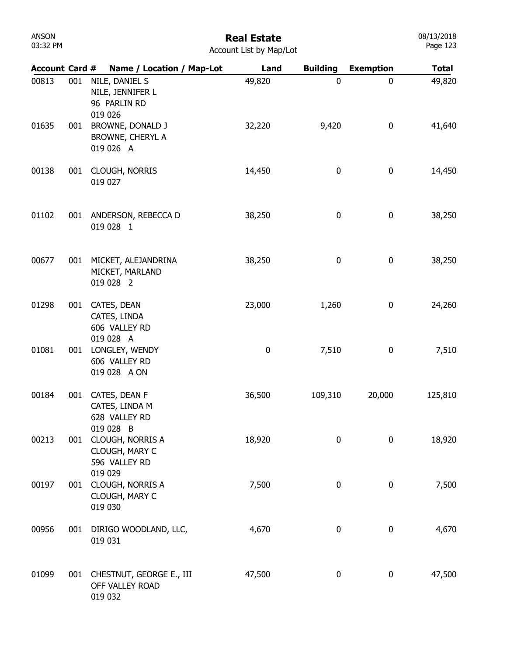| ANSON    |  |
|----------|--|
| 03:32 PM |  |

| <b>Account Card #</b> |     | Name / Location / Map-Lot                                      | Land   | <b>Building</b>  | <b>Exemption</b> | <b>Total</b> |
|-----------------------|-----|----------------------------------------------------------------|--------|------------------|------------------|--------------|
| 00813                 | 001 | NILE, DANIEL S<br>NILE, JENNIFER L<br>96 PARLIN RD<br>019 026  | 49,820 | 0                | 0                | 49,820       |
| 01635                 | 001 | BROWNE, DONALD J<br>BROWNE, CHERYL A<br>019 026 A              | 32,220 | 9,420            | $\boldsymbol{0}$ | 41,640       |
| 00138                 | 001 | CLOUGH, NORRIS<br>019 027                                      | 14,450 | $\boldsymbol{0}$ | $\boldsymbol{0}$ | 14,450       |
| 01102                 | 001 | ANDERSON, REBECCA D<br>019 028 1                               | 38,250 | $\boldsymbol{0}$ | $\boldsymbol{0}$ | 38,250       |
| 00677                 | 001 | MICKET, ALEJANDRINA<br>MICKET, MARLAND<br>019 028 2            | 38,250 | $\bf 0$          | $\boldsymbol{0}$ | 38,250       |
| 01298                 | 001 | CATES, DEAN<br>CATES, LINDA<br>606 VALLEY RD<br>019 028 A      | 23,000 | 1,260            | 0                | 24,260       |
| 01081                 | 001 | LONGLEY, WENDY<br>606 VALLEY RD<br>019 028 A ON                | 0      | 7,510            | 0                | 7,510        |
| 00184                 | 001 | CATES, DEAN F<br>CATES, LINDA M<br>628 VALLEY RD<br>019 028 B  | 36,500 | 109,310          | 20,000           | 125,810      |
| 00213                 | 001 | CLOUGH, NORRIS A<br>CLOUGH, MARY C<br>596 VALLEY RD<br>019 029 | 18,920 | $\boldsymbol{0}$ | 0                | 18,920       |
| 00197                 | 001 | CLOUGH, NORRIS A<br>CLOUGH, MARY C<br>019 030                  | 7,500  | $\bf{0}$         | 0                | 7,500        |
| 00956                 | 001 | DIRIGO WOODLAND, LLC,<br>019 031                               | 4,670  | $\bf{0}$         | 0                | 4,670        |
| 01099                 | 001 | CHESTNUT, GEORGE E., III<br>OFF VALLEY ROAD<br>019 032         | 47,500 | $\bf{0}$         | 0                | 47,500       |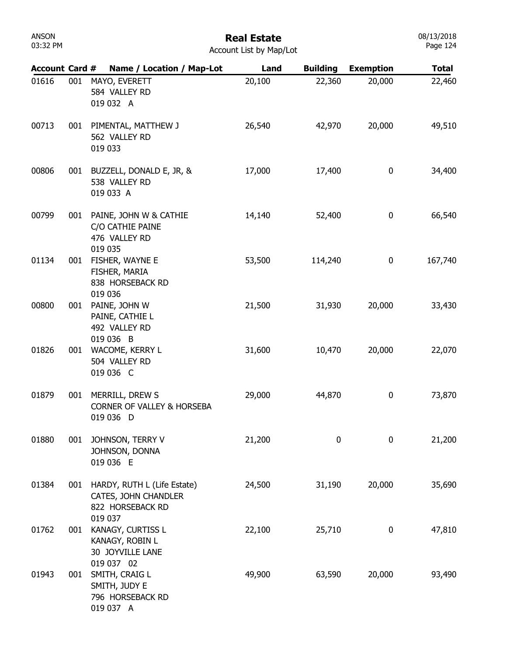# Real Estate

08/13/2018 Page 124

| <b>Account Card #</b> |     |            | Name / Location / Map-Lot                                               | Land   | <b>Building</b> | <b>Exemption</b> | <b>Total</b> |
|-----------------------|-----|------------|-------------------------------------------------------------------------|--------|-----------------|------------------|--------------|
| 01616                 | 001 | 019 032 A  | MAYO, EVERETT<br>584 VALLEY RD                                          | 20,100 | 22,360          | 20,000           | 22,460       |
| 00713                 | 001 | 019 033    | PIMENTAL, MATTHEW J<br>562 VALLEY RD                                    | 26,540 | 42,970          | 20,000           | 49,510       |
| 00806                 | 001 | 019 033 A  | BUZZELL, DONALD E, JR, &<br>538 VALLEY RD                               | 17,000 | 17,400          | 0                | 34,400       |
| 00799                 | 001 | 019 035    | PAINE, JOHN W & CATHIE<br>C/O CATHIE PAINE<br>476 VALLEY RD             | 14,140 | 52,400          | $\bf{0}$         | 66,540       |
| 01134                 | 001 | 019 036    | FISHER, WAYNE E<br>FISHER, MARIA<br>838 HORSEBACK RD                    | 53,500 | 114,240         | $\bf{0}$         | 167,740      |
| 00800                 | 001 | 019 036 B  | PAINE, JOHN W<br>PAINE, CATHIE L<br>492 VALLEY RD                       | 21,500 | 31,930          | 20,000           | 33,430       |
| 01826                 | 001 | 019 036 C  | WACOME, KERRY L<br>504 VALLEY RD                                        | 31,600 | 10,470          | 20,000           | 22,070       |
| 01879                 | 001 | 019 036 D  | MERRILL, DREW S<br><b>CORNER OF VALLEY &amp; HORSEBA</b>                | 29,000 | 44,870          | $\bf{0}$         | 73,870       |
| 01880                 | 001 | 019 036 E  | JOHNSON, TERRY V<br>JOHNSON, DONNA                                      | 21,200 | 0               | 0                | 21,200       |
| 01384                 | 001 | 019 037    | HARDY, RUTH L (Life Estate)<br>CATES, JOHN CHANDLER<br>822 HORSEBACK RD | 24,500 | 31,190          | 20,000           | 35,690       |
| 01762                 | 001 | 019 037 02 | KANAGY, CURTISS L<br>KANAGY, ROBIN L<br>30 JOYVILLE LANE                | 22,100 | 25,710          | 0                | 47,810       |
| 01943                 | 001 | 019 037 A  | SMITH, CRAIG L<br>SMITH, JUDY E<br>796 HORSEBACK RD                     | 49,900 | 63,590          | 20,000           | 93,490       |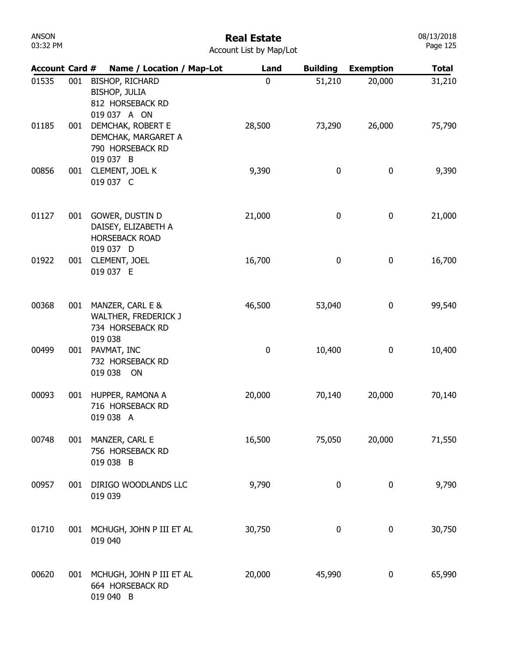| Account Card # |     | Name / Location / Map-Lot                                                          | Land        | <b>Building</b> | <b>Exemption</b> | <b>Total</b> |
|----------------|-----|------------------------------------------------------------------------------------|-------------|-----------------|------------------|--------------|
| 01535          | 001 | <b>BISHOP, RICHARD</b><br><b>BISHOP, JULIA</b><br>812 HORSEBACK RD<br>019 037 A ON | $\mathbf 0$ | 51,210          | 20,000           | 31,210       |
| 01185          | 001 | DEMCHAK, ROBERT E<br>DEMCHAK, MARGARET A<br>790 HORSEBACK RD<br>019 037 B          | 28,500      | 73,290          | 26,000           | 75,790       |
| 00856          | 001 | CLEMENT, JOEL K<br>019 037 C                                                       | 9,390       | 0               | 0                | 9,390        |
| 01127          | 001 | GOWER, DUSTIN D<br>DAISEY, ELIZABETH A<br><b>HORSEBACK ROAD</b><br>019 037 D       | 21,000      | 0               | 0                | 21,000       |
| 01922          | 001 | CLEMENT, JOEL<br>019 037 E                                                         | 16,700      | $\pmb{0}$       | $\pmb{0}$        | 16,700       |
| 00368          | 001 | MANZER, CARL E &<br>WALTHER, FREDERICK J<br>734 HORSEBACK RD<br>019 038            | 46,500      | 53,040          | $\pmb{0}$        | 99,540       |
| 00499          | 001 | PAVMAT, INC<br>732 HORSEBACK RD<br>019 038<br>ON                                   | $\pmb{0}$   | 10,400          | $\pmb{0}$        | 10,400       |
| 00093          | 001 | HUPPER, RAMONA A<br>716 HORSEBACK RD<br>019 038 A                                  | 20,000      | 70,140          | 20,000           | 70,140       |
| 00748          |     | 001 MANZER, CARL E<br>756 HORSEBACK RD<br>019 038 B                                | 16,500      | 75,050          | 20,000           | 71,550       |
| 00957          | 001 | DIRIGO WOODLANDS LLC<br>019 039                                                    | 9,790       | 0               | $\boldsymbol{0}$ | 9,790        |
| 01710          |     | 001 MCHUGH, JOHN P III ET AL<br>019 040                                            | 30,750      | 0               | $\boldsymbol{0}$ | 30,750       |
| 00620          |     | 001 MCHUGH, JOHN P III ET AL<br>664 HORSEBACK RD<br>019 040 B                      | 20,000      | 45,990          | $\pmb{0}$        | 65,990       |

08/13/2018 Page 125

ANSON 03:32 PM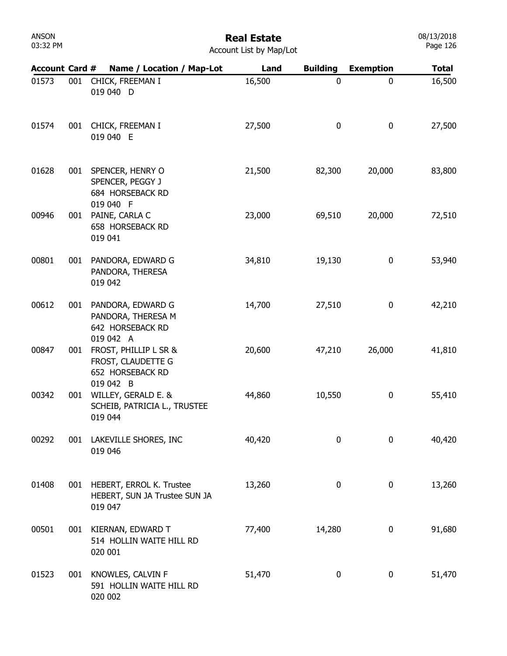# Real Estate

|  | Account List by Map/Lot |  |  |  |  |
|--|-------------------------|--|--|--|--|
|--|-------------------------|--|--|--|--|

| <b>Account Card #</b> |     | Name / Location / Map-Lot                                                        | Land   | <b>Building</b> | <b>Exemption</b> | <b>Total</b> |
|-----------------------|-----|----------------------------------------------------------------------------------|--------|-----------------|------------------|--------------|
| 01573                 | 001 | CHICK, FREEMAN I<br>019 040 D                                                    | 16,500 | $\mathbf 0$     | 0                | 16,500       |
| 01574                 | 001 | CHICK, FREEMAN I<br>019 040 E                                                    | 27,500 | $\bf{0}$        | $\pmb{0}$        | 27,500       |
| 01628                 |     | 001 SPENCER, HENRY O<br>SPENCER, PEGGY J<br><b>684 HORSEBACK RD</b><br>019 040 F | 21,500 | 82,300          | 20,000           | 83,800       |
| 00946                 | 001 | PAINE, CARLA C<br>658 HORSEBACK RD<br>019 041                                    | 23,000 | 69,510          | 20,000           | 72,510       |
| 00801                 | 001 | PANDORA, EDWARD G<br>PANDORA, THERESA<br>019 042                                 | 34,810 | 19,130          | 0                | 53,940       |
| 00612                 | 001 | PANDORA, EDWARD G<br>PANDORA, THERESA M<br>642 HORSEBACK RD                      | 14,700 | 27,510          | 0                | 42,210       |
| 00847                 | 001 | 019 042 A<br>FROST, PHILLIP L SR &<br>FROST, CLAUDETTE G<br>652 HORSEBACK RD     | 20,600 | 47,210          | 26,000           | 41,810       |
| 00342                 | 001 | 019 042 B<br>WILLEY, GERALD E. &<br>SCHEIB, PATRICIA L., TRUSTEE<br>019 044      | 44,860 | 10,550          | 0                | 55,410       |
| 00292                 | 001 | LAKEVILLE SHORES, INC<br>019 046                                                 | 40,420 | $\mathbf 0$     | 0                | 40,420       |
| 01408                 | 001 | HEBERT, ERROL K. Trustee<br>HEBERT, SUN JA Trustee SUN JA<br>019 047             | 13,260 | $\pmb{0}$       | 0                | 13,260       |
| 00501                 | 001 | KIERNAN, EDWARD T<br>514 HOLLIN WAITE HILL RD<br>020 001                         | 77,400 | 14,280          | 0                | 91,680       |
| 01523                 | 001 | KNOWLES, CALVIN F<br>591 HOLLIN WAITE HILL RD<br>020 002                         | 51,470 | 0               | 0                | 51,470       |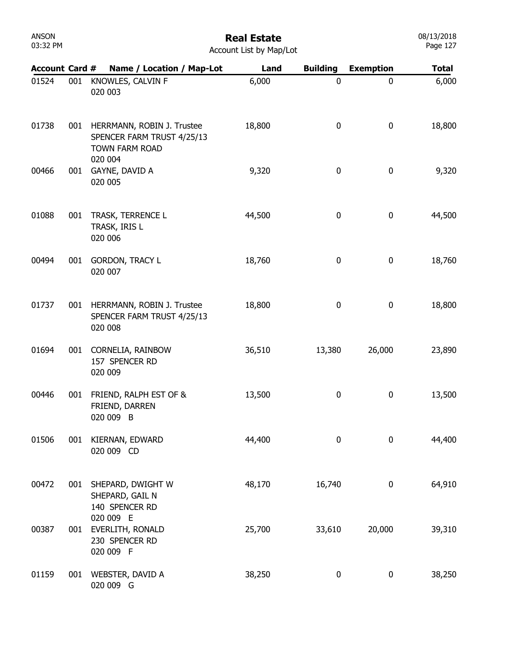| ANSON    |  |
|----------|--|
| 03:32 PM |  |

# Real Estate

08/13/2018 Page 127

| <b>Account Card #</b> |     | Name / Location / Map-Lot                                                                    | Land   | <b>Building</b>  | <b>Exemption</b> | <b>Total</b> |
|-----------------------|-----|----------------------------------------------------------------------------------------------|--------|------------------|------------------|--------------|
| 01524                 | 001 | KNOWLES, CALVIN F<br>020 003                                                                 | 6,000  | $\mathbf 0$      | $\mathbf 0$      | 6,000        |
| 01738                 | 001 | HERRMANN, ROBIN J. Trustee<br>SPENCER FARM TRUST 4/25/13<br><b>TOWN FARM ROAD</b><br>020 004 | 18,800 | $\bf{0}$         | $\pmb{0}$        | 18,800       |
| 00466                 | 001 | GAYNE, DAVID A<br>020 005                                                                    | 9,320  | $\pmb{0}$        | $\pmb{0}$        | 9,320        |
| 01088                 | 001 | TRASK, TERRENCE L<br>TRASK, IRIS L<br>020 006                                                | 44,500 | $\bf{0}$         | $\mathbf 0$      | 44,500       |
| 00494                 | 001 | <b>GORDON, TRACY L</b><br>020 007                                                            | 18,760 | $\pmb{0}$        | $\pmb{0}$        | 18,760       |
| 01737                 | 001 | HERRMANN, ROBIN J. Trustee<br>SPENCER FARM TRUST 4/25/13<br>020 008                          | 18,800 | 0                | $\pmb{0}$        | 18,800       |
| 01694                 | 001 | CORNELIA, RAINBOW<br>157 SPENCER RD<br>020 009                                               | 36,510 | 13,380           | 26,000           | 23,890       |
| 00446                 | 001 | FRIEND, RALPH EST OF &<br>FRIEND, DARREN<br>020 009 B                                        | 13,500 | $\bf{0}$         | 0                | 13,500       |
| 01506                 | 001 | KIERNAN, EDWARD<br>020 009 CD                                                                | 44,400 | $\mathbf 0$      | $\mathbf 0$      | 44,400       |
| 00472                 | 001 | SHEPARD, DWIGHT W<br>SHEPARD, GAIL N<br>140 SPENCER RD                                       | 48,170 | 16,740           | 0                | 64,910       |
| 00387                 | 001 | 020 009 E<br>EVERLITH, RONALD<br>230 SPENCER RD<br>020 009 F                                 | 25,700 | 33,610           | 20,000           | 39,310       |
| 01159                 | 001 | WEBSTER, DAVID A<br>020 009 G                                                                | 38,250 | $\boldsymbol{0}$ | 0                | 38,250       |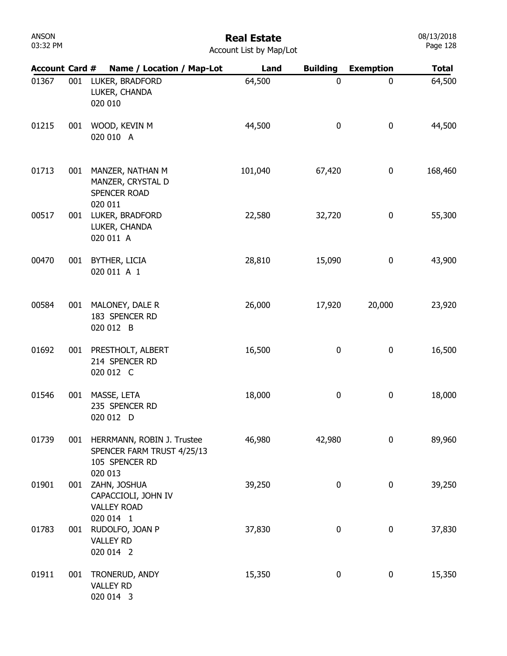# Real Estate

| <b>Account Card #</b> |     | Name / Location / Map-Lot                                                  | Land    | <b>Building</b>  | <b>Exemption</b> | <b>Total</b> |
|-----------------------|-----|----------------------------------------------------------------------------|---------|------------------|------------------|--------------|
| 01367                 | 001 | LUKER, BRADFORD<br>LUKER, CHANDA<br>020 010                                | 64,500  | 0                | 0                | 64,500       |
| 01215                 | 001 | WOOD, KEVIN M<br>020 010 A                                                 | 44,500  | $\boldsymbol{0}$ | 0                | 44,500       |
| 01713                 | 001 | MANZER, NATHAN M<br>MANZER, CRYSTAL D<br>SPENCER ROAD<br>020 011           | 101,040 | 67,420           | 0                | 168,460      |
| 00517                 | 001 | LUKER, BRADFORD<br>LUKER, CHANDA<br>020 011 A                              | 22,580  | 32,720           | 0                | 55,300       |
| 00470                 | 001 | BYTHER, LICIA<br>020 011 A 1                                               | 28,810  | 15,090           | 0                | 43,900       |
| 00584                 | 001 | MALONEY, DALE R<br>183 SPENCER RD<br>020 012 B                             | 26,000  | 17,920           | 20,000           | 23,920       |
| 01692                 | 001 | PRESTHOLT, ALBERT<br>214 SPENCER RD<br>020 012 C                           | 16,500  | 0                | 0                | 16,500       |
| 01546                 | 001 | MASSE, LETA<br>235 SPENCER RD<br>020 012 D                                 | 18,000  | 0                | 0                | 18,000       |
| 01739                 | 001 | HERRMANN, ROBIN J. Trustee<br>SPENCER FARM TRUST 4/25/13<br>105 SPENCER RD | 46,980  | 42,980           | 0                | 89,960       |
| 01901                 | 001 | 020 013<br>ZAHN, JOSHUA<br>CAPACCIOLI, JOHN IV<br><b>VALLEY ROAD</b>       | 39,250  | 0                | 0                | 39,250       |
| 01783                 | 001 | 020 014 1<br>RUDOLFO, JOAN P<br><b>VALLEY RD</b><br>020 014 2              | 37,830  | 0                | 0                | 37,830       |
| 01911                 | 001 | TRONERUD, ANDY<br><b>VALLEY RD</b><br>020 014 3                            | 15,350  | 0                | 0                | 15,350       |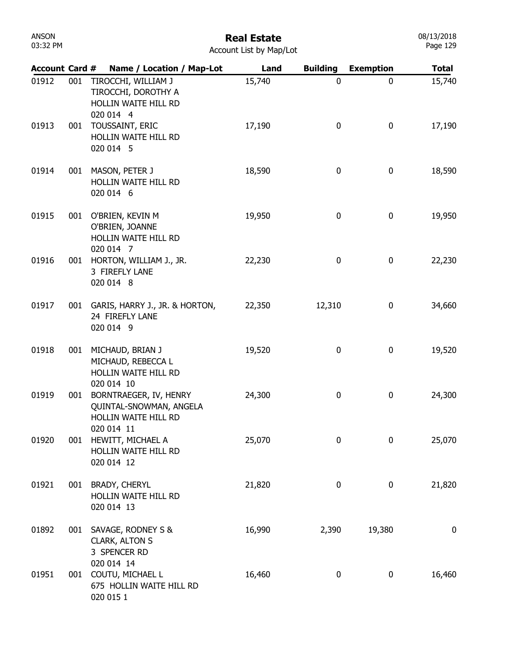| ANSON    |  |
|----------|--|
| 03:32 PM |  |

# Real Estate

|  | <b>Account List by Map/Lot</b> |  |  |  |  |
|--|--------------------------------|--|--|--|--|
|--|--------------------------------|--|--|--|--|

| <b>Account Card #</b> |     | Name / Location / Map-Lot                                                               | Land   | <b>Building</b> | <b>Exemption</b> | <b>Total</b>     |
|-----------------------|-----|-----------------------------------------------------------------------------------------|--------|-----------------|------------------|------------------|
| 01912                 | 001 | TIROCCHI, WILLIAM J<br>TIROCCHI, DOROTHY A<br>HOLLIN WAITE HILL RD<br>020 014 4         | 15,740 | $\mathbf 0$     | 0                | 15,740           |
| 01913                 | 001 | TOUSSAINT, ERIC<br>HOLLIN WAITE HILL RD<br>020 014 5                                    | 17,190 | 0               | 0                | 17,190           |
| 01914                 | 001 | MASON, PETER J<br><b>HOLLIN WAITE HILL RD</b><br>020 014 6                              | 18,590 | 0               | 0                | 18,590           |
| 01915                 | 001 | O'BRIEN, KEVIN M<br>O'BRIEN, JOANNE<br>HOLLIN WAITE HILL RD<br>020 014 7                | 19,950 | 0               | 0                | 19,950           |
| 01916                 | 001 | HORTON, WILLIAM J., JR.<br>3 FIREFLY LANE<br>020 014 8                                  | 22,230 | 0               | 0                | 22,230           |
| 01917                 | 001 | GARIS, HARRY J., JR. & HORTON,<br>24 FIREFLY LANE<br>020 014 9                          | 22,350 | 12,310          | 0                | 34,660           |
| 01918                 | 001 | MICHAUD, BRIAN J<br>MICHAUD, REBECCA L<br>HOLLIN WAITE HILL RD                          | 19,520 | 0               | 0                | 19,520           |
| 01919                 | 001 | 020 014 10<br>BORNTRAEGER, IV, HENRY<br>QUINTAL-SNOWMAN, ANGELA<br>HOLLIN WAITE HILL RD | 24,300 | 0               | 0                | 24,300           |
| 01920                 | 001 | 020 014 11<br>HEWITT, MICHAEL A<br>HOLLIN WAITE HILL RD<br>020 014 12                   | 25,070 | 0               | 0                | 25,070           |
| 01921                 | 001 | <b>BRADY, CHERYL</b><br>HOLLIN WAITE HILL RD<br>020 014 13                              | 21,820 | 0               | 0                | 21,820           |
| 01892                 | 001 | SAVAGE, RODNEY S &<br>CLARK, ALTON S<br>3 SPENCER RD                                    | 16,990 | 2,390           | 19,380           | $\boldsymbol{0}$ |
| 01951                 | 001 | 020 014 14<br>COUTU, MICHAEL L<br>675 HOLLIN WAITE HILL RD<br>020 015 1                 | 16,460 | 0               | 0                | 16,460           |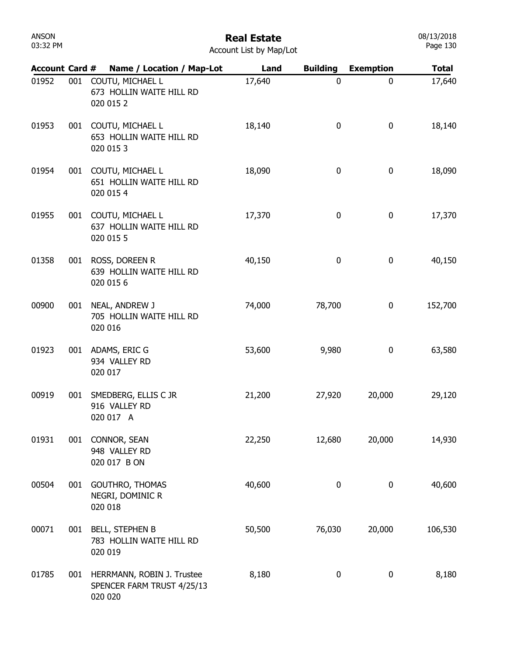| ANSON    |  |
|----------|--|
| 03:32 PM |  |

# Real Estate

08/13/2018 Page 130

| <b>Account Card #</b> |     |         | Name / Location / Map-Lot                                 | Land   | <b>Building</b> | <b>Exemption</b> | <b>Total</b> |
|-----------------------|-----|---------|-----------------------------------------------------------|--------|-----------------|------------------|--------------|
| 01952                 | 001 |         | COUTU, MICHAEL L<br>673 HOLLIN WAITE HILL RD<br>020 015 2 | 17,640 | $\mathbf 0$     | 0                | 17,640       |
| 01953                 | 001 |         | COUTU, MICHAEL L<br>653 HOLLIN WAITE HILL RD<br>020 015 3 | 18,140 | 0               | 0                | 18,140       |
| 01954                 | 001 |         | COUTU, MICHAEL L<br>651 HOLLIN WAITE HILL RD<br>020 015 4 | 18,090 | 0               | 0                | 18,090       |
| 01955                 | 001 |         | COUTU, MICHAEL L<br>637 HOLLIN WAITE HILL RD<br>020 015 5 | 17,370 | 0               | 0                | 17,370       |
| 01358                 | 001 |         | ROSS, DOREEN R<br>639 HOLLIN WAITE HILL RD<br>020 015 6   | 40,150 | $\pmb{0}$       | 0                | 40,150       |
| 00900                 | 001 | 020 016 | NEAL, ANDREW J<br>705 HOLLIN WAITE HILL RD                | 74,000 | 78,700          | 0                | 152,700      |
| 01923                 |     | 020 017 | 001 ADAMS, ERIC G<br>934 VALLEY RD                        | 53,600 | 9,980           | 0                | 63,580       |
| 00919                 | 001 |         | SMEDBERG, ELLIS C JR<br>916 VALLEY RD<br>020 017 A        | 21,200 | 27,920          | 20,000           | 29,120       |
| 01931                 | 001 |         | CONNOR, SEAN<br>948 VALLEY RD<br>020 017 B ON             | 22,250 | 12,680          | 20,000           | 14,930       |
| 00504                 | 001 | 020 018 | GOUTHRO, THOMAS<br>NEGRI, DOMINIC R                       | 40,600 | 0               | 0                | 40,600       |
| 00071                 | 001 | 020 019 | <b>BELL, STEPHEN B</b><br>783 HOLLIN WAITE HILL RD        | 50,500 | 76,030          | 20,000           | 106,530      |
| 01785                 | 001 | 020 020 | HERRMANN, ROBIN J. Trustee<br>SPENCER FARM TRUST 4/25/13  | 8,180  | 0               | 0                | 8,180        |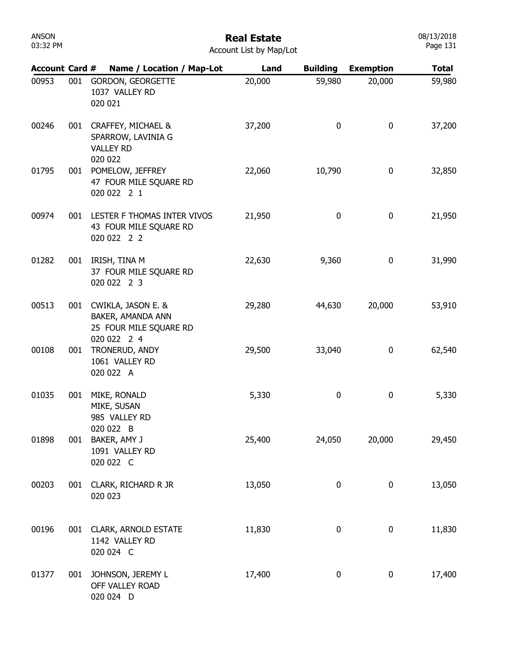#### Real Estate

08/13/2018 Page 131

| <b>Account Card #</b> |     | Name / Location / Map-Lot                                                            | Land   | <b>Building</b> | <b>Exemption</b> | <b>Total</b> |
|-----------------------|-----|--------------------------------------------------------------------------------------|--------|-----------------|------------------|--------------|
| 00953                 | 001 | GORDON, GEORGETTE<br>1037 VALLEY RD<br>020 021                                       | 20,000 | 59,980          | 20,000           | 59,980       |
| 00246                 |     | 001 CRAFFEY, MICHAEL &<br>SPARROW, LAVINIA G<br><b>VALLEY RD</b><br>020 022          | 37,200 | 0               | $\boldsymbol{0}$ | 37,200       |
| 01795                 | 001 | POMELOW, JEFFREY<br>47 FOUR MILE SQUARE RD<br>020 022 2 1                            | 22,060 | 10,790          | $\boldsymbol{0}$ | 32,850       |
| 00974                 |     | 001 LESTER F THOMAS INTER VIVOS<br>43 FOUR MILE SQUARE RD<br>020 022 2 2             | 21,950 | 0               | $\boldsymbol{0}$ | 21,950       |
| 01282                 | 001 | IRISH, TINA M<br>37 FOUR MILE SQUARE RD<br>020 022 2 3                               | 22,630 | 9,360           | $\boldsymbol{0}$ | 31,990       |
| 00513                 |     | 001 CWIKLA, JASON E. &<br>BAKER, AMANDA ANN<br>25 FOUR MILE SQUARE RD<br>020 022 2 4 | 29,280 | 44,630          | 20,000           | 53,910       |
| 00108                 | 001 | TRONERUD, ANDY<br>1061 VALLEY RD<br>020 022 A                                        | 29,500 | 33,040          | 0                | 62,540       |
| 01035                 | 001 | MIKE, RONALD<br>MIKE, SUSAN<br>985 VALLEY RD<br>020 022 B                            | 5,330  | 0               | 0                | 5,330        |
| 01898                 |     | 001 BAKER, AMY J<br>1091 VALLEY RD<br>020 022 C                                      | 25,400 | 24,050          | 20,000           | 29,450       |
| 00203                 | 001 | CLARK, RICHARD R JR<br>020 023                                                       | 13,050 | 0               | 0                | 13,050       |
| 00196                 |     | 001 CLARK, ARNOLD ESTATE<br>1142 VALLEY RD<br>020 024 C                              | 11,830 | $\pmb{0}$       | $\boldsymbol{0}$ | 11,830       |
| 01377                 | 001 | JOHNSON, JEREMY L<br>OFF VALLEY ROAD<br>020 024 D                                    | 17,400 | 0               | 0                | 17,400       |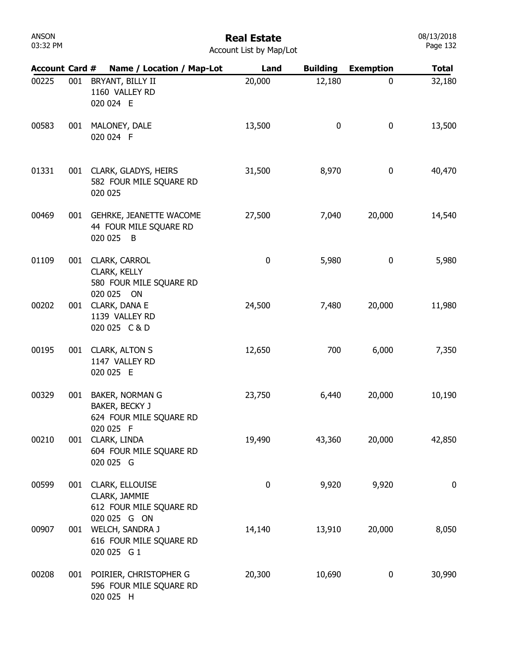#### Real Estate

08/13/2018 Page 132

| <b>Account Card #</b> |     | Name / Location / Map-Lot                                                       | Land        | <b>Building</b> | <b>Exemption</b> | <b>Total</b> |
|-----------------------|-----|---------------------------------------------------------------------------------|-------------|-----------------|------------------|--------------|
| 00225                 | 001 | BRYANT, BILLY II<br>1160 VALLEY RD<br>020 024 E                                 | 20,000      | 12,180          | 0                | 32,180       |
| 00583                 | 001 | MALONEY, DALE<br>020 024 F                                                      | 13,500      | 0               | $\bf{0}$         | 13,500       |
| 01331                 |     | 001 CLARK, GLADYS, HEIRS<br>582 FOUR MILE SQUARE RD<br>020 025                  | 31,500      | 8,970           | $\pmb{0}$        | 40,470       |
| 00469                 | 001 | GEHRKE, JEANETTE WACOME<br>44 FOUR MILE SQUARE RD<br>020 025<br>$\overline{B}$  | 27,500      | 7,040           | 20,000           | 14,540       |
| 01109                 | 001 | CLARK, CARROL<br>CLARK, KELLY<br>580 FOUR MILE SQUARE RD<br>020 025 ON          | $\pmb{0}$   | 5,980           | 0                | 5,980        |
| 00202                 | 001 | CLARK, DANA E<br>1139 VALLEY RD<br>020 025 C & D                                | 24,500      | 7,480           | 20,000           | 11,980       |
| 00195                 |     | 001 CLARK, ALTON S<br>1147 VALLEY RD<br>020 025 E                               | 12,650      | 700             | 6,000            | 7,350        |
| 00329                 | 001 | <b>BAKER, NORMAN G</b><br>BAKER, BECKY J<br>624 FOUR MILE SQUARE RD             | 23,750      | 6,440           | 20,000           | 10,190       |
| 00210                 |     | 020 025 F<br>001 CLARK, LINDA<br>604 FOUR MILE SQUARE RD<br>020 025 G           | 19,490      | 43,360          | 20,000           | 42,850       |
| 00599                 |     | 001 CLARK, ELLOUISE<br>CLARK, JAMMIE<br>612 FOUR MILE SQUARE RD<br>020 025 G ON | $\mathbf 0$ | 9,920           | 9,920            | $\mathbf 0$  |
| 00907                 |     | 001 WELCH, SANDRA J<br>616 FOUR MILE SQUARE RD<br>020 025 G 1                   | 14,140      | 13,910          | 20,000           | 8,050        |
| 00208                 |     | 001 POIRIER, CHRISTOPHER G<br>596 FOUR MILE SQUARE RD<br>020 025 H              | 20,300      | 10,690          | 0                | 30,990       |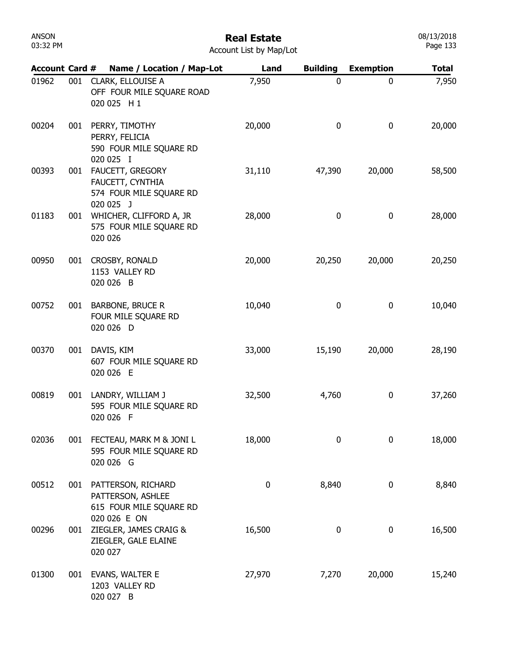| <b>Account Card #</b> |     | Name / Location / Map-Lot                                                              | Land     | <b>Building</b> | <b>Exemption</b> | <b>Total</b> |
|-----------------------|-----|----------------------------------------------------------------------------------------|----------|-----------------|------------------|--------------|
| 01962                 | 001 | CLARK, ELLOUISE A<br>OFF FOUR MILE SQUARE ROAD<br>020 025 H 1                          | 7,950    | $\mathbf 0$     | 0                | 7,950        |
| 00204                 | 001 | PERRY, TIMOTHY<br>PERRY, FELICIA<br>590 FOUR MILE SQUARE RD<br>020 025 I               | 20,000   | 0               | 0                | 20,000       |
| 00393                 | 001 | FAUCETT, GREGORY<br>FAUCETT, CYNTHIA<br>574 FOUR MILE SQUARE RD<br>020 025 J           | 31,110   | 47,390          | 20,000           | 58,500       |
| 01183                 | 001 | WHICHER, CLIFFORD A, JR<br>575 FOUR MILE SQUARE RD<br>020 026                          | 28,000   | 0               | 0                | 28,000       |
| 00950                 | 001 | CROSBY, RONALD<br>1153 VALLEY RD<br>020 026 B                                          | 20,000   | 20,250          | 20,000           | 20,250       |
| 00752                 | 001 | <b>BARBONE, BRUCE R</b><br>FOUR MILE SQUARE RD<br>020 026 D                            | 10,040   | 0               | 0                | 10,040       |
| 00370                 | 001 | DAVIS, KIM<br>607 FOUR MILE SQUARE RD<br>020 026 E                                     | 33,000   | 15,190          | 20,000           | 28,190       |
| 00819                 | 001 | LANDRY, WILLIAM J<br>595 FOUR MILE SQUARE RD<br>020 026 F                              | 32,500   | 4,760           | 0                | 37,260       |
| 02036                 |     | 001 FECTEAU, MARK M & JONI L<br>595 FOUR MILE SQUARE RD<br>020 026 G                   | 18,000   | $\mathbf 0$     | 0                | 18,000       |
| 00512                 |     | 001 PATTERSON, RICHARD<br>PATTERSON, ASHLEE<br>615 FOUR MILE SQUARE RD<br>020 026 E ON | $\bf{0}$ | 8,840           | 0                | 8,840        |
| 00296                 | 001 | ZIEGLER, JAMES CRAIG &<br>ZIEGLER, GALE ELAINE<br>020 027                              | 16,500   | 0               | 0                | 16,500       |
| 01300                 | 001 | EVANS, WALTER E<br>1203 VALLEY RD<br>020 027 B                                         | 27,970   | 7,270           | 20,000           | 15,240       |

08/13/2018 Page 133

ANSON 03:32 PM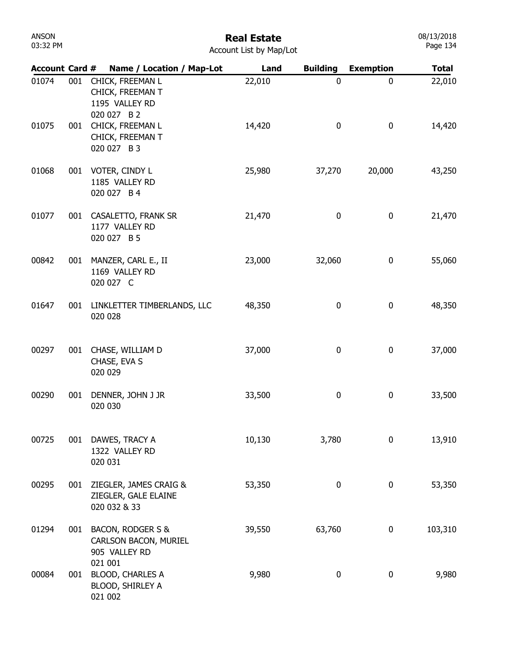| ANSON    |  |
|----------|--|
| 03:32 PM |  |

# Real Estate

| <b>Account List by Map/Lot</b> |
|--------------------------------|
|--------------------------------|

| <b>Account Card #</b> |     | Name / Location / Map-Lot                                             | Land   | <b>Building</b>  | <b>Exemption</b> | <b>Total</b> |
|-----------------------|-----|-----------------------------------------------------------------------|--------|------------------|------------------|--------------|
| 01074                 | 001 | CHICK, FREEMAN L<br>CHICK, FREEMAN T<br>1195 VALLEY RD<br>020 027 B 2 | 22,010 | $\mathbf 0$      | 0                | 22,010       |
| 01075                 | 001 | CHICK, FREEMAN L<br>CHICK, FREEMAN T<br>020 027 B 3                   | 14,420 | $\boldsymbol{0}$ | 0                | 14,420       |
| 01068                 | 001 | VOTER, CINDY L<br>1185 VALLEY RD<br>020 027 B 4                       | 25,980 | 37,270           | 20,000           | 43,250       |
| 01077                 | 001 | CASALETTO, FRANK SR<br>1177 VALLEY RD<br>020 027 B 5                  | 21,470 | 0                | 0                | 21,470       |
| 00842                 | 001 | MANZER, CARL E., II<br>1169 VALLEY RD<br>020 027 C                    | 23,000 | 32,060           | 0                | 55,060       |
| 01647                 | 001 | LINKLETTER TIMBERLANDS, LLC<br>020 028                                | 48,350 | 0                | 0                | 48,350       |
| 00297                 | 001 | CHASE, WILLIAM D<br>CHASE, EVA S<br>020 029                           | 37,000 | 0                | 0                | 37,000       |
| 00290                 | 001 | DENNER, JOHN J JR<br>020 030                                          | 33,500 | 0                | 0                | 33,500       |
| 00725                 | 001 | DAWES, TRACY A<br>1322 VALLEY RD<br>020 031                           | 10,130 | 3,780            | 0                | 13,910       |
| 00295                 | 001 | ZIEGLER, JAMES CRAIG &<br>ZIEGLER, GALE ELAINE<br>020 032 & 33        | 53,350 | 0                | 0                | 53,350       |
| 01294                 | 001 | BACON, RODGER S &<br>CARLSON BACON, MURIEL<br>905 VALLEY RD           | 39,550 | 63,760           | 0                | 103,310      |
| 00084                 | 001 | 021 001<br><b>BLOOD, CHARLES A</b><br>BLOOD, SHIRLEY A<br>021 002     | 9,980  | 0                | 0                | 9,980        |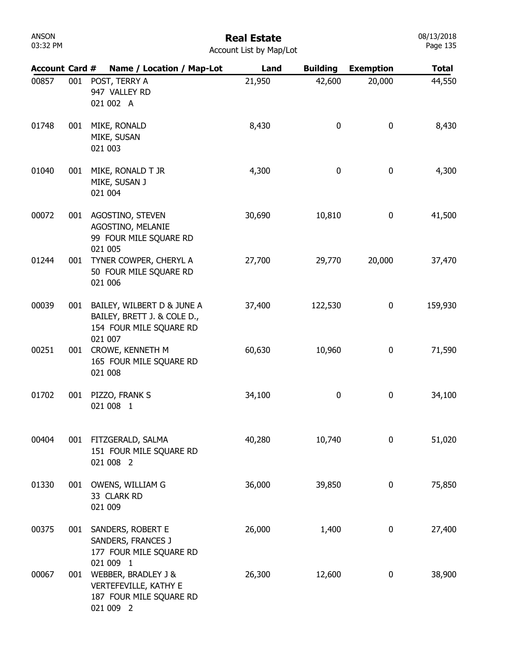### Real Estate

| Account List by Map/Lot |  |  |  |
|-------------------------|--|--|--|
|-------------------------|--|--|--|

| <b>Account Card #</b> |     | Name / Location / Map-Lot                                                                       | Land   | <b>Building</b> | <b>Exemption</b> | <b>Total</b> |
|-----------------------|-----|-------------------------------------------------------------------------------------------------|--------|-----------------|------------------|--------------|
| 00857                 | 001 | POST, TERRY A<br>947 VALLEY RD<br>021 002 A                                                     | 21,950 | 42,600          | 20,000           | 44,550       |
| 01748                 | 001 | MIKE, RONALD<br>MIKE, SUSAN<br>021 003                                                          | 8,430  | 0               | 0                | 8,430        |
| 01040                 | 001 | MIKE, RONALD T JR<br>MIKE, SUSAN J<br>021 004                                                   | 4,300  | 0               | 0                | 4,300        |
| 00072                 | 001 | AGOSTINO, STEVEN<br>AGOSTINO, MELANIE<br>99 FOUR MILE SQUARE RD<br>021 005                      | 30,690 | 10,810          | 0                | 41,500       |
| 01244                 | 001 | TYNER COWPER, CHERYL A<br>50 FOUR MILE SQUARE RD<br>021 006                                     | 27,700 | 29,770          | 20,000           | 37,470       |
| 00039                 | 001 | BAILEY, WILBERT D & JUNE A<br>BAILEY, BRETT J. & COLE D.,<br>154 FOUR MILE SQUARE RD<br>021 007 | 37,400 | 122,530         | 0                | 159,930      |
| 00251                 | 001 | CROWE, KENNETH M<br>165 FOUR MILE SQUARE RD<br>021 008                                          | 60,630 | 10,960          | 0                | 71,590       |
| 01702                 | 001 | PIZZO, FRANK S<br>021 008 1                                                                     | 34,100 | 0               | 0                | 34,100       |
| 00404                 | 001 | FITZGERALD, SALMA<br>151 FOUR MILE SQUARE RD<br>021 008 2                                       | 40,280 | 10,740          | 0                | 51,020       |
| 01330                 |     | 001 OWENS, WILLIAM G<br>33 CLARK RD<br>021 009                                                  | 36,000 | 39,850          | 0                | 75,850       |
| 00375                 |     | 001 SANDERS, ROBERT E<br>SANDERS, FRANCES J<br>177 FOUR MILE SQUARE RD<br>021 009 1             | 26,000 | 1,400           | $\boldsymbol{0}$ | 27,400       |
| 00067                 |     | 001 WEBBER, BRADLEY J &<br>VERTEFEVILLE, KATHY E<br>187 FOUR MILE SQUARE RD<br>021 009 2        | 26,300 | 12,600          | 0                | 38,900       |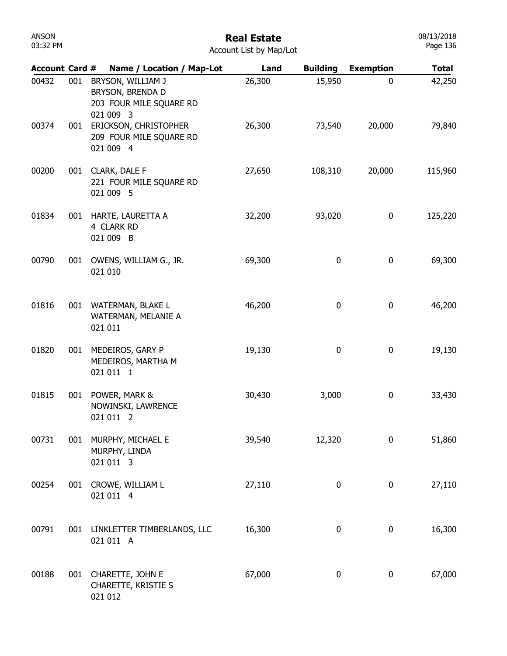| Account Card # |     | Name / Location / Map-Lot                                                     | Land   | <b>Building</b>  | <b>Exemption</b> | <b>Total</b> |
|----------------|-----|-------------------------------------------------------------------------------|--------|------------------|------------------|--------------|
| 00432          | 001 | BRYSON, WILLIAM J<br>BRYSON, BRENDA D<br>203 FOUR MILE SQUARE RD<br>021 009 3 | 26,300 | 15,950           | 0                | 42,250       |
| 00374          | 001 | ERICKSON, CHRISTOPHER<br>209 FOUR MILE SQUARE RD<br>021 009 4                 | 26,300 | 73,540           | 20,000           | 79,840       |
| 00200          | 001 | <b>CLARK, DALE F</b><br>221 FOUR MILE SQUARE RD<br>021 009 5                  | 27,650 | 108,310          | 20,000           | 115,960      |
| 01834          | 001 | HARTE, LAURETTA A<br>4 CLARK RD<br>021 009 B                                  | 32,200 | 93,020           | 0                | 125,220      |
| 00790          | 001 | OWENS, WILLIAM G., JR.<br>021 010                                             | 69,300 | 0                | 0                | 69,300       |
| 01816          | 001 | WATERMAN, BLAKE L<br>WATERMAN, MELANIE A<br>021 011                           | 46,200 | 0                | 0                | 46,200       |
| 01820          | 001 | MEDEIROS, GARY P<br>MEDEIROS, MARTHA M<br>021 011 1                           | 19,130 | $\boldsymbol{0}$ | 0                | 19,130       |
| 01815          | 001 | POWER, MARK &<br>NOWINSKI, LAWRENCE<br>021 011 2                              | 30,430 | 3,000            | 0                | 33,430       |
| 00731          | 001 | MURPHY, MICHAEL E<br>MURPHY, LINDA<br>021 011 3                               | 39,540 | 12,320           | 0                | 51,860       |
| 00254          | 001 | CROWE, WILLIAM L<br>021 011 4                                                 | 27,110 | 0                | 0                | 27,110       |
| 00791          | 001 | LINKLETTER TIMBERLANDS, LLC<br>021 011 A                                      | 16,300 | 0                | 0                | 16,300       |
| 00188          |     | 001 CHARETTE, JOHN E<br>CHARETTE, KRISTIE S<br>021 012                        | 67,000 | 0                | 0                | 67,000       |

08/13/2018 Page 136

ANSON 03:32 PM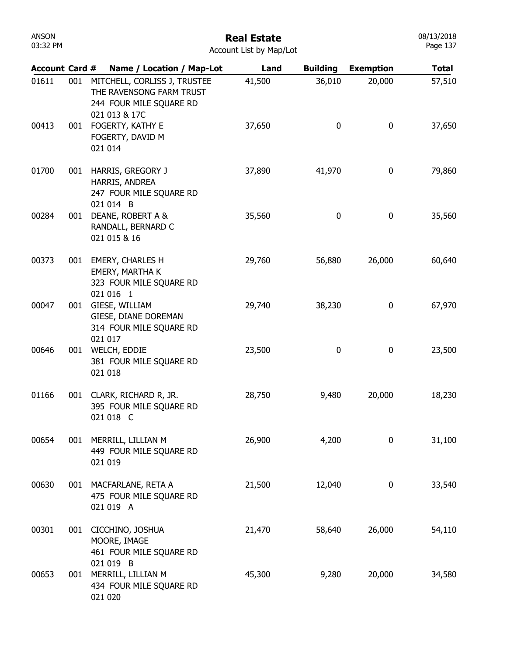| ANSON    |  |  |  |  |  |
|----------|--|--|--|--|--|
| 03:32 PM |  |  |  |  |  |

#### Real Estate

08/13/2018 Page 137

| <b>Account Card #</b> |     | Name / Location / Map-Lot                                                                            | Land   | <b>Building</b> | <b>Exemption</b> | <b>Total</b> |
|-----------------------|-----|------------------------------------------------------------------------------------------------------|--------|-----------------|------------------|--------------|
| 01611                 | 001 | MITCHELL, CORLISS J, TRUSTEE<br>THE RAVENSONG FARM TRUST<br>244 FOUR MILE SQUARE RD<br>021 013 & 17C | 41,500 | 36,010          | 20,000           | 57,510       |
| 00413                 | 001 | FOGERTY, KATHY E<br>FOGERTY, DAVID M<br>021 014                                                      | 37,650 | 0               | 0                | 37,650       |
| 01700                 | 001 | HARRIS, GREGORY J<br>HARRIS, ANDREA<br>247 FOUR MILE SQUARE RD<br>021 014 B                          | 37,890 | 41,970          | 0                | 79,860       |
| 00284                 | 001 | DEANE, ROBERT A &<br>RANDALL, BERNARD C<br>021 015 & 16                                              | 35,560 | 0               | 0                | 35,560       |
| 00373                 | 001 | <b>EMERY, CHARLES H</b><br>EMERY, MARTHA K<br>323 FOUR MILE SQUARE RD<br>021 016 1                   | 29,760 | 56,880          | 26,000           | 60,640       |
| 00047                 | 001 | GIESE, WILLIAM<br>GIESE, DIANE DOREMAN<br>314 FOUR MILE SQUARE RD<br>021 017                         | 29,740 | 38,230          | 0                | 67,970       |
| 00646                 | 001 | WELCH, EDDIE<br>381 FOUR MILE SQUARE RD<br>021 018                                                   | 23,500 | 0               | 0                | 23,500       |
| 01166                 | 001 | CLARK, RICHARD R, JR.<br>395 FOUR MILE SQUARE RD<br>021 018 C                                        | 28,750 | 9,480           | 20,000           | 18,230       |
| 00654                 | 001 | MERRILL, LILLIAN M<br>449 FOUR MILE SQUARE RD<br>021 019                                             | 26,900 | 4,200           | 0                | 31,100       |
| 00630                 | 001 | MACFARLANE, RETA A<br>475 FOUR MILE SQUARE RD<br>021 019 A                                           | 21,500 | 12,040          | 0                | 33,540       |
| 00301                 | 001 | CICCHINO, JOSHUA<br>MOORE, IMAGE<br>461 FOUR MILE SQUARE RD                                          | 21,470 | 58,640          | 26,000           | 54,110       |
| 00653                 | 001 | 021 019 B<br>MERRILL, LILLIAN M<br>434 FOUR MILE SQUARE RD<br>021 020                                | 45,300 | 9,280           | 20,000           | 34,580       |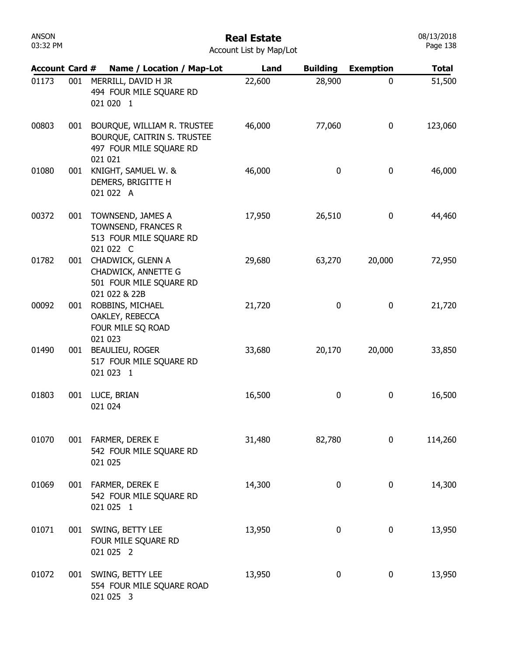| <b>ANSON</b><br>03:32 PM | <b>Real Estate</b><br>Account List by Map/Lot |                                                                                                  |        |                 |                  | 08/13/2018<br>Page 138 |
|--------------------------|-----------------------------------------------|--------------------------------------------------------------------------------------------------|--------|-----------------|------------------|------------------------|
| <b>Account Card #</b>    |                                               | Name / Location / Map-Lot                                                                        | Land   | <b>Building</b> | <b>Exemption</b> | <b>Total</b>           |
| 01173                    | 001                                           | MERRILL, DAVID H JR<br>494 FOUR MILE SQUARE RD<br>021 020 1                                      | 22,600 | 28,900          | 0                | 51,500                 |
| 00803                    | 001                                           | BOURQUE, WILLIAM R. TRUSTEE<br>BOURQUE, CAITRIN S. TRUSTEE<br>497 FOUR MILE SQUARE RD<br>021 021 | 46,000 | 77,060          | 0                | 123,060                |
| 01080                    | 001                                           | KNIGHT, SAMUEL W. &<br>DEMERS, BRIGITTE H<br>021 022 A                                           | 46,000 | $\bf{0}$        | $\mathbf 0$      | 46,000                 |
| 00372                    | 001                                           | TOWNSEND, JAMES A<br>TOWNSEND, FRANCES R<br>513 FOUR MILE SQUARE RD<br>021 022 C                 | 17,950 | 26,510          | $\mathbf 0$      | 44,460                 |
| 01782                    | 001                                           | CHADWICK, GLENN A<br>CHADWICK, ANNETTE G<br>501 FOUR MILE SQUARE RD<br>021 022 & 22B             | 29,680 | 63,270          | 20,000           | 72,950                 |
| 00092                    | 001                                           | ROBBINS, MICHAEL<br>OAKLEY, REBECCA<br>FOUR MILE SQ ROAD<br>021 023                              | 21,720 | $\bf{0}$        | $\mathbf 0$      | 21,720                 |
| 01490                    | 001                                           | BEAULIEU, ROGER<br>517 FOUR MILE SQUARE RD<br>021 023 1                                          | 33,680 | 20,170          | 20,000           | 33,850                 |
| 01803                    | 001                                           | LUCE, BRIAN<br>021 024                                                                           | 16,500 | 0               | 0                | 16,500                 |
| 01070                    |                                               | 001 FARMER, DEREK E<br>542 FOUR MILE SQUARE RD<br>021 025                                        | 31,480 | 82,780          | 0                | 114,260                |
| 01069                    |                                               | 001 FARMER, DEREK E<br>542 FOUR MILE SQUARE RD<br>021 025 1                                      | 14,300 | 0               | 0                | 14,300                 |
| 01071                    | 001                                           | SWING, BETTY LEE<br>FOUR MILE SQUARE RD<br>021 025 2                                             | 13,950 | 0               | 0                | 13,950                 |
| 01072                    |                                               | 001 SWING, BETTY LEE<br>554 FOUR MILE SQUARE ROAD<br>021 025 3                                   | 13,950 | 0               | 0                | 13,950                 |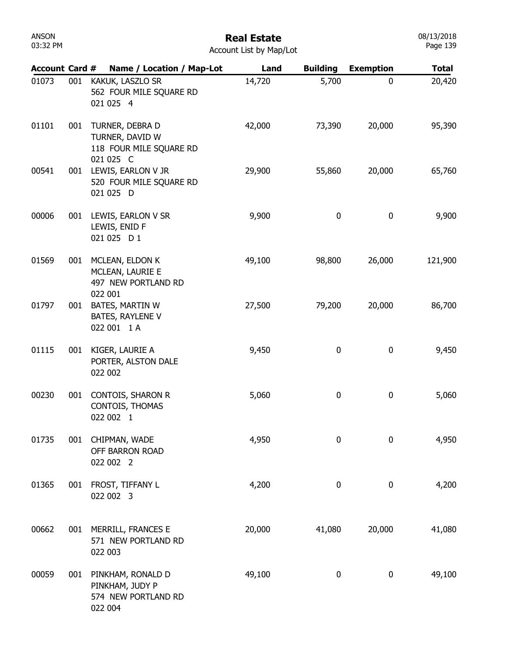| <b>Account Card #</b> |     | Name / Location / Map-Lot                                                  | Land   | <b>Building</b> | <b>Exemption</b> | <b>Total</b> |
|-----------------------|-----|----------------------------------------------------------------------------|--------|-----------------|------------------|--------------|
| 01073                 | 001 | KAKUK, LASZLO SR<br>562 FOUR MILE SQUARE RD<br>021 025 4                   | 14,720 | 5,700           | $\mathbf 0$      | 20,420       |
| 01101                 | 001 | TURNER, DEBRA D<br>TURNER, DAVID W<br>118 FOUR MILE SQUARE RD<br>021 025 C | 42,000 | 73,390          | 20,000           | 95,390       |
| 00541                 | 001 | LEWIS, EARLON V JR<br>520 FOUR MILE SQUARE RD<br>021 025 D                 | 29,900 | 55,860          | 20,000           | 65,760       |
| 00006                 | 001 | LEWIS, EARLON V SR<br>LEWIS, ENID F<br>021 025 D 1                         | 9,900  | 0               | $\pmb{0}$        | 9,900        |
| 01569                 | 001 | MCLEAN, ELDON K<br>MCLEAN, LAURIE E<br>497 NEW PORTLAND RD                 | 49,100 | 98,800          | 26,000           | 121,900      |
| 01797                 | 001 | 022 001<br><b>BATES, MARTIN W</b><br>BATES, RAYLENE V<br>022 001 1 A       | 27,500 | 79,200          | 20,000           | 86,700       |
| 01115                 | 001 | KIGER, LAURIE A<br>PORTER, ALSTON DALE<br>022 002                          | 9,450  | 0               | $\pmb{0}$        | 9,450        |
| 00230                 | 001 | CONTOIS, SHARON R<br>CONTOIS, THOMAS<br>022 002 1                          | 5,060  | 0               | 0                | 5,060        |
| 01735                 | 001 | CHIPMAN, WADE<br>OFF BARRON ROAD<br>022 002 2                              | 4,950  | 0               | 0                | 4,950        |
| 01365                 | 001 | FROST, TIFFANY L<br>022 002 3                                              | 4,200  | 0               | $\pmb{0}$        | 4,200        |
| 00662                 | 001 | MERRILL, FRANCES E<br>571 NEW PORTLAND RD<br>022 003                       | 20,000 | 41,080          | 20,000           | 41,080       |
| 00059                 | 001 | PINKHAM, RONALD D<br>PINKHAM, JUDY P<br>574 NEW PORTLAND RD<br>022 004     | 49,100 | 0               | $\pmb{0}$        | 49,100       |

08/13/2018 Page 139

ANSON 03:32 PM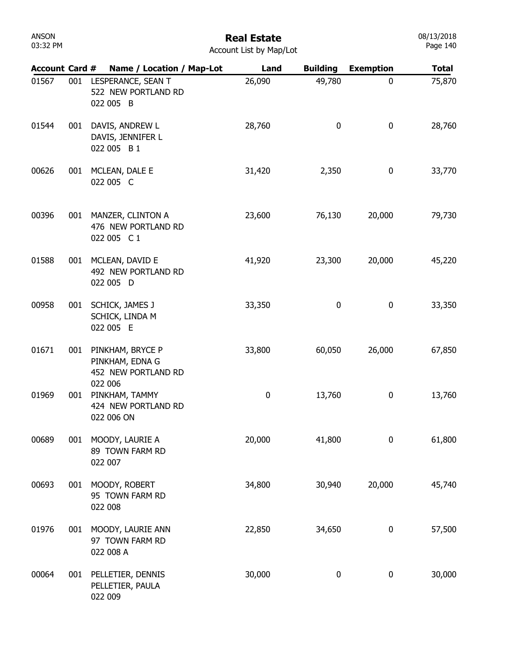## Real Estate

08/13/2018 Page 140

| <b>Account Card #</b> |     | Name / Location / Map-Lot                                      | Land      | <b>Building</b> | <b>Exemption</b> | <b>Total</b> |
|-----------------------|-----|----------------------------------------------------------------|-----------|-----------------|------------------|--------------|
| 01567                 | 001 | LESPERANCE, SEAN T<br>522 NEW PORTLAND RD<br>022 005 B         | 26,090    | 49,780          | 0                | 75,870       |
| 01544                 | 001 | DAVIS, ANDREW L<br>DAVIS, JENNIFER L<br>022 005 B 1            | 28,760    | 0               | 0                | 28,760       |
| 00626                 | 001 | MCLEAN, DALE E<br>022 005 C                                    | 31,420    | 2,350           | 0                | 33,770       |
| 00396                 | 001 | MANZER, CLINTON A<br>476 NEW PORTLAND RD<br>022 005 C1         | 23,600    | 76,130          | 20,000           | 79,730       |
| 01588                 | 001 | MCLEAN, DAVID E<br>492 NEW PORTLAND RD<br>022 005 D            | 41,920    | 23,300          | 20,000           | 45,220       |
| 00958                 | 001 | SCHICK, JAMES J<br>SCHICK, LINDA M<br>022 005 E                | 33,350    | 0               | 0                | 33,350       |
| 01671                 | 001 | PINKHAM, BRYCE P<br>PINKHAM, EDNA G<br>452 NEW PORTLAND RD     | 33,800    | 60,050          | 26,000           | 67,850       |
| 01969                 | 001 | 022 006<br>PINKHAM, TAMMY<br>424 NEW PORTLAND RD<br>022 006 ON | $\pmb{0}$ | 13,760          | 0                | 13,760       |
| 00689                 | 001 | MOODY, LAURIE A<br>89 TOWN FARM RD<br>022 007                  | 20,000    | 41,800          | 0                | 61,800       |
| 00693                 | 001 | MOODY, ROBERT<br>95 TOWN FARM RD<br>022 008                    | 34,800    | 30,940          | 20,000           | 45,740       |
| 01976                 | 001 | MOODY, LAURIE ANN<br>97 TOWN FARM RD<br>022 008 A              | 22,850    | 34,650          | 0                | 57,500       |
| 00064                 |     | 001 PELLETIER, DENNIS<br>PELLETIER, PAULA<br>022 009           | 30,000    | 0               | 0                | 30,000       |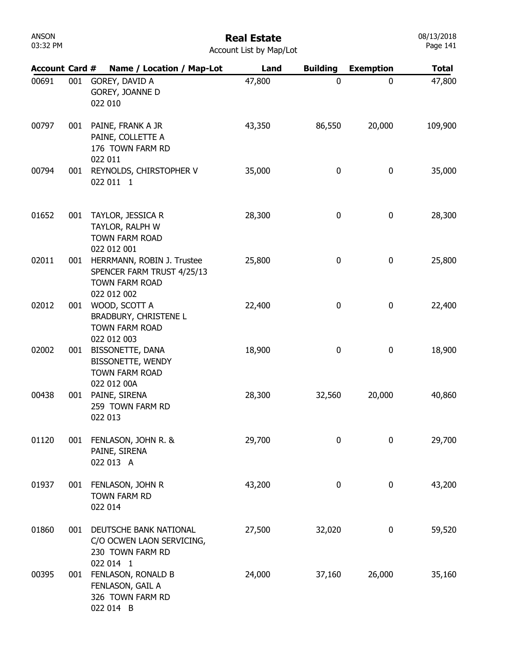#### Real Estate

|  | <b>Account List by Map/Lot</b> |  |  |  |  |
|--|--------------------------------|--|--|--|--|
|--|--------------------------------|--|--|--|--|

| <b>Account Card #</b> |     | Name / Location / Map-Lot                                                                        | Land   | <b>Building</b> | <b>Exemption</b> | <b>Total</b> |
|-----------------------|-----|--------------------------------------------------------------------------------------------------|--------|-----------------|------------------|--------------|
| 00691                 | 001 | GOREY, DAVID A<br>GOREY, JOANNE D<br>022 010                                                     | 47,800 | 0               | 0                | 47,800       |
| 00797                 | 001 | PAINE, FRANK A JR<br>PAINE, COLLETTE A<br>176 TOWN FARM RD<br>022 011                            | 43,350 | 86,550          | 20,000           | 109,900      |
| 00794                 | 001 | REYNOLDS, CHIRSTOPHER V<br>022 011 1                                                             | 35,000 | 0               | 0                | 35,000       |
| 01652                 | 001 | TAYLOR, JESSICA R<br>TAYLOR, RALPH W<br><b>TOWN FARM ROAD</b><br>022 012 001                     | 28,300 | 0               | 0                | 28,300       |
| 02011                 | 001 | HERRMANN, ROBIN J. Trustee<br>SPENCER FARM TRUST 4/25/13<br><b>TOWN FARM ROAD</b><br>022 012 002 | 25,800 | 0               | 0                | 25,800       |
| 02012                 | 001 | WOOD, SCOTT A<br><b>BRADBURY, CHRISTENE L</b><br><b>TOWN FARM ROAD</b><br>022 012 003            | 22,400 | 0               | 0                | 22,400       |
| 02002                 | 001 | BISSONETTE, DANA<br>BISSONETTE, WENDY<br><b>TOWN FARM ROAD</b>                                   | 18,900 | 0               | 0                | 18,900       |
| 00438                 | 001 | 022 012 00A<br>PAINE, SIRENA<br>259 TOWN FARM RD<br>022 013                                      | 28,300 | 32,560          | 20,000           | 40,860       |
| 01120                 | 001 | FENLASON, JOHN R. &<br>PAINE, SIRENA<br>022 013 A                                                | 29,700 | 0               | 0                | 29,700       |
| 01937                 | 001 | FENLASON, JOHN R<br>TOWN FARM RD<br>022 014                                                      | 43,200 | 0               | 0                | 43,200       |
| 01860                 | 001 | DEUTSCHE BANK NATIONAL<br>C/O OCWEN LAON SERVICING,<br>230 TOWN FARM RD<br>022 014 1             | 27,500 | 32,020          | 0                | 59,520       |
| 00395                 | 001 | FENLASON, RONALD B<br>FENLASON, GAIL A<br>326 TOWN FARM RD<br>022 014 B                          | 24,000 | 37,160          | 26,000           | 35,160       |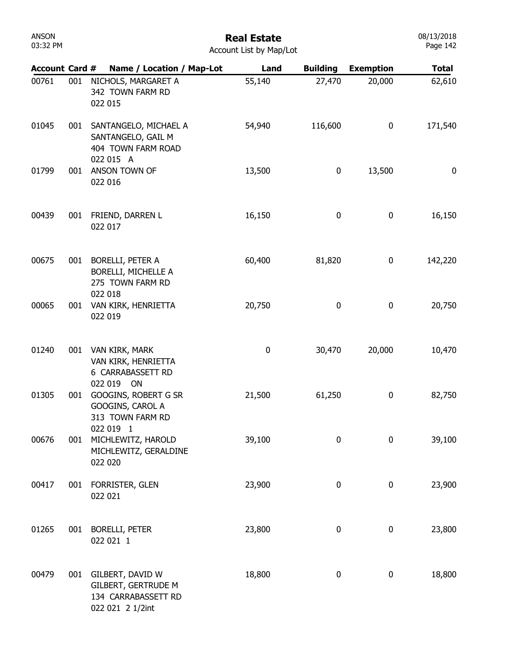| <b>ANSON</b><br>03:32 PM |     |                                                                                           | <b>Real Estate</b><br>Account List by Map/Lot |                  |                  | 08/13/2018<br>Page 142 |
|--------------------------|-----|-------------------------------------------------------------------------------------------|-----------------------------------------------|------------------|------------------|------------------------|
| <b>Account Card #</b>    |     | Name / Location / Map-Lot                                                                 | Land                                          | <b>Building</b>  | <b>Exemption</b> | <b>Total</b>           |
| 00761                    | 001 | NICHOLS, MARGARET A<br>342 TOWN FARM RD<br>022 015                                        | 55,140                                        | 27,470           | 20,000           | 62,610                 |
| 01045                    | 001 | SANTANGELO, MICHAEL A<br>SANTANGELO, GAIL M<br>404 TOWN FARM ROAD<br>022 015 A            | 54,940                                        | 116,600          | $\mathbf 0$      | 171,540                |
| 01799                    | 001 | ANSON TOWN OF<br>022 016                                                                  | 13,500                                        | 0                | 13,500           | $\boldsymbol{0}$       |
| 00439                    | 001 | FRIEND, DARREN L<br>022 017                                                               | 16,150                                        | 0                | 0                | 16,150                 |
| 00675                    | 001 | BORELLI, PETER A<br>BORELLI, MICHELLE A<br>275 TOWN FARM RD<br>022 018                    | 60,400                                        | 81,820           | 0                | 142,220                |
| 00065                    | 001 | VAN KIRK, HENRIETTA<br>022 019                                                            | 20,750                                        | 0                | 0                | 20,750                 |
| 01240                    | 001 | VAN KIRK, MARK<br>VAN KIRK, HENRIETTA<br>6 CARRABASSETT RD                                | $\pmb{0}$                                     | 30,470           | 20,000           | 10,470                 |
| 01305                    | 001 | 022 019 ON<br>GOOGINS, ROBERT G SR<br>GOOGINS, CAROL A<br>313 TOWN FARM RD<br>022 019 1   | 21,500                                        | 61,250           | 0                | 82,750                 |
| 00676                    | 001 | MICHLEWITZ, HAROLD<br>MICHLEWITZ, GERALDINE<br>022 020                                    | 39,100                                        | $\boldsymbol{0}$ | $\boldsymbol{0}$ | 39,100                 |
| 00417                    | 001 | FORRISTER, GLEN<br>022 021                                                                | 23,900                                        | 0                | $\mathbf 0$      | 23,900                 |
| 01265                    | 001 | <b>BORELLI, PETER</b><br>022 021 1                                                        | 23,800                                        | 0                | 0                | 23,800                 |
| 00479                    | 001 | GILBERT, DAVID W<br><b>GILBERT, GERTRUDE M</b><br>134 CARRABASSETT RD<br>022 021 2 1/2int | 18,800                                        | 0                | $\bf{0}$         | 18,800                 |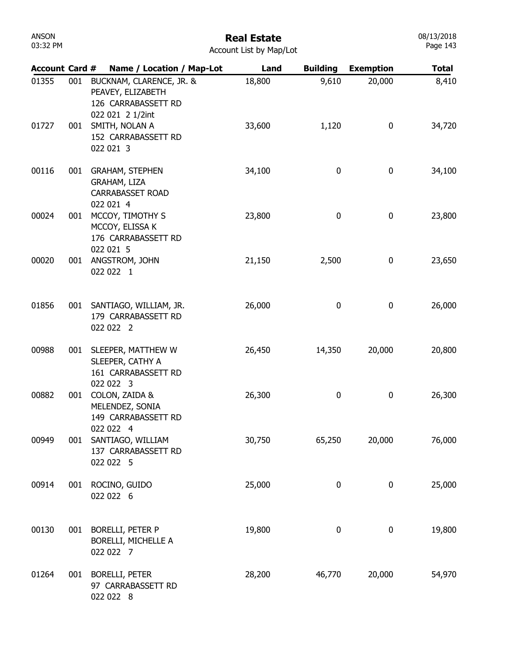| <b>ANSON</b><br>03:32 PM | <b>Real Estate</b><br>Account List by Map/Lot |                                                                                          |        |                 | 08/13/2018<br>Page 143 |              |
|--------------------------|-----------------------------------------------|------------------------------------------------------------------------------------------|--------|-----------------|------------------------|--------------|
| <b>Account Card #</b>    |                                               | Name / Location / Map-Lot                                                                | Land   | <b>Building</b> | <b>Exemption</b>       | <b>Total</b> |
| 01355                    | 001                                           | BUCKNAM, CLARENCE, JR. &<br>PEAVEY, ELIZABETH<br>126 CARRABASSETT RD<br>022 021 2 1/2int | 18,800 | 9,610           | 20,000                 | 8,410        |
| 01727                    | 001                                           | SMITH, NOLAN A<br>152 CARRABASSETT RD<br>022 021 3                                       | 33,600 | 1,120           | 0                      | 34,720       |
| 00116                    | 001                                           | <b>GRAHAM, STEPHEN</b><br>GRAHAM, LIZA<br><b>CARRABASSET ROAD</b><br>022 021 4           | 34,100 | 0               | 0                      | 34,100       |
| 00024                    | 001                                           | MCCOY, TIMOTHY S<br>MCCOY, ELISSA K<br>176 CARRABASSETT RD<br>022 021 5                  | 23,800 | 0               | 0                      | 23,800       |
| 00020                    | 001                                           | ANGSTROM, JOHN<br>022 022 1                                                              | 21,150 | 2,500           | $\boldsymbol{0}$       | 23,650       |
| 01856                    | 001                                           | SANTIAGO, WILLIAM, JR.<br>179 CARRABASSETT RD<br>022 022 2                               | 26,000 | 0               | 0                      | 26,000       |
| 00988                    | 001                                           | SLEEPER, MATTHEW W<br>SLEEPER, CATHY A<br>161 CARRABASSETT RD<br>022 022 3               | 26,450 | 14,350          | 20,000                 | 20,800       |
| 00882                    | 001                                           | COLON, ZAIDA &<br>MELENDEZ, SONIA<br>149 CARRABASSETT RD<br>022 022 4                    | 26,300 | 0               | $\boldsymbol{0}$       | 26,300       |
| 00949                    | 001                                           | SANTIAGO, WILLIAM<br>137 CARRABASSETT RD<br>022 022 5                                    | 30,750 | 65,250          | 20,000                 | 76,000       |
| 00914                    | 001                                           | ROCINO, GUIDO<br>022 022 6                                                               | 25,000 | 0               | $\boldsymbol{0}$       | 25,000       |
| 00130                    | 001                                           | <b>BORELLI, PETER P</b><br>BORELLI, MICHELLE A<br>022 022 7                              | 19,800 | 0               | 0                      | 19,800       |
| 01264                    | 001                                           | <b>BORELLI, PETER</b><br>97 CARRABASSETT RD<br>022 022 8                                 | 28,200 | 46,770          | 20,000                 | 54,970       |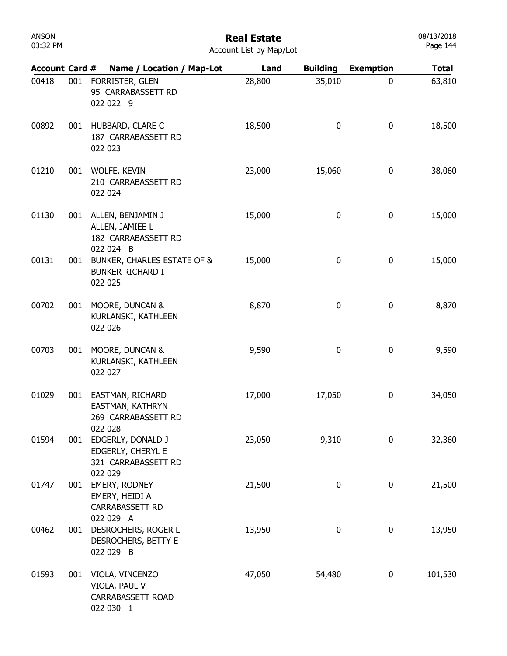#### Real Estate

|  | <b>Account List by Map/Lot</b> |  |  |  |  |
|--|--------------------------------|--|--|--|--|
|--|--------------------------------|--|--|--|--|

| <b>Account Card #</b> |     | Name / Location / Map-Lot                                                      | Land   | <b>Building</b> | <b>Exemption</b> | <b>Total</b> |
|-----------------------|-----|--------------------------------------------------------------------------------|--------|-----------------|------------------|--------------|
| 00418                 | 001 | FORRISTER, GLEN<br>95 CARRABASSETT RD<br>022 022 9                             | 28,800 | 35,010          | 0                | 63,810       |
| 00892                 | 001 | HUBBARD, CLARE C<br>187 CARRABASSETT RD<br>022 023                             | 18,500 | 0               | 0                | 18,500       |
| 01210                 | 001 | WOLFE, KEVIN<br>210 CARRABASSETT RD<br>022 024                                 | 23,000 | 15,060          | 0                | 38,060       |
| 01130                 | 001 | ALLEN, BENJAMIN J<br>ALLEN, JAMIEE L<br>182 CARRABASSETT RD                    | 15,000 | 0               | 0                | 15,000       |
| 00131                 | 001 | 022 024 B<br>BUNKER, CHARLES ESTATE OF &<br><b>BUNKER RICHARD I</b><br>022 025 | 15,000 | 0               | 0                | 15,000       |
| 00702                 | 001 | MOORE, DUNCAN &<br>KURLANSKI, KATHLEEN<br>022 026                              | 8,870  | 0               | 0                | 8,870        |
| 00703                 | 001 | MOORE, DUNCAN &<br>KURLANSKI, KATHLEEN<br>022 027                              | 9,590  | 0               | 0                | 9,590        |
| 01029                 | 001 | EASTMAN, RICHARD<br>EASTMAN, KATHRYN<br>269 CARRABASSETT RD                    | 17,000 | 17,050          | 0                | 34,050       |
| 01594                 | 001 | 022 028<br>EDGERLY, DONALD J<br>EDGERLY, CHERYL E<br>321 CARRABASSETT RD       | 23,050 | 9,310           | 0                | 32,360       |
| 01747                 | 001 | 022 029<br>EMERY, RODNEY<br>EMERY, HEIDI A<br>CARRABASSETT RD                  | 21,500 | 0               | 0                | 21,500       |
| 00462                 | 001 | 022 029 A<br>DESROCHERS, ROGER L<br>DESROCHERS, BETTY E<br>022 029 B           | 13,950 | 0               | 0                | 13,950       |
| 01593                 |     | 001 VIOLA, VINCENZO<br>VIOLA, PAUL V<br>CARRABASSETT ROAD<br>022 030 1         | 47,050 | 54,480          | 0                | 101,530      |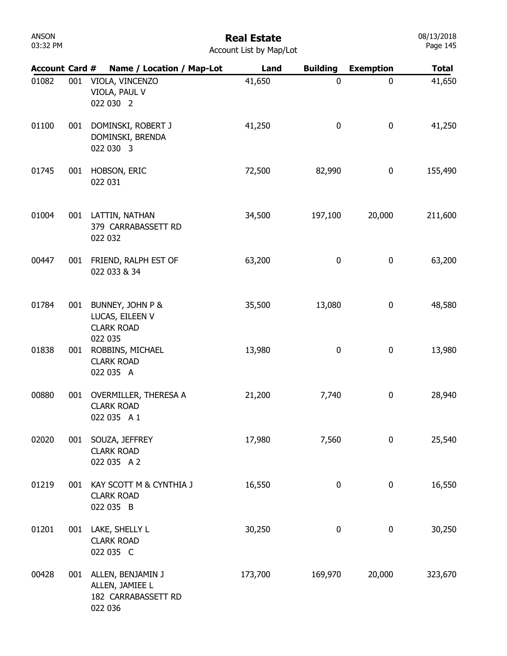# Real Estate

| Account List by Map/Lot |  |  |  |  |  |
|-------------------------|--|--|--|--|--|
|-------------------------|--|--|--|--|--|

| <b>Account Card #</b> |     | Name / Location / Map-Lot                                                  | Land    | <b>Building</b> | <b>Exemption</b> | <b>Total</b> |
|-----------------------|-----|----------------------------------------------------------------------------|---------|-----------------|------------------|--------------|
| 01082                 | 001 | VIOLA, VINCENZO<br>VIOLA, PAUL V<br>022 030 2                              | 41,650  | 0               | 0                | 41,650       |
| 01100                 | 001 | DOMINSKI, ROBERT J<br>DOMINSKI, BRENDA<br>022 030 3                        | 41,250  | 0               | 0                | 41,250       |
| 01745                 | 001 | HOBSON, ERIC<br>022 031                                                    | 72,500  | 82,990          | 0                | 155,490      |
| 01004                 | 001 | LATTIN, NATHAN<br>379 CARRABASSETT RD<br>022 032                           | 34,500  | 197,100         | 20,000           | 211,600      |
| 00447                 | 001 | FRIEND, RALPH EST OF<br>022 033 & 34                                       | 63,200  | 0               | 0                | 63,200       |
| 01784                 | 001 | BUNNEY, JOHN P &<br>LUCAS, EILEEN V<br><b>CLARK ROAD</b>                   | 35,500  | 13,080          | 0                | 48,580       |
| 01838                 | 001 | 022 035<br>ROBBINS, MICHAEL<br><b>CLARK ROAD</b><br>022 035 A              | 13,980  | 0               | 0                | 13,980       |
| 00880                 | 001 | OVERMILLER, THERESA A<br><b>CLARK ROAD</b><br>022 035 A 1                  | 21,200  | 7,740           | 0                | 28,940       |
| 02020                 | 001 | SOUZA, JEFFREY<br><b>CLARK ROAD</b><br>022 035 A 2                         | 17,980  | 7,560           | 0                | 25,540       |
| 01219                 | 001 | KAY SCOTT M & CYNTHIA J<br><b>CLARK ROAD</b><br>022 035 B                  | 16,550  | 0               | $\boldsymbol{0}$ | 16,550       |
| 01201                 | 001 | LAKE, SHELLY L<br><b>CLARK ROAD</b><br>022 035 C                           | 30,250  | 0               | 0                | 30,250       |
| 00428                 |     | 001 ALLEN, BENJAMIN J<br>ALLEN, JAMIEE L<br>182 CARRABASSETT RD<br>022 036 | 173,700 | 169,970         | 20,000           | 323,670      |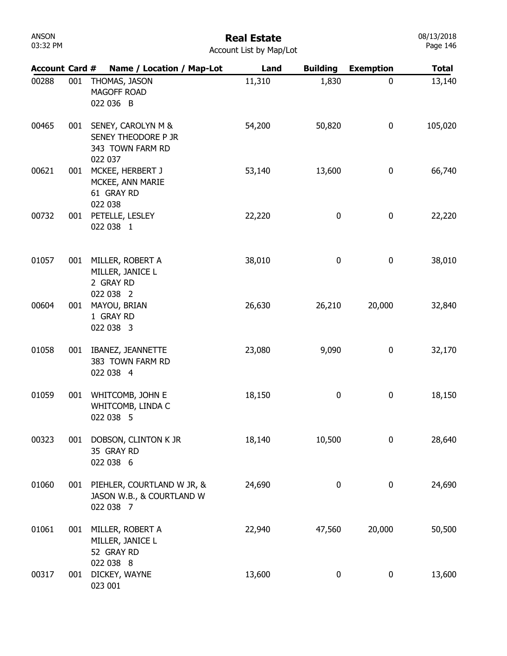| ANSON    |  |
|----------|--|
| 03:32 PM |  |

| <b>Account Card #</b> |     | Name / Location / Map-Lot                                                | Land   | <b>Building</b> | <b>Exemption</b> | <b>Total</b> |
|-----------------------|-----|--------------------------------------------------------------------------|--------|-----------------|------------------|--------------|
| 00288                 | 001 | THOMAS, JASON<br>MAGOFF ROAD<br>022 036 B                                | 11,310 | 1,830           | 0                | 13,140       |
| 00465                 | 001 | SENEY, CAROLYN M &<br>SENEY THEODORE P JR<br>343 TOWN FARM RD<br>022 037 | 54,200 | 50,820          | 0                | 105,020      |
| 00621                 |     | 001 MCKEE, HERBERT J<br>MCKEE, ANN MARIE<br>61 GRAY RD<br>022 038        | 53,140 | 13,600          | 0                | 66,740       |
| 00732                 |     | 001 PETELLE, LESLEY<br>022 038 1                                         | 22,220 | 0               | 0                | 22,220       |
| 01057                 |     | 001 MILLER, ROBERT A<br>MILLER, JANICE L<br>2 GRAY RD                    | 38,010 | 0               | $\pmb{0}$        | 38,010       |
| 00604                 | 001 | 022 038 2<br>MAYOU, BRIAN<br>1 GRAY RD<br>022 038 3                      | 26,630 | 26,210          | 20,000           | 32,840       |
| 01058                 | 001 | IBANEZ, JEANNETTE<br>383 TOWN FARM RD<br>022 038 4                       | 23,080 | 9,090           | 0                | 32,170       |
| 01059                 | 001 | WHITCOMB, JOHN E<br>WHITCOMB, LINDA C<br>022 038 5                       | 18,150 | 0               | 0                | 18,150       |
| 00323                 | 001 | DOBSON, CLINTON K JR<br>35 GRAY RD<br>022 038 6                          | 18,140 | 10,500          | 0                | 28,640       |
| 01060                 |     | 001 PIEHLER, COURTLAND W JR, &<br>JASON W.B., & COURTLAND W<br>022 038 7 | 24,690 | 0               | $\bf{0}$         | 24,690       |
| 01061                 | 001 | MILLER, ROBERT A<br>MILLER, JANICE L<br>52 GRAY RD<br>022 038 8          | 22,940 | 47,560          | 20,000           | 50,500       |
| 00317                 | 001 | DICKEY, WAYNE<br>023 001                                                 | 13,600 | 0               | $\pmb{0}$        | 13,600       |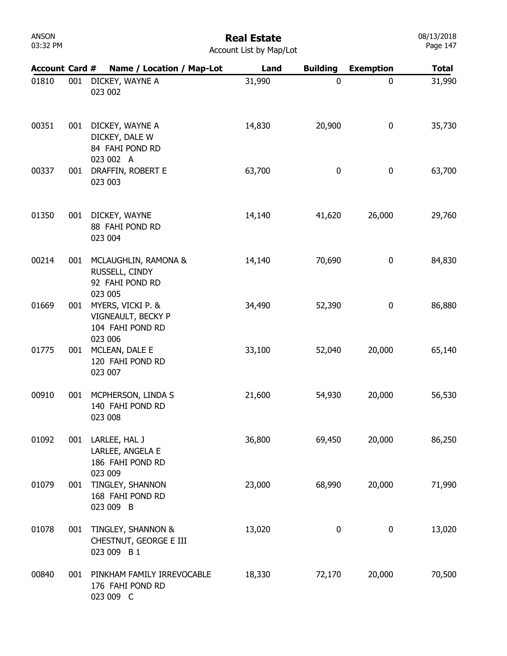| ANSON    |  |
|----------|--|
| 03:32 PM |  |

| <b>Account Card #</b> |     | Name / Location / Map-Lot                                              | Land   | <b>Building</b> | <b>Exemption</b> | <b>Total</b> |
|-----------------------|-----|------------------------------------------------------------------------|--------|-----------------|------------------|--------------|
| 01810                 | 001 | DICKEY, WAYNE A<br>023 002                                             | 31,990 | 0               | 0                | 31,990       |
| 00351                 | 001 | DICKEY, WAYNE A<br>DICKEY, DALE W<br>84 FAHI POND RD<br>023 002 A      | 14,830 | 20,900          | 0                | 35,730       |
| 00337                 | 001 | DRAFFIN, ROBERT E<br>023 003                                           | 63,700 | 0               | $\boldsymbol{0}$ | 63,700       |
| 01350                 | 001 | DICKEY, WAYNE<br>88 FAHI POND RD<br>023 004                            | 14,140 | 41,620          | 26,000           | 29,760       |
| 00214                 | 001 | MCLAUGHLIN, RAMONA &<br>RUSSELL, CINDY<br>92 FAHI POND RD<br>023 005   | 14,140 | 70,690          | 0                | 84,830       |
| 01669                 | 001 | MYERS, VICKI P. &<br>VIGNEAULT, BECKY P<br>104 FAHI POND RD<br>023 006 | 34,490 | 52,390          | $\boldsymbol{0}$ | 86,880       |
| 01775                 | 001 | MCLEAN, DALE E<br>120 FAHI POND RD<br>023 007                          | 33,100 | 52,040          | 20,000           | 65,140       |
| 00910                 | 001 | MCPHERSON, LINDA S<br>140 FAHI POND RD<br>023 008                      | 21,600 | 54,930          | 20,000           | 56,530       |
| 01092                 | 001 | LARLEE, HAL J<br>LARLEE, ANGELA E<br>186 FAHI POND RD<br>023 009       | 36,800 | 69,450          | 20,000           | 86,250       |
| 01079                 | 001 | TINGLEY, SHANNON<br>168 FAHI POND RD<br>023 009 B                      | 23,000 | 68,990          | 20,000           | 71,990       |
| 01078                 | 001 | TINGLEY, SHANNON &<br>CHESTNUT, GEORGE E III<br>023 009 B 1            | 13,020 | 0               | 0                | 13,020       |
| 00840                 | 001 | PINKHAM FAMILY IRREVOCABLE<br>176 FAHI POND RD<br>023 009 C            | 18,330 | 72,170          | 20,000           | 70,500       |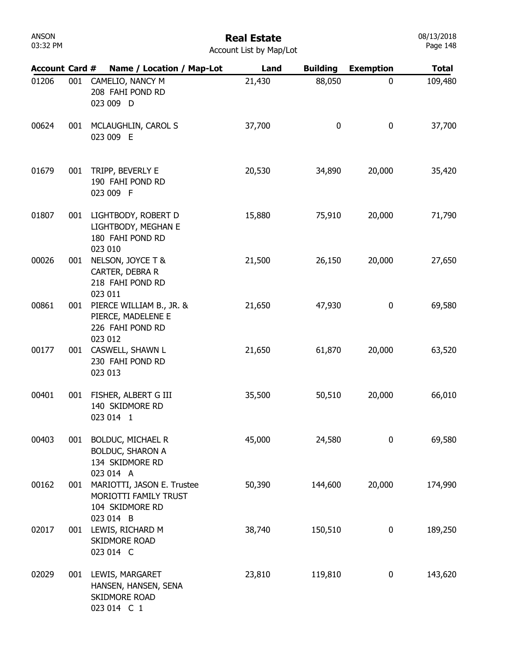## Real Estate

08/13/2018 Page 148

Account List by Map/Lot

| <b>Account Card #</b> |     | Name / Location / Map-Lot                                                           | Land   | <b>Building</b> | <b>Exemption</b> | <b>Total</b> |
|-----------------------|-----|-------------------------------------------------------------------------------------|--------|-----------------|------------------|--------------|
| 01206                 | 001 | CAMELIO, NANCY M<br>208 FAHI POND RD<br>023 009 D                                   | 21,430 | 88,050          | 0                | 109,480      |
| 00624                 | 001 | MCLAUGHLIN, CAROL S<br>023 009 E                                                    | 37,700 | $\bf{0}$        | 0                | 37,700       |
| 01679                 | 001 | TRIPP, BEVERLY E<br>190 FAHI POND RD<br>023 009 F                                   | 20,530 | 34,890          | 20,000           | 35,420       |
| 01807                 | 001 | LIGHTBODY, ROBERT D<br>LIGHTBODY, MEGHAN E<br>180 FAHI POND RD<br>023 010           | 15,880 | 75,910          | 20,000           | 71,790       |
| 00026                 | 001 | NELSON, JOYCE T &<br>CARTER, DEBRA R<br>218 FAHI POND RD<br>023 011                 | 21,500 | 26,150          | 20,000           | 27,650       |
| 00861                 | 001 | PIERCE WILLIAM B., JR. &<br>PIERCE, MADELENE E<br>226 FAHI POND RD<br>023 012       | 21,650 | 47,930          | 0                | 69,580       |
| 00177                 | 001 | CASWELL, SHAWN L<br>230 FAHI POND RD<br>023 013                                     | 21,650 | 61,870          | 20,000           | 63,520       |
| 00401                 | 001 | FISHER, ALBERT G III<br>140 SKIDMORE RD<br>023 014 1                                | 35,500 | 50,510          | 20,000           | 66,010       |
| 00403                 | 001 | <b>BOLDUC, MICHAEL R</b><br><b>BOLDUC, SHARON A</b><br>134 SKIDMORE RD<br>023 014 A | 45,000 | 24,580          | 0                | 69,580       |
| 00162                 | 001 | MARIOTTI, JASON E. Trustee<br>MORIOTTI FAMILY TRUST<br>104 SKIDMORE RD<br>023 014 B | 50,390 | 144,600         | 20,000           | 174,990      |
| 02017                 |     | 001 LEWIS, RICHARD M<br><b>SKIDMORE ROAD</b><br>023 014 C                           | 38,740 | 150,510         | 0                | 189,250      |
| 02029                 |     | 001 LEWIS, MARGARET<br>HANSEN, HANSEN, SENA<br>SKIDMORE ROAD<br>023 014 C 1         | 23,810 | 119,810         | 0                | 143,620      |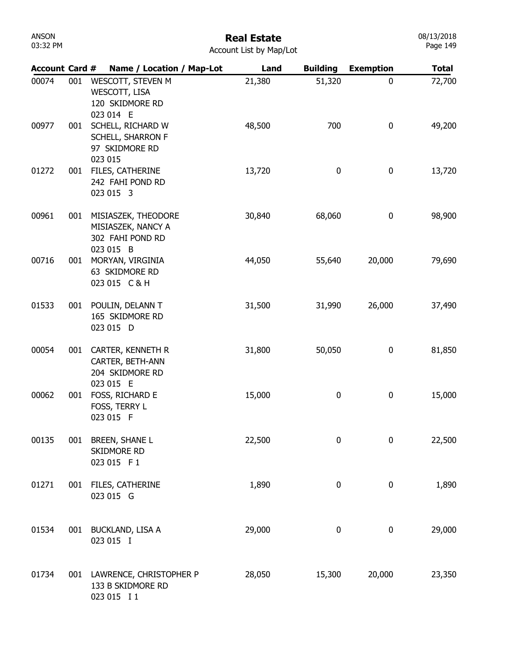| ANSON    |  |
|----------|--|
| 03:32 PM |  |

## Real Estate

|  | <b>Account List by Map/Lot</b> |  |  |  |  |
|--|--------------------------------|--|--|--|--|
|--|--------------------------------|--|--|--|--|

| <b>Account Card #</b> |     | Name / Location / Map-Lot                                                  | Land   | <b>Building</b> | <b>Exemption</b> | <b>Total</b> |
|-----------------------|-----|----------------------------------------------------------------------------|--------|-----------------|------------------|--------------|
| 00074                 | 001 | WESCOTT, STEVEN M<br>WESCOTT, LISA<br>120 SKIDMORE RD<br>023 014 E         | 21,380 | 51,320          | 0                | 72,700       |
| 00977                 | 001 | SCHELL, RICHARD W<br>SCHELL, SHARRON F<br>97 SKIDMORE RD<br>023 015        | 48,500 | 700             | 0                | 49,200       |
| 01272                 | 001 | FILES, CATHERINE<br>242 FAHI POND RD<br>023 015 3                          | 13,720 | 0               | 0                | 13,720       |
| 00961                 | 001 | MISIASZEK, THEODORE<br>MISIASZEK, NANCY A<br>302 FAHI POND RD<br>023 015 B | 30,840 | 68,060          | 0                | 98,900       |
| 00716                 | 001 | MORYAN, VIRGINIA<br>63 SKIDMORE RD<br>023 015 C & H                        | 44,050 | 55,640          | 20,000           | 79,690       |
| 01533                 | 001 | POULIN, DELANN T<br>165 SKIDMORE RD<br>023 015 D                           | 31,500 | 31,990          | 26,000           | 37,490       |
| 00054                 | 001 | CARTER, KENNETH R<br>CARTER, BETH-ANN<br>204 SKIDMORE RD<br>023 015 E      | 31,800 | 50,050          | 0                | 81,850       |
| 00062                 | 001 | FOSS, RICHARD E<br>FOSS, TERRY L<br>023 015 F                              | 15,000 | 0               | 0                | 15,000       |
| 00135                 | 001 | <b>BREEN, SHANE L</b><br>SKIDMORE RD<br>023 015 F1                         | 22,500 | 0               | 0                | 22,500       |
| 01271                 | 001 | FILES, CATHERINE<br>023 015 G                                              | 1,890  | 0               | 0                | 1,890        |
| 01534                 | 001 | BUCKLAND, LISA A<br>023 015 I                                              | 29,000 | 0               | 0                | 29,000       |
| 01734                 | 001 | LAWRENCE, CHRISTOPHER P<br>133 B SKIDMORE RD<br>023 015 I 1                | 28,050 | 15,300          | 20,000           | 23,350       |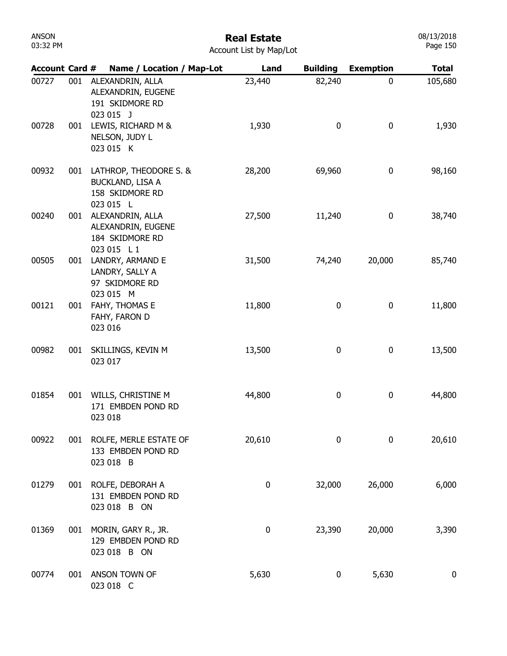## Real Estate

| Account List by Map/Lot |  |  |  |
|-------------------------|--|--|--|
|-------------------------|--|--|--|

| <b>Account Card #</b> |     | Name / Location / Map-Lot                                              | Land      | <b>Building</b>  | <b>Exemption</b> | <b>Total</b>     |
|-----------------------|-----|------------------------------------------------------------------------|-----------|------------------|------------------|------------------|
| 00727                 | 001 | ALEXANDRIN, ALLA<br>ALEXANDRIN, EUGENE<br>191 SKIDMORE RD<br>023 015 J | 23,440    | 82,240           | 0                | 105,680          |
| 00728                 | 001 | LEWIS, RICHARD M &<br>NELSON, JUDY L<br>023 015 K                      | 1,930     | $\bf{0}$         | 0                | 1,930            |
| 00932                 | 001 | LATHROP, THEODORE S. &<br>BUCKLAND, LISA A<br>158 SKIDMORE RD          | 28,200    | 69,960           | 0                | 98,160           |
| 00240                 | 001 | 023 015 L<br>ALEXANDRIN, ALLA<br>ALEXANDRIN, EUGENE<br>184 SKIDMORE RD | 27,500    | 11,240           | 0                | 38,740           |
| 00505                 | 001 | 023 015 L1<br>LANDRY, ARMAND E<br>LANDRY, SALLY A<br>97 SKIDMORE RD    | 31,500    | 74,240           | 20,000           | 85,740           |
| 00121                 | 001 | 023 015 M<br>FAHY, THOMAS E<br>FAHY, FARON D<br>023 016                | 11,800    | 0                | 0                | 11,800           |
| 00982                 | 001 | SKILLINGS, KEVIN M<br>023 017                                          | 13,500    | 0                | 0                | 13,500           |
| 01854                 | 001 | WILLS, CHRISTINE M<br>171 EMBDEN POND RD<br>023 018                    | 44,800    | 0                | 0                | 44,800           |
| 00922                 | 001 | ROLFE, MERLE ESTATE OF<br>133 EMBDEN POND RD<br>023 018 B              | 20,610    | 0                | 0                | 20,610           |
| 01279                 | 001 | ROLFE, DEBORAH A<br>131 EMBDEN POND RD<br>023 018 B ON                 | $\pmb{0}$ | 32,000           | 26,000           | 6,000            |
| 01369                 | 001 | MORIN, GARY R., JR.<br>129 EMBDEN POND RD<br>023 018 B ON              | 0         | 23,390           | 20,000           | 3,390            |
| 00774                 | 001 | ANSON TOWN OF<br>023 018 C                                             | 5,630     | $\boldsymbol{0}$ | 5,630            | $\boldsymbol{0}$ |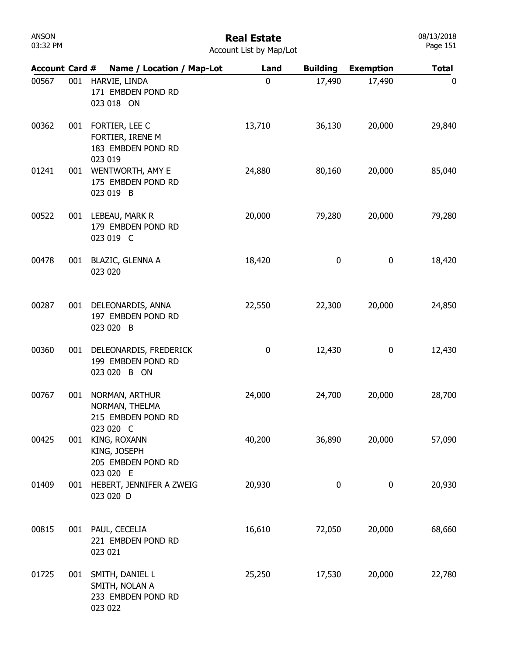| Account Card # |     | Name / Location / Map-Lot                                           | Land             | <b>Building</b> | <b>Exemption</b> | <b>Total</b> |
|----------------|-----|---------------------------------------------------------------------|------------------|-----------------|------------------|--------------|
| 00567          | 001 | HARVIE, LINDA<br>171 EMBDEN POND RD<br>023 018 ON                   | $\mathbf 0$      | 17,490          | 17,490           | 0            |
| 00362          | 001 | FORTIER, LEE C<br>FORTIER, IRENE M<br>183 EMBDEN POND RD<br>023 019 | 13,710           | 36,130          | 20,000           | 29,840       |
| 01241          | 001 | WENTWORTH, AMY E<br>175 EMBDEN POND RD<br>023 019 B                 | 24,880           | 80,160          | 20,000           | 85,040       |
| 00522          | 001 | LEBEAU, MARK R<br>179 EMBDEN POND RD<br>023 019 C                   | 20,000           | 79,280          | 20,000           | 79,280       |
| 00478          | 001 | <b>BLAZIC, GLENNA A</b><br>023 020                                  | 18,420           | 0               | 0                | 18,420       |
| 00287          | 001 | DELEONARDIS, ANNA<br>197 EMBDEN POND RD<br>023 020 B                | 22,550           | 22,300          | 20,000           | 24,850       |
| 00360          | 001 | DELEONARDIS, FREDERICK<br>199 EMBDEN POND RD<br>023 020 B ON        | $\boldsymbol{0}$ | 12,430          | 0                | 12,430       |
| 00767          | 001 | NORMAN, ARTHUR<br>NORMAN, THELMA<br>215 EMBDEN POND RD<br>023 020 C | 24,000           | 24,700          | 20,000           | 28,700       |
| 00425          | 001 | KING, ROXANN<br>KING, JOSEPH<br>205 EMBDEN POND RD<br>023 020 E     | 40,200           | 36,890          | 20,000           | 57,090       |
| 01409          | 001 | HEBERT, JENNIFER A ZWEIG<br>023 020 D                               | 20,930           | 0               | 0                | 20,930       |
| 00815          |     | 001 PAUL, CECELIA<br>221 EMBDEN POND RD<br>023 021                  | 16,610           | 72,050          | 20,000           | 68,660       |
| 01725          | 001 | SMITH, DANIEL L<br>SMITH, NOLAN A<br>233 EMBDEN POND RD<br>023 022  | 25,250           | 17,530          | 20,000           | 22,780       |

### Real Estate Account List by Map/Lot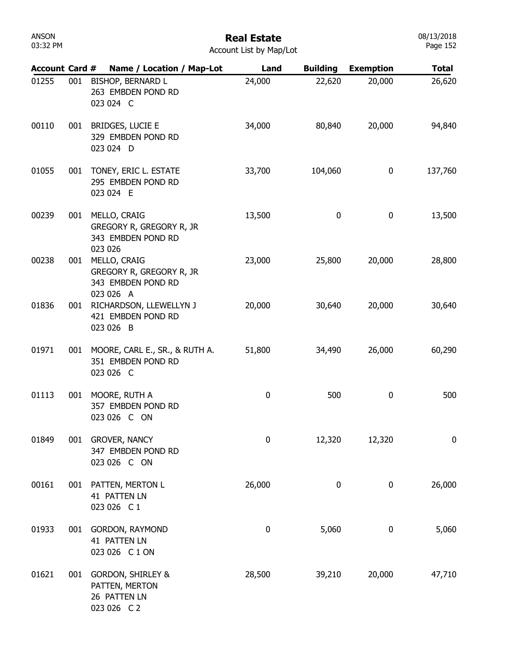## Real Estate

| <b>Account Card #</b> |     |         | Name / Location / Map-Lot                                                     | Land             | <b>Building</b> | <b>Exemption</b> | <b>Total</b>     |
|-----------------------|-----|---------|-------------------------------------------------------------------------------|------------------|-----------------|------------------|------------------|
| 01255                 | 001 |         | <b>BISHOP, BERNARD L</b><br>263 EMBDEN POND RD<br>023 024 C                   | 24,000           | 22,620          | 20,000           | 26,620           |
| 00110                 | 001 |         | <b>BRIDGES, LUCIE E</b><br>329 EMBDEN POND RD<br>023 024 D                    | 34,000           | 80,840          | 20,000           | 94,840           |
| 01055                 | 001 |         | TONEY, ERIC L. ESTATE<br>295 EMBDEN POND RD<br>023 024 E                      | 33,700           | 104,060         | 0                | 137,760          |
| 00239                 | 001 | 023 026 | MELLO, CRAIG<br>GREGORY R, GREGORY R, JR<br>343 EMBDEN POND RD                | 13,500           | 0               | 0                | 13,500           |
| 00238                 | 001 |         | MELLO, CRAIG<br>GREGORY R, GREGORY R, JR<br>343 EMBDEN POND RD<br>023 026 A   | 23,000           | 25,800          | 20,000           | 28,800           |
| 01836                 | 001 |         | RICHARDSON, LLEWELLYN J<br>421 EMBDEN POND RD<br>023 026 B                    | 20,000           | 30,640          | 20,000           | 30,640           |
| 01971                 | 001 |         | MOORE, CARL E., SR., & RUTH A.<br>351 EMBDEN POND RD<br>023 026 C             | 51,800           | 34,490          | 26,000           | 60,290           |
| 01113                 | 001 |         | MOORE, RUTH A<br>357 EMBDEN POND RD<br>023 026 C ON                           | $\pmb{0}$        | 500             | 0                | 500              |
| 01849                 | 001 |         | <b>GROVER, NANCY</b><br>347 EMBDEN POND RD<br>023 026 C ON                    | 0                | 12,320          | 12,320           | $\boldsymbol{0}$ |
| 00161                 | 001 |         | PATTEN, MERTON L<br><b>41 PATTEN LN</b><br>023 026 C1                         | 26,000           | 0               | 0                | 26,000           |
| 01933                 | 001 |         | <b>GORDON, RAYMOND</b><br>41 PATTEN LN<br>023 026 C 1 ON                      | $\boldsymbol{0}$ | 5,060           | 0                | 5,060            |
| 01621                 | 001 |         | <b>GORDON, SHIRLEY &amp;</b><br>PATTEN, MERTON<br>26 PATTEN LN<br>023 026 C 2 | 28,500           | 39,210          | 20,000           | 47,710           |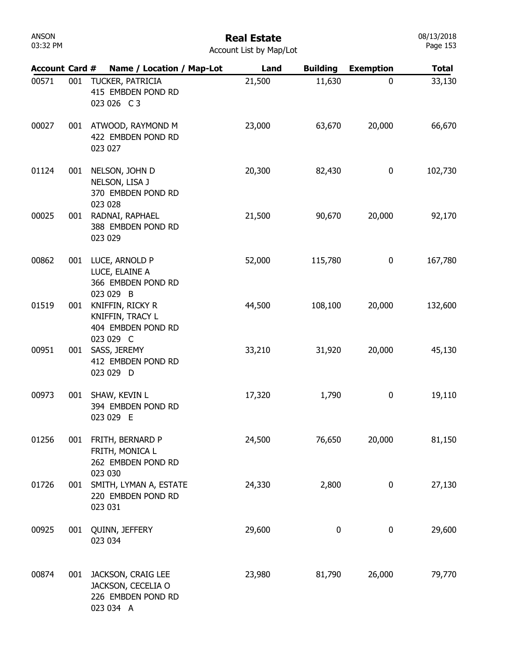| ANSON    |  |
|----------|--|
| 03:32 PM |  |

| <b>Account Card #</b> |     | Name / Location / Map-Lot                                                   | Land   | <b>Building</b> | <b>Exemption</b> | <b>Total</b> |
|-----------------------|-----|-----------------------------------------------------------------------------|--------|-----------------|------------------|--------------|
| 00571                 | 001 | TUCKER, PATRICIA<br>415 EMBDEN POND RD<br>023 026 C3                        | 21,500 | 11,630          | $\mathbf{0}$     | 33,130       |
| 00027                 |     | 001 ATWOOD, RAYMOND M<br>422 EMBDEN POND RD<br>023 027                      | 23,000 | 63,670          | 20,000           | 66,670       |
| 01124                 | 001 | NELSON, JOHN D<br>NELSON, LISA J<br>370 EMBDEN POND RD<br>023 028           | 20,300 | 82,430          | 0                | 102,730      |
| 00025                 | 001 | RADNAI, RAPHAEL<br>388 EMBDEN POND RD<br>023 029                            | 21,500 | 90,670          | 20,000           | 92,170       |
| 00862                 | 001 | LUCE, ARNOLD P<br>LUCE, ELAINE A<br>366 EMBDEN POND RD<br>023 029 B         | 52,000 | 115,780         | 0                | 167,780      |
| 01519                 | 001 | KNIFFIN, RICKY R<br>KNIFFIN, TRACY L<br>404 EMBDEN POND RD<br>023 029 C     | 44,500 | 108,100         | 20,000           | 132,600      |
| 00951                 | 001 | SASS, JEREMY<br>412 EMBDEN POND RD<br>023 029 D                             | 33,210 | 31,920          | 20,000           | 45,130       |
| 00973                 | 001 | SHAW, KEVIN L<br>394 EMBDEN POND RD<br>023 029 E                            | 17,320 | 1,790           | 0                | 19,110       |
| 01256                 | 001 | FRITH, BERNARD P<br>FRITH, MONICA L<br>262 EMBDEN POND RD<br>023 030        | 24,500 | 76,650          | 20,000           | 81,150       |
| 01726                 | 001 | SMITH, LYMAN A, ESTATE<br>220 EMBDEN POND RD<br>023 031                     | 24,330 | 2,800           | 0                | 27,130       |
| 00925                 | 001 | QUINN, JEFFERY<br>023 034                                                   | 29,600 | 0               | $\bf{0}$         | 29,600       |
| 00874                 | 001 | JACKSON, CRAIG LEE<br>JACKSON, CECELIA O<br>226 EMBDEN POND RD<br>023 034 A | 23,980 | 81,790          | 26,000           | 79,770       |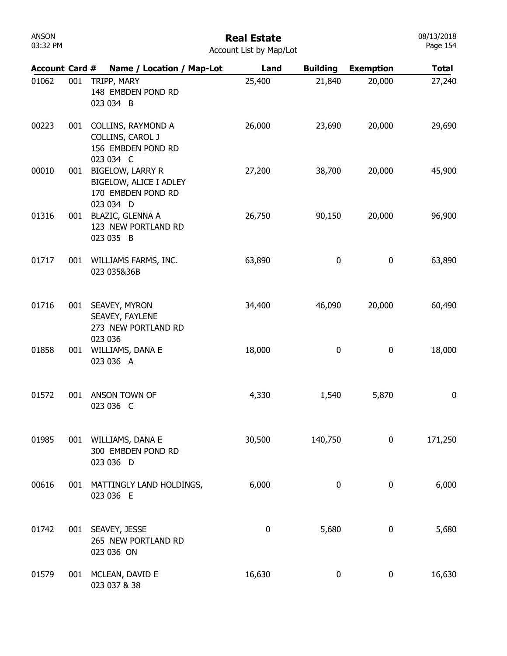| ANSON    |  |
|----------|--|
| 03:32 PM |  |

| <b>Account Card #</b> |     | Name / Location / Map-Lot                                                            | Land   | <b>Building</b> | <b>Exemption</b> | <b>Total</b> |
|-----------------------|-----|--------------------------------------------------------------------------------------|--------|-----------------|------------------|--------------|
| 01062                 | 001 | TRIPP, MARY<br>148 EMBDEN POND RD<br>023 034 B                                       | 25,400 | 21,840          | 20,000           | 27,240       |
| 00223                 | 001 | COLLINS, RAYMOND A<br>COLLINS, CAROL J<br>156 EMBDEN POND RD<br>023 034 C            | 26,000 | 23,690          | 20,000           | 29,690       |
| 00010                 | 001 | <b>BIGELOW, LARRY R</b><br>BIGELOW, ALICE I ADLEY<br>170 EMBDEN POND RD<br>023 034 D | 27,200 | 38,700          | 20,000           | 45,900       |
| 01316                 | 001 | <b>BLAZIC, GLENNA A</b><br>123 NEW PORTLAND RD<br>023 035 B                          | 26,750 | 90,150          | 20,000           | 96,900       |
| 01717                 | 001 | WILLIAMS FARMS, INC.<br>023 035&36B                                                  | 63,890 | 0               | 0                | 63,890       |
| 01716                 | 001 | SEAVEY, MYRON<br>SEAVEY, FAYLENE<br>273 NEW PORTLAND RD                              | 34,400 | 46,090          | 20,000           | 60,490       |
| 01858                 | 001 | 023 036<br>WILLIAMS, DANA E<br>023 036 A                                             | 18,000 | 0               | 0                | 18,000       |
| 01572                 | 001 | ANSON TOWN OF<br>023 036 C                                                           | 4,330  | 1,540           | 5,870            | 0            |
| 01985                 |     | 001 WILLIAMS, DANA E<br>300 EMBDEN POND RD<br>023 036 D                              | 30,500 | 140,750         | 0                | 171,250      |
| 00616                 | 001 | MATTINGLY LAND HOLDINGS,<br>023 036 E                                                | 6,000  | 0               | $\pmb{0}$        | 6,000        |
| 01742                 |     | 001 SEAVEY, JESSE<br>265 NEW PORTLAND RD<br>023 036 ON                               | 0      | 5,680           | 0                | 5,680        |
| 01579                 | 001 | MCLEAN, DAVID E<br>023 037 & 38                                                      | 16,630 | 0               | 0                | 16,630       |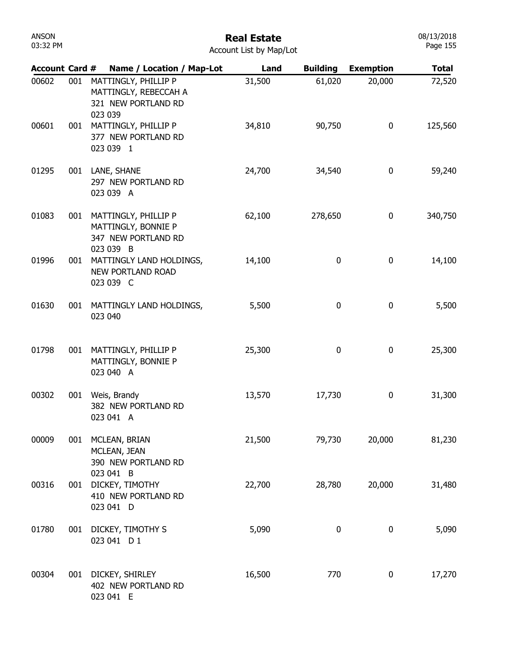| 00602 | 001 | MATTINGLY, PHILLIP P<br>MATTINGLY, REBECCAH A<br>321 NEW PORTLAND RD<br>023 039     | 31,500 | 61,020           | 20,000           | 72,520  |
|-------|-----|-------------------------------------------------------------------------------------|--------|------------------|------------------|---------|
| 00601 | 001 | MATTINGLY, PHILLIP P<br>377 NEW PORTLAND RD<br>023 039 1                            | 34,810 | 90,750           | 0                | 125,560 |
| 01295 | 001 | LANE, SHANE<br>297 NEW PORTLAND RD<br>023 039 A                                     | 24,700 | 34,540           | $\boldsymbol{0}$ | 59,240  |
| 01083 |     | 001 MATTINGLY, PHILLIP P<br>MATTINGLY, BONNIE P<br>347 NEW PORTLAND RD<br>023 039 B | 62,100 | 278,650          | 0                | 340,750 |
| 01996 | 001 | MATTINGLY LAND HOLDINGS,<br>NEW PORTLAND ROAD<br>023 039 C                          | 14,100 | 0                | 0                | 14,100  |
| 01630 | 001 | MATTINGLY LAND HOLDINGS,<br>023 040                                                 | 5,500  | 0                | 0                | 5,500   |
| 01798 | 001 | MATTINGLY, PHILLIP P<br>MATTINGLY, BONNIE P<br>023 040 A                            | 25,300 | 0                | 0                | 25,300  |
| 00302 | 001 | Weis, Brandy<br>382 NEW PORTLAND RD<br>023 041 A                                    | 13,570 | 17,730           | 0                | 31,300  |
| 00009 | 001 | MCLEAN, BRIAN<br>MCLEAN, JEAN<br>390 NEW PORTLAND RD<br>023 041 B                   | 21,500 | 79,730           | 20,000           | 81,230  |
| 00316 | 001 | DICKEY, TIMOTHY<br>410 NEW PORTLAND RD<br>023 041 D                                 | 22,700 | 28,780           | 20,000           | 31,480  |
| 01780 | 001 | DICKEY, TIMOTHY S<br>023 041 D 1                                                    | 5,090  | $\boldsymbol{0}$ | 0                | 5,090   |
| 00304 | 001 | DICKEY, SHIRLEY<br>402 NEW PORTLAND RD<br>023 041 E                                 | 16,500 | 770              | 0                | 17,270  |

Account Card # Name / Location / Map-Lot Land Building Exemption Total

ANSON 03:32 PM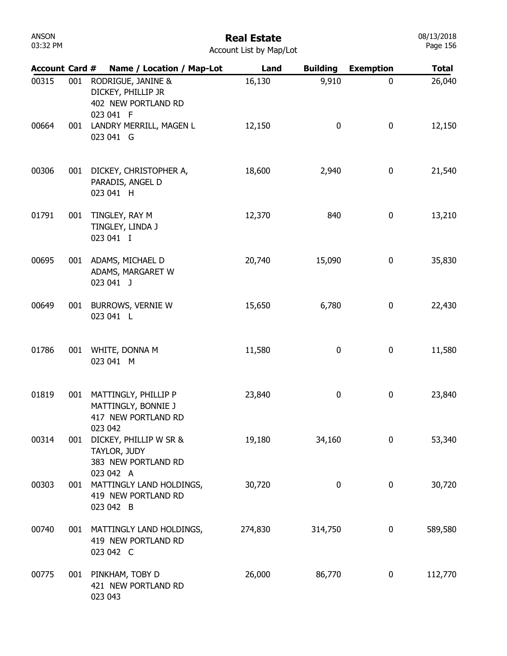| Account Card # |     | Name / Location / Map-Lot                                                     | Land    | <b>Building</b> | <b>Exemption</b> | <b>Total</b> |
|----------------|-----|-------------------------------------------------------------------------------|---------|-----------------|------------------|--------------|
| 00315          | 001 | RODRIGUE, JANINE &<br>DICKEY, PHILLIP JR<br>402 NEW PORTLAND RD<br>023 041 F  | 16,130  | 9,910           | $\mathbf 0$      | 26,040       |
| 00664          | 001 | LANDRY MERRILL, MAGEN L<br>023 041 G                                          | 12,150  | 0               | $\bf{0}$         | 12,150       |
| 00306          | 001 | DICKEY, CHRISTOPHER A,<br>PARADIS, ANGEL D<br>023 041 H                       | 18,600  | 2,940           | 0                | 21,540       |
| 01791          | 001 | TINGLEY, RAY M<br>TINGLEY, LINDA J<br>023 041 I                               | 12,370  | 840             | $\pmb{0}$        | 13,210       |
| 00695          |     | 001 ADAMS, MICHAEL D<br>ADAMS, MARGARET W<br>023 041 J                        | 20,740  | 15,090          | $\bf{0}$         | 35,830       |
| 00649          | 001 | BURROWS, VERNIE W<br>023 041 L                                                | 15,650  | 6,780           | $\bf{0}$         | 22,430       |
| 01786          | 001 | WHITE, DONNA M<br>023 041 M                                                   | 11,580  | 0               | $\bf{0}$         | 11,580       |
| 01819          | 001 | MATTINGLY, PHILLIP P<br>MATTINGLY, BONNIE J<br>417 NEW PORTLAND RD<br>023 042 | 23,840  | 0               | $\bf{0}$         | 23,840       |
| 00314          | 001 | DICKEY, PHILLIP W SR &<br>TAYLOR, JUDY<br>383 NEW PORTLAND RD<br>023 042 A    | 19,180  | 34,160          | $\boldsymbol{0}$ | 53,340       |
| 00303          | 001 | MATTINGLY LAND HOLDINGS,<br>419 NEW PORTLAND RD<br>023 042 B                  | 30,720  | 0               | $\boldsymbol{0}$ | 30,720       |
| 00740          | 001 | MATTINGLY LAND HOLDINGS,<br>419 NEW PORTLAND RD<br>023 042 C                  | 274,830 | 314,750         | 0                | 589,580      |
| 00775          | 001 | PINKHAM, TOBY D<br>421 NEW PORTLAND RD<br>023 043                             | 26,000  | 86,770          | 0                | 112,770      |

### ANSON 03:32 PM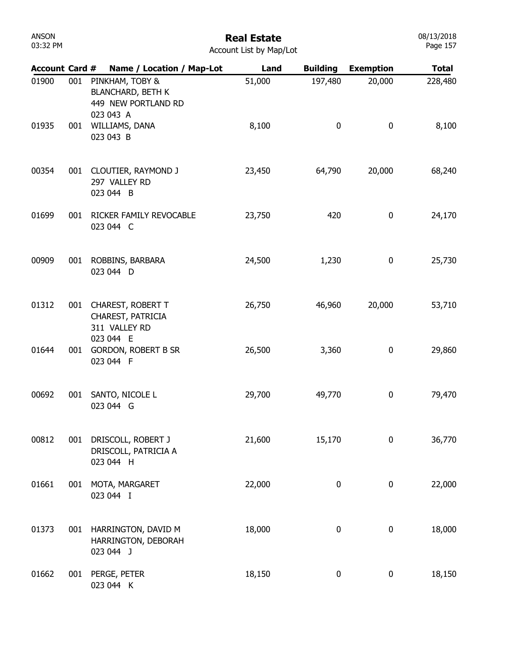| ANSON    |  |
|----------|--|
| 03:32 PM |  |

| Account Card # |     | Name / Location / Map-Lot                                                       | Land   | <b>Building</b> | <b>Exemption</b> | <b>Total</b> |
|----------------|-----|---------------------------------------------------------------------------------|--------|-----------------|------------------|--------------|
| 01900          | 001 | PINKHAM, TOBY &<br><b>BLANCHARD, BETH K</b><br>449 NEW PORTLAND RD<br>023 043 A | 51,000 | 197,480         | 20,000           | 228,480      |
| 01935          | 001 | WILLIAMS, DANA<br>023 043 B                                                     | 8,100  | 0               | $\bf{0}$         | 8,100        |
| 00354          |     | 001 CLOUTIER, RAYMOND J<br>297 VALLEY RD<br>023 044 B                           | 23,450 | 64,790          | 20,000           | 68,240       |
| 01699          | 001 | RICKER FAMILY REVOCABLE<br>023 044 C                                            | 23,750 | 420             | $\pmb{0}$        | 24,170       |
| 00909          | 001 | ROBBINS, BARBARA<br>023 044 D                                                   | 24,500 | 1,230           | $\pmb{0}$        | 25,730       |
| 01312          |     | 001 CHAREST, ROBERT T<br>CHAREST, PATRICIA<br>311 VALLEY RD                     | 26,750 | 46,960          | 20,000           | 53,710       |
| 01644          | 001 | 023 044 E<br><b>GORDON, ROBERT B SR</b><br>023 044 F                            | 26,500 | 3,360           | 0                | 29,860       |
| 00692          | 001 | SANTO, NICOLE L<br>023 044 G                                                    | 29,700 | 49,770          | 0                | 79,470       |
| 00812          | 001 | DRISCOLL, ROBERT J<br>DRISCOLL, PATRICIA A<br>023 044 H                         | 21,600 | 15,170          | 0                | 36,770       |
| 01661          | 001 | MOTA, MARGARET<br>023 044 I                                                     | 22,000 | 0               | 0                | 22,000       |
| 01373          | 001 | HARRINGTON, DAVID M<br>HARRINGTON, DEBORAH<br>023 044 J                         | 18,000 | 0               | $\pmb{0}$        | 18,000       |
| 01662          | 001 | PERGE, PETER<br>023 044 K                                                       | 18,150 | 0               | 0                | 18,150       |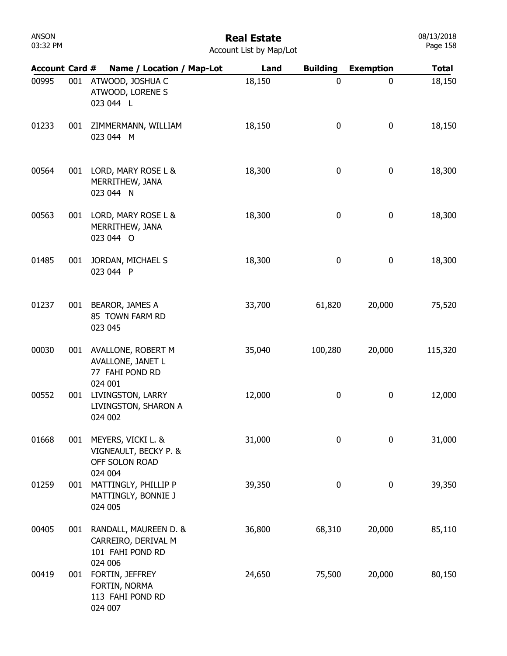# Real Estate

| <b>Account Card #</b> |     | Name / Location / Map-Lot                                                   | Land   | <b>Building</b> | <b>Exemption</b> | <b>Total</b> |
|-----------------------|-----|-----------------------------------------------------------------------------|--------|-----------------|------------------|--------------|
| 00995                 | 001 | ATWOOD, JOSHUA C<br>ATWOOD, LORENE S<br>023 044 L                           | 18,150 | 0               | $\pmb{0}$        | 18,150       |
| 01233                 | 001 | ZIMMERMANN, WILLIAM<br>023 044 M                                            | 18,150 | 0               | 0                | 18,150       |
| 00564                 | 001 | LORD, MARY ROSE L &<br>MERRITHEW, JANA<br>023 044 N                         | 18,300 | 0               | 0                | 18,300       |
| 00563                 | 001 | LORD, MARY ROSE L &<br>MERRITHEW, JANA<br>023 044 O                         | 18,300 | 0               | 0                | 18,300       |
| 01485                 | 001 | JORDAN, MICHAEL S<br>023 044 P                                              | 18,300 | 0               | $\pmb{0}$        | 18,300       |
| 01237                 | 001 | BEAROR, JAMES A<br>85 TOWN FARM RD<br>023 045                               | 33,700 | 61,820          | 20,000           | 75,520       |
| 00030                 | 001 | AVALLONE, ROBERT M<br>AVALLONE, JANET L<br>77 FAHI POND RD<br>024 001       | 35,040 | 100,280         | 20,000           | 115,320      |
| 00552                 | 001 | LIVINGSTON, LARRY<br>LIVINGSTON, SHARON A<br>024 002                        | 12,000 | 0               | $\pmb{0}$        | 12,000       |
| 01668                 | 001 | MEYERS, VICKI L. &<br>VIGNEAULT, BECKY P. &<br>OFF SOLON ROAD<br>024 004    | 31,000 | 0               | 0                | 31,000       |
| 01259                 | 001 | MATTINGLY, PHILLIP P<br>MATTINGLY, BONNIE J<br>024 005                      | 39,350 | 0               | $\pmb{0}$        | 39,350       |
| 00405                 | 001 | RANDALL, MAUREEN D. &<br>CARREIRO, DERIVAL M<br>101 FAHI POND RD<br>024 006 | 36,800 | 68,310          | 20,000           | 85,110       |
| 00419                 | 001 | FORTIN, JEFFREY<br>FORTIN, NORMA<br>113 FAHI POND RD<br>024 007             | 24,650 | 75,500          | 20,000           | 80,150       |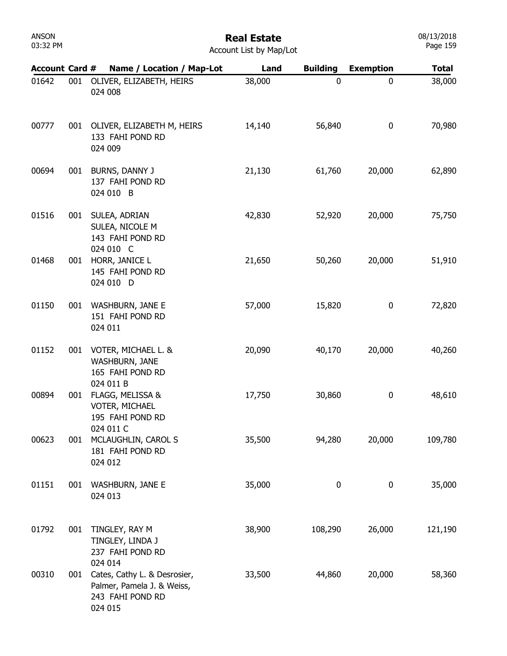| ANSON    |  |
|----------|--|
| 03:32 PM |  |

| <b>Account Card #</b> |     | Name / Location / Map-Lot                                                                 | Land   | <b>Building</b> | <b>Exemption</b> | <b>Total</b> |
|-----------------------|-----|-------------------------------------------------------------------------------------------|--------|-----------------|------------------|--------------|
| 01642                 | 001 | OLIVER, ELIZABETH, HEIRS<br>024 008                                                       | 38,000 | 0               | 0                | 38,000       |
| 00777                 |     | 001 OLIVER, ELIZABETH M, HEIRS<br>133 FAHI POND RD<br>024 009                             | 14,140 | 56,840          | $\mathbf 0$      | 70,980       |
| 00694                 | 001 | BURNS, DANNY J<br>137 FAHI POND RD<br>024 010 B                                           | 21,130 | 61,760          | 20,000           | 62,890       |
| 01516                 | 001 | SULEA, ADRIAN<br>SULEA, NICOLE M<br>143 FAHI POND RD<br>024 010 C                         | 42,830 | 52,920          | 20,000           | 75,750       |
| 01468                 |     | 001 HORR, JANICE L<br>145 FAHI POND RD<br>024 010 D                                       | 21,650 | 50,260          | 20,000           | 51,910       |
| 01150                 | 001 | <b>WASHBURN, JANE E</b><br>151 FAHI POND RD<br>024 011                                    | 57,000 | 15,820          | $\mathbf 0$      | 72,820       |
| 01152                 | 001 | VOTER, MICHAEL L. &<br>WASHBURN, JANE<br>165 FAHI POND RD<br>024 011 B                    | 20,090 | 40,170          | 20,000           | 40,260       |
| 00894                 | 001 | FLAGG, MELISSA &<br>VOTER, MICHAEL<br>195 FAHI POND RD                                    | 17,750 | 30,860          | $\mathbf 0$      | 48,610       |
| 00623                 | 001 | 024 011 C<br>MCLAUGHLIN, CAROL S<br>181 FAHI POND RD<br>024 012                           | 35,500 | 94,280          | 20,000           | 109,780      |
| 01151                 | 001 | <b>WASHBURN, JANE E</b><br>024 013                                                        | 35,000 | 0               | $\mathbf 0$      | 35,000       |
| 01792                 | 001 | TINGLEY, RAY M<br>TINGLEY, LINDA J<br>237 FAHI POND RD<br>024 014                         | 38,900 | 108,290         | 26,000           | 121,190      |
| 00310                 | 001 | Cates, Cathy L. & Desrosier,<br>Palmer, Pamela J. & Weiss,<br>243 FAHI POND RD<br>024 015 | 33,500 | 44,860          | 20,000           | 58,360       |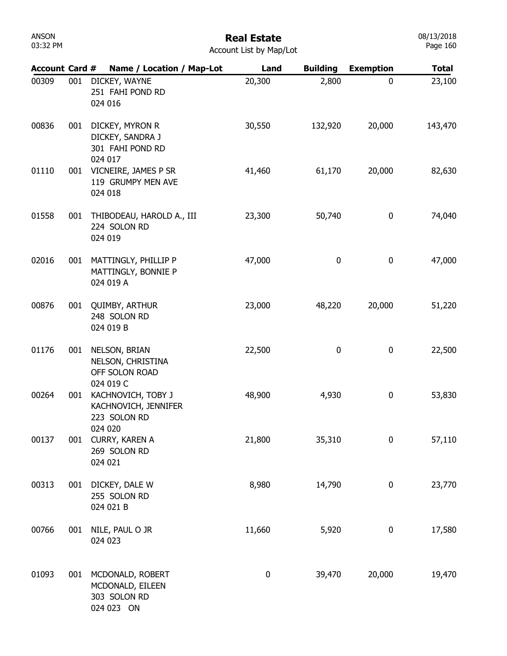## Real Estate

| Account List by Map/Lot |  |  |  |
|-------------------------|--|--|--|
|-------------------------|--|--|--|

| <b>Account Card #</b> |     | Name / Location / Map-Lot                                             | Land      | <b>Building</b> | <b>Exemption</b> | <b>Total</b> |
|-----------------------|-----|-----------------------------------------------------------------------|-----------|-----------------|------------------|--------------|
| 00309                 | 001 | DICKEY, WAYNE<br>251 FAHI POND RD<br>024 016                          | 20,300    | 2,800           | $\mathbf 0$      | 23,100       |
| 00836                 | 001 | DICKEY, MYRON R<br>DICKEY, SANDRA J<br>301 FAHI POND RD<br>024 017    | 30,550    | 132,920         | 20,000           | 143,470      |
| 01110                 | 001 | VICNEIRE, JAMES P SR<br>119 GRUMPY MEN AVE<br>024 018                 | 41,460    | 61,170          | 20,000           | 82,630       |
| 01558                 | 001 | THIBODEAU, HAROLD A., III<br>224 SOLON RD<br>024 019                  | 23,300    | 50,740          | 0                | 74,040       |
| 02016                 | 001 | MATTINGLY, PHILLIP P<br>MATTINGLY, BONNIE P<br>024 019 A              | 47,000    | 0               | 0                | 47,000       |
| 00876                 | 001 | <b>QUIMBY, ARTHUR</b><br>248 SOLON RD<br>024 019 B                    | 23,000    | 48,220          | 20,000           | 51,220       |
| 01176                 | 001 | NELSON, BRIAN<br>NELSON, CHRISTINA<br>OFF SOLON ROAD<br>024 019 C     | 22,500    | 0               | 0                | 22,500       |
| 00264                 | 001 | KACHNOVICH, TOBY J<br>KACHNOVICH, JENNIFER<br>223 SOLON RD<br>024 020 | 48,900    | 4,930           | 0                | 53,830       |
| 00137                 | 001 | CURRY, KAREN A<br>269 SOLON RD<br>024 021                             | 21,800    | 35,310          | 0                | 57,110       |
| 00313                 | 001 | DICKEY, DALE W<br>255 SOLON RD<br>024 021 B                           | 8,980     | 14,790          | $\boldsymbol{0}$ | 23,770       |
| 00766                 | 001 | NILE, PAUL O JR<br>024 023                                            | 11,660    | 5,920           | $\boldsymbol{0}$ | 17,580       |
| 01093                 | 001 | MCDONALD, ROBERT<br>MCDONALD, EILEEN<br>303 SOLON RD<br>024 023 ON    | $\pmb{0}$ | 39,470          | 20,000           | 19,470       |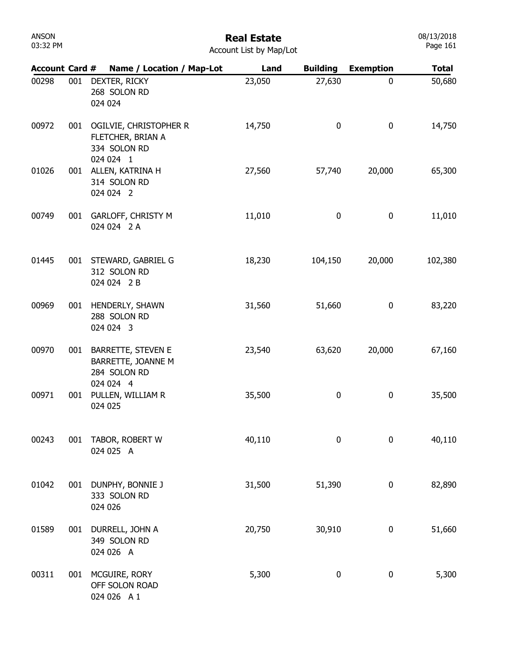# Real Estate

| Account List by Map/Lot |  |  |  |
|-------------------------|--|--|--|
|-------------------------|--|--|--|

| <b>Account Card #</b> |     | Name / Location / Map-Lot                                                    | Land   | <b>Building</b> | <b>Exemption</b> | <b>Total</b> |
|-----------------------|-----|------------------------------------------------------------------------------|--------|-----------------|------------------|--------------|
| 00298                 | 001 | DEXTER, RICKY<br>268 SOLON RD<br>024 024                                     | 23,050 | 27,630          | 0                | 50,680       |
| 00972                 | 001 | OGILVIE, CHRISTOPHER R<br>FLETCHER, BRIAN A<br>334 SOLON RD<br>024 024 1     | 14,750 | 0               | 0                | 14,750       |
| 01026                 | 001 | ALLEN, KATRINA H<br>314 SOLON RD<br>024 024 2                                | 27,560 | 57,740          | 20,000           | 65,300       |
| 00749                 | 001 | <b>GARLOFF, CHRISTY M</b><br>024 024 2 A                                     | 11,010 | 0               | 0                | 11,010       |
| 01445                 | 001 | STEWARD, GABRIEL G<br>312 SOLON RD<br>024 024 2 B                            | 18,230 | 104,150         | 20,000           | 102,380      |
| 00969                 | 001 | HENDERLY, SHAWN<br>288 SOLON RD<br>024 024 3                                 | 31,560 | 51,660          | 0                | 83,220       |
| 00970                 | 001 | <b>BARRETTE, STEVEN E</b><br>BARRETTE, JOANNE M<br>284 SOLON RD<br>024 024 4 | 23,540 | 63,620          | 20,000           | 67,160       |
| 00971                 | 001 | PULLEN, WILLIAM R<br>024 025                                                 | 35,500 | 0               | 0                | 35,500       |
| 00243                 | 001 | TABOR, ROBERT W<br>024 025 A                                                 | 40,110 | 0               | 0                | 40,110       |
| 01042                 | 001 | DUNPHY, BONNIE J<br>333 SOLON RD<br>024 026                                  | 31,500 | 51,390          | 0                | 82,890       |
| 01589                 | 001 | DURRELL, JOHN A<br>349 SOLON RD<br>024 026 A                                 | 20,750 | 30,910          | 0                | 51,660       |
| 00311                 | 001 | MCGUIRE, RORY<br>OFF SOLON ROAD<br>024 026 A 1                               | 5,300  | 0               | 0                | 5,300        |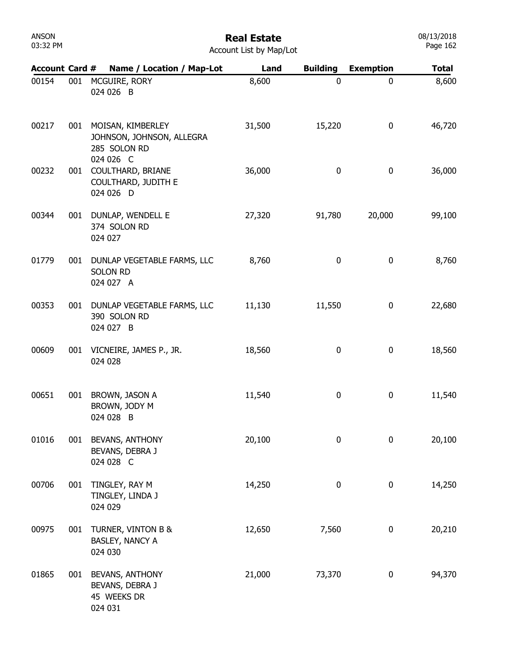| ANSON    |  |
|----------|--|
| 03:32 PM |  |

| <b>Account Card #</b> |     | Name / Location / Map-Lot                                                       | Land   | <b>Building</b> | <b>Exemption</b> | Total  |
|-----------------------|-----|---------------------------------------------------------------------------------|--------|-----------------|------------------|--------|
| 00154                 | 001 | MCGUIRE, RORY<br>024 026 B                                                      | 8,600  | 0               | 0                | 8,600  |
| 00217                 |     | 001 MOISAN, KIMBERLEY<br>JOHNSON, JOHNSON, ALLEGRA<br>285 SOLON RD<br>024 026 C | 31,500 | 15,220          | $\pmb{0}$        | 46,720 |
| 00232                 | 001 | COULTHARD, BRIANE<br>COULTHARD, JUDITH E<br>024 026 D                           | 36,000 | 0               | $\pmb{0}$        | 36,000 |
| 00344                 | 001 | DUNLAP, WENDELL E<br>374 SOLON RD<br>024 027                                    | 27,320 | 91,780          | 20,000           | 99,100 |
| 01779                 | 001 | DUNLAP VEGETABLE FARMS, LLC<br><b>SOLON RD</b><br>024 027 A                     | 8,760  | 0               | $\bf{0}$         | 8,760  |
| 00353                 |     | 001 DUNLAP VEGETABLE FARMS, LLC<br>390 SOLON RD<br>024 027 B                    | 11,130 | 11,550          | $\pmb{0}$        | 22,680 |
| 00609                 | 001 | VICNEIRE, JAMES P., JR.<br>024 028                                              | 18,560 | 0               | $\pmb{0}$        | 18,560 |
| 00651                 | 001 | BROWN, JASON A<br>BROWN, JODY M<br>024 028 B                                    | 11,540 | 0               | $\pmb{0}$        | 11,540 |
| 01016                 |     | 001 BEVANS, ANTHONY<br>BEVANS, DEBRA J<br>024 028 C                             | 20,100 | 0               | 0                | 20,100 |
| 00706                 | 001 | TINGLEY, RAY M<br>TINGLEY, LINDA J<br>024 029                                   | 14,250 | 0               | 0                | 14,250 |
| 00975                 | 001 | TURNER, VINTON B &<br>BASLEY, NANCY A<br>024 030                                | 12,650 | 7,560           | 0                | 20,210 |
| 01865                 | 001 | <b>BEVANS, ANTHONY</b><br>BEVANS, DEBRA J<br>45 WEEKS DR<br>024 031             | 21,000 | 73,370          | 0                | 94,370 |